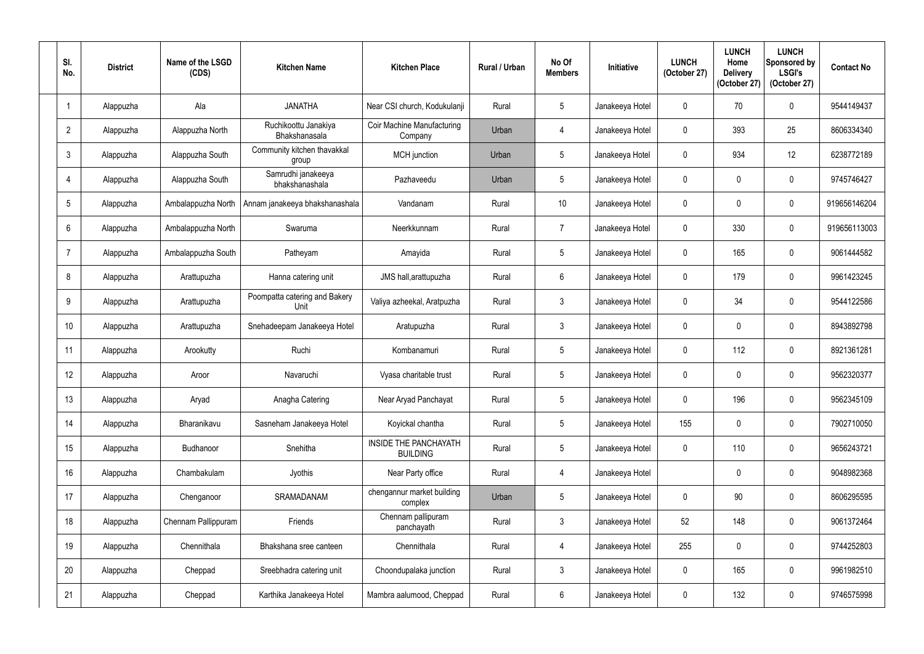| SI.<br>No.       | <b>District</b> | Name of the LSGD<br>(CDS) | <b>Kitchen Name</b>                   | <b>Kitchen Place</b>                         | <b>Rural / Urban</b> | No Of<br><b>Members</b> | Initiative      | <b>LUNCH</b><br>(October 27) | <b>LUNCH</b><br>Home<br><b>Delivery</b><br>(October 27) | <b>LUNCH</b><br>Sponsored by<br><b>LSGI's</b><br>(October 27) | <b>Contact No</b> |
|------------------|-----------------|---------------------------|---------------------------------------|----------------------------------------------|----------------------|-------------------------|-----------------|------------------------------|---------------------------------------------------------|---------------------------------------------------------------|-------------------|
|                  | Alappuzha       | Ala                       | <b>JANATHA</b>                        | Near CSI church, Kodukulanji                 | Rural                | $5\phantom{.0}$         | Janakeeya Hotel | $\mathbf 0$                  | 70                                                      | $\pmb{0}$                                                     | 9544149437        |
| $\overline{2}$   | Alappuzha       | Alappuzha North           | Ruchikoottu Janakiya<br>Bhakshanasala | <b>Coir Machine Manufacturing</b><br>Company | Urban                | $\overline{4}$          | Janakeeya Hotel | $\mathbf 0$                  | 393                                                     | 25                                                            | 8606334340        |
| $\mathfrak{Z}$   | Alappuzha       | Alappuzha South           | Community kitchen thavakkal<br>group  | MCH junction                                 | Urban                | $5\phantom{.0}$         | Janakeeya Hotel | $\mathbf 0$                  | 934                                                     | 12                                                            | 6238772189        |
| 4                | Alappuzha       | Alappuzha South           | Samrudhi janakeeya<br>bhakshanashala  | Pazhaveedu                                   | Urban                | $\overline{5}$          | Janakeeya Hotel | $\mathbf 0$                  | $\Omega$                                                | $\mathbf 0$                                                   | 9745746427        |
| $5\phantom{.0}$  | Alappuzha       | Ambalappuzha North        | Annam janakeeya bhakshanashala        | Vandanam                                     | Rural                | 10                      | Janakeeya Hotel | $\mathbf 0$                  | $\mathbf 0$                                             | $\pmb{0}$                                                     | 919656146204      |
| 6                | Alappuzha       | Ambalappuzha North        | Swaruma                               | Neerkkunnam                                  | Rural                | $\overline{7}$          | Janakeeya Hotel | $\mathbf 0$                  | 330                                                     | $\mathbf 0$                                                   | 919656113003      |
| $\overline{7}$   | Alappuzha       | Ambalappuzha South        | Patheyam                              | Amayida                                      | Rural                | $5\overline{)}$         | Janakeeya Hotel | $\mathbf 0$                  | 165                                                     | $\pmb{0}$                                                     | 9061444582        |
| 8                | Alappuzha       | Arattupuzha               | Hanna catering unit                   | JMS hall, arattupuzha                        | Rural                | $6\phantom{.}6$         | Janakeeya Hotel | $\mathbf 0$                  | 179                                                     | $\mathbf 0$                                                   | 9961423245        |
| 9                | Alappuzha       | Arattupuzha               | Poompatta catering and Bakery<br>Unit | Valiya azheekal, Aratpuzha                   | Rural                | $\mathfrak{Z}$          | Janakeeya Hotel | $\mathbf 0$                  | 34                                                      | $\boldsymbol{0}$                                              | 9544122586        |
| 10 <sup>°</sup>  | Alappuzha       | Arattupuzha               | Snehadeepam Janakeeya Hotel           | Aratupuzha                                   | Rural                | $\mathbf{3}$            | Janakeeya Hotel | $\mathbf 0$                  | $\mathbf 0$                                             | $\pmb{0}$                                                     | 8943892798        |
| 11               | Alappuzha       | Arookutty                 | Ruchi                                 | Kombanamuri                                  | Rural                | $5\phantom{.0}$         | Janakeeya Hotel | $\mathbf 0$                  | 112                                                     | $\mathbf 0$                                                   | 8921361281        |
| 12               | Alappuzha       | Aroor                     | Navaruchi                             | Vyasa charitable trust                       | Rural                | $5\overline{)}$         | Janakeeya Hotel | $\mathbf 0$                  | 0                                                       | $\mathbf 0$                                                   | 9562320377        |
| 13               | Alappuzha       | Aryad                     | Anagha Catering                       | Near Aryad Panchayat                         | Rural                | $5\phantom{.0}$         | Janakeeya Hotel | $\mathbf 0$                  | 196                                                     | $\pmb{0}$                                                     | 9562345109        |
| 14               | Alappuzha       | Bharanikavu               | Sasneham Janakeeya Hotel              | Koyickal chantha                             | Rural                | $5\phantom{.0}$         | Janakeeya Hotel | 155                          | 0                                                       | $\pmb{0}$                                                     | 7902710050        |
| 15 <sup>15</sup> | Alappuzha       | Budhanoor                 | Snehitha                              | INSIDE THE PANCHAYATH<br><b>BUILDING</b>     | Rural                | $5\phantom{.0}$         | Janakeeya Hotel | $\pmb{0}$                    | 110                                                     | $\pmb{0}$                                                     | 9656243721        |
| 16               | Alappuzha       | Chambakulam               | Jyothis                               | Near Party office                            | Rural                | $\overline{4}$          | Janakeeya Hotel |                              | $\mathbf 0$                                             | $\pmb{0}$                                                     | 9048982368        |
| 17               | Alappuzha       | Chenganoor                | SRAMADANAM                            | chengannur market building<br>complex        | Urban                | $\sqrt{5}$              | Janakeeya Hotel | $\mathbf 0$                  | 90                                                      | $\pmb{0}$                                                     | 8606295595        |
| 18               | Alappuzha       | Chennam Pallippuram       | Friends                               | Chennam pallipuram<br>panchayath             | Rural                | $\mathbf{3}$            | Janakeeya Hotel | 52                           | 148                                                     | $\mathbf 0$                                                   | 9061372464        |
| 19               | Alappuzha       | Chennithala               | Bhakshana sree canteen                | Chennithala                                  | Rural                | $\overline{4}$          | Janakeeya Hotel | 255                          | $\mathbf 0$                                             | $\pmb{0}$                                                     | 9744252803        |
| 20               | Alappuzha       | Cheppad                   | Sreebhadra catering unit              | Choondupalaka junction                       | Rural                | $\mathfrak{Z}$          | Janakeeya Hotel | $\pmb{0}$                    | 165                                                     | $\pmb{0}$                                                     | 9961982510        |
| 21               | Alappuzha       | Cheppad                   | Karthika Janakeeya Hotel              | Mambra aalumood, Cheppad                     | Rural                | 6                       | Janakeeya Hotel | $\mathbf 0$                  | 132                                                     | $\pmb{0}$                                                     | 9746575998        |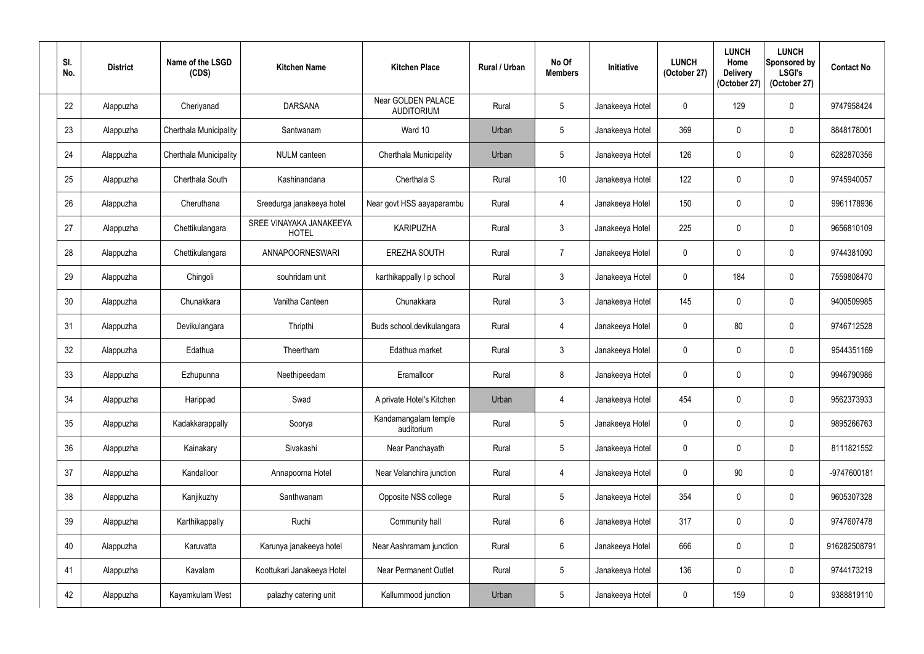| SI.<br>No.      | <b>District</b> | Name of the LSGD<br>(CDS) | <b>Kitchen Name</b>                     | <b>Kitchen Place</b>                    | <b>Rural / Urban</b> | No Of<br><b>Members</b> | Initiative      | <b>LUNCH</b><br>(October 27) | <b>LUNCH</b><br>Home<br><b>Delivery</b><br>(October 27) | <b>LUNCH</b><br>Sponsored by<br><b>LSGI's</b><br>(October 27) | <b>Contact No</b> |
|-----------------|-----------------|---------------------------|-----------------------------------------|-----------------------------------------|----------------------|-------------------------|-----------------|------------------------------|---------------------------------------------------------|---------------------------------------------------------------|-------------------|
| 22              | Alappuzha       | Cheriyanad                | <b>DARSANA</b>                          | Near GOLDEN PALACE<br><b>AUDITORIUM</b> | Rural                | $5\overline{)}$         | Janakeeya Hotel | $\mathbf 0$                  | 129                                                     | $\mathbf 0$                                                   | 9747958424        |
| 23              | Alappuzha       | Cherthala Municipality    | Santwanam                               | Ward 10                                 | Urban                | $5\phantom{.0}$         | Janakeeya Hotel | 369                          |                                                         | $\mathbf 0$                                                   | 8848178001        |
| 24              | Alappuzha       | Cherthala Municipality    | <b>NULM</b> canteen                     | Cherthala Municipality                  | Urban                | $5\overline{)}$         | Janakeeya Hotel | 126                          |                                                         | $\mathbf 0$                                                   | 6282870356        |
| 25              | Alappuzha       | Cherthala South           | Kashinandana                            | Cherthala S                             | Rural                | 10 <sup>°</sup>         | Janakeeya Hotel | 122                          |                                                         | $\mathbf 0$                                                   | 9745940057        |
| 26              | Alappuzha       | Cheruthana                | Sreedurga janakeeya hotel               | Near govt HSS aayaparambu               | Rural                | 4                       | Janakeeya Hotel | 150                          | $\Omega$                                                | $\mathbf 0$                                                   | 9961178936        |
| 27              | Alappuzha       | Chettikulangara           | SREE VINAYAKA JANAKEEYA<br><b>HOTEL</b> | <b>KARIPUZHA</b>                        | Rural                | $\mathfrak{Z}$          | Janakeeya Hotel | 225                          |                                                         | $\mathbf 0$                                                   | 9656810109        |
| 28              | Alappuzha       | Chettikulangara           | ANNAPOORNESWARI                         | <b>EREZHA SOUTH</b>                     | Rural                | $\overline{7}$          | Janakeeya Hotel | $\mathbf 0$                  | $\mathbf{0}$                                            | $\boldsymbol{0}$                                              | 9744381090        |
| 29              | Alappuzha       | Chingoli                  | souhridam unit                          | karthikappally I p school               | Rural                | $\mathfrak{Z}$          | Janakeeya Hotel | $\mathbf 0$                  | 184                                                     | $\mathbf 0$                                                   | 7559808470        |
| 30              | Alappuzha       | Chunakkara                | Vanitha Canteen                         | Chunakkara                              | Rural                | $\mathbf{3}$            | Janakeeya Hotel | 145                          | $\Omega$                                                | $\mathbf 0$                                                   | 9400509985        |
| 31              | Alappuzha       | Devikulangara             | Thripthi                                | Buds school, devikulangara              | Rural                | $\overline{4}$          | Janakeeya Hotel | $\mathbf 0$                  | 80                                                      | $\boldsymbol{0}$                                              | 9746712528        |
| 32              | Alappuzha       | Edathua                   | Theertham                               | Edathua market                          | Rural                | $\mathbf{3}$            | Janakeeya Hotel | $\boldsymbol{0}$             | $\Omega$                                                | $\mathbf 0$                                                   | 9544351169        |
| 33              | Alappuzha       | Ezhupunna                 | Neethipeedam                            | Eramalloor                              | Rural                | $8\phantom{1}$          | Janakeeya Hotel | $\pmb{0}$                    | 0                                                       | $\mathbf 0$                                                   | 9946790986        |
| 34              | Alappuzha       | Harippad                  | Swad                                    | A private Hotel's Kitchen               | Urban                | $\overline{4}$          | Janakeeya Hotel | 454                          | $\mathbf 0$                                             | $\boldsymbol{0}$                                              | 9562373933        |
| 35 <sub>5</sub> | Alappuzha       | Kadakkarappally           | Soorya                                  | Kandamangalam temple<br>auditorium      | Rural                | $5\phantom{.0}$         | Janakeeya Hotel | $\mathbf 0$                  | 0                                                       | $\boldsymbol{0}$                                              | 9895266763        |
| 36              | Alappuzha       | Kainakary                 | Sivakashi                               | Near Panchayath                         | Rural                | $5\phantom{.0}$         | Janakeeya Hotel | $\pmb{0}$                    | 0                                                       | $\boldsymbol{0}$                                              | 8111821552        |
| 37              | Alappuzha       | Kandalloor                | Annapoorna Hotel                        | Near Velanchira junction                | Rural                | 4                       | Janakeeya Hotel | $\pmb{0}$                    | 90                                                      | $\pmb{0}$                                                     | -9747600181       |
| 38              | Alappuzha       | Kanjikuzhy                | Santhwanam                              | Opposite NSS college                    | Rural                | $5\phantom{.0}$         | Janakeeya Hotel | 354                          | 0                                                       | $\pmb{0}$                                                     | 9605307328        |
| 39              | Alappuzha       | Karthikappally            | Ruchi                                   | Community hall                          | Rural                | $6\phantom{.}6$         | Janakeeya Hotel | 317                          | 0                                                       | $\mathbf 0$                                                   | 9747607478        |
| 40              | Alappuzha       | Karuvatta                 | Karunya janakeeya hotel                 | Near Aashramam junction                 | Rural                | $6\overline{6}$         | Janakeeya Hotel | 666                          | $\mathbf 0$                                             | $\pmb{0}$                                                     | 916282508791      |
| 41              | Alappuzha       | Kavalam                   | Koottukari Janakeeya Hotel              | <b>Near Permanent Outlet</b>            | Rural                | $5\phantom{.0}$         | Janakeeya Hotel | 136                          | 0                                                       | $\pmb{0}$                                                     | 9744173219        |
| 42              | Alappuzha       | Kayamkulam West           | palazhy catering unit                   | Kallummood junction                     | Urban                | $5\phantom{.0}$         | Janakeeya Hotel | $\mathbf 0$                  | 159                                                     | $\pmb{0}$                                                     | 9388819110        |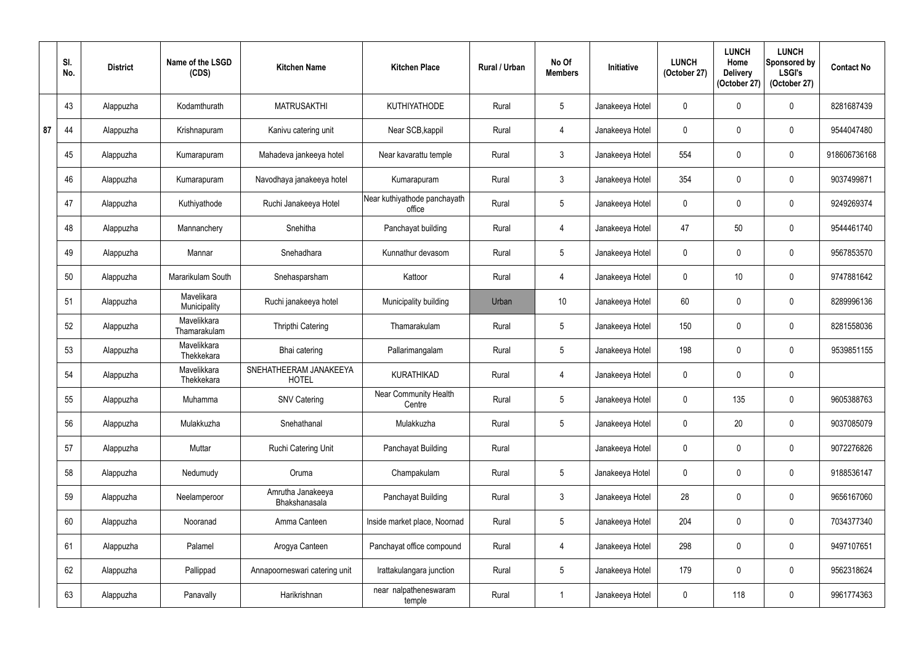|    | SI.<br>No. | <b>District</b> | Name of the LSGD<br>(CDS)   | <b>Kitchen Name</b>                    | <b>Kitchen Place</b>                   | Rural / Urban | No Of<br><b>Members</b> | Initiative      | <b>LUNCH</b><br>(October 27) | <b>LUNCH</b><br>Home<br><b>Delivery</b><br>(October 27) | <b>LUNCH</b><br>Sponsored by<br><b>LSGI's</b><br>(October 27) | <b>Contact No</b> |
|----|------------|-----------------|-----------------------------|----------------------------------------|----------------------------------------|---------------|-------------------------|-----------------|------------------------------|---------------------------------------------------------|---------------------------------------------------------------|-------------------|
|    | 43         | Alappuzha       | Kodamthurath                | <b>MATRUSAKTHI</b>                     | <b>KUTHIYATHODE</b>                    | Rural         | $5\phantom{.0}$         | Janakeeya Hotel | $\mathbf{0}$                 |                                                         | $\mathbf 0$                                                   | 8281687439        |
| 87 | 44         | Alappuzha       | Krishnapuram                | Kanivu catering unit                   | Near SCB, kappil                       | Rural         | 4                       | Janakeeya Hotel | $\mathbf 0$                  | 0                                                       | $\mathbf 0$                                                   | 9544047480        |
|    | 45         | Alappuzha       | Kumarapuram                 | Mahadeva jankeeya hotel                | Near kavarattu temple                  | Rural         | $\mathfrak{Z}$          | Janakeeya Hotel | 554                          |                                                         | $\mathbf 0$                                                   | 918606736168      |
|    | 46         | Alappuzha       | Kumarapuram                 | Navodhaya janakeeya hotel              | Kumarapuram                            | Rural         | $\mathfrak{Z}$          | Janakeeya Hotel | 354                          | 0                                                       | $\pmb{0}$                                                     | 9037499871        |
|    | 47         | Alappuzha       | Kuthiyathode                | Ruchi Janakeeya Hotel                  | Near kuthiyathode panchayath<br>office | Rural         | $5\phantom{.0}$         | Janakeeya Hotel | 0                            |                                                         | $\mathbf 0$                                                   | 9249269374        |
|    | 48         | Alappuzha       | Mannanchery                 | Snehitha                               | Panchayat building                     | Rural         | 4                       | Janakeeya Hotel | 47                           | 50                                                      | $\mathbf 0$                                                   | 9544461740        |
|    | 49         | Alappuzha       | Mannar                      | Snehadhara                             | Kunnathur devasom                      | Rural         | $5\phantom{.0}$         | Janakeeya Hotel | $\mathbf{0}$                 |                                                         | $\mathbf 0$                                                   | 9567853570        |
|    | 50         | Alappuzha       | Mararikulam South           | Snehasparsham                          | Kattoor                                | Rural         | $\overline{4}$          | Janakeeya Hotel | $\mathbf{0}$                 | 10 <sup>°</sup>                                         | $\mathbf 0$                                                   | 9747881642        |
|    | 51         | Alappuzha       | Mavelikara<br>Municipality  | Ruchi janakeeya hotel                  | Municipality building                  | Urban         | 10 <sup>°</sup>         | Janakeeya Hotel | 60                           |                                                         | $\mathbf 0$                                                   | 8289996136        |
|    | 52         | Alappuzha       | Mavelikkara<br>Thamarakulam | Thripthi Catering                      | Thamarakulam                           | Rural         | $\sqrt{5}$              | Janakeeya Hotel | 150                          | 0                                                       | $\pmb{0}$                                                     | 8281558036        |
|    | 53         | Alappuzha       | Mavelikkara<br>Thekkekara   | Bhai catering                          | Pallarimangalam                        | Rural         | $5\overline{)}$         | Janakeeya Hotel | 198                          |                                                         | $\mathbf 0$                                                   | 9539851155        |
|    | 54         | Alappuzha       | Mavelikkara<br>Thekkekara   | SNEHATHEERAM JANAKEEYA<br><b>HOTEL</b> | <b>KURATHIKAD</b>                      | Rural         | $\overline{4}$          | Janakeeya Hotel | $\mathbf 0$                  |                                                         | $\pmb{0}$                                                     |                   |
|    | 55         | Alappuzha       | Muhamma                     | <b>SNV Catering</b>                    | Near Community Health<br>Centre        | Rural         | $5\phantom{.0}$         | Janakeeya Hotel | $\mathbf 0$                  | 135                                                     | $\pmb{0}$                                                     | 9605388763        |
|    | 56         | Alappuzha       | Mulakkuzha                  | Snehathanal                            | Mulakkuzha                             | Rural         | $5\overline{)}$         | Janakeeya Hotel | $\mathbf 0$                  | 20                                                      | $\pmb{0}$                                                     | 9037085079        |
|    | 57         | Alappuzha       | Muttar                      | Ruchi Catering Unit                    | Panchayat Building                     | Rural         |                         | Janakeeya Hotel | $\pmb{0}$                    | 0                                                       | $\boldsymbol{0}$                                              | 9072276826        |
|    | 58         | Alappuzha       | Nedumudy                    | Oruma                                  | Champakulam                            | Rural         | $5\phantom{.0}$         | Janakeeya Hotel | $\pmb{0}$                    | 0                                                       | $\pmb{0}$                                                     | 9188536147        |
|    | 59         | Alappuzha       | Neelamperoor                | Amrutha Janakeeya<br>Bhakshanasala     | Panchayat Building                     | Rural         | $\mathfrak{Z}$          | Janakeeya Hotel | 28                           | 0                                                       | $\pmb{0}$                                                     | 9656167060        |
|    | 60         | Alappuzha       | Nooranad                    | Amma Canteen                           | Inside market place, Noornad           | Rural         | $5\phantom{.0}$         | Janakeeya Hotel | 204                          | $\mathbf 0$                                             | $\boldsymbol{0}$                                              | 7034377340        |
|    | 61         | Alappuzha       | Palamel                     | Arogya Canteen                         | Panchayat office compound              | Rural         | $\overline{4}$          | Janakeeya Hotel | 298                          | 0                                                       | $\pmb{0}$                                                     | 9497107651        |
|    | 62         | Alappuzha       | Pallippad                   | Annapoorneswari catering unit          | Irattakulangara junction               | Rural         | $5\phantom{.0}$         | Janakeeya Hotel | 179                          | 0                                                       | $\pmb{0}$                                                     | 9562318624        |
|    | 63         | Alappuzha       | Panavally                   | Harikrishnan                           | near nalpatheneswaram<br>temple        | Rural         | $\overline{1}$          | Janakeeya Hotel | $\pmb{0}$                    | 118                                                     | $\pmb{0}$                                                     | 9961774363        |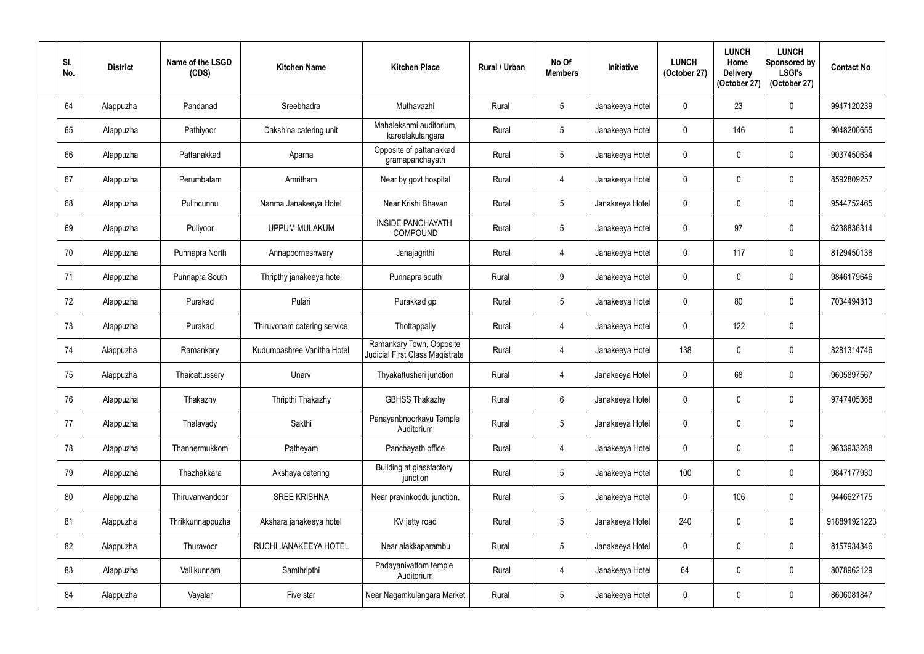| SI.<br>No. | <b>District</b> | Name of the LSGD<br>(CDS) | <b>Kitchen Name</b>         | <b>Kitchen Place</b>                                        | <b>Rural / Urban</b> | No Of<br><b>Members</b> | Initiative      | <b>LUNCH</b><br>(October 27) | <b>LUNCH</b><br>Home<br><b>Delivery</b><br>(October 27) | <b>LUNCH</b><br>Sponsored by<br><b>LSGI's</b><br>(October 27) | <b>Contact No</b> |
|------------|-----------------|---------------------------|-----------------------------|-------------------------------------------------------------|----------------------|-------------------------|-----------------|------------------------------|---------------------------------------------------------|---------------------------------------------------------------|-------------------|
| 64         | Alappuzha       | Pandanad                  | Sreebhadra                  | Muthavazhi                                                  | Rural                | $5\overline{)}$         | Janakeeya Hotel | $\mathbf{0}$                 | 23                                                      | $\mathbf 0$                                                   | 9947120239        |
| 65         | Alappuzha       | Pathiyoor                 | Dakshina catering unit      | Mahalekshmi auditorium,<br>kareelakulangara                 | Rural                | $5\phantom{.0}$         | Janakeeya Hotel | $\mathbf{0}$                 | 146                                                     | $\mathbf 0$                                                   | 9048200655        |
| 66         | Alappuzha       | Pattanakkad               | Aparna                      | Opposite of pattanakkad<br>gramapanchayath                  | Rural                | $5\phantom{.0}$         | Janakeeya Hotel | $\theta$                     |                                                         | $\mathbf 0$                                                   | 9037450634        |
| 67         | Alappuzha       | Perumbalam                | Amritham                    | Near by govt hospital                                       | Rural                | $\overline{4}$          | Janakeeya Hotel | $\overline{0}$               |                                                         | $\pmb{0}$                                                     | 8592809257        |
| 68         | Alappuzha       | Pulincunnu                | Nanma Janakeeya Hotel       | Near Krishi Bhavan                                          | Rural                | $5\phantom{.0}$         | Janakeeya Hotel | $\mathbf{0}$                 |                                                         | $\mathbf 0$                                                   | 9544752465        |
| 69         | Alappuzha       | Puliyoor                  | <b>UPPUM MULAKUM</b>        | <b>INSIDE PANCHAYATH</b><br><b>COMPOUND</b>                 | Rural                | $5\phantom{.0}$         | Janakeeya Hotel | $\theta$                     | 97                                                      | $\mathbf 0$                                                   | 6238836314        |
| 70         | Alappuzha       | Punnapra North            | Annapoorneshwary            | Janajagrithi                                                | Rural                | $\overline{4}$          | Janakeeya Hotel | $\mathbf 0$                  | 117                                                     | $\mathbf 0$                                                   | 8129450136        |
| 71         | Alappuzha       | Punnapra South            | Thripthy janakeeya hotel    | Punnapra south                                              | Rural                | 9                       | Janakeeya Hotel | $\mathbf{0}$                 |                                                         | $\mathbf 0$                                                   | 9846179646        |
| 72         | Alappuzha       | Purakad                   | Pulari                      | Purakkad gp                                                 | Rural                | $5\overline{)}$         | Janakeeya Hotel | $\mathbf 0$                  | 80                                                      | $\mathbf 0$                                                   | 7034494313        |
| 73         | Alappuzha       | Purakad                   | Thiruvonam catering service | Thottappally                                                | Rural                | $\overline{4}$          | Janakeeya Hotel | $\mathbf 0$                  | 122                                                     | $\pmb{0}$                                                     |                   |
| 74         | Alappuzha       | Ramankary                 | Kudumbashree Vanitha Hotel  | Ramankary Town, Opposite<br>Judicial First Class Magistrate | Rural                | 4                       | Janakeeya Hotel | 138                          | 0                                                       | $\boldsymbol{0}$                                              | 8281314746        |
| 75         | Alappuzha       | Thaicattussery            | Unarv                       | Thyakattusheri junction                                     | Rural                | 4                       | Janakeeya Hotel | $\mathbf 0$                  | 68                                                      | $\mathbf 0$                                                   | 9605897567        |
| 76         | Alappuzha       | Thakazhy                  | Thripthi Thakazhy           | <b>GBHSS Thakazhy</b>                                       | Rural                | $6\phantom{.}6$         | Janakeeya Hotel | $\pmb{0}$                    | $\mathbf 0$                                             | $\mathbf 0$                                                   | 9747405368        |
| 77         | Alappuzha       | Thalavady                 | Sakthi                      | Panayanbnoorkavu Temple<br>Auditorium                       | Rural                | $5\phantom{.0}$         | Janakeeya Hotel | $\mathbf 0$                  | $\mathbf 0$                                             | $\pmb{0}$                                                     |                   |
| 78         | Alappuzha       | Thannermukkom             | Patheyam                    | Panchayath office                                           | Rural                | $\overline{4}$          | Janakeeya Hotel | $\mathbf 0$                  | 0                                                       | $\pmb{0}$                                                     | 9633933288        |
| 79         | Alappuzha       | Thazhakkara               | Akshaya catering            | Building at glassfactory<br>junction                        | Rural                | $5\phantom{.0}$         | Janakeeya Hotel | 100                          | 0                                                       | $\pmb{0}$                                                     | 9847177930        |
| 80         | Alappuzha       | Thiruvanvandoor           | <b>SREE KRISHNA</b>         | Near pravinkoodu junction,                                  | Rural                | $5\phantom{.0}$         | Janakeeya Hotel | $\mathbf 0$                  | 106                                                     | $\pmb{0}$                                                     | 9446627175        |
| 81         | Alappuzha       | Thrikkunnappuzha          | Akshara janakeeya hotel     | KV jetty road                                               | Rural                | $\sqrt{5}$              | Janakeeya Hotel | 240                          | $\mathbf 0$                                             | $\boldsymbol{0}$                                              | 918891921223      |
| 82         | Alappuzha       | Thuravoor                 | RUCHI JANAKEEYA HOTEL       | Near alakkaparambu                                          | Rural                | $5\phantom{.0}$         | Janakeeya Hotel | $\mathbf 0$                  | 0                                                       | $\pmb{0}$                                                     | 8157934346        |
| 83         | Alappuzha       | Vallikunnam               | Samthripthi                 | Padayanivattom temple<br>Auditorium                         | Rural                | 4                       | Janakeeya Hotel | 64                           | 0                                                       | $\pmb{0}$                                                     | 8078962129        |
| 84         | Alappuzha       | Vayalar                   | Five star                   | Near Nagamkulangara Market                                  | Rural                | $5\phantom{.0}$         | Janakeeya Hotel | $\pmb{0}$                    | 0                                                       | $\pmb{0}$                                                     | 8606081847        |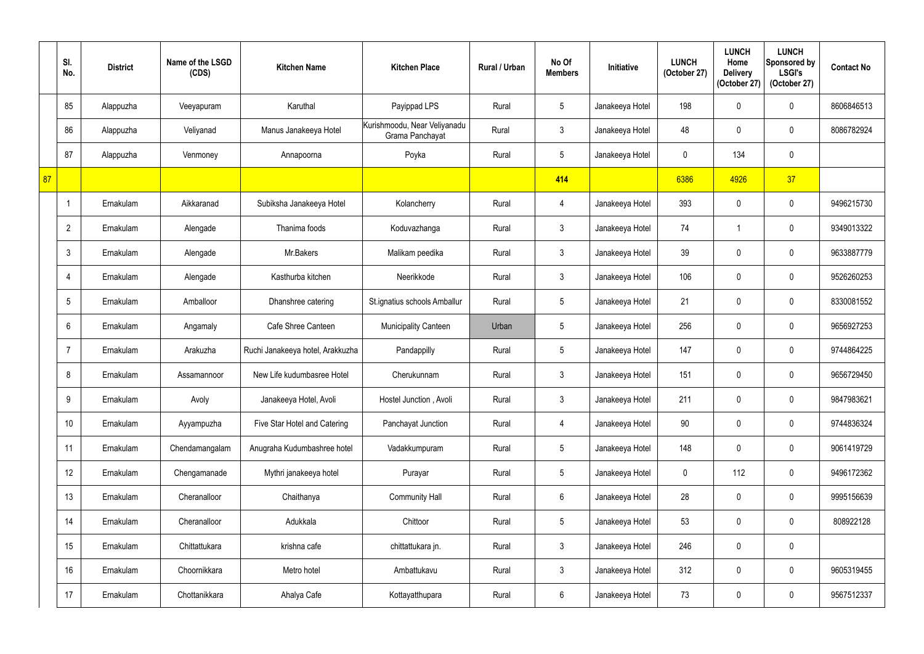|    | SI.<br>No.      | <b>District</b> | Name of the LSGD<br>(CDS) | <b>Kitchen Name</b>              | <b>Kitchen Place</b>                            | Rural / Urban | No Of<br><b>Members</b> | Initiative      | <b>LUNCH</b><br>(October 27) | <b>LUNCH</b><br>Home<br><b>Delivery</b><br>(October 27) | <b>LUNCH</b><br>Sponsored by<br><b>LSGI's</b><br>(October 27) | <b>Contact No</b> |
|----|-----------------|-----------------|---------------------------|----------------------------------|-------------------------------------------------|---------------|-------------------------|-----------------|------------------------------|---------------------------------------------------------|---------------------------------------------------------------|-------------------|
|    | 85              | Alappuzha       | Veeyapuram                | Karuthal                         | Payippad LPS                                    | Rural         | $5\overline{)}$         | Janakeeya Hotel | 198                          |                                                         | $\mathbf 0$                                                   | 8606846513        |
|    | 86              | Alappuzha       | Veliyanad                 | Manus Janakeeya Hotel            | Kurishmoodu, Near Veliyanadu<br>Grama Panchayat | Rural         | $\mathbf{3}$            | Janakeeya Hotel | 48                           | $\Omega$                                                | $\mathbf 0$                                                   | 8086782924        |
|    | 87              | Alappuzha       | Venmoney                  | Annapoorna                       | Poyka                                           | Rural         | $5\overline{)}$         | Janakeeya Hotel | $\mathbf{0}$                 | 134                                                     | $\mathbf 0$                                                   |                   |
| 87 |                 |                 |                           |                                  |                                                 |               | 414                     |                 | 6386                         | 4926                                                    | 37                                                            |                   |
|    | -1              | Ernakulam       | Aikkaranad                | Subiksha Janakeeya Hotel         | Kolancherry                                     | Rural         | 4                       | Janakeeya Hotel | 393                          |                                                         | $\mathbf 0$                                                   | 9496215730        |
|    | $\overline{2}$  | Ernakulam       | Alengade                  | Thanima foods                    | Koduvazhanga                                    | Rural         | $\mathbf{3}$            | Janakeeya Hotel | 74                           |                                                         | $\mathbf 0$                                                   | 9349013322        |
|    | $\mathbf{3}$    | Ernakulam       | Alengade                  | Mr.Bakers                        | Malikam peedika                                 | Rural         | $\mathbf{3}$            | Janakeeya Hotel | 39                           |                                                         | $\mathbf 0$                                                   | 9633887779        |
|    | $\overline{4}$  | Ernakulam       | Alengade                  | Kasthurba kitchen                | Neerikkode                                      | Rural         | $\mathfrak{Z}$          | Janakeeya Hotel | 106                          |                                                         | $\mathbf 0$                                                   | 9526260253        |
|    | $5\overline{)}$ | Ernakulam       | Amballoor                 | Dhanshree catering               | St.ignatius schools Amballur                    | Rural         | $5\phantom{.0}$         | Janakeeya Hotel | 21                           |                                                         | $\mathbf 0$                                                   | 8330081552        |
|    | 6               | Ernakulam       | Angamaly                  | Cafe Shree Canteen               | <b>Municipality Canteen</b>                     | Urban         | $5\phantom{.0}$         | Janakeeya Hotel | 256                          | $\mathbf{0}$                                            | $\mathbf 0$                                                   | 9656927253        |
|    | $\overline{7}$  | Ernakulam       | Arakuzha                  | Ruchi Janakeeya hotel, Arakkuzha | Pandappilly                                     | Rural         | $5\overline{)}$         | Janakeeya Hotel | 147                          |                                                         | $\mathbf 0$                                                   | 9744864225        |
|    | 8               | Ernakulam       | Assamannoor               | New Life kudumbasree Hotel       | Cherukunnam                                     | Rural         | $\mathbf{3}$            | Janakeeya Hotel | 151                          | $\mathbf 0$                                             | $\mathbf 0$                                                   | 9656729450        |
|    | 9               | Ernakulam       | Avoly                     | Janakeeya Hotel, Avoli           | Hostel Junction, Avoli                          | Rural         | $\mathbf{3}$            | Janakeeya Hotel | 211                          | $\mathbf 0$                                             | $\boldsymbol{0}$                                              | 9847983621        |
|    | 10              | Ernakulam       | Ayyampuzha                | Five Star Hotel and Catering     | Panchayat Junction                              | Rural         | $\overline{4}$          | Janakeeya Hotel | $90\,$                       | $\mathbf 0$                                             | $\boldsymbol{0}$                                              | 9744836324        |
|    | 11              | Ernakulam       | Chendamangalam            | Anugraha Kudumbashree hotel      | Vadakkumpuram                                   | Rural         | $5\phantom{.0}$         | Janakeeya Hotel | 148                          | 0                                                       | $\boldsymbol{0}$                                              | 9061419729        |
|    | 12              | Ernakulam       | Chengamanade              | Mythri janakeeya hotel           | Purayar                                         | Rural         | $\sqrt{5}$              | Janakeeya Hotel | $\mathbf 0$                  | 112                                                     | $\pmb{0}$                                                     | 9496172362        |
|    | 13              | Ernakulam       | Cheranalloor              | Chaithanya                       | <b>Community Hall</b>                           | Rural         | $6\phantom{.}6$         | Janakeeya Hotel | 28                           | 0                                                       | $\pmb{0}$                                                     | 9995156639        |
|    | 14              | Ernakulam       | Cheranalloor              | Adukkala                         | Chittoor                                        | Rural         | $5\phantom{.0}$         | Janakeeya Hotel | 53                           | $\mathbf{0}$                                            | $\boldsymbol{0}$                                              | 808922128         |
|    | 15              | Ernakulam       | Chittattukara             | krishna cafe                     | chittattukara jn.                               | Rural         | $3\phantom{.0}$         | Janakeeya Hotel | 246                          | $\mathbf 0$                                             | $\pmb{0}$                                                     |                   |
|    | 16              | Ernakulam       | Choornikkara              | Metro hotel                      | Ambattukavu                                     | Rural         | $3\phantom{a}$          | Janakeeya Hotel | 312                          | 0                                                       | $\pmb{0}$                                                     | 9605319455        |
|    | 17              | Ernakulam       | Chottanikkara             | Ahalya Cafe                      | Kottayatthupara                                 | Rural         | $6\overline{6}$         | Janakeeya Hotel | 73                           | 0                                                       | $\pmb{0}$                                                     | 9567512337        |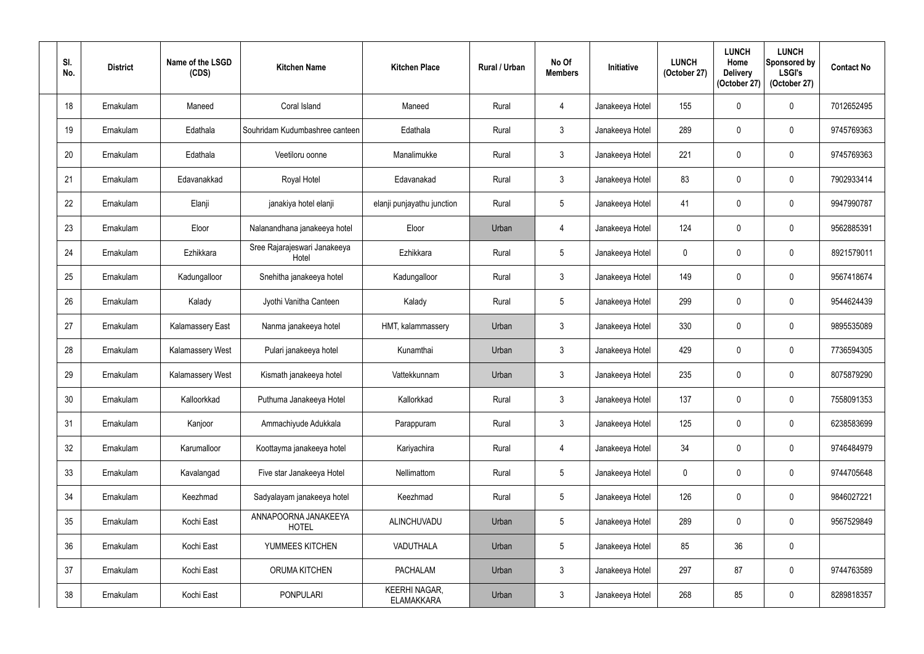| SI.<br>No.      | <b>District</b> | Name of the LSGD<br>(CDS) | <b>Kitchen Name</b>                   | <b>Kitchen Place</b>                      | <b>Rural / Urban</b> | No Of<br><b>Members</b> | Initiative      | <b>LUNCH</b><br>(October 27) | <b>LUNCH</b><br>Home<br><b>Delivery</b><br>(October 27) | <b>LUNCH</b><br>Sponsored by<br><b>LSGI's</b><br>(October 27) | <b>Contact No</b> |
|-----------------|-----------------|---------------------------|---------------------------------------|-------------------------------------------|----------------------|-------------------------|-----------------|------------------------------|---------------------------------------------------------|---------------------------------------------------------------|-------------------|
| 18              | Ernakulam       | Maneed                    | Coral Island                          | Maneed                                    | Rural                | 4                       | Janakeeya Hotel | 155                          | $\mathbf{0}$                                            | $\mathbf 0$                                                   | 7012652495        |
| 19              | Ernakulam       | Edathala                  | Souhridam Kudumbashree canteen        | Edathala                                  | Rural                | $\mathbf{3}$            | Janakeeya Hotel | 289                          | $\mathbf{0}$                                            | $\mathbf 0$                                                   | 9745769363        |
| 20              | Ernakulam       | Edathala                  | Veetiloru oonne                       | Manalimukke                               | Rural                | $\mathbf{3}$            | Janakeeya Hotel | 221                          | 0                                                       | $\boldsymbol{0}$                                              | 9745769363        |
| 21              | Ernakulam       | Edavanakkad               | Royal Hotel                           | Edavanakad                                | Rural                | $\mathfrak{Z}$          | Janakeeya Hotel | 83                           |                                                         | $\pmb{0}$                                                     | 7902933414        |
| 22              | Ernakulam       | Elanji                    | janakiya hotel elanji                 | elanji punjayathu junction                | Rural                | $5\phantom{.0}$         | Janakeeya Hotel | 41                           | $\mathbf 0$                                             | $\mathbf 0$                                                   | 9947990787        |
| 23              | Ernakulam       | Eloor                     | Nalanandhana janakeeya hotel          | Eloor                                     | Urban                | $\overline{4}$          | Janakeeya Hotel | 124                          |                                                         | $\mathbf 0$                                                   | 9562885391        |
| 24              | Ernakulam       | Ezhikkara                 | Sree Rajarajeswari Janakeeya<br>Hotel | Ezhikkara                                 | Rural                | $5\overline{)}$         | Janakeeya Hotel | $\mathbf 0$                  | 0                                                       | $\mathbf 0$                                                   | 8921579011        |
| 25              | Ernakulam       | Kadungalloor              | Snehitha janakeeya hotel              | Kadungalloor                              | Rural                | $\mathfrak{Z}$          | Janakeeya Hotel | 149                          |                                                         | $\mathbf 0$                                                   | 9567418674        |
| 26              | Ernakulam       | Kalady                    | Jyothi Vanitha Canteen                | Kalady                                    | Rural                | $5\phantom{.0}$         | Janakeeya Hotel | 299                          | $\Omega$                                                | $\mathbf 0$                                                   | 9544624439        |
| 27              | Ernakulam       | Kalamassery East          | Nanma janakeeya hotel                 | HMT, kalammassery                         | Urban                | $\mathbf{3}$            | Janakeeya Hotel | 330                          | 0                                                       | $\pmb{0}$                                                     | 9895535089        |
| 28              | Ernakulam       | Kalamassery West          | Pulari janakeeya hotel                | Kunamthai                                 | Urban                | $\mathbf{3}$            | Janakeeya Hotel | 429                          | 0                                                       | $\mathbf 0$                                                   | 7736594305        |
| 29              | Ernakulam       | <b>Kalamassery West</b>   | Kismath janakeeya hotel               | Vattekkunnam                              | Urban                | $\mathbf{3}$            | Janakeeya Hotel | 235                          | 0                                                       | $\mathbf 0$                                                   | 8075879290        |
| 30 <sup>°</sup> | Ernakulam       | Kalloorkkad               | Puthuma Janakeeya Hotel               | Kallorkkad                                | Rural                | $\mathbf{3}$            | Janakeeya Hotel | 137                          | 0                                                       | $\pmb{0}$                                                     | 7558091353        |
| 31              | Ernakulam       | Kanjoor                   | Ammachiyude Adukkala                  | Parappuram                                | Rural                | $\mathbf{3}$            | Janakeeya Hotel | 125                          | 0                                                       | $\pmb{0}$                                                     | 6238583699        |
| 32              | Ernakulam       | Karumalloor               | Koottayma janakeeya hotel             | Kariyachira                               | Rural                | $\overline{4}$          | Janakeeya Hotel | 34                           | 0                                                       | $\pmb{0}$                                                     | 9746484979        |
| 33              | Ernakulam       | Kavalangad                | Five star Janakeeya Hotel             | Nellimattom                               | Rural                | $5\overline{)}$         | Janakeeya Hotel | $\pmb{0}$                    | 0                                                       | $\pmb{0}$                                                     | 9744705648        |
| 34              | Ernakulam       | Keezhmad                  | Sadyalayam janakeeya hotel            | Keezhmad                                  | Rural                | $5\overline{)}$         | Janakeeya Hotel | 126                          | $\mathbf 0$                                             | $\pmb{0}$                                                     | 9846027221        |
| 35              | Ernakulam       | Kochi East                | ANNAPOORNA JANAKEEYA<br><b>HOTEL</b>  | ALINCHUVADU                               | Urban                | $5\phantom{.0}$         | Janakeeya Hotel | 289                          | 0                                                       | $\boldsymbol{0}$                                              | 9567529849        |
| 36              | Ernakulam       | Kochi East                | YUMMEES KITCHEN                       | VADUTHALA                                 | Urban                | $5\phantom{.0}$         | Janakeeya Hotel | 85                           | 36                                                      | $\pmb{0}$                                                     |                   |
| 37              | Ernakulam       | Kochi East                | ORUMA KITCHEN                         | <b>PACHALAM</b>                           | Urban                | $\mathbf{3}$            | Janakeeya Hotel | 297                          | 87                                                      | $\pmb{0}$                                                     | 9744763589        |
| 38              | Ernakulam       | Kochi East                | <b>PONPULARI</b>                      | <b>KEERHI NAGAR,</b><br><b>ELAMAKKARA</b> | Urban                | $\mathbf{3}$            | Janakeeya Hotel | 268                          | 85                                                      | $\pmb{0}$                                                     | 8289818357        |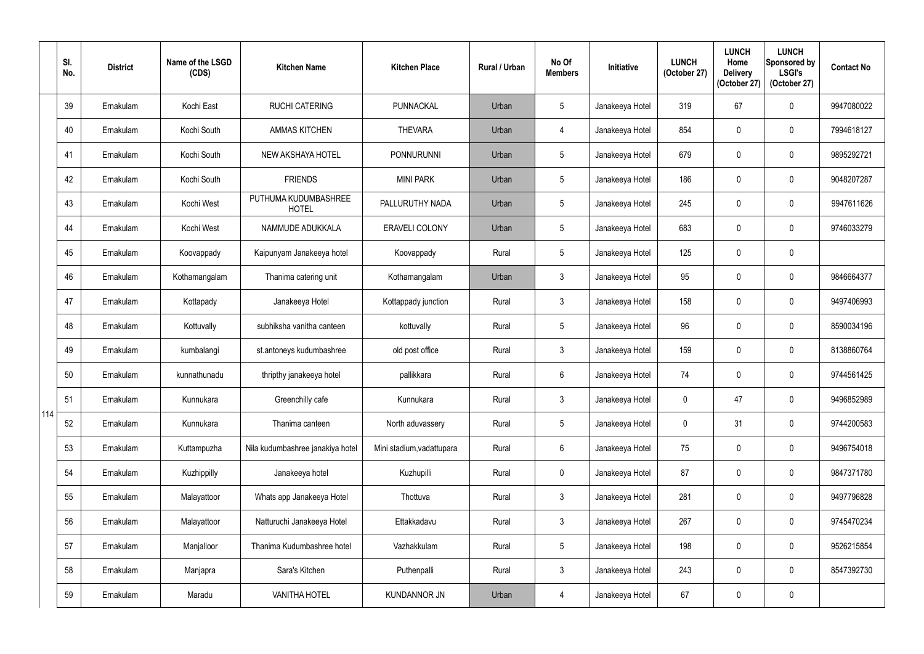|     | SI.<br>No. | <b>District</b> | Name of the LSGD<br>(CDS) | <b>Kitchen Name</b>                  | <b>Kitchen Place</b>      | Rural / Urban | No Of<br><b>Members</b> | Initiative      | <b>LUNCH</b><br>(October 27) | <b>LUNCH</b><br>Home<br><b>Delivery</b><br>(October 27) | <b>LUNCH</b><br>Sponsored by<br><b>LSGI's</b><br>(October 27) | <b>Contact No</b> |
|-----|------------|-----------------|---------------------------|--------------------------------------|---------------------------|---------------|-------------------------|-----------------|------------------------------|---------------------------------------------------------|---------------------------------------------------------------|-------------------|
|     | 39         | Ernakulam       | Kochi East                | <b>RUCHI CATERING</b>                | PUNNACKAL                 | Urban         | $5\overline{)}$         | Janakeeya Hotel | 319                          | 67                                                      | $\mathbf 0$                                                   | 9947080022        |
|     | 40         | Ernakulam       | Kochi South               | <b>AMMAS KITCHEN</b>                 | <b>THEVARA</b>            | Urban         | $\overline{4}$          | Janakeeya Hotel | 854                          | $\Omega$                                                | $\mathbf 0$                                                   | 7994618127        |
|     | 41         | Ernakulam       | Kochi South               | <b>NEW AKSHAYA HOTEL</b>             | <b>PONNURUNNI</b>         | Urban         | $5\phantom{.0}$         | Janakeeya Hotel | 679                          |                                                         | $\mathbf 0$                                                   | 9895292721        |
|     | 42         | Ernakulam       | Kochi South               | <b>FRIENDS</b>                       | <b>MINI PARK</b>          | Urban         | $5\overline{)}$         | Janakeeya Hotel | 186                          | $\Omega$                                                | $\boldsymbol{0}$                                              | 9048207287        |
|     | 43         | Ernakulam       | Kochi West                | PUTHUMA KUDUMBASHREE<br><b>HOTEL</b> | PALLURUTHY NADA           | Urban         | $5\overline{)}$         | Janakeeya Hotel | 245                          |                                                         | $\mathbf 0$                                                   | 9947611626        |
|     | 44         | Ernakulam       | Kochi West                | NAMMUDE ADUKKALA                     | <b>ERAVELI COLONY</b>     | Urban         | $5\phantom{.0}$         | Janakeeya Hotel | 683                          |                                                         | $\mathbf 0$                                                   | 9746033279        |
|     | 45         | Ernakulam       | Koovappady                | Kaipunyam Janakeeya hotel            | Koovappady                | Rural         | 5 <sup>5</sup>          | Janakeeya Hotel | 125                          | $\mathbf{0}$                                            | $\mathbf 0$                                                   |                   |
|     | 46         | Ernakulam       | Kothamangalam             | Thanima catering unit                | Kothamangalam             | Urban         | $\mathbf{3}$            | Janakeeya Hotel | 95                           |                                                         | $\mathbf 0$                                                   | 9846664377        |
|     | 47         | Ernakulam       | Kottapady                 | Janakeeya Hotel                      | Kottappady junction       | Rural         | $\mathbf{3}$            | Janakeeya Hotel | 158                          |                                                         | $\mathbf 0$                                                   | 9497406993        |
|     | 48         | Ernakulam       | Kottuvally                | subhiksha vanitha canteen            | kottuvally                | Rural         | $5\phantom{.0}$         | Janakeeya Hotel | 96                           | $\theta$                                                | $\mathbf 0$                                                   | 8590034196        |
|     | 49         | Ernakulam       | kumbalangi                | st.antoneys kudumbashree             | old post office           | Rural         | $\mathbf{3}$            | Janakeeya Hotel | 159                          |                                                         | $\mathbf 0$                                                   | 8138860764        |
|     | 50         | Ernakulam       | kunnathunadu              | thripthy janakeeya hotel             | pallikkara                | Rural         | $6\overline{6}$         | Janakeeya Hotel | 74                           |                                                         | $\mathbf 0$                                                   | 9744561425        |
|     | 51         | Ernakulam       | Kunnukara                 | Greenchilly cafe                     | Kunnukara                 | Rural         | $\mathbf{3}$            | Janakeeya Hotel | $\mathbf 0$                  | 47                                                      | $\mathbf 0$                                                   | 9496852989        |
| 114 | 52         | Ernakulam       | Kunnukara                 | Thanima canteen                      | North aduvassery          | Rural         | $5\phantom{.0}$         | Janakeeya Hotel | $\mathbf 0$                  | 31                                                      | $\pmb{0}$                                                     | 9744200583        |
|     | 53         | Ernakulam       | Kuttampuzha               | Nila kudumbashree janakiya hotel     | Mini stadium, vadattupara | Rural         | 6                       | Janakeeya Hotel | 75                           | 0                                                       | $\mathbf 0$                                                   | 9496754018        |
|     | 54         | Ernakulam       | Kuzhippilly               | Janakeeya hotel                      | Kuzhupilli                | Rural         | $\overline{0}$          | Janakeeya Hotel | 87                           | 0                                                       | $\pmb{0}$                                                     | 9847371780        |
|     | 55         | Ernakulam       | Malayattoor               | Whats app Janakeeya Hotel            | Thottuva                  | Rural         | $\mathbf{3}$            | Janakeeya Hotel | 281                          | 0                                                       | $\pmb{0}$                                                     | 9497796828        |
|     | 56         | Ernakulam       | Malayattoor               | Natturuchi Janakeeya Hotel           | Ettakkadavu               | Rural         | $\mathfrak{Z}$          | Janakeeya Hotel | 267                          | $\mathbf{0}$                                            | $\boldsymbol{0}$                                              | 9745470234        |
|     | 57         | Ernakulam       | Manjalloor                | Thanima Kudumbashree hotel           | Vazhakkulam               | Rural         | $5\phantom{.0}$         | Janakeeya Hotel | 198                          | 0                                                       | $\pmb{0}$                                                     | 9526215854        |
|     | 58         | Ernakulam       | Manjapra                  | Sara's Kitchen                       | Puthenpalli               | Rural         | $\mathfrak{Z}$          | Janakeeya Hotel | 243                          | 0                                                       | $\pmb{0}$                                                     | 8547392730        |
|     | 59         | Ernakulam       | Maradu                    | <b>VANITHA HOTEL</b>                 | <b>KUNDANNOR JN</b>       | Urban         | $\overline{4}$          | Janakeeya Hotel | 67                           | 0                                                       | $\pmb{0}$                                                     |                   |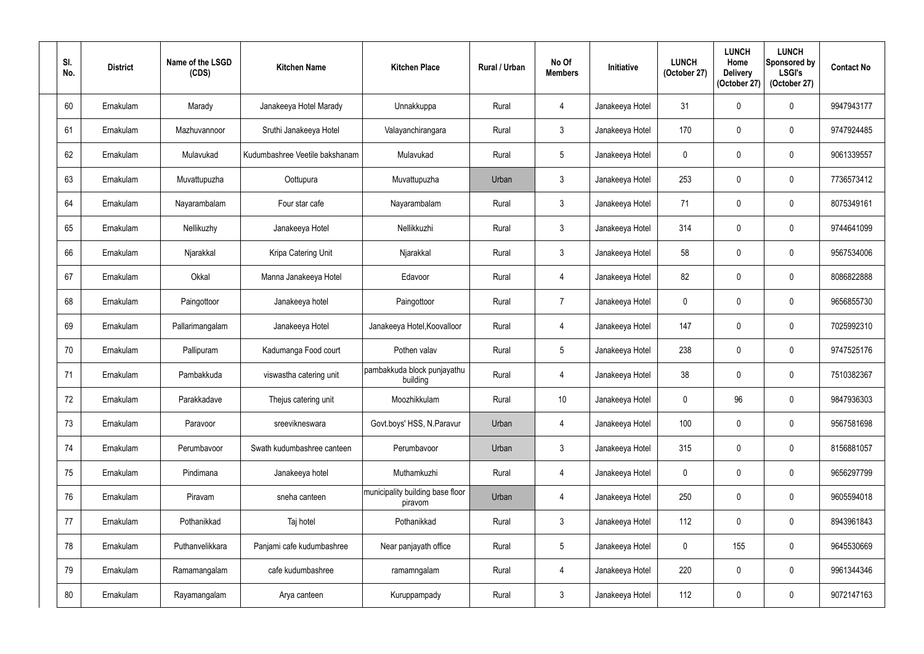| SI.<br>No. | <b>District</b> | Name of the LSGD<br>(CDS) | <b>Kitchen Name</b>            | <b>Kitchen Place</b>                        | Rural / Urban | No Of<br><b>Members</b> | Initiative      | <b>LUNCH</b><br>(October 27) | <b>LUNCH</b><br>Home<br><b>Delivery</b><br>(October 27) | <b>LUNCH</b><br>Sponsored by<br><b>LSGI's</b><br>(October 27) | <b>Contact No</b> |
|------------|-----------------|---------------------------|--------------------------------|---------------------------------------------|---------------|-------------------------|-----------------|------------------------------|---------------------------------------------------------|---------------------------------------------------------------|-------------------|
| 60         | Ernakulam       | Marady                    | Janakeeya Hotel Marady         | Unnakkuppa                                  | Rural         | $\overline{4}$          | Janakeeya Hotel | 31                           | $\mathbf{0}$                                            | $\pmb{0}$                                                     | 9947943177        |
| 61         | Ernakulam       | Mazhuvannoor              | Sruthi Janakeeya Hotel         | Valayanchirangara                           | Rural         | $\mathfrak{Z}$          | Janakeeya Hotel | 170                          | $\mathbf 0$                                             | $\pmb{0}$                                                     | 9747924485        |
| 62         | Ernakulam       | Mulavukad                 | Kudumbashree Veetile bakshanam | Mulavukad                                   | Rural         | $5\phantom{.0}$         | Janakeeya Hotel | $\mathbf 0$                  | 0                                                       | $\mathbf 0$                                                   | 9061339557        |
| 63         | Ernakulam       | Muvattupuzha              | Oottupura                      | Muvattupuzha                                | Urban         | $\mathfrak{Z}$          | Janakeeya Hotel | 253                          | $\mathbf 0$                                             | $\pmb{0}$                                                     | 7736573412        |
| 64         | Ernakulam       | Nayarambalam              | Four star cafe                 | Nayarambalam                                | Rural         | $\mathbf{3}$            | Janakeeya Hotel | 71                           | $\Omega$                                                | $\mathbf 0$                                                   | 8075349161        |
| 65         | Ernakulam       | Nellikuzhy                | Janakeeya Hotel                | Nellikkuzhi                                 | Rural         | $\mathfrak{Z}$          | Janakeeya Hotel | 314                          | $\mathbf{0}$                                            | $\pmb{0}$                                                     | 9744641099        |
| 66         | Ernakulam       | Njarakkal                 | Kripa Catering Unit            | Njarakkal                                   | Rural         | $\mathfrak{Z}$          | Janakeeya Hotel | 58                           | $\mathbf 0$                                             | $\pmb{0}$                                                     | 9567534006        |
| 67         | Ernakulam       | Okkal                     | Manna Janakeeya Hotel          | Edavoor                                     | Rural         | 4                       | Janakeeya Hotel | 82                           | $\Omega$                                                | $\mathbf 0$                                                   | 8086822888        |
| 68         | Ernakulam       | Paingottoor               | Janakeeya hotel                | Paingottoor                                 | Rural         | $\overline{7}$          | Janakeeya Hotel | $\mathbf 0$                  | $\Omega$                                                | $\mathbf 0$                                                   | 9656855730        |
| 69         | Ernakulam       | Pallarimangalam           | Janakeeya Hotel                | Janakeeya Hotel, Koovalloor                 | Rural         | $\overline{4}$          | Janakeeya Hotel | 147                          | $\mathbf 0$                                             | $\pmb{0}$                                                     | 7025992310        |
| 70         | Ernakulam       | Pallipuram                | Kadumanga Food court           | Pothen valav                                | Rural         | $5\overline{)}$         | Janakeeya Hotel | 238                          | 0                                                       | $\mathbf 0$                                                   | 9747525176        |
| 71         | Ernakulam       | Pambakkuda                | viswastha catering unit        | pambakkuda block punjayathu<br>building     | Rural         | $\overline{4}$          | Janakeeya Hotel | 38                           | $\mathbf 0$                                             | $\mathbf 0$                                                   | 7510382367        |
| 72         | Ernakulam       | Parakkadave               | Thejus catering unit           | Moozhikkulam                                | Rural         | 10 <sup>°</sup>         | Janakeeya Hotel | $\mathbf 0$                  | 96                                                      | $\pmb{0}$                                                     | 9847936303        |
| 73         | Ernakulam       | Paravoor                  | sreevikneswara                 | Govt.boys' HSS, N.Paravur                   | Urban         | $\overline{4}$          | Janakeeya Hotel | 100                          | $\mathbf 0$                                             | $\pmb{0}$                                                     | 9567581698        |
| 74         | Ernakulam       | Perumbavoor               | Swath kudumbashree canteen     | Perumbavoor                                 | Urban         | $\mathbf{3}$            | Janakeeya Hotel | 315                          | $\mathbf 0$                                             | $\boldsymbol{0}$                                              | 8156881057        |
| 75         | Ernakulam       | Pindimana                 | Janakeeya hotel                | Muthamkuzhi                                 | Rural         | $\overline{4}$          | Janakeeya Hotel | $\pmb{0}$                    | $\mathbf 0$                                             | $\pmb{0}$                                                     | 9656297799        |
| 76         | Ernakulam       | Piravam                   | sneha canteen                  | municipality building base floor<br>piravom | Urban         | 4                       | Janakeeya Hotel | 250                          | 0                                                       | $\pmb{0}$                                                     | 9605594018        |
| 77         | Ernakulam       | Pothanikkad               | Taj hotel                      | Pothanikkad                                 | Rural         | $\mathbf{3}$            | Janakeeya Hotel | 112                          | $\mathbf 0$                                             | $\pmb{0}$                                                     | 8943961843        |
| 78         | Ernakulam       | Puthanvelikkara           | Panjami cafe kudumbashree      | Near panjayath office                       | Rural         | $5\phantom{.0}$         | Janakeeya Hotel | $\mathbf 0$                  | 155                                                     | $\pmb{0}$                                                     | 9645530669        |
| 79         | Ernakulam       | Ramamangalam              | cafe kudumbashree              | ramamngalam                                 | Rural         | $\overline{4}$          | Janakeeya Hotel | 220                          | 0                                                       | $\pmb{0}$                                                     | 9961344346        |
| 80         | Ernakulam       | Rayamangalam              | Arya canteen                   | Kuruppampady                                | Rural         | $\mathfrak{Z}$          | Janakeeya Hotel | 112                          | 0                                                       | $\pmb{0}$                                                     | 9072147163        |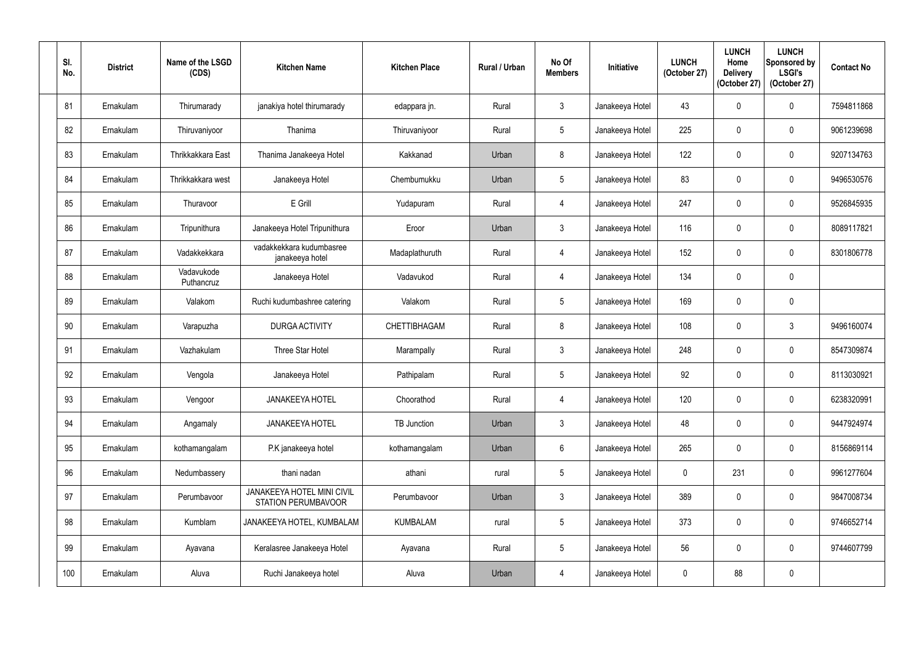| SI.<br>No. | <b>District</b> | Name of the LSGD<br>(CDS) | <b>Kitchen Name</b>                               | <b>Kitchen Place</b> | <b>Rural / Urban</b> | No Of<br><b>Members</b> | Initiative      | <b>LUNCH</b><br>(October 27) | <b>LUNCH</b><br>Home<br><b>Delivery</b><br>(October 27) | <b>LUNCH</b><br>Sponsored by<br><b>LSGI's</b><br>(October 27) | <b>Contact No</b> |
|------------|-----------------|---------------------------|---------------------------------------------------|----------------------|----------------------|-------------------------|-----------------|------------------------------|---------------------------------------------------------|---------------------------------------------------------------|-------------------|
| 81         | Ernakulam       | Thirumarady               | janakiya hotel thirumarady                        | edappara jn.         | Rural                | $\mathfrak{Z}$          | Janakeeya Hotel | 43                           | $\mathbf{0}$                                            | $\pmb{0}$                                                     | 7594811868        |
| 82         | Ernakulam       | Thiruvaniyoor             | Thanima                                           | Thiruvaniyoor        | Rural                | $5\phantom{.0}$         | Janakeeya Hotel | 225                          | $\mathbf 0$                                             | $\pmb{0}$                                                     | 9061239698        |
| 83         | Ernakulam       | Thrikkakkara East         | Thanima Janakeeya Hotel                           | Kakkanad             | Urban                | $8\phantom{1}$          | Janakeeya Hotel | 122                          | 0                                                       | $\mathbf 0$                                                   | 9207134763        |
| 84         | Ernakulam       | Thrikkakkara west         | Janakeeya Hotel                                   | Chembumukku          | Urban                | $5\phantom{.0}$         | Janakeeya Hotel | 83                           | $\mathbf{0}$                                            | $\mathbf 0$                                                   | 9496530576        |
| 85         | Ernakulam       | Thuravoor                 | E Grill                                           | Yudapuram            | Rural                | 4                       | Janakeeya Hotel | 247                          | 0                                                       | $\mathbf 0$                                                   | 9526845935        |
| 86         | Ernakulam       | Tripunithura              | Janakeeya Hotel Tripunithura                      | Eroor                | Urban                | $\mathfrak{Z}$          | Janakeeya Hotel | 116                          | $\Omega$                                                | $\pmb{0}$                                                     | 8089117821        |
| 87         | Ernakulam       | Vadakkekkara              | vadakkekkara kudumbasree<br>janakeeya hotel       | Madaplathuruth       | Rural                | 4                       | Janakeeya Hotel | 152                          | $\mathbf 0$                                             | $\pmb{0}$                                                     | 8301806778        |
| 88         | Ernakulam       | Vadavukode<br>Puthancruz  | Janakeeya Hotel                                   | Vadavukod            | Rural                | $\overline{4}$          | Janakeeya Hotel | 134                          | 0                                                       | $\pmb{0}$                                                     |                   |
| 89         | Ernakulam       | Valakom                   | Ruchi kudumbashree catering                       | Valakom              | Rural                | $5\phantom{.0}$         | Janakeeya Hotel | 169                          | $\Omega$                                                | $\mathbf 0$                                                   |                   |
| 90         | Ernakulam       | Varapuzha                 | <b>DURGA ACTIVITY</b>                             | CHETTIBHAGAM         | Rural                | 8                       | Janakeeya Hotel | 108                          | $\mathbf 0$                                             | 3                                                             | 9496160074        |
| 91         | Ernakulam       | Vazhakulam                | Three Star Hotel                                  | Marampally           | Rural                | $\mathbf{3}$            | Janakeeya Hotel | 248                          | 0                                                       | $\mathbf 0$                                                   | 8547309874        |
| 92         | Ernakulam       | Vengola                   | Janakeeya Hotel                                   | Pathipalam           | Rural                | $5\overline{)}$         | Janakeeya Hotel | 92                           | 0                                                       | $\mathbf 0$                                                   | 8113030921        |
| 93         | Ernakulam       | Vengoor                   | <b>JANAKEEYA HOTEL</b>                            | Choorathod           | Rural                | $\overline{4}$          | Janakeeya Hotel | 120                          | $\mathbf 0$                                             | $\pmb{0}$                                                     | 6238320991        |
| 94         | Ernakulam       | Angamaly                  | <b>JANAKEEYA HOTEL</b>                            | <b>TB Junction</b>   | Urban                | $\mathbf{3}$            | Janakeeya Hotel | 48                           | $\mathbf 0$                                             | $\pmb{0}$                                                     | 9447924974        |
| 95         | Ernakulam       | kothamangalam             | P.K janakeeya hotel                               | kothamangalam        | Urban                | $6\overline{6}$         | Janakeeya Hotel | 265                          | $\mathbf 0$                                             | $\pmb{0}$                                                     | 8156869114        |
| 96         | Ernakulam       | Nedumbassery              | thani nadan                                       | athani               | rural                | $5\phantom{.0}$         | Janakeeya Hotel | $\mathbf 0$                  | 231                                                     | $\pmb{0}$                                                     | 9961277604        |
| 97         | Ernakulam       | Perumbavoor               | JANAKEEYA HOTEL MINI CIVIL<br>STATION PERUMBAVOOR | Perumbavoor          | Urban                | $\mathbf{3}$            | Janakeeya Hotel | 389                          | 0                                                       | $\pmb{0}$                                                     | 9847008734        |
| 98         | Ernakulam       | Kumblam                   | JANAKEEYA HOTEL, KUMBALAM                         | <b>KUMBALAM</b>      | rural                | $5\phantom{.0}$         | Janakeeya Hotel | 373                          | 0                                                       | $\pmb{0}$                                                     | 9746652714        |
| 99         | Ernakulam       | Ayavana                   | Keralasree Janakeeya Hotel                        | Ayavana              | Rural                | $5\,$                   | Janakeeya Hotel | 56                           | 0                                                       | $\pmb{0}$                                                     | 9744607799        |
| 100        | Ernakulam       | Aluva                     | Ruchi Janakeeya hotel                             | Aluva                | Urban                | 4                       | Janakeeya Hotel | $\pmb{0}$                    | 88                                                      | $\pmb{0}$                                                     |                   |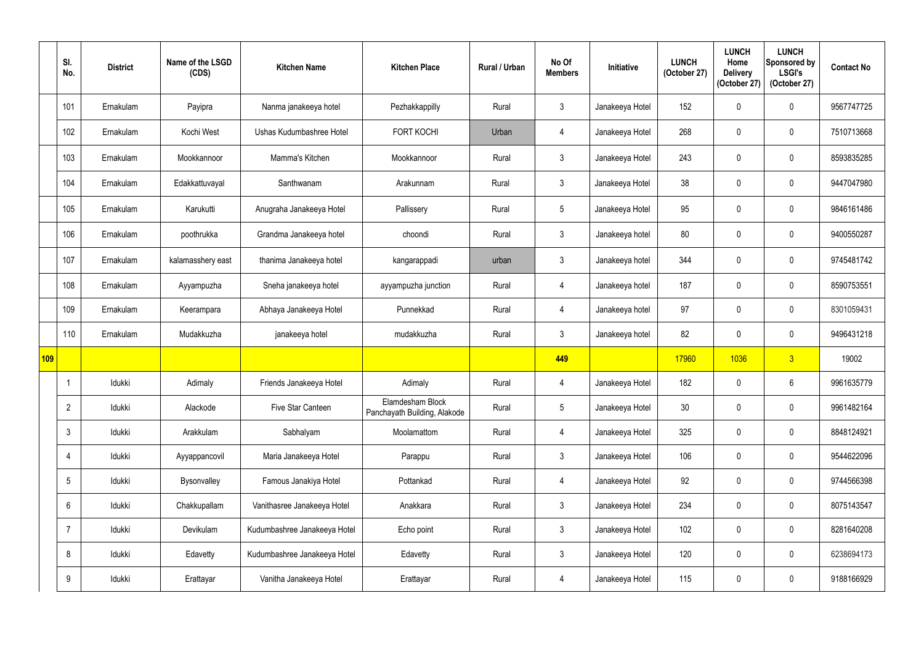|     | SI.<br>No.     | <b>District</b> | Name of the LSGD<br>(CDS) | <b>Kitchen Name</b>          | <b>Kitchen Place</b>                             | Rural / Urban | No Of<br><b>Members</b> | Initiative      | <b>LUNCH</b><br>(October 27) | <b>LUNCH</b><br>Home<br><b>Delivery</b><br>(October 27) | <b>LUNCH</b><br>Sponsored by<br><b>LSGI's</b><br>(October 27) | <b>Contact No</b> |
|-----|----------------|-----------------|---------------------------|------------------------------|--------------------------------------------------|---------------|-------------------------|-----------------|------------------------------|---------------------------------------------------------|---------------------------------------------------------------|-------------------|
|     | 101            | Ernakulam       | Payipra                   | Nanma janakeeya hotel        | Pezhakkappilly                                   | Rural         | $\mathfrak{Z}$          | Janakeeya Hotel | 152                          | $\theta$                                                | $\mathbf 0$                                                   | 9567747725        |
|     | 102            | Ernakulam       | Kochi West                | Ushas Kudumbashree Hotel     | <b>FORT KOCHI</b>                                | Urban         | 4                       | Janakeeya Hotel | 268                          | $\mathbf{0}$                                            | $\boldsymbol{0}$                                              | 7510713668        |
|     | 103            | Ernakulam       | Mookkannoor               | Mamma's Kitchen              | Mookkannoor                                      | Rural         | $\mathfrak{Z}$          | Janakeeya Hotel | 243                          | $\mathbf{0}$                                            | $\mathbf 0$                                                   | 8593835285        |
|     | 104            | Ernakulam       | Edakkattuvayal            | Santhwanam                   | Arakunnam                                        | Rural         | $\mathfrak{Z}$          | Janakeeya Hotel | 38                           | 0                                                       | $\boldsymbol{0}$                                              | 9447047980        |
|     | 105            | Ernakulam       | Karukutti                 | Anugraha Janakeeya Hotel     | Pallissery                                       | Rural         | $5\phantom{.0}$         | Janakeeya Hotel | 95                           | $\theta$                                                | $\boldsymbol{0}$                                              | 9846161486        |
|     | 106            | Ernakulam       | poothrukka                | Grandma Janakeeya hotel      | choondi                                          | Rural         | $\mathfrak{Z}$          | Janakeeya hotel | 80                           | $\mathbf{0}$                                            | $\boldsymbol{0}$                                              | 9400550287        |
|     | 107            | Ernakulam       | kalamasshery east         | thanima Janakeeya hotel      | kangarappadi                                     | urban         | $\mathfrak{Z}$          | Janakeeya hotel | 344                          | $\mathbf{0}$                                            | $\mathbf 0$                                                   | 9745481742        |
|     | 108            | Ernakulam       | Ayyampuzha                | Sneha janakeeya hotel        | ayyampuzha junction                              | Rural         | 4                       | Janakeeya hotel | 187                          | 0                                                       | $\mathbf 0$                                                   | 8590753551        |
|     | 109            | Ernakulam       | Keerampara                | Abhaya Janakeeya Hotel       | Punnekkad                                        | Rural         | $\overline{4}$          | Janakeeya hotel | 97                           | $\mathbf{0}$                                            | $\mathbf 0$                                                   | 8301059431        |
|     | 110            | Ernakulam       | Mudakkuzha                | janakeeya hotel              | mudakkuzha                                       | Rural         | $\mathfrak{Z}$          | Janakeeya hotel | 82                           | 0                                                       | $\mathbf 0$                                                   | 9496431218        |
| 109 |                |                 |                           |                              |                                                  |               | 449                     |                 | 17960                        | 1036                                                    | $\overline{3}$                                                | 19002             |
|     |                | Idukki          | Adimaly                   | Friends Janakeeya Hotel      | Adimaly                                          | Rural         | $\overline{4}$          | Janakeeya Hotel | 182                          | 0                                                       | 6                                                             | 9961635779        |
|     | $\overline{2}$ | Idukki          | Alackode                  | Five Star Canteen            | Elamdesham Block<br>Panchayath Building, Alakode | Rural         | $5\phantom{.0}$         | Janakeeya Hotel | 30                           | 0                                                       | $\pmb{0}$                                                     | 9961482164        |
|     | $\mathfrak{Z}$ | Idukki          | Arakkulam                 | Sabhalyam                    | Moolamattom                                      | Rural         | $\overline{4}$          | Janakeeya Hotel | 325                          | $\mathbf 0$                                             | $\boldsymbol{0}$                                              | 8848124921        |
|     | $\overline{4}$ | Idukki          | Ayyappancovil             | Maria Janakeeya Hotel        | Parappu                                          | Rural         | $\mathbf{3}$            | Janakeeya Hotel | 106                          | 0                                                       | $\pmb{0}$                                                     | 9544622096        |
|     | $\overline{5}$ | Idukki          | Bysonvalley               | Famous Janakiya Hotel        | Pottankad                                        | Rural         | $\overline{4}$          | Janakeeya Hotel | 92                           | $\mathbf 0$                                             | $\pmb{0}$                                                     | 9744566398        |
|     | $6\phantom{1}$ | Idukki          | Chakkupallam              | Vanithasree Janakeeya Hotel  | Anakkara                                         | Rural         | $\mathbf{3}$            | Janakeeya Hotel | 234                          | 0                                                       | $\pmb{0}$                                                     | 8075143547        |
|     | $\overline{7}$ | Idukki          | Devikulam                 | Kudumbashree Janakeeya Hotel | Echo point                                       | Rural         | $\mathfrak{Z}$          | Janakeeya Hotel | 102                          | $\mathbf 0$                                             | $\pmb{0}$                                                     | 8281640208        |
|     | 8              | Idukki          | Edavetty                  | Kudumbashree Janakeeya Hotel | Edavetty                                         | Rural         | $\mathfrak{Z}$          | Janakeeya Hotel | 120                          | 0                                                       | $\pmb{0}$                                                     | 6238694173        |
|     | 9              | Idukki          | Erattayar                 | Vanitha Janakeeya Hotel      | Erattayar                                        | Rural         | $\overline{4}$          | Janakeeya Hotel | 115                          | 0                                                       | $\pmb{0}$                                                     | 9188166929        |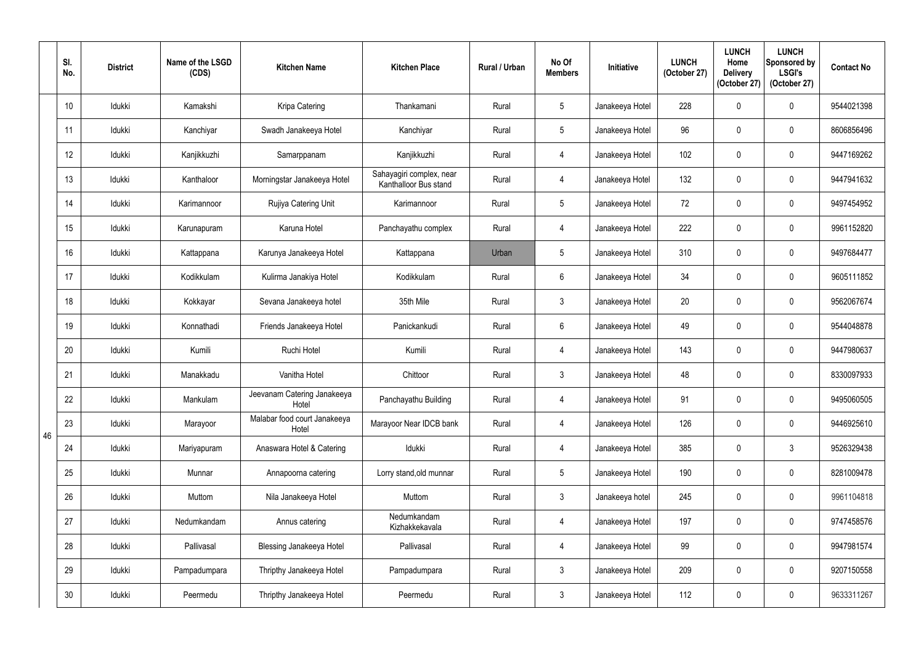|    | SI.<br>No. | <b>District</b> | Name of the LSGD<br>(CDS) | <b>Kitchen Name</b>                   | <b>Kitchen Place</b>                              | Rural / Urban | No Of<br><b>Members</b> | Initiative      | <b>LUNCH</b><br>(October 27) | <b>LUNCH</b><br>Home<br><b>Delivery</b><br>(October 27) | <b>LUNCH</b><br>Sponsored by<br><b>LSGI's</b><br>(October 27) | <b>Contact No</b> |
|----|------------|-----------------|---------------------------|---------------------------------------|---------------------------------------------------|---------------|-------------------------|-----------------|------------------------------|---------------------------------------------------------|---------------------------------------------------------------|-------------------|
|    | 10         | Idukki          | Kamakshi                  | Kripa Catering                        | Thankamani                                        | Rural         | $5\phantom{.0}$         | Janakeeya Hotel | 228                          | 0                                                       | $\mathbf 0$                                                   | 9544021398        |
|    | 11         | Idukki          | Kanchiyar                 | Swadh Janakeeya Hotel                 | Kanchiyar                                         | Rural         | $5\overline{)}$         | Janakeeya Hotel | 96                           | $\mathbf 0$                                             | $\mathbf 0$                                                   | 8606856496        |
|    | 12         | Idukki          | Kanjikkuzhi               | Samarppanam                           | Kanjikkuzhi                                       | Rural         | 4                       | Janakeeya Hotel | 102                          |                                                         | $\mathbf 0$                                                   | 9447169262        |
|    | 13         | Idukki          | Kanthaloor                | Morningstar Janakeeya Hotel           | Sahayagiri complex, near<br>Kanthalloor Bus stand | Rural         | $\overline{4}$          | Janakeeya Hotel | 132                          | $\mathbf 0$                                             | $\pmb{0}$                                                     | 9447941632        |
|    | 14         | Idukki          | Karimannoor               | Rujiya Catering Unit                  | Karimannoor                                       | Rural         | $5\phantom{.0}$         | Janakeeya Hotel | 72                           |                                                         | $\mathbf 0$                                                   | 9497454952        |
|    | 15         | Idukki          | Karunapuram               | Karuna Hotel                          | Panchayathu complex                               | Rural         | 4                       | Janakeeya Hotel | 222                          | $\Omega$                                                | $\mathbf 0$                                                   | 9961152820        |
|    | 16         | Idukki          | Kattappana                | Karunya Janakeeya Hotel               | Kattappana                                        | Urban         | $\overline{5}$          | Janakeeya Hotel | 310                          | $\mathbf 0$                                             | $\mathbf 0$                                                   | 9497684477        |
|    | 17         | Idukki          | Kodikkulam                | Kulirma Janakiya Hotel                | Kodikkulam                                        | Rural         | $6\overline{6}$         | Janakeeya Hotel | 34                           | 0                                                       | $\boldsymbol{0}$                                              | 9605111852        |
|    | 18         | Idukki          | Kokkayar                  | Sevana Janakeeya hotel                | 35th Mile                                         | Rural         | $\mathfrak{Z}$          | Janakeeya Hotel | 20                           |                                                         | $\pmb{0}$                                                     | 9562067674        |
|    | 19         | Idukki          | Konnathadi                | Friends Janakeeya Hotel               | Panickankudi                                      | Rural         | $6\overline{6}$         | Janakeeya Hotel | 49                           | 0                                                       | $\pmb{0}$                                                     | 9544048878        |
|    | 20         | Idukki          | Kumili                    | Ruchi Hotel                           | Kumili                                            | Rural         | $\overline{4}$          | Janakeeya Hotel | 143                          | 0                                                       | $\mathbf 0$                                                   | 9447980637        |
|    | 21         | Idukki          | Manakkadu                 | Vanitha Hotel                         | Chittoor                                          | Rural         | $\mathbf{3}$            | Janakeeya Hotel | 48                           | 0                                                       | $\pmb{0}$                                                     | 8330097933        |
|    | 22         | Idukki          | Mankulam                  | Jeevanam Catering Janakeeya<br>Hotel  | Panchayathu Building                              | Rural         | $\overline{4}$          | Janakeeya Hotel | 91                           | $\boldsymbol{0}$                                        | $\pmb{0}$                                                     | 9495060505        |
| 46 | 23         | Idukki          | Marayoor                  | Malabar food court Janakeeya<br>Hotel | Marayoor Near IDCB bank                           | Rural         | $\overline{4}$          | Janakeeya Hotel | 126                          | 0                                                       | $\boldsymbol{0}$                                              | 9446925610        |
|    | 24         | Idukki          | Mariyapuram               | Anaswara Hotel & Catering             | Idukki                                            | Rural         | $\overline{4}$          | Janakeeya Hotel | 385                          | 0                                                       | $\mathbf{3}$                                                  | 9526329438        |
|    | 25         | Idukki          | Munnar                    | Annapoorna catering                   | Lorry stand, old munnar                           | Rural         | $5\overline{)}$         | Janakeeya Hotel | 190                          | $\boldsymbol{0}$                                        | $\pmb{0}$                                                     | 8281009478        |
|    | 26         | Idukki          | Muttom                    | Nila Janakeeya Hotel                  | Muttom                                            | Rural         | $\mathfrak{Z}$          | Janakeeya hotel | 245                          | 0                                                       | $\boldsymbol{0}$                                              | 9961104818        |
|    | 27         | Idukki          | Nedumkandam               | Annus catering                        | Nedumkandam<br>Kizhakkekavala                     | Rural         | $\overline{4}$          | Janakeeya Hotel | 197                          | $\mathbf 0$                                             | $\pmb{0}$                                                     | 9747458576        |
|    | 28         | Idukki          | Pallivasal                | Blessing Janakeeya Hotel              | Pallivasal                                        | Rural         | $\overline{4}$          | Janakeeya Hotel | 99                           | $\boldsymbol{0}$                                        | $\boldsymbol{0}$                                              | 9947981574        |
|    | 29         | Idukki          | Pampadumpara              | Thripthy Janakeeya Hotel              | Pampadumpara                                      | Rural         | $\mathfrak{Z}$          | Janakeeya Hotel | 209                          | 0                                                       | $\boldsymbol{0}$                                              | 9207150558        |
|    | 30         | Idukki          | Peermedu                  | Thripthy Janakeeya Hotel              | Peermedu                                          | Rural         | $\mathfrak{Z}$          | Janakeeya Hotel | 112                          | 0                                                       | $\pmb{0}$                                                     | 9633311267        |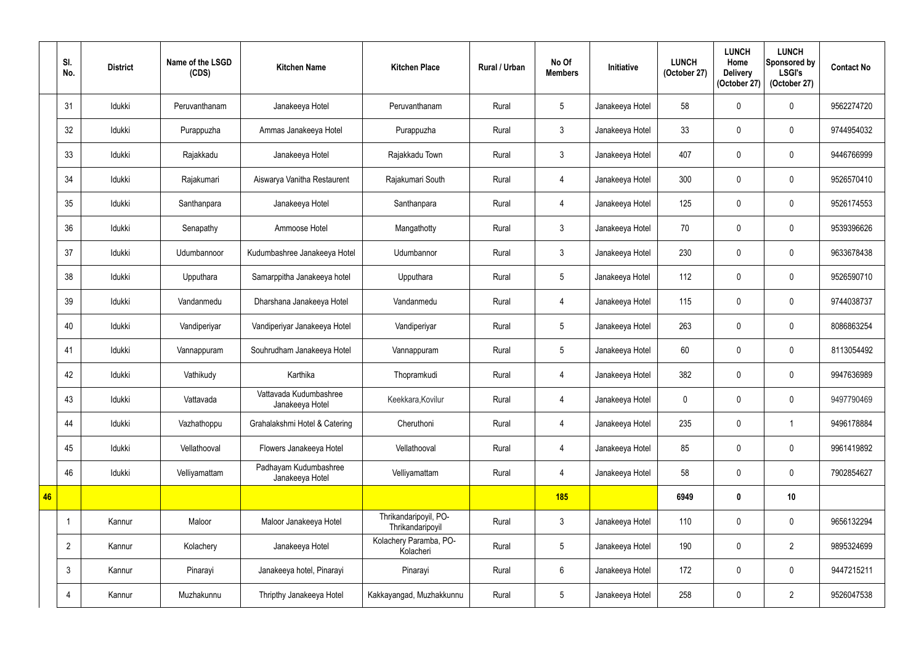|    | SI.<br>No.     | <b>District</b> | Name of the LSGD<br>(CDS) | <b>Kitchen Name</b>                       | <b>Kitchen Place</b>                      | Rural / Urban | No Of<br><b>Members</b> | Initiative      | <b>LUNCH</b><br>(October 27) | <b>LUNCH</b><br>Home<br><b>Delivery</b><br>(October 27) | <b>LUNCH</b><br>Sponsored by<br><b>LSGI's</b><br>(October 27) | <b>Contact No</b> |
|----|----------------|-----------------|---------------------------|-------------------------------------------|-------------------------------------------|---------------|-------------------------|-----------------|------------------------------|---------------------------------------------------------|---------------------------------------------------------------|-------------------|
|    | 31             | Idukki          | Peruvanthanam             | Janakeeya Hotel                           | Peruvanthanam                             | Rural         | $5\phantom{.0}$         | Janakeeya Hotel | 58                           | $\Omega$                                                | $\mathbf 0$                                                   | 9562274720        |
|    | 32             | Idukki          | Purappuzha                | Ammas Janakeeya Hotel                     | Purappuzha                                | Rural         | $\mathfrak{Z}$          | Janakeeya Hotel | 33                           | $\mathbf 0$                                             | $\mathbf 0$                                                   | 9744954032        |
|    | 33             | Idukki          | Rajakkadu                 | Janakeeya Hotel                           | Rajakkadu Town                            | Rural         | $\mathfrak{Z}$          | Janakeeya Hotel | 407                          |                                                         | $\mathbf 0$                                                   | 9446766999        |
|    | 34             | Idukki          | Rajakumari                | Aiswarya Vanitha Restaurent               | Rajakumari South                          | Rural         | 4                       | Janakeeya Hotel | 300                          | $\mathbf{0}$                                            | $\mathbf 0$                                                   | 9526570410        |
|    | 35             | Idukki          | Santhanpara               | Janakeeya Hotel                           | Santhanpara                               | Rural         | 4                       | Janakeeya Hotel | 125                          | 0                                                       | $\mathbf 0$                                                   | 9526174553        |
|    | 36             | Idukki          | Senapathy                 | Ammoose Hotel                             | Mangathotty                               | Rural         | $\mathfrak{Z}$          | Janakeeya Hotel | 70                           | $\Omega$                                                | $\mathbf 0$                                                   | 9539396626        |
|    | 37             | Idukki          | Udumbannoor               | Kudumbashree Janakeeya Hotel              | Udumbannor                                | Rural         | $\mathfrak{Z}$          | Janakeeya Hotel | 230                          | $\mathbf 0$                                             | $\mathbf 0$                                                   | 9633678438        |
|    | 38             | Idukki          | Upputhara                 | Samarppitha Janakeeya hotel               | Upputhara                                 | Rural         | $5\phantom{.0}$         | Janakeeya Hotel | 112                          | 0                                                       | $\mathbf 0$                                                   | 9526590710        |
|    | 39             | Idukki          | Vandanmedu                | Dharshana Janakeeya Hotel                 | Vandanmedu                                | Rural         | 4                       | Janakeeya Hotel | 115                          | $\Omega$                                                | $\mathbf 0$                                                   | 9744038737        |
|    | 40             | Idukki          | Vandiperiyar              | Vandiperiyar Janakeeya Hotel              | Vandiperiyar                              | Rural         | $5\phantom{.0}$         | Janakeeya Hotel | 263                          | $\mathbf 0$                                             | $\mathbf 0$                                                   | 8086863254        |
|    | 41             | Idukki          | Vannappuram               | Souhrudham Janakeeya Hotel                | Vannappuram                               | Rural         | $5\phantom{.0}$         | Janakeeya Hotel | 60                           | 0                                                       | $\mathbf 0$                                                   | 8113054492        |
|    | 42             | Idukki          | Vathikudy                 | Karthika                                  | Thopramkudi                               | Rural         | 4                       | Janakeeya Hotel | 382                          | $\mathbf 0$                                             | $\mathbf 0$                                                   | 9947636989        |
|    | 43             | Idukki          | Vattavada                 | Vattavada Kudumbashree<br>Janakeeya Hotel | Keekkara, Kovilur                         | Rural         | 4                       | Janakeeya Hotel | $\mathbf 0$                  | $\pmb{0}$                                               | $\mathbf 0$                                                   | 9497790469        |
|    | 44             | Idukki          | Vazhathoppu               | Grahalakshmi Hotel & Catering             | Cheruthoni                                | Rural         | 4                       | Janakeeya Hotel | 235                          | $\pmb{0}$                                               | -1                                                            | 9496178884        |
|    | 45             | Idukki          | Vellathooval              | Flowers Janakeeya Hotel                   | Vellathooval                              | Rural         | 4                       | Janakeeya Hotel | 85                           | $\mathbf 0$                                             | $\mathbf 0$                                                   | 9961419892        |
|    | 46             | Idukki          | Velliyamattam             | Padhayam Kudumbashree<br>Janakeeya Hotel  | Velliyamattam                             | Rural         | 4                       | Janakeeya Hotel | 58                           | $\pmb{0}$                                               | $\pmb{0}$                                                     | 7902854627        |
| 46 |                |                 |                           |                                           |                                           |               | <b>185</b>              |                 | 6949                         | 0                                                       | 10                                                            |                   |
|    |                | Kannur          | Maloor                    | Maloor Janakeeya Hotel                    | Thrikandaripoyil, PO-<br>Thrikandaripoyil | Rural         | $\mathfrak{Z}$          | Janakeeya Hotel | 110                          | $\mathbf 0$                                             | $\boldsymbol{0}$                                              | 9656132294        |
|    | $\overline{2}$ | Kannur          | Kolachery                 | Janakeeya Hotel                           | Kolachery Paramba, PO-<br>Kolacheri       | Rural         | $5\phantom{.0}$         | Janakeeya Hotel | 190                          | $\mathbf 0$                                             | $\overline{2}$                                                | 9895324699        |
|    | $\mathbf{3}$   | Kannur          | Pinarayi                  | Janakeeya hotel, Pinarayi                 | Pinarayi                                  | Rural         | $6\phantom{.0}$         | Janakeeya Hotel | 172                          | $\mathbf 0$                                             | $\pmb{0}$                                                     | 9447215211        |
|    | $\overline{4}$ | Kannur          | Muzhakunnu                | Thripthy Janakeeya Hotel                  | Kakkayangad, Muzhakkunnu                  | Rural         | $5\phantom{.0}$         | Janakeeya Hotel | 258                          | $\mathbf 0$                                             | $\overline{2}$                                                | 9526047538        |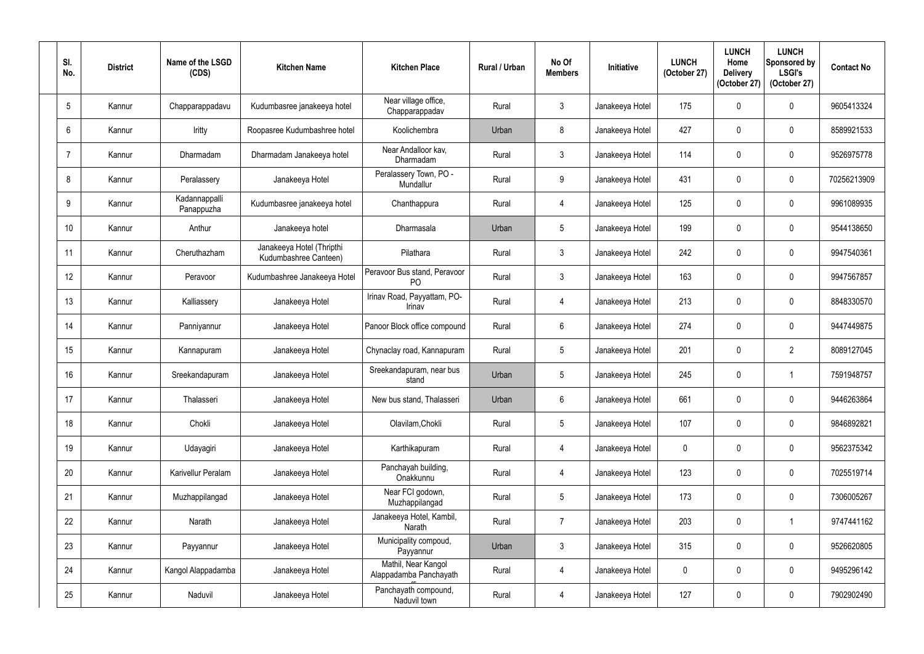| SI.<br>No.      | <b>District</b> | Name of the LSGD<br>(CDS)   | <b>Kitchen Name</b>                                | <b>Kitchen Place</b>                           | Rural / Urban | No Of<br><b>Members</b> | <b>Initiative</b> | <b>LUNCH</b><br>(October 27) | <b>LUNCH</b><br>Home<br><b>Delivery</b><br>(October 27) | <b>LUNCH</b><br>Sponsored by<br><b>LSGI's</b><br>(October 27) | <b>Contact No</b> |
|-----------------|-----------------|-----------------------------|----------------------------------------------------|------------------------------------------------|---------------|-------------------------|-------------------|------------------------------|---------------------------------------------------------|---------------------------------------------------------------|-------------------|
| $5\overline{)}$ | Kannur          | Chapparappadavu             | Kudumbasree janakeeya hotel                        | Near village office,<br>Chapparappadav         | Rural         | $\mathbf{3}$            | Janakeeya Hotel   | 175                          |                                                         | $\mathbf 0$                                                   | 9605413324        |
| 6               | Kannur          | Iritty                      | Roopasree Kudumbashree hotel                       | Koolichembra                                   | Urban         | 8                       | Janakeeya Hotel   | 427                          | $\Omega$                                                | $\mathbf 0$                                                   | 8589921533        |
|                 | Kannur          | Dharmadam                   | Dharmadam Janakeeya hotel                          | Near Andalloor kav.<br>Dharmadam               | Rural         | $\mathfrak{Z}$          | Janakeeya Hotel   | 114                          |                                                         | $\mathbf 0$                                                   | 9526975778        |
| 8               | Kannur          | Peralassery                 | Janakeeya Hotel                                    | Peralassery Town, PO -<br>Mundallur            | Rural         | 9                       | Janakeeya Hotel   | 431                          | 0                                                       | $\pmb{0}$                                                     | 70256213909       |
| 9               | Kannur          | Kadannappalli<br>Panappuzha | Kudumbasree janakeeya hotel                        | Chanthappura                                   | Rural         | 4                       | Janakeeya Hotel   | 125                          |                                                         | $\mathbf 0$                                                   | 9961089935        |
| 10              | Kannur          | Anthur                      | Janakeeya hotel                                    | Dharmasala                                     | Urban         | $\overline{5}$          | Janakeeya Hotel   | 199                          |                                                         | $\mathbf 0$                                                   | 9544138650        |
| 11              | Kannur          | Cheruthazham                | Janakeeya Hotel (Thripthi<br>Kudumbashree Canteen) | Pilathara                                      | Rural         | $\mathbf{3}$            | Janakeeya Hotel   | 242                          | 0                                                       | $\mathbf 0$                                                   | 9947540361        |
| 12              | Kannur          | Peravoor                    | Kudumbashree Janakeeya Hotel                       | Peravoor Bus stand, Peravoor<br>P <sub>O</sub> | Rural         | $\mathbf{3}$            | Janakeeya Hotel   | 163                          |                                                         | $\mathbf 0$                                                   | 9947567857        |
| 13              | Kannur          | Kalliassery                 | Janakeeya Hotel                                    | Irinav Road, Payyattam, PO-<br>Irinav          | Rural         | 4                       | Janakeeya Hotel   | 213                          |                                                         | $\mathbf 0$                                                   | 8848330570        |
| 14              | Kannur          | Panniyannur                 | Janakeeya Hotel                                    | Panoor Block office compound                   | Rural         | $6\phantom{.0}$         | Janakeeya Hotel   | 274                          | $\Omega$                                                | $\mathbf 0$                                                   | 9447449875        |
| 15              | Kannur          | Kannapuram                  | Janakeeya Hotel                                    | Chynaclay road, Kannapuram                     | Rural         | $5\overline{)}$         | Janakeeya Hotel   | 201                          |                                                         | $\overline{2}$                                                | 8089127045        |
| 16              | Kannur          | Sreekandapuram              | Janakeeya Hotel                                    | Sreekandapuram, near bus<br>stand              | Urban         | $5\phantom{.0}$         | Janakeeya Hotel   | 245                          | $\mathbf 0$                                             | $\mathbf 1$                                                   | 7591948757        |
| 17              | Kannur          | Thalasseri                  | Janakeeya Hotel                                    | New bus stand, Thalasseri                      | Urban         | $6\phantom{.0}$         | Janakeeya Hotel   | 661                          | $\boldsymbol{0}$                                        | $\pmb{0}$                                                     | 9446263864        |
| 18              | Kannur          | Chokli                      | Janakeeya Hotel                                    | Olavilam, Chokli                               | Rural         | $5\phantom{.0}$         | Janakeeya Hotel   | 107                          | 0                                                       | $\boldsymbol{0}$                                              | 9846892821        |
| 19              | Kannur          | Udayagiri                   | Janakeeya Hotel                                    | Karthikapuram                                  | Rural         | $\overline{4}$          | Janakeeya Hotel   | $\pmb{0}$                    | 0                                                       | $\boldsymbol{0}$                                              | 9562375342        |
| 20              | Kannur          | Karivellur Peralam          | Janakeeya Hotel                                    | Panchayah building,<br>Onakkunnu               | Rural         | $\overline{4}$          | Janakeeya Hotel   | 123                          | 0                                                       | $\pmb{0}$                                                     | 7025519714        |
| 21              | Kannur          | Muzhappilangad              | Janakeeya Hotel                                    | Near FCI godown,<br>Muzhappilangad             | Rural         | $5\overline{)}$         | Janakeeya Hotel   | 173                          | 0                                                       | $\pmb{0}$                                                     | 7306005267        |
| 22              | Kannur          | Narath                      | Janakeeya Hotel                                    | Janakeeya Hotel, Kambil,<br>Narath             | Rural         | $\overline{7}$          | Janakeeya Hotel   | 203                          | $\mathbf 0$                                             | $\mathbf 1$                                                   | 9747441162        |
| 23              | Kannur          | Payyannur                   | Janakeeya Hotel                                    | Municipality compoud,<br>Payyannur             | Urban         | $\mathfrak{Z}$          | Janakeeya Hotel   | 315                          | $\boldsymbol{0}$                                        | $\pmb{0}$                                                     | 9526620805        |
| 24              | Kannur          | Kangol Alappadamba          | Janakeeya Hotel                                    | Mathil, Near Kangol<br>Alappadamba Panchayath  | Rural         | $\overline{4}$          | Janakeeya Hotel   | $\mathbf 0$                  | 0                                                       | $\pmb{0}$                                                     | 9495296142        |
| 25              | Kannur          | Naduvil                     | Janakeeya Hotel                                    | Panchayath compound,<br>Naduvil town           | Rural         | $\overline{4}$          | Janakeeya Hotel   | 127                          | $\pmb{0}$                                               | $\pmb{0}$                                                     | 7902902490        |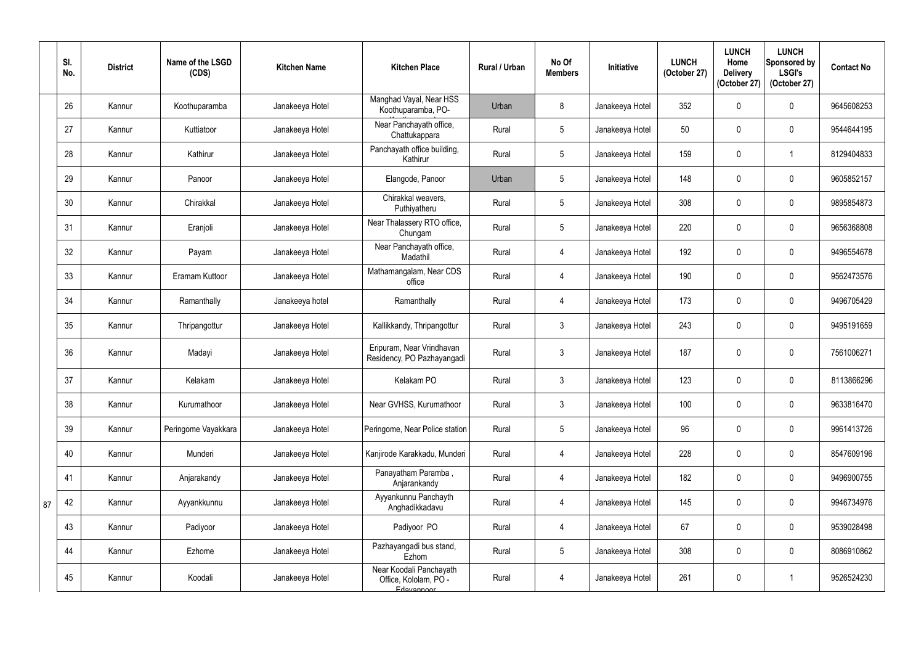|    | SI.<br>No. | <b>District</b> | Name of the LSGD<br>(CDS) | <b>Kitchen Name</b> | <b>Kitchen Place</b>                                           | Rural / Urban | No Of<br><b>Members</b> | Initiative      | <b>LUNCH</b><br>(October 27) | <b>LUNCH</b><br>Home<br><b>Delivery</b><br>(October 27) | <b>LUNCH</b><br>Sponsored by<br><b>LSGI's</b><br>(October 27) | <b>Contact No</b> |
|----|------------|-----------------|---------------------------|---------------------|----------------------------------------------------------------|---------------|-------------------------|-----------------|------------------------------|---------------------------------------------------------|---------------------------------------------------------------|-------------------|
|    | 26         | Kannur          | Koothuparamba             | Janakeeya Hotel     | Manghad Vayal, Near HSS<br>Koothuparamba, PO-                  | Urban         | 8                       | Janakeeya Hotel | 352                          |                                                         | $\mathbf 0$                                                   | 9645608253        |
|    | 27         | Kannur          | Kuttiatoor                | Janakeeya Hotel     | Near Panchayath office,<br>Chattukappara                       | Rural         | $5\phantom{.0}$         | Janakeeya Hotel | 50                           | $\Omega$                                                | $\mathbf 0$                                                   | 9544644195        |
|    | 28         | Kannur          | Kathirur                  | Janakeeya Hotel     | Panchayath office building,<br>Kathirur                        | Rural         | $5\phantom{.0}$         | Janakeeya Hotel | 159                          |                                                         | $\overline{1}$                                                | 8129404833        |
|    | 29         | Kannur          | Panoor                    | Janakeeya Hotel     | Elangode, Panoor                                               | Urban         | $5\phantom{.0}$         | Janakeeya Hotel | 148                          | $\mathbf{0}$                                            | $\mathbf 0$                                                   | 9605852157        |
|    | 30         | Kannur          | Chirakkal                 | Janakeeya Hotel     | Chirakkal weavers,<br>Puthiyatheru                             | Rural         | $5\overline{)}$         | Janakeeya Hotel | 308                          |                                                         | $\mathbf 0$                                                   | 9895854873        |
|    | 31         | Kannur          | Eranjoli                  | Janakeeya Hotel     | Near Thalassery RTO office,<br>Chungam                         | Rural         | $5\overline{)}$         | Janakeeya Hotel | 220                          | $\Omega$                                                | $\mathbf 0$                                                   | 9656368808        |
|    | 32         | Kannur          | Payam                     | Janakeeya Hotel     | Near Panchayath office,<br>Madathil                            | Rural         | 4                       | Janakeeya Hotel | 192                          | $\mathbf{0}$                                            | $\mathbf 0$                                                   | 9496554678        |
|    | 33         | Kannur          | Eramam Kuttoor            | Janakeeya Hotel     | Mathamangalam, Near CDS<br>office                              | Rural         | 4                       | Janakeeya Hotel | 190                          |                                                         | $\mathbf 0$                                                   | 9562473576        |
|    | 34         | Kannur          | Ramanthally               | Janakeeya hotel     | Ramanthally                                                    | Rural         | $\overline{4}$          | Janakeeya Hotel | 173                          |                                                         | $\mathbf 0$                                                   | 9496705429        |
|    | 35         | Kannur          | Thripangottur             | Janakeeya Hotel     | Kallikkandy, Thripangottur                                     | Rural         | $\mathbf{3}$            | Janakeeya Hotel | 243                          | $\mathbf{0}$                                            | $\mathbf 0$                                                   | 9495191659        |
|    | 36         | Kannur          | Madayi                    | Janakeeya Hotel     | Eripuram, Near Vrindhavan<br>Residency, PO Pazhayangadi        | Rural         | $\mathbf{3}$            | Janakeeya Hotel | 187                          |                                                         | $\mathbf 0$                                                   | 7561006271        |
|    | 37         | Kannur          | Kelakam                   | Janakeeya Hotel     | Kelakam PO                                                     | Rural         | $\mathfrak{Z}$          | Janakeeya Hotel | 123                          |                                                         | $\boldsymbol{0}$                                              | 8113866296        |
|    | 38         | Kannur          | Kurumathoor               | Janakeeya Hotel     | Near GVHSS, Kurumathoor                                        | Rural         | $\mathfrak{Z}$          | Janakeeya Hotel | 100                          | $\mathbf{0}$                                            | $\mathbf 0$                                                   | 9633816470        |
|    | 39         | Kannur          | Peringome Vayakkara       | Janakeeya Hotel     | Peringome, Near Police station                                 | Rural         | $5\phantom{.0}$         | Janakeeya Hotel | 96                           |                                                         | $\boldsymbol{0}$                                              | 9961413726        |
|    | 40         | Kannur          | Munderi                   | Janakeeya Hotel     | Kanjirode Karakkadu, Munderi                                   | Rural         | $\overline{4}$          | Janakeeya Hotel | 228                          | 0                                                       | $\pmb{0}$                                                     | 8547609196        |
|    | 41         | Kannur          | Anjarakandy               | Janakeeya Hotel     | Panayatham Paramba,<br>Anjarankandy                            | Rural         | 4                       | Janakeeya Hotel | 182                          |                                                         | $\mathbf 0$                                                   | 9496900755        |
| 87 | 42         | Kannur          | Ayyankkunnu               | Janakeeya Hotel     | Ayyankunnu Panchayth<br>Anghadikkadavu                         | Rural         | $\overline{4}$          | Janakeeya Hotel | 145                          | $\Omega$                                                | $\pmb{0}$                                                     | 9946734976        |
|    | 43         | Kannur          | Padiyoor                  | Janakeeya Hotel     | Padiyoor PO                                                    | Rural         | 4                       | Janakeeya Hotel | 67                           | 0                                                       | $\pmb{0}$                                                     | 9539028498        |
|    | 44         | Kannur          | Ezhome                    | Janakeeya Hotel     | Pazhayangadi bus stand,<br>Ezhom                               | Rural         | $5\phantom{.0}$         | Janakeeya Hotel | 308                          | 0                                                       | $\boldsymbol{0}$                                              | 8086910862        |
|    | 45         | Kannur          | Koodali                   | Janakeeya Hotel     | Near Koodali Panchayath<br>Office, Kololam, PO -<br>Edayannoor | Rural         | $\overline{4}$          | Janakeeya Hotel | 261                          | $\mathbf 0$                                             | $\overline{1}$                                                | 9526524230        |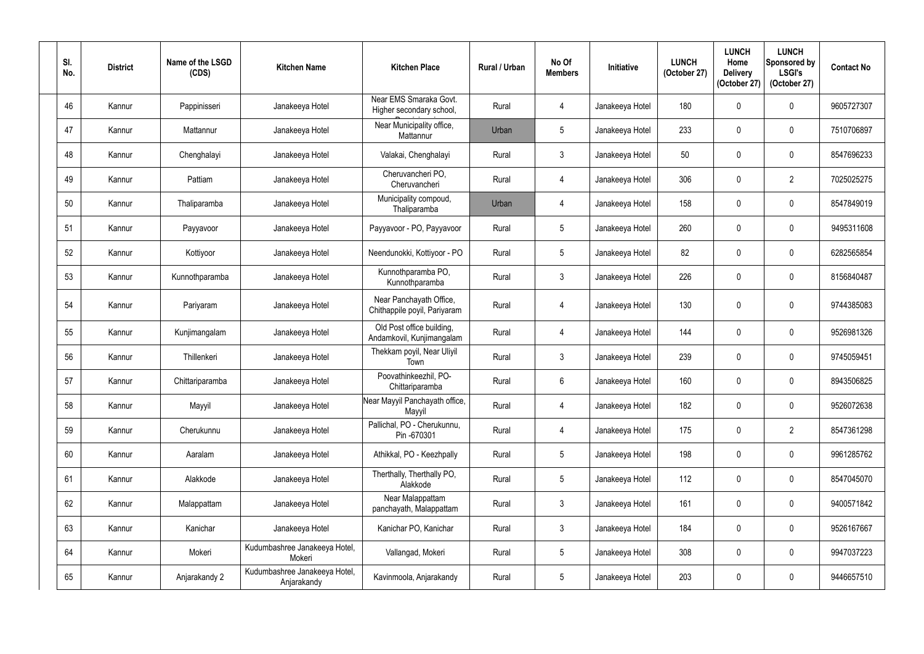| SI.<br>No. | <b>District</b> | Name of the LSGD<br>(CDS) | <b>Kitchen Name</b>                          | <b>Kitchen Place</b>                                    | Rural / Urban | No Of<br><b>Members</b> | Initiative      | <b>LUNCH</b><br>(October 27) | <b>LUNCH</b><br>Home<br><b>Delivery</b><br>(October 27) | <b>LUNCH</b><br>Sponsored by<br><b>LSGI's</b><br>(October 27) | <b>Contact No</b> |
|------------|-----------------|---------------------------|----------------------------------------------|---------------------------------------------------------|---------------|-------------------------|-----------------|------------------------------|---------------------------------------------------------|---------------------------------------------------------------|-------------------|
| 46         | Kannur          | Pappinisseri              | Janakeeya Hotel                              | Near EMS Smaraka Govt.<br>Higher secondary school,      | Rural         | $\overline{4}$          | Janakeeya Hotel | 180                          | $\Omega$                                                | $\mathbf 0$                                                   | 9605727307        |
| 47         | Kannur          | Mattannur                 | Janakeeya Hotel                              | Near Municipality office,<br>Mattannur                  | Urban         | $\overline{5}$          | Janakeeya Hotel | 233                          |                                                         | $\mathbf 0$                                                   | 7510706897        |
| 48         | Kannur          | Chenghalayi               | Janakeeya Hotel                              | Valakai, Chenghalayi                                    | Rural         | $\mathbf{3}$            | Janakeeya Hotel | 50                           |                                                         | $\boldsymbol{0}$                                              | 8547696233        |
| 49         | Kannur          | Pattiam                   | Janakeeya Hotel                              | Cheruvancheri PO,<br>Cheruvancheri                      | Rural         | 4                       | Janakeeya Hotel | 306                          |                                                         | $\overline{2}$                                                | 7025025275        |
| 50         | Kannur          | Thaliparamba              | Janakeeya Hotel                              | Municipality compoud,<br>Thaliparamba                   | Urban         | $\overline{4}$          | Janakeeya Hotel | 158                          | 0                                                       | $\mathbf 0$                                                   | 8547849019        |
| 51         | Kannur          | Payyavoor                 | Janakeeya Hotel                              | Payyavoor - PO, Payyavoor                               | Rural         | $\overline{5}$          | Janakeeya Hotel | 260                          |                                                         | $\mathbf 0$                                                   | 9495311608        |
| 52         | Kannur          | Kottiyoor                 | Janakeeya Hotel                              | Neendunokki, Kottiyoor - PO                             | Rural         | $5\phantom{.0}$         | Janakeeya Hotel | 82                           | $\mathbf 0$                                             | $\mathbf 0$                                                   | 6282565854        |
| 53         | Kannur          | Kunnothparamba            | Janakeeya Hotel                              | Kunnothparamba PO,<br>Kunnothparamba                    | Rural         | $\mathbf{3}$            | Janakeeya Hotel | 226                          |                                                         | $\mathbf 0$                                                   | 8156840487        |
| 54         | Kannur          | Pariyaram                 | Janakeeya Hotel                              | Near Panchayath Office,<br>Chithappile poyil, Pariyaram | Rural         | $\overline{4}$          | Janakeeya Hotel | 130                          |                                                         | $\mathbf 0$                                                   | 9744385083        |
| 55         | Kannur          | Kunjimangalam             | Janakeeya Hotel                              | Old Post office building,<br>Andamkovil, Kunjimangalam  | Rural         | 4                       | Janakeeya Hotel | 144                          |                                                         | $\mathbf 0$                                                   | 9526981326        |
| 56         | Kannur          | Thillenkeri               | Janakeeya Hotel                              | Thekkam poyil, Near Uliyil<br>Town                      | Rural         | $\mathbf{3}$            | Janakeeya Hotel | 239                          |                                                         | $\pmb{0}$                                                     | 9745059451        |
| 57         | Kannur          | Chittariparamba           | Janakeeya Hotel                              | Poovathinkeezhil, PO-<br>Chittariparamba                | Rural         | $6\phantom{.}6$         | Janakeeya Hotel | 160                          | $\Omega$                                                | $\mathbf 0$                                                   | 8943506825        |
| 58         | Kannur          | Mayyil                    | Janakeeya Hotel                              | Near Mayyil Panchayath office,<br>Mayyil                | Rural         | $\overline{4}$          | Janakeeya Hotel | 182                          | 0                                                       | $\pmb{0}$                                                     | 9526072638        |
| 59         | Kannur          | Cherukunnu                | Janakeeya Hotel                              | Pallichal, PO - Cherukunnu,<br>Pin -670301              | Rural         | $\overline{4}$          | Janakeeya Hotel | 175                          | $\mathbf 0$                                             | $\overline{2}$                                                | 8547361298        |
| 60         | Kannur          | Aaralam                   | Janakeeya Hotel                              | Athikkal, PO - Keezhpally                               | Rural         | $5\overline{)}$         | Janakeeya Hotel | 198                          | $\mathbf 0$                                             | $\pmb{0}$                                                     | 9961285762        |
| 61         | Kannur          | Alakkode                  | Janakeeya Hotel                              | Therthally, Therthally PO,<br>Alakkode                  | Rural         | $5\phantom{.0}$         | Janakeeya Hotel | 112                          | 0                                                       | $\pmb{0}$                                                     | 8547045070        |
| 62         | Kannur          | Malappattam               | Janakeeya Hotel                              | Near Malappattam<br>panchayath, Malappattam             | Rural         | $\mathfrak{Z}$          | Janakeeya Hotel | 161                          | 0                                                       | $\pmb{0}$                                                     | 9400571842        |
| 63         | Kannur          | Kanichar                  | Janakeeya Hotel                              | Kanichar PO, Kanichar                                   | Rural         | $\mathfrak{Z}$          | Janakeeya Hotel | 184                          | $\mathbf 0$                                             | $\pmb{0}$                                                     | 9526167667        |
| 64         | Kannur          | Mokeri                    | Kudumbashree Janakeeya Hotel,<br>Mokeri      | Vallangad, Mokeri                                       | Rural         | $5\overline{)}$         | Janakeeya Hotel | 308                          | 0                                                       | $\pmb{0}$                                                     | 9947037223        |
| 65         | Kannur          | Anjarakandy 2             | Kudumbashree Janakeeya Hotel,<br>Anjarakandy | Kavinmoola, Anjarakandy                                 | Rural         | $5\phantom{.0}$         | Janakeeya Hotel | 203                          | $\mathbf 0$                                             | $\pmb{0}$                                                     | 9446657510        |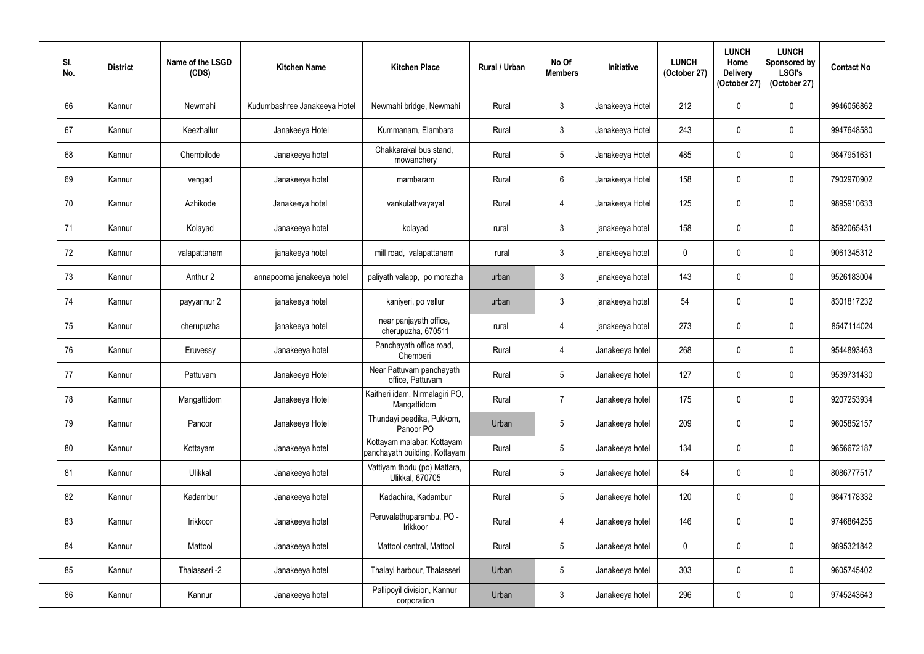| SI.<br>No. | <b>District</b> | Name of the LSGD<br>(CDS) | <b>Kitchen Name</b>          | <b>Kitchen Place</b>                                        | <b>Rural / Urban</b> | No Of<br><b>Members</b> | Initiative      | <b>LUNCH</b><br>(October 27) | <b>LUNCH</b><br>Home<br><b>Delivery</b><br>(October 27) | <b>LUNCH</b><br>Sponsored by<br><b>LSGI's</b><br>(October 27) | <b>Contact No</b> |
|------------|-----------------|---------------------------|------------------------------|-------------------------------------------------------------|----------------------|-------------------------|-----------------|------------------------------|---------------------------------------------------------|---------------------------------------------------------------|-------------------|
| 66         | Kannur          | Newmahi                   | Kudumbashree Janakeeya Hotel | Newmahi bridge, Newmahi                                     | Rural                | $\mathfrak{Z}$          | Janakeeya Hotel | 212                          | $\mathbf{0}$                                            | $\mathbf 0$                                                   | 9946056862        |
| 67         | Kannur          | Keezhallur                | Janakeeya Hotel              | Kummanam, Elambara                                          | Rural                | $\mathbf{3}$            | Janakeeya Hotel | 243                          | $\mathbf 0$                                             | $\mathbf 0$                                                   | 9947648580        |
| 68         | Kannur          | Chembilode                | Janakeeya hotel              | Chakkarakal bus stand,<br>mowanchery                        | Rural                | $5\overline{)}$         | Janakeeya Hotel | 485                          | 0                                                       | $\mathbf 0$                                                   | 9847951631        |
| 69         | Kannur          | vengad                    | Janakeeya hotel              | mambaram                                                    | Rural                | $6\overline{6}$         | Janakeeya Hotel | 158                          | $\mathbf{0}$                                            | $\mathbf 0$                                                   | 7902970902        |
| 70         | Kannur          | Azhikode                  | Janakeeya hotel              | vankulathvayayal                                            | Rural                | $\overline{4}$          | Janakeeya Hotel | 125                          | 0                                                       | $\mathbf 0$                                                   | 9895910633        |
| 71         | Kannur          | Kolayad                   | Janakeeya hotel              | kolayad                                                     | rural                | $\mathfrak{Z}$          | janakeeya hotel | 158                          | $\Omega$                                                | $\mathbf 0$                                                   | 8592065431        |
| 72         | Kannur          | valapattanam              | janakeeya hotel              | mill road, valapattanam                                     | rural                | $\mathbf{3}$            | janakeeya hotel | $\mathbf 0$                  | $\mathbf 0$                                             | $\mathbf 0$                                                   | 9061345312        |
| 73         | Kannur          | Anthur 2                  | annapoorna janakeeya hotel   | paliyath valapp, po morazha                                 | urban                | $\mathbf{3}$            | janakeeya hotel | 143                          | 0                                                       | $\mathbf 0$                                                   | 9526183004        |
| 74         | Kannur          | payyannur 2               | janakeeya hotel              | kaniyeri, po vellur                                         | urban                | $\mathbf{3}$            | janakeeya hotel | 54                           | $\Omega$                                                | $\mathbf 0$                                                   | 8301817232        |
| 75         | Kannur          | cherupuzha                | janakeeya hotel              | near panjayath office,<br>cherupuzha, 670511                | rural                | $\overline{4}$          | janakeeya hotel | 273                          | $\mathbf 0$                                             | $\mathbf 0$                                                   | 8547114024        |
| 76         | Kannur          | Eruvessy                  | Janakeeya hotel              | Panchayath office road,<br>Chemberi                         | Rural                | $\overline{4}$          | Janakeeya hotel | 268                          | 0                                                       | $\mathbf 0$                                                   | 9544893463        |
| 77         | Kannur          | Pattuvam                  | Janakeeya Hotel              | Near Pattuvam panchayath<br>office, Pattuvam                | Rural                | $5\phantom{.0}$         | Janakeeya hotel | 127                          | $\mathbf 0$                                             | $\mathbf 0$                                                   | 9539731430        |
| 78         | Kannur          | Mangattidom               | Janakeeya Hotel              | Kaitheri idam, Nirmalagiri PO,<br>Mangattidom               | Rural                | $\overline{7}$          | Janakeeya hotel | 175                          | $\mathbf 0$                                             | $\boldsymbol{0}$                                              | 9207253934        |
| 79         | Kannur          | Panoor                    | Janakeeya Hotel              | Thundayi peedika, Pukkom,<br>Panoor PO                      | Urban                | $5\phantom{.0}$         | Janakeeya hotel | 209                          | $\mathbf 0$                                             | $\pmb{0}$                                                     | 9605852157        |
| 80         | Kannur          | Kottayam                  | Janakeeya hotel              | Kottayam malabar, Kottayam<br>panchayath building, Kottayam | Rural                | $5\phantom{.0}$         | Janakeeya hotel | 134                          | $\mathbf 0$                                             | $\boldsymbol{0}$                                              | 9656672187        |
| 81         | Kannur          | Ulikkal                   | Janakeeya hotel              | Vattiyam thodu (po) Mattara,<br><b>Ulikkal, 670705</b>      | Rural                | $5\phantom{.0}$         | Janakeeya hotel | 84                           | $\mathbf 0$                                             | $\pmb{0}$                                                     | 8086777517        |
| 82         | Kannur          | Kadambur                  | Janakeeya hotel              | Kadachira, Kadambur                                         | Rural                | $5\phantom{.0}$         | Janakeeya hotel | 120                          | $\mathbf 0$                                             | $\pmb{0}$                                                     | 9847178332        |
| 83         | Kannur          | Irikkoor                  | Janakeeya hotel              | Peruvalathuparambu, PO -<br>Irikkoor                        | Rural                | $\overline{4}$          | Janakeeya hotel | 146                          | $\mathbf 0$                                             | $\boldsymbol{0}$                                              | 9746864255        |
| 84         | Kannur          | Mattool                   | Janakeeya hotel              | Mattool central, Mattool                                    | Rural                | $5\phantom{.0}$         | Janakeeya hotel | $\pmb{0}$                    | $\mathbf 0$                                             | $\pmb{0}$                                                     | 9895321842        |
| 85         | Kannur          | Thalasseri -2             | Janakeeya hotel              | Thalayi harbour, Thalasseri                                 | Urban                | $5\phantom{.0}$         | Janakeeya hotel | 303                          | $\mathbf 0$                                             | $\pmb{0}$                                                     | 9605745402        |
| 86         | Kannur          | Kannur                    | Janakeeya hotel              | Pallipoyil division, Kannur<br>corporation                  | Urban                | $\mathfrak{Z}$          | Janakeeya hotel | 296                          | $\mathbf 0$                                             | $\pmb{0}$                                                     | 9745243643        |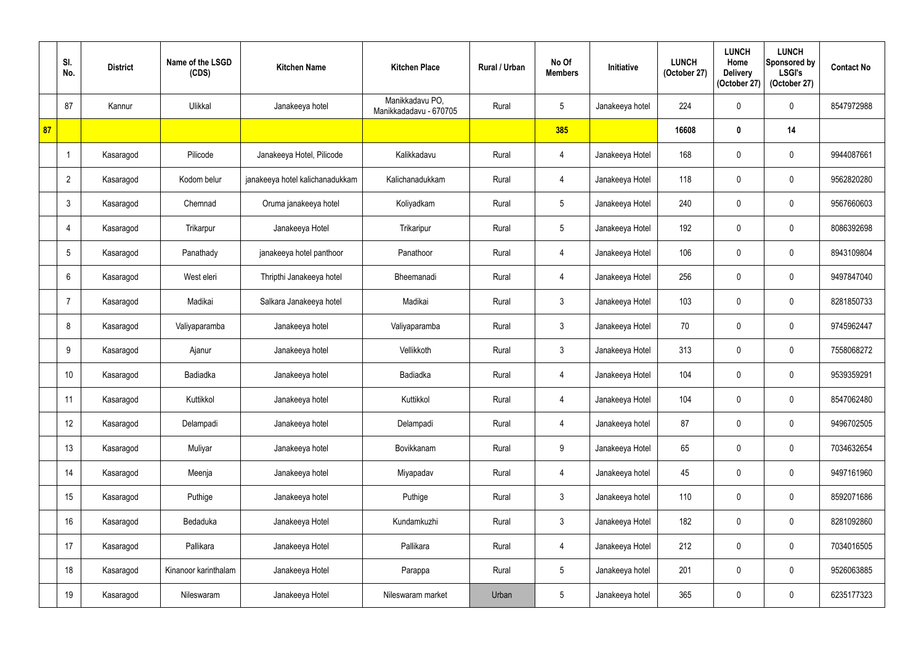|    | SI.<br>No.      | <b>District</b> | Name of the LSGD<br>(CDS) | <b>Kitchen Name</b>             | <b>Kitchen Place</b>                      | Rural / Urban | No Of<br><b>Members</b> | Initiative      | <b>LUNCH</b><br>(October 27) | <b>LUNCH</b><br>Home<br><b>Delivery</b><br>(October 27) | <b>LUNCH</b><br>Sponsored by<br><b>LSGI's</b><br>(October 27) | <b>Contact No</b> |
|----|-----------------|-----------------|---------------------------|---------------------------------|-------------------------------------------|---------------|-------------------------|-----------------|------------------------------|---------------------------------------------------------|---------------------------------------------------------------|-------------------|
|    | 87              | Kannur          | Ulikkal                   | Janakeeya hotel                 | Manikkadavu PO,<br>Manikkadadavu - 670705 | Rural         | $5\phantom{.0}$         | Janakeeya hotel | 224                          | 0                                                       | $\mathbf 0$                                                   | 8547972988        |
| 87 |                 |                 |                           |                                 |                                           |               | 385                     |                 | 16608                        | 0                                                       | 14                                                            |                   |
|    |                 | Kasaragod       | Pilicode                  | Janakeeya Hotel, Pilicode       | Kalikkadavu                               | Rural         | 4                       | Janakeeya Hotel | 168                          | 0                                                       | $\mathbf 0$                                                   | 9944087661        |
|    | $\overline{2}$  | Kasaragod       | Kodom belur               | janakeeya hotel kalichanadukkam | Kalichanadukkam                           | Rural         | $\overline{4}$          | Janakeeya Hotel | 118                          | $\mathbf 0$                                             | $\boldsymbol{0}$                                              | 9562820280        |
|    | $\mathbf{3}$    | Kasaragod       | Chemnad                   | Oruma janakeeya hotel           | Koliyadkam                                | Rural         | $5\phantom{.0}$         | Janakeeya Hotel | 240                          | 0                                                       | $\mathbf 0$                                                   | 9567660603        |
|    | $\overline{4}$  | Kasaragod       | Trikarpur                 | Janakeeya Hotel                 | Trikaripur                                | Rural         | $5\phantom{.0}$         | Janakeeya Hotel | 192                          | $\mathbf{0}$                                            | $\mathbf 0$                                                   | 8086392698        |
|    | $5\overline{)}$ | Kasaragod       | Panathady                 | janakeeya hotel panthoor        | Panathoor                                 | Rural         | 4                       | Janakeeya Hotel | 106                          | $\mathbf 0$                                             | $\mathbf 0$                                                   | 8943109804        |
|    | 6               | Kasaragod       | West eleri                | Thripthi Janakeeya hotel        | Bheemanadi                                | Rural         | 4                       | Janakeeya Hotel | 256                          | 0                                                       | $\mathbf 0$                                                   | 9497847040        |
|    | $\overline{7}$  | Kasaragod       | Madikai                   | Salkara Janakeeya hotel         | Madikai                                   | Rural         | $\mathfrak{Z}$          | Janakeeya Hotel | 103                          | 0                                                       | $\mathbf 0$                                                   | 8281850733        |
|    | 8               | Kasaragod       | Valiyaparamba             | Janakeeya hotel                 | Valiyaparamba                             | Rural         | $\mathfrak{Z}$          | Janakeeya Hotel | 70                           | $\mathbf 0$                                             | $\mathbf 0$                                                   | 9745962447        |
|    | 9               | Kasaragod       | Ajanur                    | Janakeeya hotel                 | Vellikkoth                                | Rural         | $\mathfrak{Z}$          | Janakeeya Hotel | 313                          | 0                                                       | $\mathbf 0$                                                   | 7558068272        |
|    | 10              | Kasaragod       | Badiadka                  | Janakeeya hotel                 | Badiadka                                  | Rural         | 4                       | Janakeeya Hotel | 104                          | $\mathbf 0$                                             | $\mathbf 0$                                                   | 9539359291        |
|    | 11              | Kasaragod       | Kuttikkol                 | Janakeeya hotel                 | Kuttikkol                                 | Rural         | $\overline{4}$          | Janakeeya Hotel | 104                          | $\boldsymbol{0}$                                        | $\pmb{0}$                                                     | 8547062480        |
|    | 12              | Kasaragod       | Delampadi                 | Janakeeya hotel                 | Delampadi                                 | Rural         | $\overline{4}$          | Janakeeya hotel | 87                           | $\boldsymbol{0}$                                        | $\pmb{0}$                                                     | 9496702505        |
|    | 13              | Kasaragod       | Muliyar                   | Janakeeya hotel                 | Bovikkanam                                | Rural         | 9                       | Janakeeya Hotel | 65                           | $\mathbf 0$                                             | $\boldsymbol{0}$                                              | 7034632654        |
|    | 14              | Kasaragod       | Meenja                    | Janakeeya hotel                 | Miyapadav                                 | Rural         | $\overline{4}$          | Janakeeya hotel | 45                           | $\mathbf 0$                                             | $\pmb{0}$                                                     | 9497161960        |
|    | 15              | Kasaragod       | Puthige                   | Janakeeya hotel                 | Puthige                                   | Rural         | $\mathfrak{Z}$          | Janakeeya hotel | 110                          | $\mathbf 0$                                             | $\pmb{0}$                                                     | 8592071686        |
|    | 16              | Kasaragod       | Bedaduka                  | Janakeeya Hotel                 | Kundamkuzhi                               | Rural         | $\mathfrak{Z}$          | Janakeeya Hotel | 182                          | $\mathbf 0$                                             | $\mathbf 0$                                                   | 8281092860        |
|    | 17              | Kasaragod       | Pallikara                 | Janakeeya Hotel                 | Pallikara                                 | Rural         | $\overline{4}$          | Janakeeya Hotel | 212                          | $\mathbf 0$                                             | $\pmb{0}$                                                     | 7034016505        |
|    | 18              | Kasaragod       | Kinanoor karinthalam      | Janakeeya Hotel                 | Parappa                                   | Rural         | $5\phantom{.0}$         | Janakeeya hotel | 201                          | 0                                                       | $\pmb{0}$                                                     | 9526063885        |
|    | 19              | Kasaragod       | Nileswaram                | Janakeeya Hotel                 | Nileswaram market                         | Urban         | $5\phantom{.0}$         | Janakeeya hotel | 365                          | 0                                                       | $\pmb{0}$                                                     | 6235177323        |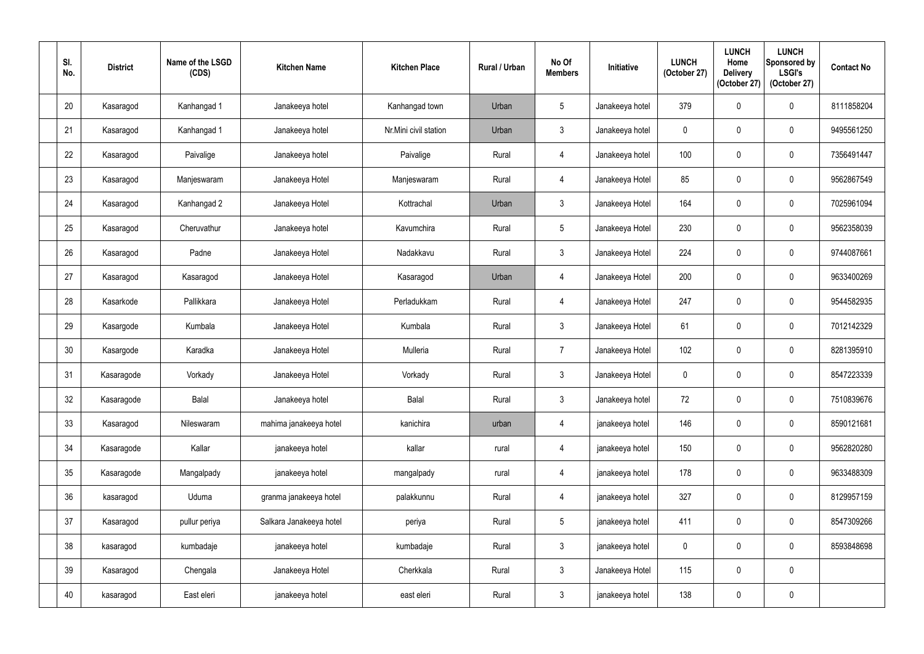| SI.<br>No. | <b>District</b> | Name of the LSGD<br>(CDS) | <b>Kitchen Name</b>     | <b>Kitchen Place</b>  | Rural / Urban | No Of<br><b>Members</b> | Initiative      | <b>LUNCH</b><br>(October 27) | <b>LUNCH</b><br>Home<br><b>Delivery</b><br>(October 27) | <b>LUNCH</b><br>Sponsored by<br><b>LSGI's</b><br>(October 27) | <b>Contact No</b> |
|------------|-----------------|---------------------------|-------------------------|-----------------------|---------------|-------------------------|-----------------|------------------------------|---------------------------------------------------------|---------------------------------------------------------------|-------------------|
| 20         | Kasaragod       | Kanhangad 1               | Janakeeya hotel         | Kanhangad town        | Urban         | $5\phantom{.0}$         | Janakeeya hotel | 379                          | $\mathbf{0}$                                            | $\mathbf 0$                                                   | 8111858204        |
| 21         | Kasaragod       | Kanhangad 1               | Janakeeya hotel         | Nr.Mini civil station | Urban         | $\mathfrak{Z}$          | Janakeeya hotel | $\mathbf 0$                  | $\mathbf 0$                                             | $\mathbf 0$                                                   | 9495561250        |
| 22         | Kasaragod       | Paivalige                 | Janakeeya hotel         | Paivalige             | Rural         | $\overline{4}$          | Janakeeya hotel | 100                          | 0                                                       | $\mathbf 0$                                                   | 7356491447        |
| 23         | Kasaragod       | Manjeswaram               | Janakeeya Hotel         | Manjeswaram           | Rural         | $\overline{4}$          | Janakeeya Hotel | 85                           | $\mathbf 0$                                             | $\pmb{0}$                                                     | 9562867549        |
| 24         | Kasaragod       | Kanhangad 2               | Janakeeya Hotel         | Kottrachal            | Urban         | $\mathbf{3}$            | Janakeeya Hotel | 164                          | 0                                                       | $\mathbf 0$                                                   | 7025961094        |
| 25         | Kasaragod       | Cheruvathur               | Janakeeya hotel         | Kavumchira            | Rural         | $5\phantom{.0}$         | Janakeeya Hotel | 230                          | 0                                                       | $\pmb{0}$                                                     | 9562358039        |
| 26         | Kasaragod       | Padne                     | Janakeeya Hotel         | Nadakkavu             | Rural         | $\mathbf{3}$            | Janakeeya Hotel | 224                          | 0                                                       | $\mathbf 0$                                                   | 9744087661        |
| 27         | Kasaragod       | Kasaragod                 | Janakeeya Hotel         | Kasaragod             | Urban         | 4                       | Janakeeya Hotel | 200                          | 0                                                       | $\mathbf 0$                                                   | 9633400269        |
| 28         | Kasarkode       | Pallikkara                | Janakeeya Hotel         | Perladukkam           | Rural         | $\overline{4}$          | Janakeeya Hotel | 247                          | $\mathbf 0$                                             | $\mathbf 0$                                                   | 9544582935        |
| 29         | Kasargode       | Kumbala                   | Janakeeya Hotel         | Kumbala               | Rural         | $\mathfrak{Z}$          | Janakeeya Hotel | 61                           | 0                                                       | $\pmb{0}$                                                     | 7012142329        |
| 30         | Kasargode       | Karadka                   | Janakeeya Hotel         | Mulleria              | Rural         | $\overline{7}$          | Janakeeya Hotel | 102                          | 0                                                       | $\mathbf 0$                                                   | 8281395910        |
| 31         | Kasaragode      | Vorkady                   | Janakeeya Hotel         | Vorkady               | Rural         | $\mathbf{3}$            | Janakeeya Hotel | $\overline{0}$               | 0                                                       | $\mathbf 0$                                                   | 8547223339        |
| 32         | Kasaragode      | Balal                     | Janakeeya hotel         | Balal                 | Rural         | $3\overline{3}$         | Janakeeya hotel | 72                           | 0                                                       | $\pmb{0}$                                                     | 7510839676        |
| 33         | Kasaragod       | Nileswaram                | mahima janakeeya hotel  | kanichira             | urban         | $\overline{4}$          | janakeeya hotel | 146                          | 0                                                       | $\pmb{0}$                                                     | 8590121681        |
| 34         | Kasaragode      | Kallar                    | janakeeya hotel         | kallar                | rural         | $\overline{4}$          | janakeeya hotel | 150                          | 0                                                       | $\pmb{0}$                                                     | 9562820280        |
| 35         | Kasaragode      | Mangalpady                | janakeeya hotel         | mangalpady            | rural         | $\overline{4}$          | janakeeya hotel | 178                          | $\mathbf 0$                                             | $\pmb{0}$                                                     | 9633488309        |
| 36         | kasaragod       | Uduma                     | granma janakeeya hotel  | palakkunnu            | Rural         | $\overline{4}$          | janakeeya hotel | 327                          | 0                                                       | $\pmb{0}$                                                     | 8129957159        |
| 37         | Kasaragod       | pullur periya             | Salkara Janakeeya hotel | periya                | Rural         | $5\phantom{.0}$         | janakeeya hotel | 411                          | 0                                                       | $\pmb{0}$                                                     | 8547309266        |
| 38         | kasaragod       | kumbadaje                 | janakeeya hotel         | kumbadaje             | Rural         | $\mathfrak{Z}$          | janakeeya hotel | $\overline{0}$               | 0                                                       | $\pmb{0}$                                                     | 8593848698        |
| 39         | Kasaragod       | Chengala                  | Janakeeya Hotel         | Cherkkala             | Rural         | $3\overline{3}$         | Janakeeya Hotel | 115                          | 0                                                       | $\pmb{0}$                                                     |                   |
| 40         | kasaragod       | East eleri                | janakeeya hotel         | east eleri            | Rural         | $\mathfrak{Z}$          | janakeeya hotel | 138                          | 0                                                       | $\pmb{0}$                                                     |                   |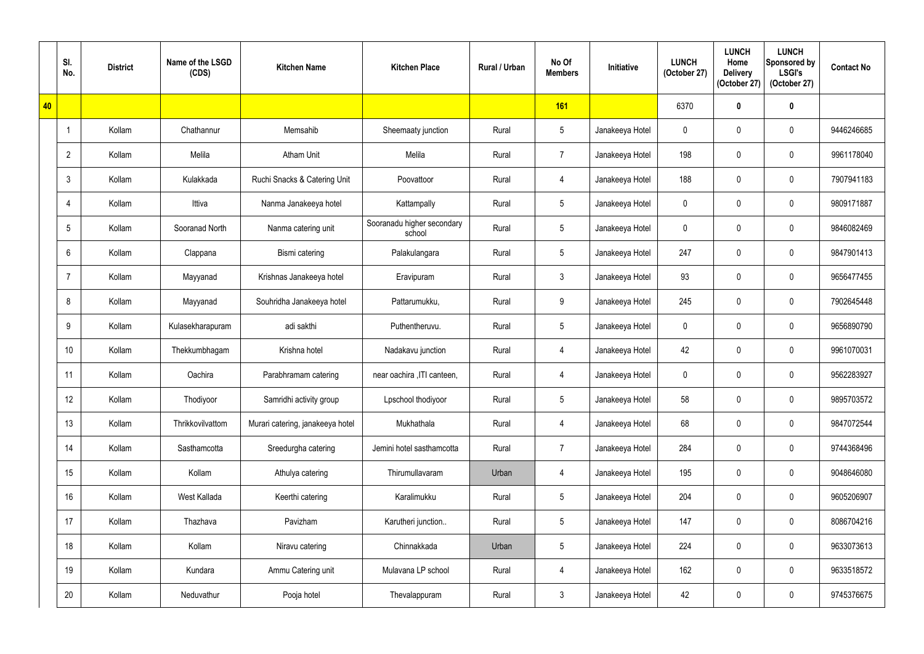|    | SI.<br>No.      | <b>District</b> | Name of the LSGD<br>(CDS) | <b>Kitchen Name</b>              | <b>Kitchen Place</b>                 | <b>Rural / Urban</b> | No Of<br><b>Members</b> | Initiative      | <b>LUNCH</b><br>(October 27) | <b>LUNCH</b><br>Home<br><b>Delivery</b><br>(October 27) | <b>LUNCH</b><br>Sponsored by<br><b>LSGI's</b><br>(October 27) | <b>Contact No</b> |
|----|-----------------|-----------------|---------------------------|----------------------------------|--------------------------------------|----------------------|-------------------------|-----------------|------------------------------|---------------------------------------------------------|---------------------------------------------------------------|-------------------|
| 40 |                 |                 |                           |                                  |                                      |                      | 161                     |                 | 6370                         | $\bf{0}$                                                | $\pmb{0}$                                                     |                   |
|    | -1              | Kollam          | Chathannur                | Memsahib                         | Sheemaaty junction                   | Rural                | $5\overline{)}$         | Janakeeya Hotel | $\mathbf 0$                  | 0                                                       | $\pmb{0}$                                                     | 9446246685        |
|    | $\overline{2}$  | Kollam          | Melila                    | <b>Atham Unit</b>                | Melila                               | Rural                | $\overline{7}$          | Janakeeya Hotel | 198                          | 0                                                       | $\mathbf 0$                                                   | 9961178040        |
|    | $\mathbf{3}$    | Kollam          | Kulakkada                 | Ruchi Snacks & Catering Unit     | Poovattoor                           | Rural                | $\overline{4}$          | Janakeeya Hotel | 188                          | $\mathbf 0$                                             | $\pmb{0}$                                                     | 7907941183        |
|    | -4              | Kollam          | Ittiva                    | Nanma Janakeeya hotel            | Kattampally                          | Rural                | $5\phantom{.0}$         | Janakeeya Hotel | $\mathbf 0$                  |                                                         | $\mathbf 0$                                                   | 9809171887        |
|    | $5\overline{)}$ | Kollam          | Sooranad North            | Nanma catering unit              | Sooranadu higher secondary<br>school | Rural                | $5\overline{)}$         | Janakeeya Hotel | $\mathbf 0$                  | $\Omega$                                                | $\boldsymbol{0}$                                              | 9846082469        |
|    | 6               | Kollam          | Clappana                  | Bismi catering                   | Palakulangara                        | Rural                | $5\phantom{.0}$         | Janakeeya Hotel | 247                          | 0                                                       | $\pmb{0}$                                                     | 9847901413        |
|    | -7              | Kollam          | Mayyanad                  | Krishnas Janakeeya hotel         | Eravipuram                           | Rural                | $\mathbf{3}$            | Janakeeya Hotel | 93                           | 0                                                       | $\mathbf 0$                                                   | 9656477455        |
|    | 8               | Kollam          | Mayyanad                  | Souhridha Janakeeya hotel        | Pattarumukku,                        | Rural                | 9                       | Janakeeya Hotel | 245                          | 0                                                       | $\mathbf 0$                                                   | 7902645448        |
|    | 9               | Kollam          | Kulasekharapuram          | adi sakthi                       | Puthentheruvu.                       | Rural                | $5\phantom{.0}$         | Janakeeya Hotel | $\mathbf 0$                  | $\mathbf{0}$                                            | $\pmb{0}$                                                     | 9656890790        |
|    | 10 <sup>°</sup> | Kollam          | Thekkumbhagam             | Krishna hotel                    | Nadakavu junction                    | Rural                | $\overline{4}$          | Janakeeya Hotel | 42                           | 0                                                       | $\mathbf 0$                                                   | 9961070031        |
|    | 11              | Kollam          | Oachira                   | Parabhramam catering             | near oachira , ITI canteen,          | Rural                | $\overline{4}$          | Janakeeya Hotel | $\mathbf 0$                  | $\mathbf 0$                                             | $\mathbf 0$                                                   | 9562283927        |
|    | 12              | Kollam          | Thodiyoor                 | Samridhi activity group          | Lpschool thodiyoor                   | Rural                | $5\phantom{.0}$         | Janakeeya Hotel | 58                           | 0                                                       | $\pmb{0}$                                                     | 9895703572        |
|    | 13              | Kollam          | Thrikkovilvattom          | Murari catering, janakeeya hotel | Mukhathala                           | Rural                | $\overline{4}$          | Janakeeya Hotel | 68                           | 0                                                       | $\pmb{0}$                                                     | 9847072544        |
|    | 14              | Kollam          | Sasthamcotta              | Sreedurgha catering              | Jemini hotel sasthamcotta            | Rural                | $\overline{7}$          | Janakeeya Hotel | 284                          | 0                                                       | $\mathbf 0$                                                   | 9744368496        |
|    | 15              | Kollam          | Kollam                    | Athulya catering                 | Thirumullavaram                      | Urban                | $\overline{4}$          | Janakeeya Hotel | 195                          | 0                                                       | $\pmb{0}$                                                     | 9048646080        |
|    | 16              | Kollam          | West Kallada              | Keerthi catering                 | Karalimukku                          | Rural                | $5\overline{)}$         | Janakeeya Hotel | 204                          | 0                                                       | $\pmb{0}$                                                     | 9605206907        |
|    | 17              | Kollam          | Thazhava                  | Pavizham                         | Karutheri junction                   | Rural                | $5\phantom{.0}$         | Janakeeya Hotel | 147                          | $\mathbf 0$                                             | $\pmb{0}$                                                     | 8086704216        |
|    | 18              | Kollam          | Kollam                    | Niravu catering                  | Chinnakkada                          | Urban                | $5\phantom{.0}$         | Janakeeya Hotel | 224                          | 0                                                       | $\pmb{0}$                                                     | 9633073613        |
|    | 19              | Kollam          | Kundara                   | Ammu Catering unit               | Mulavana LP school                   | Rural                | $\overline{4}$          | Janakeeya Hotel | 162                          | 0                                                       | $\pmb{0}$                                                     | 9633518572        |
|    | 20              | Kollam          | Neduvathur                | Pooja hotel                      | Thevalappuram                        | Rural                | $\mathbf{3}$            | Janakeeya Hotel | 42                           | 0                                                       | $\pmb{0}$                                                     | 9745376675        |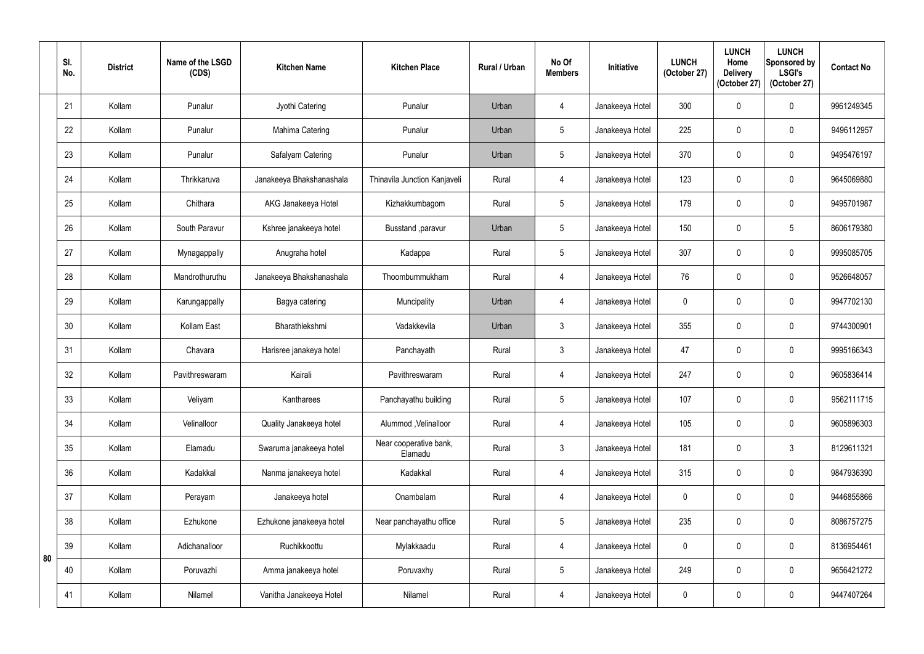|    | SI.<br>No. | <b>District</b> | Name of the LSGD<br>(CDS) | <b>Kitchen Name</b>      | <b>Kitchen Place</b>              | Rural / Urban | No Of<br><b>Members</b> | Initiative      | <b>LUNCH</b><br>(October 27) | <b>LUNCH</b><br>Home<br><b>Delivery</b><br>(October 27) | <b>LUNCH</b><br>Sponsored by<br><b>LSGI's</b><br>(October 27) | <b>Contact No</b> |
|----|------------|-----------------|---------------------------|--------------------------|-----------------------------------|---------------|-------------------------|-----------------|------------------------------|---------------------------------------------------------|---------------------------------------------------------------|-------------------|
|    | 21         | Kollam          | Punalur                   | Jyothi Catering          | Punalur                           | Urban         | $\overline{4}$          | Janakeeya Hotel | 300                          | $\mathbf{0}$                                            | $\mathbf 0$                                                   | 9961249345        |
|    | 22         | Kollam          | Punalur                   | Mahima Catering          | Punalur                           | Urban         | 5                       | Janakeeya Hotel | 225                          | $\mathbf{0}$                                            | $\mathbf 0$                                                   | 9496112957        |
|    | 23         | Kollam          | Punalur                   | Safalyam Catering        | Punalur                           | Urban         | 5                       | Janakeeya Hotel | 370                          |                                                         | $\mathbf 0$                                                   | 9495476197        |
|    | 24         | Kollam          | Thrikkaruva               | Janakeeya Bhakshanashala | Thinavila Junction Kanjaveli      | Rural         | $\overline{4}$          | Janakeeya Hotel | 123                          | $\mathbf{0}$                                            | $\mathbf 0$                                                   | 9645069880        |
|    | 25         | Kollam          | Chithara                  | AKG Janakeeya Hotel      | Kizhakkumbagom                    | Rural         | 5                       | Janakeeya Hotel | 179                          |                                                         | $\mathbf 0$                                                   | 9495701987        |
|    | 26         | Kollam          | South Paravur             | Kshree janakeeya hotel   | Busstand , paravur                | Urban         | $5\phantom{.0}$         | Janakeeya Hotel | 150                          | $\Omega$                                                | $5\phantom{.0}$                                               | 8606179380        |
|    | 27         | Kollam          | Mynagappally              | Anugraha hotel           | Kadappa                           | Rural         | $5\phantom{.0}$         | Janakeeya Hotel | 307                          | 0                                                       | $\mathbf 0$                                                   | 9995085705        |
|    | 28         | Kollam          | Mandrothuruthu            | Janakeeya Bhakshanashala | Thoombummukham                    | Rural         | $\overline{4}$          | Janakeeya Hotel | 76                           | 0                                                       | $\mathbf 0$                                                   | 9526648057        |
|    | 29         | Kollam          | Karungappally             | Bagya catering           | Muncipality                       | Urban         | $\overline{4}$          | Janakeeya Hotel | $\mathbf 0$                  |                                                         | $\mathbf 0$                                                   | 9947702130        |
|    | 30         | Kollam          | Kollam East               | Bharathlekshmi           | Vadakkevila                       | Urban         | 3                       | Janakeeya Hotel | 355                          | $\mathbf{0}$                                            | $\mathbf 0$                                                   | 9744300901        |
|    | 31         | Kollam          | Chavara                   | Harisree janakeya hotel  | Panchayath                        | Rural         | $3\overline{3}$         | Janakeeya Hotel | 47                           |                                                         | $\mathbf 0$                                                   | 9995166343        |
|    | 32         | Kollam          | Pavithreswaram            | Kairali                  | Pavithreswaram                    | Rural         | $\overline{4}$          | Janakeeya Hotel | 247                          | 0                                                       | $\mathbf 0$                                                   | 9605836414        |
|    | 33         | Kollam          | Veliyam                   | Kantharees               | Panchayathu building              | Rural         | $5\overline{)}$         | Janakeeya Hotel | 107                          | $\mathbf 0$                                             | $\mathbf 0$                                                   | 9562111715        |
|    | 34         | Kollam          | Velinalloor               | Quality Janakeeya hotel  | Alummod, Velinalloor              | Rural         | 4                       | Janakeeya Hotel | 105                          | 0                                                       | $\mathbf 0$                                                   | 9605896303        |
|    | 35         | Kollam          | Elamadu                   | Swaruma janakeeya hotel  | Near cooperative bank,<br>Elamadu | Rural         | $\mathfrak{Z}$          | Janakeeya Hotel | 181                          | 0                                                       | $\mathbf{3}$                                                  | 8129611321        |
|    | 36         | Kollam          | Kadakkal                  | Nanma janakeeya hotel    | Kadakkal                          | Rural         | $\overline{4}$          | Janakeeya Hotel | 315                          | $\mathbf 0$                                             | $\pmb{0}$                                                     | 9847936390        |
|    | 37         | Kollam          | Perayam                   | Janakeeya hotel          | Onambalam                         | Rural         | $\overline{4}$          | Janakeeya Hotel | $\mathbf 0$                  | 0                                                       | $\mathbf 0$                                                   | 9446855866        |
|    | 38         | Kollam          | Ezhukone                  | Ezhukone janakeeya hotel | Near panchayathu office           | Rural         | $5\phantom{.0}$         | Janakeeya Hotel | 235                          | 0                                                       | $\pmb{0}$                                                     | 8086757275        |
|    | 39         | Kollam          | Adichanalloor             | Ruchikkoottu             | Mylakkaadu                        | Rural         | $\overline{4}$          | Janakeeya Hotel | $\mathbf 0$                  | $\mathbf 0$                                             | $\pmb{0}$                                                     | 8136954461        |
| 80 | 40         | Kollam          | Poruvazhi                 | Amma janakeeya hotel     | Poruvaxhy                         | Rural         | $5\overline{)}$         | Janakeeya Hotel | 249                          | 0                                                       | $\mathbf 0$                                                   | 9656421272        |
|    | 41         | Kollam          | Nilamel                   | Vanitha Janakeeya Hotel  | Nilamel                           | Rural         | $\overline{4}$          | Janakeeya Hotel | $\pmb{0}$                    | $\mathbf 0$                                             | $\pmb{0}$                                                     | 9447407264        |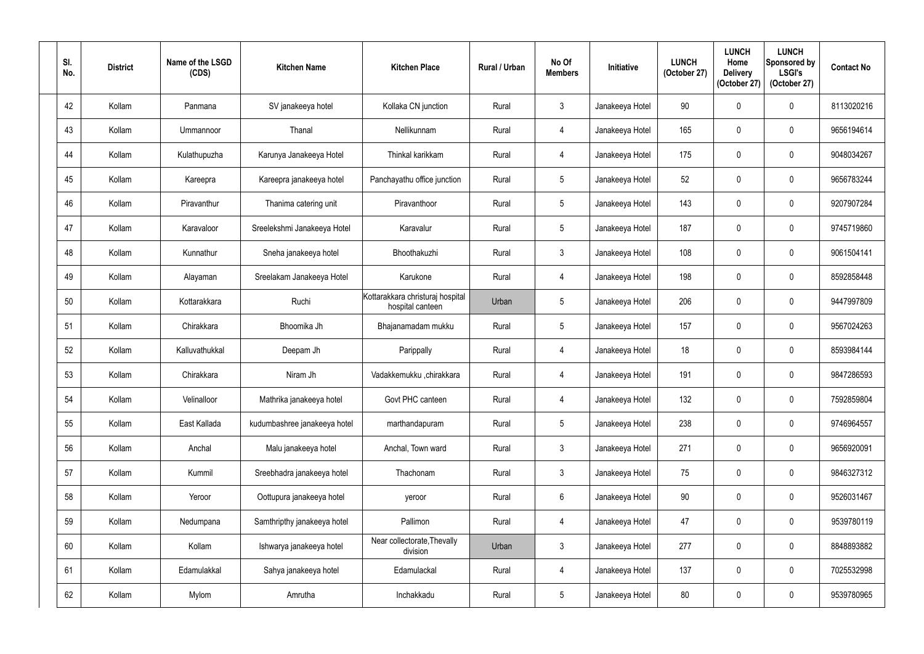| SI.<br>No. | <b>District</b> | Name of the LSGD<br>(CDS) | <b>Kitchen Name</b>          | <b>Kitchen Place</b>                                 | <b>Rural / Urban</b> | No Of<br><b>Members</b> | Initiative      | <b>LUNCH</b><br>(October 27) | <b>LUNCH</b><br>Home<br><b>Delivery</b><br>(October 27) | <b>LUNCH</b><br>Sponsored by<br><b>LSGI's</b><br>(October 27) | <b>Contact No</b> |
|------------|-----------------|---------------------------|------------------------------|------------------------------------------------------|----------------------|-------------------------|-----------------|------------------------------|---------------------------------------------------------|---------------------------------------------------------------|-------------------|
| 42         | Kollam          | Panmana                   | SV janakeeya hotel           | Kollaka CN junction                                  | Rural                | $\mathfrak{Z}$          | Janakeeya Hotel | 90                           | 0                                                       | $\mathbf 0$                                                   | 8113020216        |
| 43         | Kollam          | Ummannoor                 | Thanal                       | Nellikunnam                                          | Rural                | 4                       | Janakeeya Hotel | 165                          | $\mathbf 0$                                             | $\mathbf 0$                                                   | 9656194614        |
| 44         | Kollam          | Kulathupuzha              | Karunya Janakeeya Hotel      | Thinkal karikkam                                     | Rural                | $\overline{4}$          | Janakeeya Hotel | 175                          | 0                                                       | $\mathbf 0$                                                   | 9048034267        |
| 45         | Kollam          | Kareepra                  | Kareepra janakeeya hotel     | Panchayathu office junction                          | Rural                | $5\phantom{.0}$         | Janakeeya Hotel | 52                           | $\Omega$                                                | $\pmb{0}$                                                     | 9656783244        |
| 46         | Kollam          | Piravanthur               | Thanima catering unit        | Piravanthoor                                         | Rural                | $5\phantom{.0}$         | Janakeeya Hotel | 143                          | 0                                                       | $\mathbf 0$                                                   | 9207907284        |
| 47         | Kollam          | Karavaloor                | Sreelekshmi Janakeeya Hotel  | Karavalur                                            | Rural                | $5\phantom{.0}$         | Janakeeya Hotel | 187                          | $\Omega$                                                | $\mathbf 0$                                                   | 9745719860        |
| 48         | Kollam          | Kunnathur                 | Sneha janakeeya hotel        | Bhoothakuzhi                                         | Rural                | $\mathbf{3}$            | Janakeeya Hotel | 108                          | $\mathbf 0$                                             | $\mathbf 0$                                                   | 9061504141        |
| 49         | Kollam          | Alayaman                  | Sreelakam Janakeeya Hotel    | Karukone                                             | Rural                | 4                       | Janakeeya Hotel | 198                          | 0                                                       | $\mathbf 0$                                                   | 8592858448        |
| 50         | Kollam          | Kottarakkara              | Ruchi                        | Kottarakkara christuraj hospital<br>hospital canteen | Urban                | $5\phantom{.0}$         | Janakeeya Hotel | 206                          | 0                                                       | $\mathbf 0$                                                   | 9447997809        |
| 51         | Kollam          | Chirakkara                | Bhoomika Jh                  | Bhajanamadam mukku                                   | Rural                | $\sqrt{5}$              | Janakeeya Hotel | 157                          | $\mathbf{0}$                                            | $\pmb{0}$                                                     | 9567024263        |
| 52         | Kollam          | Kalluvathukkal            | Deepam Jh                    | Parippally                                           | Rural                | $\overline{4}$          | Janakeeya Hotel | 18                           | 0                                                       | $\mathbf 0$                                                   | 8593984144        |
| 53         | Kollam          | Chirakkara                | Niram Jh                     | Vadakkemukku ,chirakkara                             | Rural                | $\overline{4}$          | Janakeeya Hotel | 191                          | 0                                                       | $\mathbf 0$                                                   | 9847286593        |
| 54         | Kollam          | Velinalloor               | Mathrika janakeeya hotel     | Govt PHC canteen                                     | Rural                | $\overline{4}$          | Janakeeya Hotel | 132                          | 0                                                       | $\pmb{0}$                                                     | 7592859804        |
| 55         | Kollam          | East Kallada              | kudumbashree janakeeya hotel | marthandapuram                                       | Rural                | $5\phantom{.0}$         | Janakeeya Hotel | 238                          | $\mathbf 0$                                             | $\pmb{0}$                                                     | 9746964557        |
| 56         | Kollam          | Anchal                    | Malu janakeeya hotel         | Anchal, Town ward                                    | Rural                | $\mathbf{3}$            | Janakeeya Hotel | 271                          | $\mathbf 0$                                             | $\mathbf 0$                                                   | 9656920091        |
| 57         | Kollam          | Kummil                    | Sreebhadra janakeeya hotel   | Thachonam                                            | Rural                | $\mathbf{3}$            | Janakeeya Hotel | 75                           | 0                                                       | $\pmb{0}$                                                     | 9846327312        |
| 58         | Kollam          | Yeroor                    | Oottupura janakeeya hotel    | yeroor                                               | Rural                | $6\overline{6}$         | Janakeeya Hotel | 90                           | 0                                                       | $\pmb{0}$                                                     | 9526031467        |
| 59         | Kollam          | Nedumpana                 | Samthripthy janakeeya hotel  | Pallimon                                             | Rural                | $\overline{4}$          | Janakeeya Hotel | 47                           | $\mathbf 0$                                             | $\mathbf 0$                                                   | 9539780119        |
| 60         | Kollam          | Kollam                    | Ishwarya janakeeya hotel     | Near collectorate, Thevally<br>division              | Urban                | $\mathbf{3}$            | Janakeeya Hotel | 277                          | $\mathbf 0$                                             | $\pmb{0}$                                                     | 8848893882        |
| 61         | Kollam          | Edamulakkal               | Sahya janakeeya hotel        | Edamulackal                                          | Rural                | $\overline{4}$          | Janakeeya Hotel | 137                          | 0                                                       | $\pmb{0}$                                                     | 7025532998        |
| 62         | Kollam          | Mylom                     | Amrutha                      | Inchakkadu                                           | Rural                | $5\phantom{.0}$         | Janakeeya Hotel | 80                           | 0                                                       | $\pmb{0}$                                                     | 9539780965        |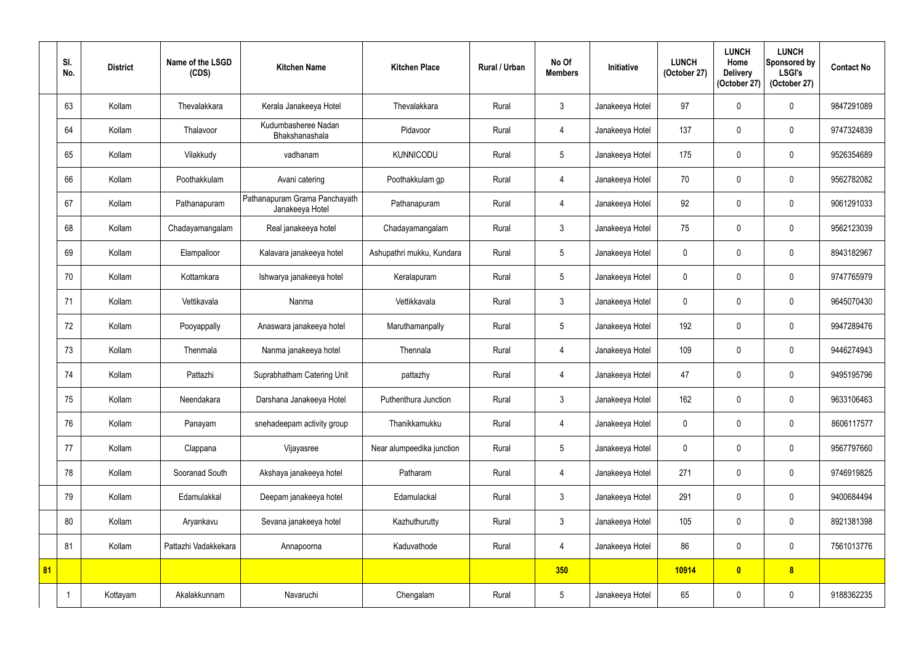|    | SI.<br>No. | <b>District</b> | Name of the LSGD<br>(CDS) | <b>Kitchen Name</b>                              | <b>Kitchen Place</b>      | Rural / Urban | No Of<br><b>Members</b> | Initiative      | <b>LUNCH</b><br>(October 27) | <b>LUNCH</b><br>Home<br><b>Delivery</b><br>(October 27) | <b>LUNCH</b><br>Sponsored by<br><b>LSGI's</b><br>(October 27) | <b>Contact No</b> |
|----|------------|-----------------|---------------------------|--------------------------------------------------|---------------------------|---------------|-------------------------|-----------------|------------------------------|---------------------------------------------------------|---------------------------------------------------------------|-------------------|
|    | 63         | Kollam          | Thevalakkara              | Kerala Janakeeya Hotel                           | Thevalakkara              | Rural         | $\mathbf{3}$            | Janakeeya Hotel | 97                           | $\Omega$                                                | $\mathbf 0$                                                   | 9847291089        |
|    | 64         | Kollam          | Thalavoor                 | Kudumbasheree Nadan<br>Bhakshanashala            | Pidavoor                  | Rural         | $\overline{4}$          | Janakeeya Hotel | 137                          | $\mathbf 0$                                             | $\mathbf 0$                                                   | 9747324839        |
|    | 65         | Kollam          | Vilakkudy                 | vadhanam                                         | <b>KUNNICODU</b>          | Rural         | $5\overline{)}$         | Janakeeya Hotel | 175                          | 0                                                       | $\mathbf 0$                                                   | 9526354689        |
|    | 66         | Kollam          | Poothakkulam              | Avani catering                                   | Poothakkulam gp           | Rural         | $\overline{4}$          | Janakeeya Hotel | 70                           | $\Omega$                                                | $\mathbf 0$                                                   | 9562782082        |
|    | 67         | Kollam          | Pathanapuram              | Pathanapuram Grama Panchayath<br>Janakeeya Hotel | Pathanapuram              | Rural         | 4                       | Janakeeya Hotel | 92                           | 0                                                       | $\mathbf 0$                                                   | 9061291033        |
|    | 68         | Kollam          | Chadayamangalam           | Real janakeeya hotel                             | Chadayamangalam           | Rural         | $\mathbf{3}$            | Janakeeya Hotel | 75                           | 0                                                       | $\mathbf 0$                                                   | 9562123039        |
|    | 69         | Kollam          | Elampalloor               | Kalavara janakeeya hotel                         | Ashupathri mukku, Kundara | Rural         | $5\phantom{.0}$         | Janakeeya Hotel | $\mathbf 0$                  | 0                                                       | $\mathbf 0$                                                   | 8943182967        |
|    | 70         | Kollam          | Kottamkara                | Ishwarya janakeeya hotel                         | Keralapuram               | Rural         | $5\overline{)}$         | Janakeeya Hotel | $\mathbf 0$                  | 0                                                       | $\mathbf 0$                                                   | 9747765979        |
|    | 71         | Kollam          | Vettikavala               | Nanma                                            | Vettikkavala              | Rural         | $\mathbf{3}$            | Janakeeya Hotel | $\mathbf 0$                  | $\Omega$                                                | $\mathbf 0$                                                   | 9645070430        |
|    | 72         | Kollam          | Pooyappally               | Anaswara janakeeya hotel                         | Maruthamanpally           | Rural         | $5\phantom{.0}$         | Janakeeya Hotel | 192                          | $\mathbf 0$                                             | $\mathbf 0$                                                   | 9947289476        |
|    | 73         | Kollam          | Thenmala                  | Nanma janakeeya hotel                            | Thennala                  | Rural         | 4                       | Janakeeya Hotel | 109                          | 0                                                       | $\mathbf 0$                                                   | 9446274943        |
|    | 74         | Kollam          | Pattazhi                  | Suprabhatham Catering Unit                       | pattazhy                  | Rural         | $\overline{4}$          | Janakeeya Hotel | 47                           | 0                                                       | $\mathbf 0$                                                   | 9495195796        |
|    | 75         | Kollam          | Neendakara                | Darshana Janakeeya Hotel                         | Puthenthura Junction      | Rural         | $\mathfrak{Z}$          | Janakeeya Hotel | 162                          | $\mathbf 0$                                             | $\boldsymbol{0}$                                              | 9633106463        |
|    | 76         | Kollam          | Panayam                   | snehadeepam activity group                       | Thanikkamukku             | Rural         | $\overline{4}$          | Janakeeya Hotel | $\pmb{0}$                    | $\mathbf 0$                                             | $\pmb{0}$                                                     | 8606117577        |
|    | 77         | Kollam          | Clappana                  | Vijayasree                                       | Near alumpeedika junction | Rural         | $5\phantom{.0}$         | Janakeeya Hotel | $\overline{0}$               | $\mathbf 0$                                             | $\boldsymbol{0}$                                              | 9567797660        |
|    | 78         | Kollam          | Sooranad South            | Akshaya janakeeya hotel                          | Patharam                  | Rural         | $\overline{4}$          | Janakeeya Hotel | 271                          | $\mathbf 0$                                             | $\pmb{0}$                                                     | 9746919825        |
|    | 79         | Kollam          | Edamulakkal               | Deepam janakeeya hotel                           | Edamulackal               | Rural         | $\mathfrak{Z}$          | Janakeeya Hotel | 291                          | $\mathbf 0$                                             | $\boldsymbol{0}$                                              | 9400684494        |
|    | 80         | Kollam          | Aryankavu                 | Sevana janakeeya hotel                           | Kazhuthurutty             | Rural         | $\mathfrak{Z}$          | Janakeeya Hotel | 105                          | 0                                                       | $\boldsymbol{0}$                                              | 8921381398        |
|    | 81         | Kollam          | Pattazhi Vadakkekara      | Annapoorna                                       | Kaduvathode               | Rural         | $\overline{4}$          | Janakeeya Hotel | 86                           | $\mathbf 0$                                             | $\pmb{0}$                                                     | 7561013776        |
| 81 |            |                 |                           |                                                  |                           |               | 350                     |                 | 10914                        | $\bullet$                                               | $\boldsymbol{8}$                                              |                   |
|    | -1         | Kottayam        | Akalakkunnam              | Navaruchi                                        | Chengalam                 | Rural         | $5\phantom{.0}$         | Janakeeya Hotel | 65                           | $\mathbf 0$                                             | $\pmb{0}$                                                     | 9188362235        |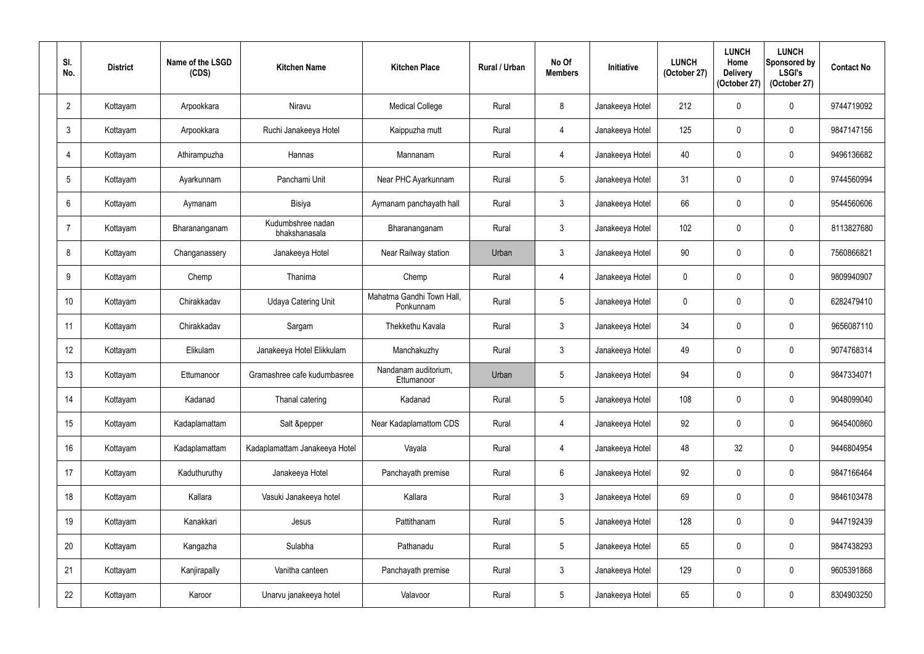| SI.<br>No.      | <b>District</b> | Name of the LSGD<br>(CDS) | <b>Kitchen Name</b>                | <b>Kitchen Place</b>                   | <b>Rural / Urban</b> | No Of<br><b>Members</b> | Initiative      | <b>LUNCH</b><br>(October 27) | <b>LUNCH</b><br>Home<br><b>Delivery</b><br>(October 27) | <b>LUNCH</b><br>Sponsored by<br><b>LSGI's</b><br>(October 27) | <b>Contact No</b> |
|-----------------|-----------------|---------------------------|------------------------------------|----------------------------------------|----------------------|-------------------------|-----------------|------------------------------|---------------------------------------------------------|---------------------------------------------------------------|-------------------|
| $\overline{2}$  | Kottayam        | Arpookkara                | Niravu                             | <b>Medical College</b>                 | Rural                | 8                       | Janakeeya Hotel | 212                          | $\mathbf 0$                                             | $\mathbf 0$                                                   | 9744719092        |
| $\mathfrak{Z}$  | Kottayam        | Arpookkara                | Ruchi Janakeeya Hotel              | Kaippuzha mutt                         | Rural                | 4                       | Janakeeya Hotel | 125                          | $\mathbf 0$                                             | $\mathbf 0$                                                   | 9847147156        |
| 4               | Kottayam        | Athirampuzha              | Hannas                             | Mannanam                               | Rural                | $\overline{4}$          | Janakeeya Hotel | 40                           |                                                         | $\mathbf 0$                                                   | 9496136682        |
| $5\phantom{.0}$ | Kottayam        | Ayarkunnam                | Panchami Unit                      | Near PHC Ayarkunnam                    | Rural                | $5\phantom{.0}$         | Janakeeya Hotel | 31                           | $\theta$                                                | $\pmb{0}$                                                     | 9744560994        |
| 6               | Kottayam        | Aymanam                   | Bisiya                             | Aymanam panchayath hall                | Rural                | $\mathbf{3}$            | Janakeeya Hotel | 66                           | 0                                                       | $\mathbf 0$                                                   | 9544560606        |
| $\overline{7}$  | Kottayam        | Bharananganam             | Kudumbshree nadan<br>bhakshanasala | Bharananganam                          | Rural                | $\mathbf{3}$            | Janakeeya Hotel | 102                          | $\Omega$                                                | $\pmb{0}$                                                     | 8113827680        |
| 8               | Kottayam        | Changanassery             | Janakeeya Hotel                    | Near Railway station                   | Urban                | $\mathfrak{Z}$          | Janakeeya Hotel | 90                           | $\mathbf 0$                                             | $\mathbf 0$                                                   | 7560866821        |
| 9               | Kottayam        | Chemp                     | Thanima                            | Chemp                                  | Rural                | $\overline{4}$          | Janakeeya Hotel | $\mathbf{0}$                 |                                                         | $\mathbf 0$                                                   | 9809940907        |
| 10 <sup>°</sup> | Kottayam        | Chirakkadav               | <b>Udaya Catering Unit</b>         | Mahatma Gandhi Town Hall,<br>Ponkunnam | Rural                | $5\overline{)}$         | Janakeeya Hotel | $\mathbf 0$                  |                                                         | $\mathbf 0$                                                   | 6282479410        |
| 11              | Kottayam        | Chirakkadav               | Sargam                             | Thekkethu Kavala                       | Rural                | $\mathbf{3}$            | Janakeeya Hotel | 34                           | $\mathbf{0}$                                            | $\mathbf 0$                                                   | 9656087110        |
| 12              | Kottayam        | Elikulam                  | Janakeeya Hotel Elikkulam          | Manchakuzhy                            | Rural                | $\mathbf{3}$            | Janakeeya Hotel | 49                           | 0                                                       | $\boldsymbol{0}$                                              | 9074768314        |
| 13              | Kottayam        | Ettumanoor                | Gramashree cafe kudumbasree        | Nandanam auditorium,<br>Ettumanoor     | Urban                | $5\phantom{.0}$         | Janakeeya Hotel | 94                           | 0                                                       | $\mathbf 0$                                                   | 9847334071        |
| 14              | Kottayam        | Kadanad                   | Thanal catering                    | Kadanad                                | Rural                | $5\overline{)}$         | Janakeeya Hotel | 108                          | $\mathbf 0$                                             | $\pmb{0}$                                                     | 9048099040        |
| 15              | Kottayam        | Kadaplamattam             | Salt &pepper                       | Near Kadaplamattom CDS                 | Rural                | $\overline{4}$          | Janakeeya Hotel | 92                           | $\mathbf 0$                                             | $\pmb{0}$                                                     | 9645400860        |
| 16              | Kottayam        | Kadaplamattam             | Kadaplamattam Janakeeya Hotel      | Vayala                                 | Rural                | $\overline{4}$          | Janakeeya Hotel | 48                           | 32                                                      | $\pmb{0}$                                                     | 9446804954        |
| 17              | Kottayam        | Kaduthuruthy              | Janakeeya Hotel                    | Panchayath premise                     | Rural                | $6\phantom{.}6$         | Janakeeya Hotel | 92                           | $\mathbf 0$                                             | $\pmb{0}$                                                     | 9847166464        |
| 18              | Kottayam        | Kallara                   | Vasuki Janakeeya hotel             | Kallara                                | Rural                | $\mathbf{3}$            | Janakeeya Hotel | 69                           | 0                                                       | $\pmb{0}$                                                     | 9846103478        |
| 19              | Kottayam        | Kanakkari                 | Jesus                              | Pattithanam                            | Rural                | $5\phantom{.0}$         | Janakeeya Hotel | 128                          | $\mathbf 0$                                             | $\boldsymbol{0}$                                              | 9447192439        |
| 20              | Kottayam        | Kangazha                  | Sulabha                            | Pathanadu                              | Rural                | $5\phantom{.0}$         | Janakeeya Hotel | 65                           | 0                                                       | $\pmb{0}$                                                     | 9847438293        |
| 21              | Kottayam        | Kanjirapally              | Vanitha canteen                    | Panchayath premise                     | Rural                | $\mathbf{3}$            | Janakeeya Hotel | 129                          | 0                                                       | $\pmb{0}$                                                     | 9605391868        |
| 22              | Kottayam        | Karoor                    | Unarvu janakeeya hotel             | Valavoor                               | Rural                | $5\overline{)}$         | Janakeeya Hotel | 65                           | 0                                                       | $\pmb{0}$                                                     | 8304903250        |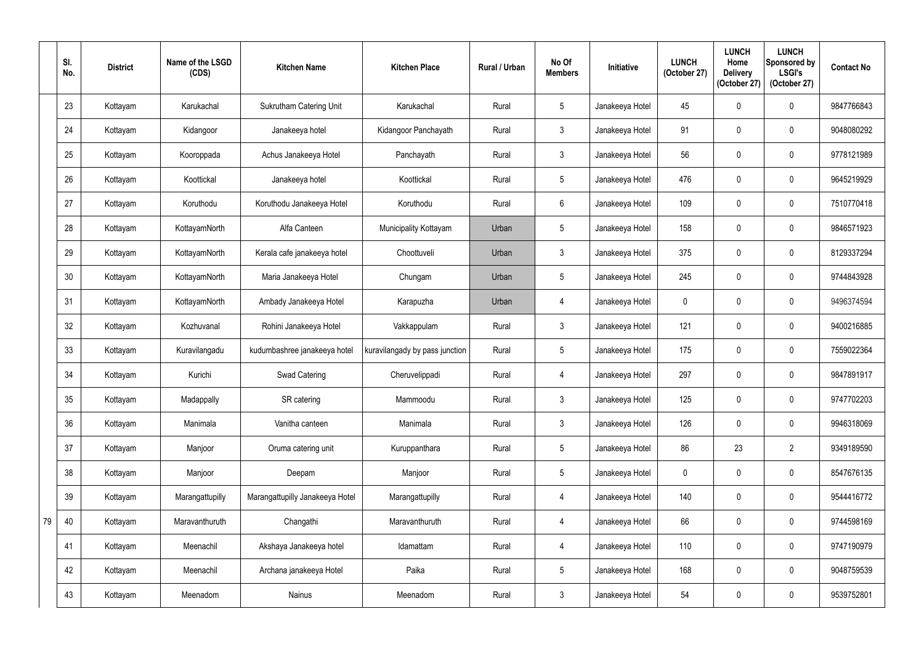|    | SI.<br>No. | <b>District</b> | Name of the LSGD<br>(CDS) | <b>Kitchen Name</b>             | <b>Kitchen Place</b>           | Rural / Urban | No Of<br><b>Members</b> | Initiative      | <b>LUNCH</b><br>(October 27) | <b>LUNCH</b><br>Home<br><b>Delivery</b><br>(October 27) | <b>LUNCH</b><br>Sponsored by<br><b>LSGI's</b><br>(October 27) | <b>Contact No</b> |
|----|------------|-----------------|---------------------------|---------------------------------|--------------------------------|---------------|-------------------------|-----------------|------------------------------|---------------------------------------------------------|---------------------------------------------------------------|-------------------|
|    | 23         | Kottayam        | Karukachal                | <b>Sukrutham Catering Unit</b>  | Karukachal                     | Rural         | $5\phantom{.0}$         | Janakeeya Hotel | 45                           |                                                         | $\mathbf 0$                                                   | 9847766843        |
|    | 24         | Kottayam        | Kidangoor                 | Janakeeya hotel                 | Kidangoor Panchayath           | Rural         | $\mathbf{3}$            | Janakeeya Hotel | 91                           | $\Omega$                                                | $\mathbf 0$                                                   | 9048080292        |
|    | 25         | Kottayam        | Kooroppada                | Achus Janakeeya Hotel           | Panchayath                     | Rural         | $\mathfrak{Z}$          | Janakeeya Hotel | 56                           |                                                         | $\mathbf 0$                                                   | 9778121989        |
|    | 26         | Kottayam        | Koottickal                | Janakeeya hotel                 | Koottickal                     | Rural         | $5\phantom{.0}$         | Janakeeya Hotel | 476                          | $\mathbf{0}$                                            | $\boldsymbol{0}$                                              | 9645219929        |
|    | 27         | Kottayam        | Koruthodu                 | Koruthodu Janakeeya Hotel       | Koruthodu                      | Rural         | 6                       | Janakeeya Hotel | 109                          |                                                         | $\mathbf 0$                                                   | 7510770418        |
|    | 28         | Kottayam        | KottayamNorth             | Alfa Canteen                    | Municipality Kottayam          | Urban         | $5\phantom{.0}$         | Janakeeya Hotel | 158                          | $\Omega$                                                | $\mathbf 0$                                                   | 9846571923        |
|    | 29         | Kottayam        | KottayamNorth             | Kerala cafe janakeeya hotel     | Choottuveli                    | Urban         | $\mathbf{3}$            | Janakeeya Hotel | 375                          |                                                         | $\boldsymbol{0}$                                              | 8129337294        |
|    | 30         | Kottayam        | KottayamNorth             | Maria Janakeeya Hotel           | Chungam                        | Urban         | $5\overline{)}$         | Janakeeya Hotel | 245                          |                                                         | $\mathbf 0$                                                   | 9744843928        |
|    | 31         | Kottayam        | KottayamNorth             | Ambady Janakeeya Hotel          | Karapuzha                      | Urban         | 4                       | Janakeeya Hotel | $\mathbf 0$                  |                                                         | $\mathbf 0$                                                   | 9496374594        |
|    | 32         | Kottayam        | Kozhuvanal                | Rohini Janakeeya Hotel          | Vakkappulam                    | Rural         | $\mathfrak{Z}$          | Janakeeya Hotel | 121                          | $\mathbf{0}$                                            | $\mathbf 0$                                                   | 9400216885        |
|    | 33         | Kottayam        | Kuravilangadu             | kudumbashree janakeeya hotel    | kuravilangady by pass junction | Rural         | $5\phantom{.0}$         | Janakeeya Hotel | 175                          |                                                         | $\mathbf 0$                                                   | 7559022364        |
|    | 34         | Kottayam        | Kurichi                   | Swad Catering                   | Cheruvelippadi                 | Rural         | 4                       | Janakeeya Hotel | 297                          | 0                                                       | $\mathbf 0$                                                   | 9847891917        |
|    | 35         | Kottayam        | Madappally                | SR catering                     | Mammoodu                       | Rural         | $\mathbf{3}$            | Janakeeya Hotel | 125                          | 0                                                       | $\pmb{0}$                                                     | 9747702203        |
|    | 36         | Kottayam        | Manimala                  | Vanitha canteen                 | Manimala                       | Rural         | $3\phantom{a}$          | Janakeeya Hotel | 126                          | 0                                                       | $\pmb{0}$                                                     | 9946318069        |
|    | 37         | Kottayam        | Manjoor                   | Oruma catering unit             | Kuruppanthara                  | Rural         | $5\phantom{.0}$         | Janakeeya Hotel | 86                           | 23                                                      | $\overline{2}$                                                | 9349189590        |
|    | 38         | Kottayam        | Manjoor                   | Deepam                          | Manjoor                        | Rural         | $5\phantom{.0}$         | Janakeeya Hotel | $\pmb{0}$                    | $\mathbf 0$                                             | $\pmb{0}$                                                     | 8547676135        |
|    | 39         | Kottayam        | Marangattupilly           | Marangattupilly Janakeeya Hotel | Marangattupilly                | Rural         | 4                       | Janakeeya Hotel | 140                          | 0                                                       | $\mathbf 0$                                                   | 9544416772        |
| 79 | 40         | Kottayam        | Maravanthuruth            | Changathi                       | Maravanthuruth                 | Rural         | $\overline{4}$          | Janakeeya Hotel | 66                           | 0                                                       | $\pmb{0}$                                                     | 9744598169        |
|    | 41         | Kottayam        | Meenachil                 | Akshaya Janakeeya hotel         | Idamattam                      | Rural         | 4                       | Janakeeya Hotel | 110                          | $\mathbf 0$                                             | $\pmb{0}$                                                     | 9747190979        |
|    | 42         | Kottayam        | Meenachil                 | Archana janakeeya Hotel         | Paika                          | Rural         | $5\phantom{.0}$         | Janakeeya Hotel | 168                          | 0                                                       | $\boldsymbol{0}$                                              | 9048759539        |
|    | 43         | Kottayam        | Meenadom                  | Nainus                          | Meenadom                       | Rural         | $\mathfrak{Z}$          | Janakeeya Hotel | 54                           | 0                                                       | $\pmb{0}$                                                     | 9539752801        |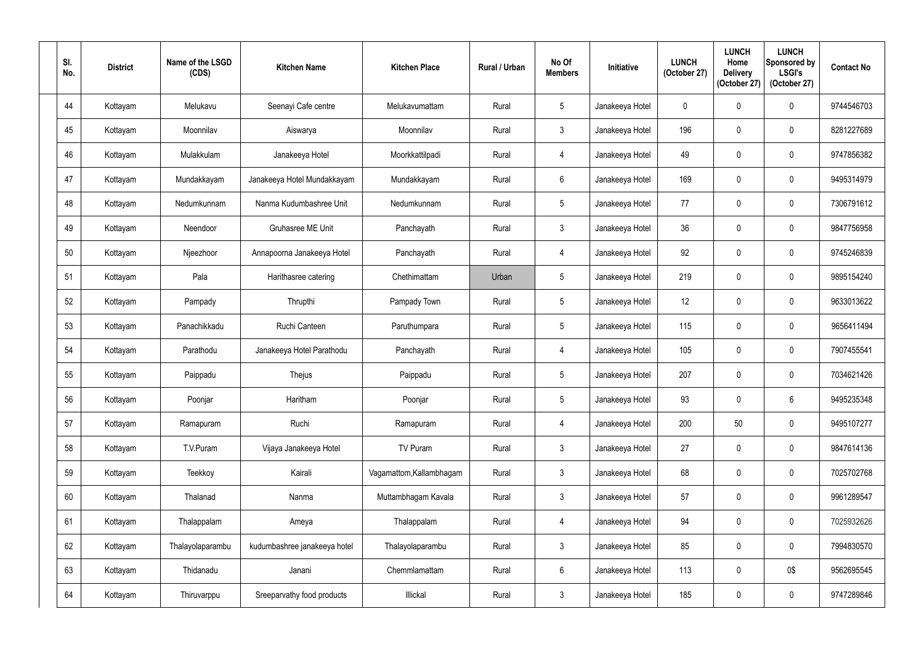| SI.<br>No. | <b>District</b> | Name of the LSGD<br>(CDS) | <b>Kitchen Name</b>          | <b>Kitchen Place</b>     | <b>Rural / Urban</b> | No Of<br><b>Members</b> | Initiative      | <b>LUNCH</b><br>(October 27) | <b>LUNCH</b><br>Home<br><b>Delivery</b><br>(October 27) | <b>LUNCH</b><br>Sponsored by<br><b>LSGI's</b><br>(October 27) | <b>Contact No</b> |
|------------|-----------------|---------------------------|------------------------------|--------------------------|----------------------|-------------------------|-----------------|------------------------------|---------------------------------------------------------|---------------------------------------------------------------|-------------------|
| 44         | Kottayam        | Melukavu                  | Seenayi Cafe centre          | Melukavumattam           | Rural                | $5\overline{)}$         | Janakeeya Hotel | $\mathbf 0$                  | $\mathbf{0}$                                            | $\mathbf 0$                                                   | 9744546703        |
| 45         | Kottayam        | Moonnilav                 | Aiswarya                     | Moonnilav                | Rural                | $\mathbf{3}$            | Janakeeya Hotel | 196                          | $\mathbf 0$                                             | $\boldsymbol{0}$                                              | 8281227689        |
| 46         | Kottayam        | Mulakkulam                | Janakeeya Hotel              | Moorkkattilpadi          | Rural                | $\overline{4}$          | Janakeeya Hotel | 49                           | 0                                                       | $\mathbf 0$                                                   | 9747856382        |
| 47         | Kottayam        | Mundakkayam               | Janakeeya Hotel Mundakkayam  | Mundakkayam              | Rural                | $6\phantom{.}6$         | Janakeeya Hotel | 169                          | $\mathbf{0}$                                            | $\pmb{0}$                                                     | 9495314979        |
| 48         | Kottayam        | Nedumkunnam               | Nanma Kudumbashree Unit      | Nedumkunnam              | Rural                | $5\overline{)}$         | Janakeeya Hotel | 77                           | $\mathbf 0$                                             | $\mathbf 0$                                                   | 7306791612        |
| 49         | Kottayam        | Neendoor                  | <b>Gruhasree ME Unit</b>     | Panchayath               | Rural                | $\mathbf{3}$            | Janakeeya Hotel | 36                           | $\Omega$                                                | $\boldsymbol{0}$                                              | 9847756958        |
| 50         | Kottayam        | Njeezhoor                 | Annapoorna Janakeeya Hotel   | Panchayath               | Rural                | $\overline{4}$          | Janakeeya Hotel | 92                           | 0                                                       | $\mathbf 0$                                                   | 9745246839        |
| 51         | Kottayam        | Pala                      | Harithasree catering         | Chethimattam             | Urban                | 5                       | Janakeeya Hotel | 219                          | 0                                                       | $\mathbf 0$                                                   | 9895154240        |
| 52         | Kottayam        | Pampady                   | Thrupthi                     | Pampady Town             | Rural                | $5\overline{)}$         | Janakeeya Hotel | 12                           | 0                                                       | $\boldsymbol{0}$                                              | 9633013622        |
| 53         | Kottayam        | Panachikkadu              | Ruchi Canteen                | Paruthumpara             | Rural                | $\overline{5}$          | Janakeeya Hotel | 115                          | $\mathbf 0$                                             | $\mathbf 0$                                                   | 9656411494        |
| 54         | Kottayam        | Parathodu                 | Janakeeya Hotel Parathodu    | Panchayath               | Rural                | $\overline{4}$          | Janakeeya Hotel | 105                          | 0                                                       | $\boldsymbol{0}$                                              | 7907455541        |
| 55         | Kottayam        | Paippadu                  | Thejus                       | Paippadu                 | Rural                | $5\phantom{.0}$         | Janakeeya Hotel | 207                          | 0                                                       | $\mathbf 0$                                                   | 7034621426        |
| 56         | Kottayam        | Poonjar                   | Haritham                     | Poonjar                  | Rural                | $5\overline{)}$         | Janakeeya Hotel | 93                           | $\mathbf 0$                                             | $6\phantom{.0}$                                               | 9495235348        |
| 57         | Kottayam        | Ramapuram                 | Ruchi                        | Ramapuram                | Rural                | $\overline{4}$          | Janakeeya Hotel | 200                          | 50                                                      | $\pmb{0}$                                                     | 9495107277        |
| 58         | Kottayam        | T.V.Puram                 | Vijaya Janakeeya Hotel       | <b>TV Puram</b>          | Rural                | $\mathbf{3}$            | Janakeeya Hotel | 27                           | 0                                                       | $\pmb{0}$                                                     | 9847614136        |
| 59         | Kottayam        | Teekkoy                   | Kairali                      | Vagamattom, Kallambhagam | Rural                | $\mathfrak{Z}$          | Janakeeya Hotel | 68                           | 0                                                       | $\pmb{0}$                                                     | 7025702768        |
| 60         | Kottayam        | Thalanad                  | Nanma                        | Muttambhagam Kavala      | Rural                | $\mathbf{3}$            | Janakeeya Hotel | 57                           | 0                                                       | $\pmb{0}$                                                     | 9961289547        |
| 61         | Kottayam        | Thalappalam               | Ameya                        | Thalappalam              | Rural                | $\overline{4}$          | Janakeeya Hotel | 94                           | 0                                                       | $\pmb{0}$                                                     | 7025932626        |
| 62         | Kottayam        | Thalayolaparambu          | kudumbashree janakeeya hotel | Thalayolaparambu         | Rural                | $\mathbf{3}$            | Janakeeya Hotel | 85                           | $\mathbf 0$                                             | $\pmb{0}$                                                     | 7994830570        |
| 63         | Kottayam        | Thidanadu                 | Janani                       | Chemmlamattam            | Rural                | $6\phantom{.}6$         | Janakeeya Hotel | 113                          | 0                                                       | 0\$                                                           | 9562695545        |
| 64         | Kottayam        | Thiruvarppu               | Sreeparvathy food products   | Illickal                 | Rural                | $\mathbf{3}$            | Janakeeya Hotel | 185                          | 0                                                       | $\pmb{0}$                                                     | 9747289846        |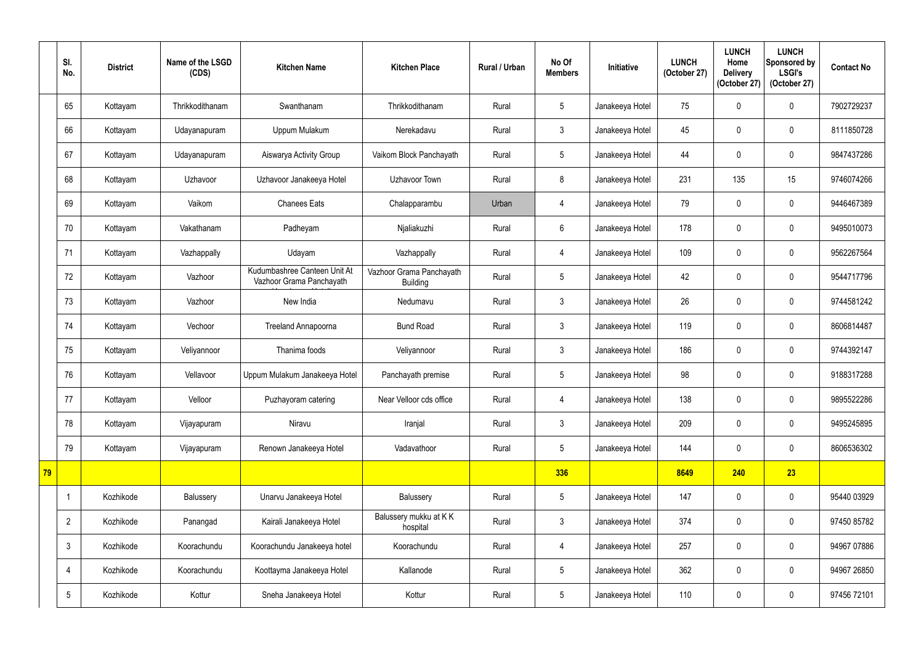|    | SI.<br>No.     | <b>District</b> | Name of the LSGD<br>(CDS) | <b>Kitchen Name</b>                                      | <b>Kitchen Place</b>                        | Rural / Urban | No Of<br><b>Members</b> | Initiative      | <b>LUNCH</b><br>(October 27) | <b>LUNCH</b><br>Home<br><b>Delivery</b><br>(October 27) | <b>LUNCH</b><br>Sponsored by<br><b>LSGI's</b><br>(October 27) | <b>Contact No</b> |
|----|----------------|-----------------|---------------------------|----------------------------------------------------------|---------------------------------------------|---------------|-------------------------|-----------------|------------------------------|---------------------------------------------------------|---------------------------------------------------------------|-------------------|
|    | 65             | Kottayam        | Thrikkodithanam           | Swanthanam                                               | Thrikkodithanam                             | Rural         | 5 <sup>5</sup>          | Janakeeya Hotel | 75                           | 0                                                       | $\mathbf 0$                                                   | 7902729237        |
|    | 66             | Kottayam        | Udayanapuram              | Uppum Mulakum                                            | Nerekadavu                                  | Rural         | $\mathfrak{Z}$          | Janakeeya Hotel | 45                           | $\Omega$                                                | $\mathbf 0$                                                   | 8111850728        |
|    | 67             | Kottayam        | Udayanapuram              | Aiswarya Activity Group                                  | Vaikom Block Panchayath                     | Rural         | 5                       | Janakeeya Hotel | 44                           |                                                         | $\mathbf 0$                                                   | 9847437286        |
|    | 68             | Kottayam        | Uzhavoor                  | Uzhavoor Janakeeya Hotel                                 | Uzhavoor Town                               | Rural         | 8                       | Janakeeya Hotel | 231                          | 135                                                     | 15                                                            | 9746074266        |
|    | 69             | Kottayam        | Vaikom                    | <b>Chanees Eats</b>                                      | Chalapparambu                               | Urban         | $\overline{4}$          | Janakeeya Hotel | 79                           |                                                         | $\mathbf 0$                                                   | 9446467389        |
|    | 70             | Kottayam        | Vakathanam                | Padheyam                                                 | Nialiakuzhi                                 | Rural         | 6                       | Janakeeya Hotel | 178                          | $\Omega$                                                | $\mathbf 0$                                                   | 9495010073        |
|    | 71             | Kottayam        | Vazhappally               | Udayam                                                   | Vazhappally                                 | Rural         | $\overline{4}$          | Janakeeya Hotel | 109                          | 0                                                       | $\mathbf 0$                                                   | 9562267564        |
|    | 72             | Kottayam        | Vazhoor                   | Kudumbashree Canteen Unit At<br>Vazhoor Grama Panchayath | Vazhoor Grama Panchayath<br><b>Building</b> | Rural         | 5                       | Janakeeya Hotel | 42                           |                                                         | $\mathbf 0$                                                   | 9544717796        |
|    | 73             | Kottayam        | Vazhoor                   | New India                                                | Nedumavu                                    | Rural         | $\mathfrak{Z}$          | Janakeeya Hotel | 26                           |                                                         | $\mathbf 0$                                                   | 9744581242        |
|    | 74             | Kottayam        | Vechoor                   | Treeland Annapoorna                                      | <b>Bund Road</b>                            | Rural         | $\mathfrak{Z}$          | Janakeeya Hotel | 119                          | $\Omega$                                                | $\mathbf 0$                                                   | 8606814487        |
|    | 75             | Kottayam        | Veliyannoor               | Thanima foods                                            | Veliyannoor                                 | Rural         | $\mathfrak{Z}$          | Janakeeya Hotel | 186                          |                                                         | $\mathbf 0$                                                   | 9744392147        |
|    | 76             | Kottayam        | Vellavoor                 | Uppum Mulakum Janakeeya Hotel                            | Panchayath premise                          | Rural         | $5\overline{)}$         | Janakeeya Hotel | 98                           | $\mathbf 0$                                             | $\mathbf 0$                                                   | 9188317288        |
|    | 77             | Kottayam        | Velloor                   | Puzhayoram catering                                      | Near Velloor cds office                     | Rural         | $\overline{4}$          | Janakeeya Hotel | 138                          | $\mathbf 0$                                             | $\mathbf 0$                                                   | 9895522286        |
|    | 78             | Kottayam        | Vijayapuram               | Niravu                                                   | Iranjal                                     | Rural         | $\mathfrak{Z}$          | Janakeeya Hotel | 209                          | 0                                                       | $\pmb{0}$                                                     | 9495245895        |
|    | 79             | Kottayam        | Vijayapuram               | Renown Janakeeya Hotel                                   | Vadavathoor                                 | Rural         | $5\phantom{.0}$         | Janakeeya Hotel | 144                          | $\mathbf 0$                                             | $\mathbf 0$                                                   | 8606536302        |
| 79 |                |                 |                           |                                                          |                                             |               | 336                     |                 | 8649                         | 240                                                     | 23                                                            |                   |
|    | -1             | Kozhikode       | Balussery                 | Unarvu Janakeeya Hotel                                   | Balussery                                   | Rural         | $5\overline{)}$         | Janakeeya Hotel | 147                          | $\mathbf 0$                                             | $\pmb{0}$                                                     | 95440 03929       |
|    | $\overline{2}$ | Kozhikode       | Panangad                  | Kairali Janakeeya Hotel                                  | Balussery mukku at KK<br>hospital           | Rural         | $\mathfrak{Z}$          | Janakeeya Hotel | 374                          | 0                                                       | $\pmb{0}$                                                     | 97450 85782       |
|    | $\mathbf{3}$   | Kozhikode       | Koorachundu               | Koorachundu Janakeeya hotel                              | Koorachundu                                 | Rural         | $\overline{4}$          | Janakeeya Hotel | 257                          | $\mathbf 0$                                             | $\pmb{0}$                                                     | 94967 07886       |
|    | 4              | Kozhikode       | Koorachundu               | Koottayma Janakeeya Hotel                                | Kallanode                                   | Rural         | $5\overline{)}$         | Janakeeya Hotel | 362                          | $\mathbf 0$                                             | $\pmb{0}$                                                     | 94967 26850       |
|    | 5              | Kozhikode       | Kottur                    | Sneha Janakeeya Hotel                                    | Kottur                                      | Rural         | $5\overline{)}$         | Janakeeya Hotel | 110                          | $\mathbf 0$                                             | $\pmb{0}$                                                     | 97456 72101       |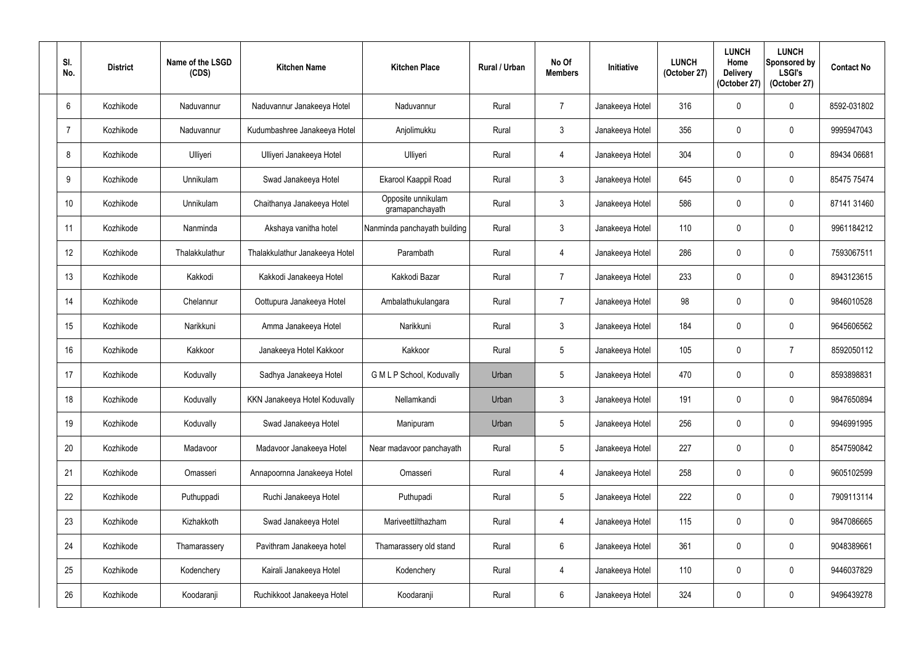| SI.<br>No.      | <b>District</b> | Name of the LSGD<br>(CDS) | <b>Kitchen Name</b>            | <b>Kitchen Place</b>                  | <b>Rural / Urban</b> | No Of<br><b>Members</b> | <b>Initiative</b> | <b>LUNCH</b><br>(October 27) | <b>LUNCH</b><br>Home<br><b>Delivery</b><br>(October 27) | <b>LUNCH</b><br>Sponsored by<br><b>LSGI's</b><br>(October 27) | <b>Contact No</b> |
|-----------------|-----------------|---------------------------|--------------------------------|---------------------------------------|----------------------|-------------------------|-------------------|------------------------------|---------------------------------------------------------|---------------------------------------------------------------|-------------------|
| 6               | Kozhikode       | Naduvannur                | Naduvannur Janakeeya Hotel     | Naduvannur                            | Rural                | $\overline{7}$          | Janakeeya Hotel   | 316                          | 0                                                       | $\mathbf 0$                                                   | 8592-031802       |
| -7              | Kozhikode       | Naduvannur                | Kudumbashree Janakeeya Hotel   | Anjolimukku                           | Rural                | $\mathfrak{Z}$          | Janakeeya Hotel   | 356                          | $\Omega$                                                | $\mathbf 0$                                                   | 9995947043        |
| 8               | Kozhikode       | Ulliyeri                  | Ulliyeri Janakeeya Hotel       | Ulliyeri                              | Rural                | $\overline{4}$          | Janakeeya Hotel   | 304                          |                                                         | $\mathbf 0$                                                   | 89434 06681       |
| 9               | Kozhikode       | Unnikulam                 | Swad Janakeeya Hotel           | Ekarool Kaappil Road                  | Rural                | $\mathfrak{Z}$          | Janakeeya Hotel   | 645                          | $\Omega$                                                | $\pmb{0}$                                                     | 85475 75474       |
| 10 <sup>1</sup> | Kozhikode       | <b>Unnikulam</b>          | Chaithanya Janakeeya Hotel     | Opposite unnikulam<br>gramapanchayath | Rural                | $\mathbf{3}$            | Janakeeya Hotel   | 586                          |                                                         | $\mathbf 0$                                                   | 87141 31460       |
| 11              | Kozhikode       | Nanminda                  | Akshaya vanitha hotel          | Nanminda panchayath building          | Rural                | $\mathfrak{Z}$          | Janakeeya Hotel   | 110                          | $\Omega$                                                | $\pmb{0}$                                                     | 9961184212        |
| 12              | Kozhikode       | Thalakkulathur            | Thalakkulathur Janakeeya Hotel | Parambath                             | Rural                | 4                       | Janakeeya Hotel   | 286                          | 0                                                       | $\boldsymbol{0}$                                              | 7593067511        |
| 13              | Kozhikode       | Kakkodi                   | Kakkodi Janakeeya Hotel        | Kakkodi Bazar                         | Rural                | $\overline{7}$          | Janakeeya Hotel   | 233                          |                                                         | $\mathbf 0$                                                   | 8943123615        |
| 14              | Kozhikode       | Chelannur                 | Oottupura Janakeeya Hotel      | Ambalathukulangara                    | Rural                | $\overline{7}$          | Janakeeya Hotel   | 98                           |                                                         | $\mathbf 0$                                                   | 9846010528        |
| 15              | Kozhikode       | Narikkuni                 | Amma Janakeeya Hotel           | Narikkuni                             | Rural                | $\mathbf{3}$            | Janakeeya Hotel   | 184                          | 0                                                       | $\pmb{0}$                                                     | 9645606562        |
| 16              | Kozhikode       | Kakkoor                   | Janakeeya Hotel Kakkoor        | Kakkoor                               | Rural                | $5\phantom{.0}$         | Janakeeya Hotel   | 105                          | 0                                                       | $\overline{7}$                                                | 8592050112        |
| 17              | Kozhikode       | Koduvally                 | Sadhya Janakeeya Hotel         | G M L P School, Koduvally             | Urban                | $\overline{5}$          | Janakeeya Hotel   | 470                          | 0                                                       | $\mathbf 0$                                                   | 8593898831        |
| 18              | Kozhikode       | Koduvally                 | KKN Janakeeya Hotel Koduvally  | Nellamkandi                           | Urban                | $\mathfrak{Z}$          | Janakeeya Hotel   | 191                          | 0                                                       | $\pmb{0}$                                                     | 9847650894        |
| 19              | Kozhikode       | Koduvally                 | Swad Janakeeya Hotel           | Manipuram                             | Urban                | $\sqrt{5}$              | Janakeeya Hotel   | 256                          | 0                                                       | $\pmb{0}$                                                     | 9946991995        |
| 20              | Kozhikode       | Madavoor                  | Madavoor Janakeeya Hotel       | Near madavoor panchayath              | Rural                | $5\phantom{.0}$         | Janakeeya Hotel   | 227                          | 0                                                       | $\pmb{0}$                                                     | 8547590842        |
| 21              | Kozhikode       | Omasseri                  | Annapoornna Janakeeya Hotel    | Omasseri                              | Rural                | $\overline{4}$          | Janakeeya Hotel   | 258                          | 0                                                       | $\pmb{0}$                                                     | 9605102599        |
| 22              | Kozhikode       | Puthuppadi                | Ruchi Janakeeya Hotel          | Puthupadi                             | Rural                | $5\phantom{.0}$         | Janakeeya Hotel   | 222                          | 0                                                       | $\pmb{0}$                                                     | 7909113114        |
| 23              | Kozhikode       | Kizhakkoth                | Swad Janakeeya Hotel           | Mariveettilthazham                    | Rural                | $\overline{4}$          | Janakeeya Hotel   | 115                          | $\mathbf 0$                                             | $\pmb{0}$                                                     | 9847086665        |
| 24              | Kozhikode       | Thamarassery              | Pavithram Janakeeya hotel      | Thamarassery old stand                | Rural                | $6\phantom{.}$          | Janakeeya Hotel   | 361                          | 0                                                       | $\pmb{0}$                                                     | 9048389661        |
| 25              | Kozhikode       | Kodenchery                | Kairali Janakeeya Hotel        | Kodenchery                            | Rural                | $\overline{4}$          | Janakeeya Hotel   | 110                          | 0                                                       | $\pmb{0}$                                                     | 9446037829        |
| 26              | Kozhikode       | Koodaranji                | Ruchikkoot Janakeeya Hotel     | Koodaranji                            | Rural                | $6\phantom{.}6$         | Janakeeya Hotel   | 324                          | 0                                                       | $\pmb{0}$                                                     | 9496439278        |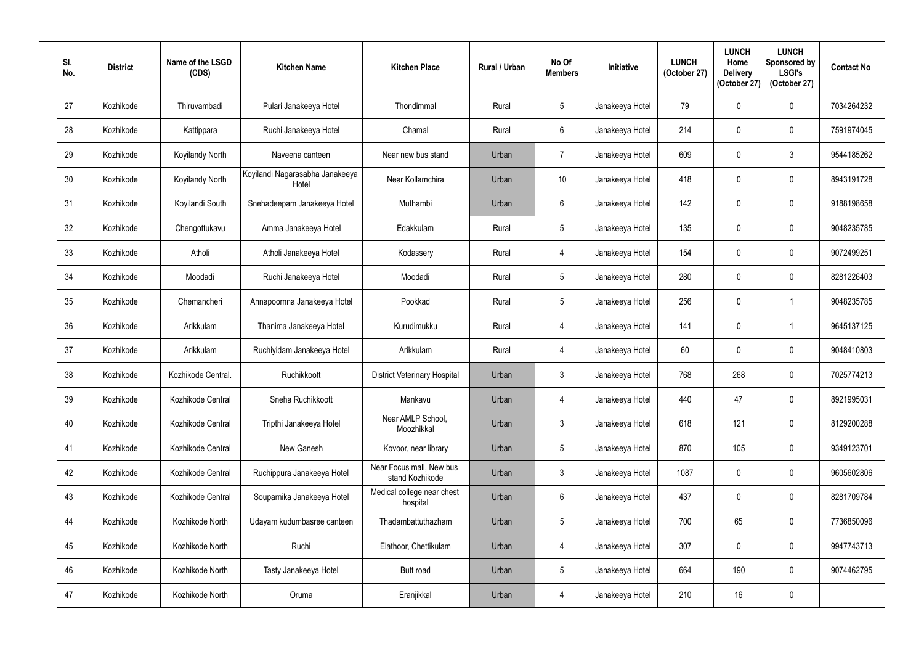| SI.<br>No. | <b>District</b> | Name of the LSGD<br>(CDS) | <b>Kitchen Name</b>                      | <b>Kitchen Place</b>                        | Rural / Urban | No Of<br><b>Members</b> | <b>Initiative</b> | <b>LUNCH</b><br>(October 27) | <b>LUNCH</b><br>Home<br><b>Delivery</b><br>(October 27) | <b>LUNCH</b><br>Sponsored by<br><b>LSGI's</b><br>(October 27) | <b>Contact No</b> |
|------------|-----------------|---------------------------|------------------------------------------|---------------------------------------------|---------------|-------------------------|-------------------|------------------------------|---------------------------------------------------------|---------------------------------------------------------------|-------------------|
| 27         | Kozhikode       | Thiruvambadi              | Pulari Janakeeya Hotel                   | Thondimmal                                  | Rural         | $5\phantom{.0}$         | Janakeeya Hotel   | 79                           | $\Omega$                                                | $\mathbf 0$                                                   | 7034264232        |
| 28         | Kozhikode       | Kattippara                | Ruchi Janakeeya Hotel                    | Chamal                                      | Rural         | 6                       | Janakeeya Hotel   | 214                          | $\mathbf{0}$                                            | $\pmb{0}$                                                     | 7591974045        |
| 29         | Kozhikode       | Koyilandy North           | Naveena canteen                          | Near new bus stand                          | Urban         | $\overline{7}$          | Janakeeya Hotel   | 609                          | $\mathbf 0$                                             | $\mathfrak{Z}$                                                | 9544185262        |
| 30         | Kozhikode       | Koyilandy North           | Koyilandi Nagarasabha Janakeeya<br>Hotel | Near Kollamchira                            | Urban         | 10 <sup>°</sup>         | Janakeeya Hotel   | 418                          | $\mathbf 0$                                             | $\pmb{0}$                                                     | 8943191728        |
| 31         | Kozhikode       | Koyilandi South           | Snehadeepam Janakeeya Hotel              | Muthambi                                    | Urban         | 6                       | Janakeeya Hotel   | 142                          | $\Omega$                                                | $\mathbf 0$                                                   | 9188198658        |
| 32         | Kozhikode       | Chengottukavu             | Amma Janakeeya Hotel                     | Edakkulam                                   | Rural         | $5\phantom{.0}$         | Janakeeya Hotel   | 135                          | $\Omega$                                                | $\mathbf 0$                                                   | 9048235785        |
| 33         | Kozhikode       | Atholi                    | Atholi Janakeeya Hotel                   | Kodassery                                   | Rural         | $\overline{4}$          | Janakeeya Hotel   | 154                          | $\mathbf 0$                                             | $\mathbf 0$                                                   | 9072499251        |
| 34         | Kozhikode       | Moodadi                   | Ruchi Janakeeya Hotel                    | Moodadi                                     | Rural         | $5\phantom{.0}$         | Janakeeya Hotel   | 280                          | $\Omega$                                                | $\mathbf 0$                                                   | 8281226403        |
| 35         | Kozhikode       | Chemancheri               | Annapoornna Janakeeya Hotel              | Pookkad                                     | Rural         | $5\overline{)}$         | Janakeeya Hotel   | 256                          | $\Omega$                                                | $\mathbf{1}$                                                  | 9048235785        |
| 36         | Kozhikode       | Arikkulam                 | Thanima Janakeeya Hotel                  | Kurudimukku                                 | Rural         | $\overline{4}$          | Janakeeya Hotel   | 141                          | $\mathbf 0$                                             | $\mathbf 1$                                                   | 9645137125        |
| 37         | Kozhikode       | Arikkulam                 | Ruchiyidam Janakeeya Hotel               | Arikkulam                                   | Rural         | 4                       | Janakeeya Hotel   | 60                           | 0                                                       | $\mathbf 0$                                                   | 9048410803        |
| 38         | Kozhikode       | Kozhikode Central.        | Ruchikkoott                              | <b>District Veterinary Hospital</b>         | Urban         | $\mathbf{3}$            | Janakeeya Hotel   | 768                          | 268                                                     | $\pmb{0}$                                                     | 7025774213        |
| 39         | Kozhikode       | Kozhikode Central         | Sneha Ruchikkoott                        | Mankavu                                     | Urban         | 4                       | Janakeeya Hotel   | 440                          | 47                                                      | $\pmb{0}$                                                     | 8921995031        |
| 40         | Kozhikode       | Kozhikode Central         | Tripthi Janakeeya Hotel                  | Near AMLP School,<br>Moozhikkal             | Urban         | $\mathfrak{Z}$          | Janakeeya Hotel   | 618                          | 121                                                     | $\pmb{0}$                                                     | 8129200288        |
| 41         | Kozhikode       | Kozhikode Central         | New Ganesh                               | Kovoor, near library                        | Urban         | $5\phantom{.0}$         | Janakeeya Hotel   | 870                          | 105                                                     | $\boldsymbol{0}$                                              | 9349123701        |
| 42         | Kozhikode       | Kozhikode Central         | Ruchippura Janakeeya Hotel               | Near Focus mall, New bus<br>stand Kozhikode | Urban         | $\mathfrak{Z}$          | Janakeeya Hotel   | 1087                         | $\mathbf 0$                                             | $\pmb{0}$                                                     | 9605602806        |
| 43         | Kozhikode       | Kozhikode Central         | Souparnika Janakeeya Hotel               | Medical college near chest<br>hospital      | Urban         | 6                       | Janakeeya Hotel   | 437                          | 0                                                       | $\pmb{0}$                                                     | 8281709784        |
| 44         | Kozhikode       | Kozhikode North           | Udayam kudumbasree canteen               | Thadambattuthazham                          | Urban         | $5\phantom{.0}$         | Janakeeya Hotel   | 700                          | 65                                                      | $\pmb{0}$                                                     | 7736850096        |
| 45         | Kozhikode       | Kozhikode North           | Ruchi                                    | Elathoor, Chettikulam                       | Urban         | 4                       | Janakeeya Hotel   | 307                          | $\mathbf 0$                                             | $\pmb{0}$                                                     | 9947743713        |
| 46         | Kozhikode       | Kozhikode North           | Tasty Janakeeya Hotel                    | Butt road                                   | Urban         | $\sqrt{5}$              | Janakeeya Hotel   | 664                          | 190                                                     | $\pmb{0}$                                                     | 9074462795        |
| 47         | Kozhikode       | Kozhikode North           | Oruma                                    | Eranjikkal                                  | Urban         | $\overline{4}$          | Janakeeya Hotel   | 210                          | 16                                                      | $\pmb{0}$                                                     |                   |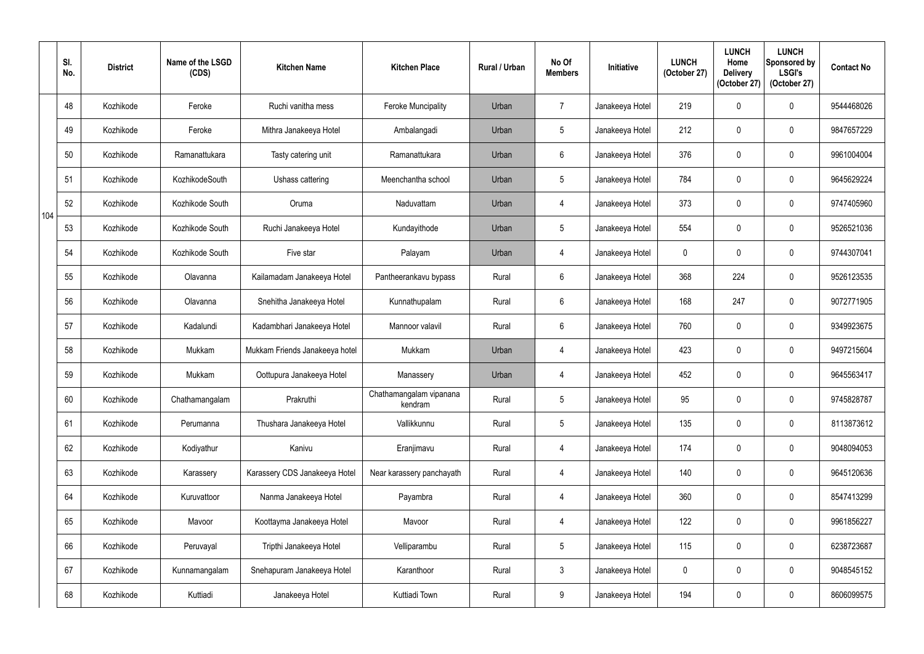|     | SI.<br>No. | <b>District</b> | Name of the LSGD<br>(CDS) | <b>Kitchen Name</b>            | <b>Kitchen Place</b>               | Rural / Urban | No Of<br><b>Members</b> | Initiative      | <b>LUNCH</b><br>(October 27) | <b>LUNCH</b><br>Home<br><b>Delivery</b><br>(October 27) | <b>LUNCH</b><br>Sponsored by<br><b>LSGI's</b><br>(October 27) | <b>Contact No</b> |
|-----|------------|-----------------|---------------------------|--------------------------------|------------------------------------|---------------|-------------------------|-----------------|------------------------------|---------------------------------------------------------|---------------------------------------------------------------|-------------------|
|     | 48         | Kozhikode       | Feroke                    | Ruchi vanitha mess             | <b>Feroke Muncipality</b>          | Urban         | $\overline{7}$          | Janakeeya Hotel | 219                          |                                                         | $\mathbf 0$                                                   | 9544468026        |
|     | 49         | Kozhikode       | Feroke                    | Mithra Janakeeya Hotel         | Ambalangadi                        | Urban         | $5\phantom{.0}$         | Janakeeya Hotel | 212                          | $\mathbf 0$                                             | $\boldsymbol{0}$                                              | 9847657229        |
|     | 50         | Kozhikode       | Ramanattukara             | Tasty catering unit            | Ramanattukara                      | Urban         | $6\phantom{.}$          | Janakeeya Hotel | 376                          |                                                         | $\mathbf 0$                                                   | 9961004004        |
|     | 51         | Kozhikode       | KozhikodeSouth            | Ushass cattering               | Meenchantha school                 | Urban         | $5\phantom{.0}$         | Janakeeya Hotel | 784                          | $\mathbf 0$                                             | $\pmb{0}$                                                     | 9645629224        |
| 104 | 52         | Kozhikode       | Kozhikode South           | Oruma                          | Naduvattam                         | Urban         | 4                       | Janakeeya Hotel | 373                          |                                                         | $\mathbf 0$                                                   | 9747405960        |
|     | 53         | Kozhikode       | Kozhikode South           | Ruchi Janakeeya Hotel          | Kundayithode                       | Urban         | $5\phantom{.0}$         | Janakeeya Hotel | 554                          | $\Omega$                                                | $\boldsymbol{0}$                                              | 9526521036        |
|     | 54         | Kozhikode       | Kozhikode South           | Five star                      | Palayam                            | Urban         | $\overline{4}$          | Janakeeya Hotel | $\mathbf 0$                  | 0                                                       | $\boldsymbol{0}$                                              | 9744307041        |
|     | 55         | Kozhikode       | Olavanna                  | Kailamadam Janakeeya Hotel     | Pantheerankavu bypass              | Rural         | $6^{\circ}$             | Janakeeya Hotel | 368                          | 224                                                     | $\boldsymbol{0}$                                              | 9526123535        |
|     | 56         | Kozhikode       | Olavanna                  | Snehitha Janakeeya Hotel       | Kunnathupalam                      | Rural         | $6\overline{6}$         | Janakeeya Hotel | 168                          | 247                                                     | $\mathbf 0$                                                   | 9072771905        |
|     | 57         | Kozhikode       | Kadalundi                 | Kadambhari Janakeeya Hotel     | Mannoor valavil                    | Rural         | $6\phantom{.}$          | Janakeeya Hotel | 760                          | 0                                                       | $\mathbf 0$                                                   | 9349923675        |
|     | 58         | Kozhikode       | Mukkam                    | Mukkam Friends Janakeeya hotel | Mukkam                             | Urban         | $\overline{4}$          | Janakeeya Hotel | 423                          |                                                         | $\mathbf 0$                                                   | 9497215604        |
|     | 59         | Kozhikode       | Mukkam                    | Oottupura Janakeeya Hotel      | Manassery                          | Urban         | $\overline{4}$          | Janakeeya Hotel | 452                          | 0                                                       | $\pmb{0}$                                                     | 9645563417        |
|     | 60         | Kozhikode       | Chathamangalam            | Prakruthi                      | Chathamangalam vipanana<br>kendram | Rural         | $5\phantom{.0}$         | Janakeeya Hotel | 95                           | $\boldsymbol{0}$                                        | $\pmb{0}$                                                     | 9745828787        |
|     | 61         | Kozhikode       | Perumanna                 | Thushara Janakeeya Hotel       | Vallikkunnu                        | Rural         | $5\phantom{.0}$         | Janakeeya Hotel | 135                          | 0                                                       | $\pmb{0}$                                                     | 8113873612        |
|     | 62         | Kozhikode       | Kodiyathur                | Kanivu                         | Eranjimavu                         | Rural         | $\overline{4}$          | Janakeeya Hotel | 174                          | 0                                                       | $\mathbf 0$                                                   | 9048094053        |
|     | 63         | Kozhikode       | Karassery                 | Karassery CDS Janakeeya Hotel  | Near karassery panchayath          | Rural         | $\overline{4}$          | Janakeeya Hotel | 140                          | 0                                                       | $\pmb{0}$                                                     | 9645120636        |
|     | 64         | Kozhikode       | Kuruvattoor               | Nanma Janakeeya Hotel          | Payambra                           | Rural         | $\overline{4}$          | Janakeeya Hotel | 360                          | 0                                                       | $\boldsymbol{0}$                                              | 8547413299        |
|     | 65         | Kozhikode       | Mavoor                    | Koottayma Janakeeya Hotel      | Mavoor                             | Rural         | $\overline{4}$          | Janakeeya Hotel | 122                          | $\mathbf 0$                                             | $\pmb{0}$                                                     | 9961856227        |
|     | 66         | Kozhikode       | Peruvayal                 | Tripthi Janakeeya Hotel        | Velliparambu                       | Rural         | $5\phantom{.0}$         | Janakeeya Hotel | 115                          | $\mathbf 0$                                             | $\pmb{0}$                                                     | 6238723687        |
|     | 67         | Kozhikode       | Kunnamangalam             | Snehapuram Janakeeya Hotel     | Karanthoor                         | Rural         | $\mathfrak{Z}$          | Janakeeya Hotel | $\mathbf 0$                  | 0                                                       | $\pmb{0}$                                                     | 9048545152        |
|     | 68         | Kozhikode       | Kuttiadi                  | Janakeeya Hotel                | Kuttiadi Town                      | Rural         | 9                       | Janakeeya Hotel | 194                          | $\mathbf 0$                                             | $\pmb{0}$                                                     | 8606099575        |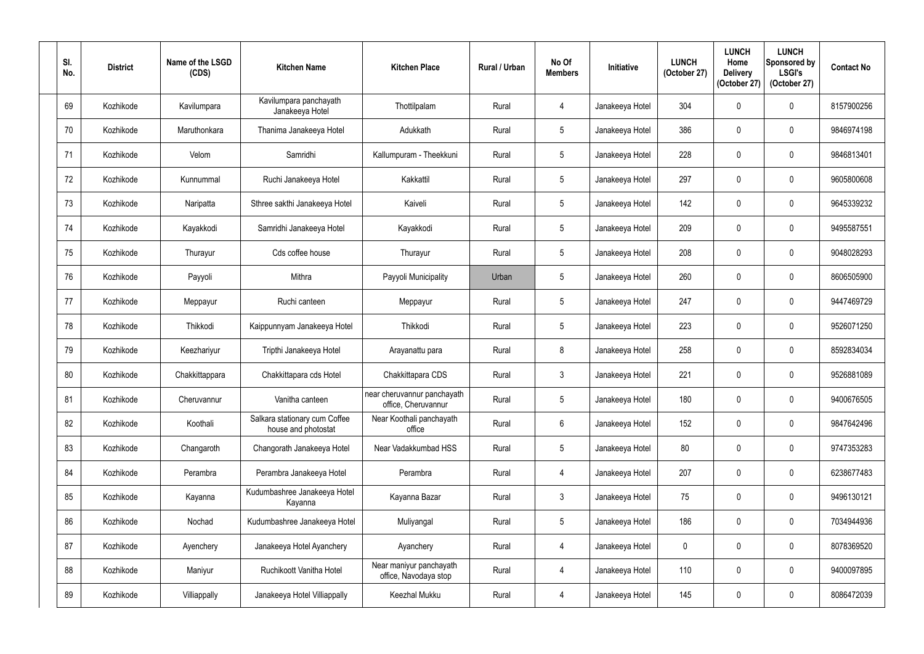| SI.<br>No. | <b>District</b> | Name of the LSGD<br>(CDS) | <b>Kitchen Name</b>                                  | <b>Kitchen Place</b>                               | Rural / Urban | No Of<br><b>Members</b> | <b>Initiative</b> | <b>LUNCH</b><br>(October 27) | <b>LUNCH</b><br>Home<br><b>Delivery</b><br>(October 27) | <b>LUNCH</b><br>Sponsored by<br><b>LSGI's</b><br>(October 27) | <b>Contact No</b> |
|------------|-----------------|---------------------------|------------------------------------------------------|----------------------------------------------------|---------------|-------------------------|-------------------|------------------------------|---------------------------------------------------------|---------------------------------------------------------------|-------------------|
| 69         | Kozhikode       | Kavilumpara               | Kavilumpara panchayath<br>Janakeeya Hotel            | Thottilpalam                                       | Rural         | $\overline{4}$          | Janakeeya Hotel   | 304                          | $\mathbf{0}$                                            | $\mathbf 0$                                                   | 8157900256        |
| 70         | Kozhikode       | Maruthonkara              | Thanima Janakeeya Hotel                              | Adukkath                                           | Rural         | $5\phantom{.0}$         | Janakeeya Hotel   | 386                          | $\mathbf{0}$                                            | $\mathbf 0$                                                   | 9846974198        |
| 71         | Kozhikode       | Velom                     | Samridhi                                             | Kallumpuram - Theekkuni                            | Rural         | $5\phantom{.0}$         | Janakeeya Hotel   | 228                          | 0                                                       | $\mathbf 0$                                                   | 9846813401        |
| 72         | Kozhikode       | Kunnummal                 | Ruchi Janakeeya Hotel                                | Kakkattil                                          | Rural         | $5\overline{)}$         | Janakeeya Hotel   | 297                          | $\mathbf{0}$                                            | $\pmb{0}$                                                     | 9605800608        |
| 73         | Kozhikode       | Naripatta                 | Sthree sakthi Janakeeya Hotel                        | Kaiveli                                            | Rural         | $5\phantom{.0}$         | Janakeeya Hotel   | 142                          | $\Omega$                                                | $\mathbf 0$                                                   | 9645339232        |
| 74         | Kozhikode       | Kayakkodi                 | Samridhi Janakeeya Hotel                             | Kayakkodi                                          | Rural         | $5\phantom{.0}$         | Janakeeya Hotel   | 209                          | $\Omega$                                                | $\mathbf 0$                                                   | 9495587551        |
| 75         | Kozhikode       | Thurayur                  | Cds coffee house                                     | Thurayur                                           | Rural         | $5\phantom{.0}$         | Janakeeya Hotel   | 208                          | $\mathbf 0$                                             | $\pmb{0}$                                                     | 9048028293        |
| 76         | Kozhikode       | Payyoli                   | Mithra                                               | Payyoli Municipality                               | Urban         | $5\phantom{.0}$         | Janakeeya Hotel   | 260                          | $\Omega$                                                | $\mathbf 0$                                                   | 8606505900        |
| 77         | Kozhikode       | Meppayur                  | Ruchi canteen                                        | Meppayur                                           | Rural         | $5\overline{)}$         | Janakeeya Hotel   | 247                          | $\Omega$                                                | $\mathbf 0$                                                   | 9447469729        |
| 78         | Kozhikode       | Thikkodi                  | Kaippunnyam Janakeeya Hotel                          | Thikkodi                                           | Rural         | $5\phantom{.0}$         | Janakeeya Hotel   | 223                          | $\mathbf 0$                                             | $\pmb{0}$                                                     | 9526071250        |
| 79         | Kozhikode       | Keezhariyur               | Tripthi Janakeeya Hotel                              | Arayanattu para                                    | Rural         | 8                       | Janakeeya Hotel   | 258                          | 0                                                       | $\mathbf 0$                                                   | 8592834034        |
| 80         | Kozhikode       | Chakkittappara            | Chakkittapara cds Hotel                              | Chakkittapara CDS                                  | Rural         | $\mathfrak{Z}$          | Janakeeya Hotel   | 221                          | $\mathbf 0$                                             | $\mathbf 0$                                                   | 9526881089        |
| 81         | Kozhikode       | Cheruvannur               | Vanitha canteen                                      | near cheruvannur panchayath<br>office, Cheruvannur | Rural         | $5\overline{)}$         | Janakeeya Hotel   | 180                          | 0                                                       | $\pmb{0}$                                                     | 9400676505        |
| 82         | Kozhikode       | Koothali                  | Salkara stationary cum Coffee<br>house and photostat | Near Koothali panchayath<br>office                 | Rural         | $6\phantom{.}6$         | Janakeeya Hotel   | 152                          | $\mathbf 0$                                             | $\pmb{0}$                                                     | 9847642496        |
| 83         | Kozhikode       | Changaroth                | Changorath Janakeeya Hotel                           | Near Vadakkumbad HSS                               | Rural         | $5\phantom{.0}$         | Janakeeya Hotel   | 80                           | $\mathbf 0$                                             | $\pmb{0}$                                                     | 9747353283        |
| 84         | Kozhikode       | Perambra                  | Perambra Janakeeya Hotel                             | Perambra                                           | Rural         | $\overline{4}$          | Janakeeya Hotel   | 207                          | $\mathbf 0$                                             | $\pmb{0}$                                                     | 6238677483        |
| 85         | Kozhikode       | Kayanna                   | Kudumbashree Janakeeya Hotel<br>Kayanna              | Kayanna Bazar                                      | Rural         | $\mathbf{3}$            | Janakeeya Hotel   | 75                           | $\mathbf 0$                                             | $\pmb{0}$                                                     | 9496130121        |
| 86         | Kozhikode       | Nochad                    | Kudumbashree Janakeeya Hotel                         | Muliyangal                                         | Rural         | $\sqrt{5}$              | Janakeeya Hotel   | 186                          | $\mathbf 0$                                             | $\pmb{0}$                                                     | 7034944936        |
| 87         | Kozhikode       | Ayenchery                 | Janakeeya Hotel Ayanchery                            | Ayanchery                                          | Rural         | 4                       | Janakeeya Hotel   | $\mathbf 0$                  | $\mathbf 0$                                             | $\pmb{0}$                                                     | 8078369520        |
| 88         | Kozhikode       | Maniyur                   | Ruchikoott Vanitha Hotel                             | Near maniyur panchayath<br>office, Navodaya stop   | Rural         | $\overline{4}$          | Janakeeya Hotel   | 110                          | 0                                                       | $\pmb{0}$                                                     | 9400097895        |
| 89         | Kozhikode       | Villiappally              | Janakeeya Hotel Villiappally                         | Keezhal Mukku                                      | Rural         | $\overline{4}$          | Janakeeya Hotel   | 145                          | 0                                                       | $\pmb{0}$                                                     | 8086472039        |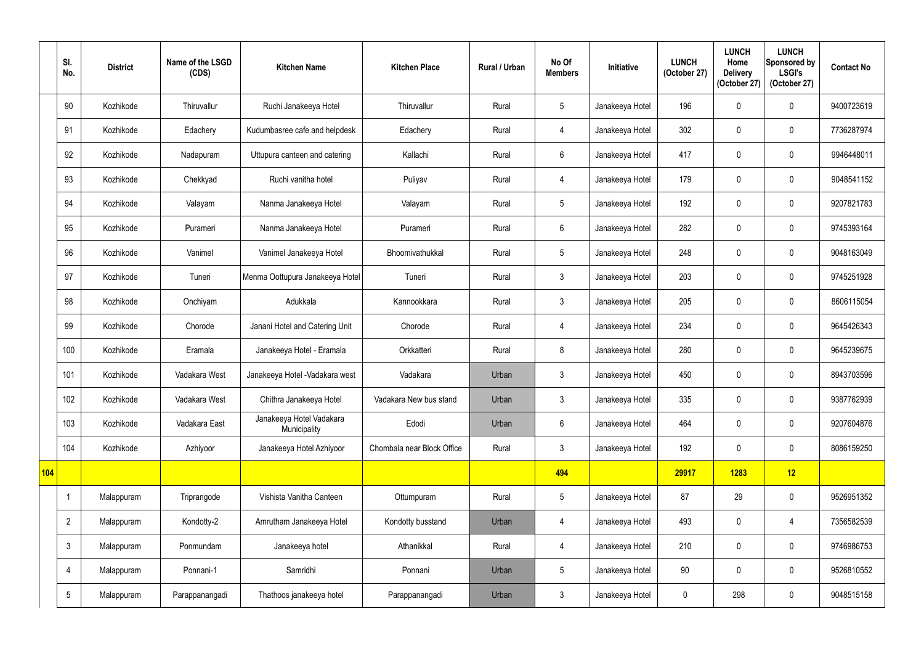|     | SI.<br>No.      | <b>District</b> | Name of the LSGD<br>(CDS) | <b>Kitchen Name</b>                      | <b>Kitchen Place</b>       | Rural / Urban | No Of<br><b>Members</b> | Initiative      | <b>LUNCH</b><br>(October 27) | <b>LUNCH</b><br>Home<br><b>Delivery</b><br>(October 27) | <b>LUNCH</b><br>Sponsored by<br><b>LSGI's</b><br>(October 27) | <b>Contact No</b> |
|-----|-----------------|-----------------|---------------------------|------------------------------------------|----------------------------|---------------|-------------------------|-----------------|------------------------------|---------------------------------------------------------|---------------------------------------------------------------|-------------------|
|     | 90              | Kozhikode       | Thiruvallur               | Ruchi Janakeeya Hotel                    | Thiruvallur                | Rural         | $5\overline{)}$         | Janakeeya Hotel | 196                          | 0                                                       | $\mathbf 0$                                                   | 9400723619        |
|     | 91              | Kozhikode       | Edachery                  | Kudumbasree cafe and helpdesk            | Edachery                   | Rural         | 4                       | Janakeeya Hotel | 302                          | $\mathbf 0$                                             | $\mathbf 0$                                                   | 7736287974        |
|     | 92              | Kozhikode       | Nadapuram                 | Uttupura canteen and catering            | Kallachi                   | Rural         | 6                       | Janakeeya Hotel | 417                          | 0                                                       | $\mathbf 0$                                                   | 9946448011        |
|     | 93              | Kozhikode       | Chekkyad                  | Ruchi vanitha hotel                      | Puliyav                    | Rural         | 4                       | Janakeeya Hotel | 179                          | $\mathbf{0}$                                            | $\boldsymbol{0}$                                              | 9048541152        |
|     | 94              | Kozhikode       | Valayam                   | Nanma Janakeeya Hotel                    | Valayam                    | Rural         | $5\overline{)}$         | Janakeeya Hotel | 192                          | 0                                                       | $\mathbf 0$                                                   | 9207821783        |
|     | 95              | Kozhikode       | Purameri                  | Nanma Janakeeya Hotel                    | Purameri                   | Rural         | $6\phantom{.0}$         | Janakeeya Hotel | 282                          | $\mathbf{0}$                                            | $\mathbf 0$                                                   | 9745393164        |
|     | 96              | Kozhikode       | Vanimel                   | Vanimel Janakeeya Hotel                  | Bhoomivathukkal            | Rural         | $5\overline{)}$         | Janakeeya Hotel | 248                          | $\mathbf 0$                                             | $\mathbf 0$                                                   | 9048163049        |
|     | 97              | Kozhikode       | Tuneri                    | Menma Oottupura Janakeeya Hotel          | Tuneri                     | Rural         | $\mathbf{3}$            | Janakeeya Hotel | 203                          | 0                                                       | $\mathbf 0$                                                   | 9745251928        |
|     | 98              | Kozhikode       | Onchiyam                  | Adukkala                                 | Kannookkara                | Rural         | $\mathbf{3}$            | Janakeeya Hotel | 205                          | 0                                                       | $\mathbf 0$                                                   | 8606115054        |
|     | 99              | Kozhikode       | Chorode                   | Janani Hotel and Catering Unit           | Chorode                    | Rural         | 4                       | Janakeeya Hotel | 234                          | $\mathbf 0$                                             | $\mathbf 0$                                                   | 9645426343        |
|     | 100             | Kozhikode       | Eramala                   | Janakeeya Hotel - Eramala                | Orkkatteri                 | Rural         | 8                       | Janakeeya Hotel | 280                          | 0                                                       | $\mathbf 0$                                                   | 9645239675        |
|     | 101             | Kozhikode       | Vadakara West             | Janakeeya Hotel - Vadakara west          | Vadakara                   | Urban         | $\mathbf{3}$            | Janakeeya Hotel | 450                          | $\mathbf 0$                                             | $\mathbf 0$                                                   | 8943703596        |
|     | 102             | Kozhikode       | Vadakara West             | Chithra Janakeeya Hotel                  | Vadakara New bus stand     | Urban         | $\mathfrak{Z}$          | Janakeeya Hotel | 335                          | $\mathbf 0$                                             | $\boldsymbol{0}$                                              | 9387762939        |
|     | 103             | Kozhikode       | Vadakara East             | Janakeeya Hotel Vadakara<br>Municipality | Edodi                      | Urban         | $6\phantom{.0}$         | Janakeeya Hotel | 464                          | $\mathbf 0$                                             | $\pmb{0}$                                                     | 9207604876        |
|     | 104             | Kozhikode       | Azhiyoor                  | Janakeeya Hotel Azhiyoor                 | Chombala near Block Office | Rural         | $\mathbf{3}$            | Janakeeya Hotel | 192                          | 0                                                       | $\boldsymbol{0}$                                              | 8086159250        |
| 104 |                 |                 |                           |                                          |                            |               | 494                     |                 | 29917                        | 1283                                                    | 12                                                            |                   |
|     | -1              | Malappuram      | Triprangode               | Vishista Vanitha Canteen                 | Ottumpuram                 | Rural         | $5\phantom{.0}$         | Janakeeya Hotel | 87                           | 29                                                      | $\pmb{0}$                                                     | 9526951352        |
|     | $\overline{2}$  | Malappuram      | Kondotty-2                | Amrutham Janakeeya Hotel                 | Kondotty busstand          | Urban         | 4                       | Janakeeya Hotel | 493                          | $\mathbf 0$                                             | 4                                                             | 7356582539        |
|     | $\mathfrak{Z}$  | Malappuram      | Ponmundam                 | Janakeeya hotel                          | Athanikkal                 | Rural         | $\overline{4}$          | Janakeeya Hotel | 210                          | $\mathbf 0$                                             | $\pmb{0}$                                                     | 9746986753        |
|     | 4               | Malappuram      | Ponnani-1                 | Samridhi                                 | Ponnani                    | Urban         | $\overline{5}$          | Janakeeya Hotel | 90 <sup>°</sup>              | $\mathbf 0$                                             | $\pmb{0}$                                                     | 9526810552        |
|     | $5\phantom{.0}$ | Malappuram      | Parappanangadi            | Thathoos janakeeya hotel                 | Parappanangadi             | Urban         | $\mathfrak{Z}$          | Janakeeya Hotel | $\boldsymbol{0}$             | 298                                                     | $\pmb{0}$                                                     | 9048515158        |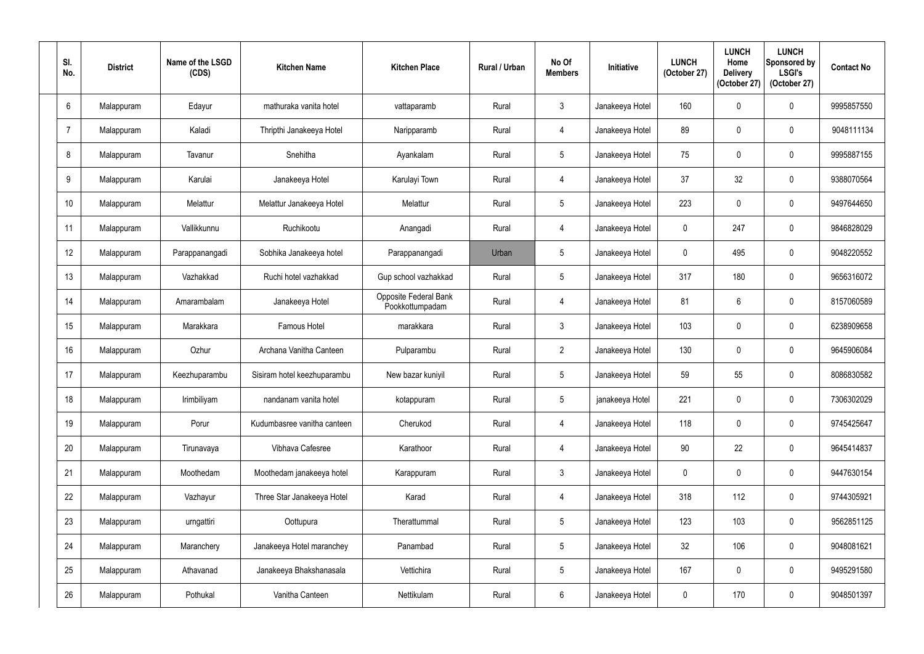| SI.<br>No.       | <b>District</b> | Name of the LSGD<br>(CDS) | <b>Kitchen Name</b>         | <b>Kitchen Place</b>                     | Rural / Urban | No Of<br><b>Members</b> | Initiative      | <b>LUNCH</b><br>(October 27) | <b>LUNCH</b><br>Home<br><b>Delivery</b><br>(October 27) | <b>LUNCH</b><br>Sponsored by<br><b>LSGI's</b><br>(October 27) | <b>Contact No</b> |
|------------------|-----------------|---------------------------|-----------------------------|------------------------------------------|---------------|-------------------------|-----------------|------------------------------|---------------------------------------------------------|---------------------------------------------------------------|-------------------|
| 6                | Malappuram      | Edayur                    | mathuraka vanita hotel      | vattaparamb                              | Rural         | $\mathbf{3}$            | Janakeeya Hotel | 160                          | $\mathbf{0}$                                            | $\mathbf 0$                                                   | 9995857550        |
| $\overline{7}$   | Malappuram      | Kaladi                    | Thripthi Janakeeya Hotel    | Naripparamb                              | Rural         | $\overline{4}$          | Janakeeya Hotel | 89                           | $\mathbf{0}$                                            | $\pmb{0}$                                                     | 9048111134        |
| 8                | Malappuram      | Tavanur                   | Snehitha                    | Ayankalam                                | Rural         | $5\phantom{.0}$         | Janakeeya Hotel | 75                           | 0                                                       | $\mathbf 0$                                                   | 9995887155        |
| 9                | Malappuram      | Karulai                   | Janakeeya Hotel             | Karulayi Town                            | Rural         | $\overline{4}$          | Janakeeya Hotel | 37                           | 32                                                      | $\pmb{0}$                                                     | 9388070564        |
| 10 <sup>°</sup>  | Malappuram      | Melattur                  | Melattur Janakeeya Hotel    | Melattur                                 | Rural         | $5\phantom{.0}$         | Janakeeya Hotel | 223                          | 0                                                       | $\mathbf 0$                                                   | 9497644650        |
| 11               | Malappuram      | Vallikkunnu               | Ruchikootu                  | Anangadi                                 | Rural         | $\overline{4}$          | Janakeeya Hotel | $\mathbf 0$                  | 247                                                     | $\pmb{0}$                                                     | 9846828029        |
| 12               | Malappuram      | Parappanangadi            | Sobhika Janakeeya hotel     | Parappanangadi                           | Urban         | $5\phantom{.0}$         | Janakeeya Hotel | $\mathbf 0$                  | 495                                                     | $\mathbf 0$                                                   | 9048220552        |
| 13               | Malappuram      | Vazhakkad                 | Ruchi hotel vazhakkad       | Gup school vazhakkad                     | Rural         | $5\phantom{.0}$         | Janakeeya Hotel | 317                          | 180                                                     | $\mathbf 0$                                                   | 9656316072        |
| 14               | Malappuram      | Amarambalam               | Janakeeya Hotel             | Opposite Federal Bank<br>Pookkottumpadam | Rural         | $\overline{4}$          | Janakeeya Hotel | 81                           | 6                                                       | $\mathbf 0$                                                   | 8157060589        |
| 15 <sub>15</sub> | Malappuram      | Marakkara                 | Famous Hotel                | marakkara                                | Rural         | $\mathfrak{Z}$          | Janakeeya Hotel | 103                          | $\mathbf 0$                                             | $\mathbf 0$                                                   | 6238909658        |
| 16               | Malappuram      | Ozhur                     | Archana Vanitha Canteen     | Pulparambu                               | Rural         | $\overline{2}$          | Janakeeya Hotel | 130                          | $\overline{0}$                                          | $\boldsymbol{0}$                                              | 9645906084        |
| 17               | Malappuram      | Keezhuparambu             | Sisiram hotel keezhuparambu | New bazar kuniyil                        | Rural         | $5\phantom{.0}$         | Janakeeya Hotel | 59                           | 55                                                      | $\mathbf 0$                                                   | 8086830582        |
| 18               | Malappuram      | Irimbiliyam               | nandanam vanita hotel       | kotappuram                               | Rural         | $5\phantom{.0}$         | janakeeya Hotel | 221                          | $\mathbf 0$                                             | $\pmb{0}$                                                     | 7306302029        |
| 19               | Malappuram      | Porur                     | Kudumbasree vanitha canteen | Cherukod                                 | Rural         | $\overline{4}$          | Janakeeya Hotel | 118                          | $\mathbf 0$                                             | $\boldsymbol{0}$                                              | 9745425647        |
| 20               | Malappuram      | Tirunavaya                | Vibhava Cafesree            | Karathoor                                | Rural         | $\overline{4}$          | Janakeeya Hotel | 90                           | 22                                                      | $\pmb{0}$                                                     | 9645414837        |
| 21               | Malappuram      | Moothedam                 | Moothedam janakeeya hotel   | Karappuram                               | Rural         | $\mathfrak{Z}$          | Janakeeya Hotel | $\mathbf 0$                  | $\mathbf 0$                                             | $\pmb{0}$                                                     | 9447630154        |
| 22               | Malappuram      | Vazhayur                  | Three Star Janakeeya Hotel  | Karad                                    | Rural         | 4                       | Janakeeya Hotel | 318                          | 112                                                     | $\pmb{0}$                                                     | 9744305921        |
| 23               | Malappuram      | urngattiri                | Oottupura                   | Therattummal                             | Rural         | $\sqrt{5}$              | Janakeeya Hotel | 123                          | 103                                                     | $\pmb{0}$                                                     | 9562851125        |
| 24               | Malappuram      | Maranchery                | Janakeeya Hotel maranchey   | Panambad                                 | Rural         | $5\phantom{.0}$         | Janakeeya Hotel | 32                           | 106                                                     | $\pmb{0}$                                                     | 9048081621        |
| 25               | Malappuram      | Athavanad                 | Janakeeya Bhakshanasala     | Vettichira                               | Rural         | $5\phantom{.0}$         | Janakeeya Hotel | 167                          | $\mathbf 0$                                             | $\pmb{0}$                                                     | 9495291580        |
| 26               | Malappuram      | Pothukal                  | Vanitha Canteen             | Nettikulam                               | Rural         | $6\phantom{.0}$         | Janakeeya Hotel | $\pmb{0}$                    | 170                                                     | $\pmb{0}$                                                     | 9048501397        |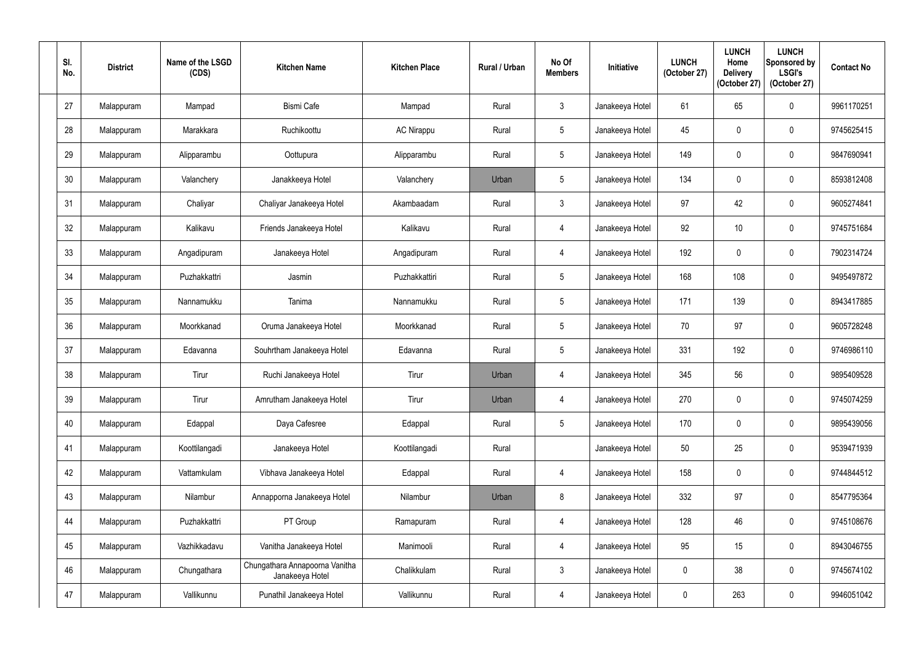| SI.<br>No. | <b>District</b> | Name of the LSGD<br>(CDS) | <b>Kitchen Name</b>                               | <b>Kitchen Place</b> | Rural / Urban | No Of<br><b>Members</b> | Initiative      | <b>LUNCH</b><br>(October 27) | <b>LUNCH</b><br>Home<br><b>Delivery</b><br>(October 27) | <b>LUNCH</b><br>Sponsored by<br><b>LSGI's</b><br>(October 27) | <b>Contact No</b> |
|------------|-----------------|---------------------------|---------------------------------------------------|----------------------|---------------|-------------------------|-----------------|------------------------------|---------------------------------------------------------|---------------------------------------------------------------|-------------------|
| 27         | Malappuram      | Mampad                    | <b>Bismi Cafe</b>                                 | Mampad               | Rural         | $\mathbf{3}$            | Janakeeya Hotel | 61                           | 65                                                      | $\boldsymbol{0}$                                              | 9961170251        |
| 28         | Malappuram      | Marakkara                 | Ruchikoottu                                       | <b>AC Nirappu</b>    | Rural         | $5\phantom{.0}$         | Janakeeya Hotel | 45                           | $\mathbf 0$                                             | $\pmb{0}$                                                     | 9745625415        |
| 29         | Malappuram      | Alipparambu               | Oottupura                                         | Alipparambu          | Rural         | $5\phantom{.0}$         | Janakeeya Hotel | 149                          | $\mathbf 0$                                             | $\mathbf 0$                                                   | 9847690941        |
| 30         | Malappuram      | Valanchery                | Janakkeeya Hotel                                  | Valanchery           | Urban         | $5\phantom{.0}$         | Janakeeya Hotel | 134                          | $\mathbf 0$                                             | $\pmb{0}$                                                     | 8593812408        |
| 31         | Malappuram      | Chaliyar                  | Chaliyar Janakeeya Hotel                          | Akambaadam           | Rural         | $\mathbf{3}$            | Janakeeya Hotel | 97                           | 42                                                      | $\mathbf 0$                                                   | 9605274841        |
| 32         | Malappuram      | Kalikavu                  | Friends Janakeeya Hotel                           | Kalikavu             | Rural         | $\overline{4}$          | Janakeeya Hotel | 92                           | 10                                                      | $\pmb{0}$                                                     | 9745751684        |
| 33         | Malappuram      | Angadipuram               | Janakeeya Hotel                                   | Angadipuram          | Rural         | 4                       | Janakeeya Hotel | 192                          | $\mathbf 0$                                             | $\pmb{0}$                                                     | 7902314724        |
| 34         | Malappuram      | Puzhakkattri              | Jasmin                                            | Puzhakkattiri        | Rural         | $5\phantom{.0}$         | Janakeeya Hotel | 168                          | 108                                                     | $\boldsymbol{0}$                                              | 9495497872        |
| 35         | Malappuram      | Nannamukku                | Tanima                                            | Nannamukku           | Rural         | $5\phantom{.0}$         | Janakeeya Hotel | 171                          | 139                                                     | $\boldsymbol{0}$                                              | 8943417885        |
| 36         | Malappuram      | Moorkkanad                | Oruma Janakeeya Hotel                             | Moorkkanad           | Rural         | $5\phantom{.0}$         | Janakeeya Hotel | 70                           | 97                                                      | $\pmb{0}$                                                     | 9605728248        |
| 37         | Malappuram      | Edavanna                  | Souhrtham Janakeeya Hotel                         | Edavanna             | Rural         | $5\phantom{.0}$         | Janakeeya Hotel | 331                          | 192                                                     | $\mathbf 0$                                                   | 9746986110        |
| 38         | Malappuram      | Tirur                     | Ruchi Janakeeya Hotel                             | Tirur                | Urban         | $\overline{4}$          | Janakeeya Hotel | 345                          | 56                                                      | $\pmb{0}$                                                     | 9895409528        |
| 39         | Malappuram      | Tirur                     | Amrutham Janakeeya Hotel                          | Tirur                | Urban         | $\overline{4}$          | Janakeeya Hotel | 270                          | $\mathbf 0$                                             | $\pmb{0}$                                                     | 9745074259        |
| 40         | Malappuram      | Edappal                   | Daya Cafesree                                     | Edappal              | Rural         | $5\phantom{.0}$         | Janakeeya Hotel | 170                          | $\mathbf 0$                                             | $\pmb{0}$                                                     | 9895439056        |
| 41         | Malappuram      | Koottilangadi             | Janakeeya Hotel                                   | Koottilangadi        | Rural         |                         | Janakeeya Hotel | 50                           | 25                                                      | $\pmb{0}$                                                     | 9539471939        |
| 42         | Malappuram      | Vattamkulam               | Vibhava Janakeeya Hotel                           | Edappal              | Rural         | $\overline{4}$          | Janakeeya Hotel | 158                          | $\mathbf 0$                                             | $\pmb{0}$                                                     | 9744844512        |
| 43         | Malappuram      | Nilambur                  | Annapporna Janakeeya Hotel                        | Nilambur             | Urban         | $8\phantom{1}$          | Janakeeya Hotel | 332                          | 97                                                      | $\pmb{0}$                                                     | 8547795364        |
| 44         | Malappuram      | Puzhakkattri              | PT Group                                          | Ramapuram            | Rural         | $\overline{4}$          | Janakeeya Hotel | 128                          | 46                                                      | $\pmb{0}$                                                     | 9745108676        |
| 45         | Malappuram      | Vazhikkadavu              | Vanitha Janakeeya Hotel                           | Manimooli            | Rural         | $\overline{4}$          | Janakeeya Hotel | 95                           | 15                                                      | $\pmb{0}$                                                     | 8943046755        |
| 46         | Malappuram      | Chungathara               | Chungathara Annapoorna Vanitha<br>Janakeeya Hotel | Chalikkulam          | Rural         | $\mathfrak{Z}$          | Janakeeya Hotel | $\mathbf 0$                  | 38                                                      | $\pmb{0}$                                                     | 9745674102        |
| 47         | Malappuram      | Vallikunnu                | Punathil Janakeeya Hotel                          | Vallikunnu           | Rural         | $\overline{4}$          | Janakeeya Hotel | $\pmb{0}$                    | 263                                                     | $\pmb{0}$                                                     | 9946051042        |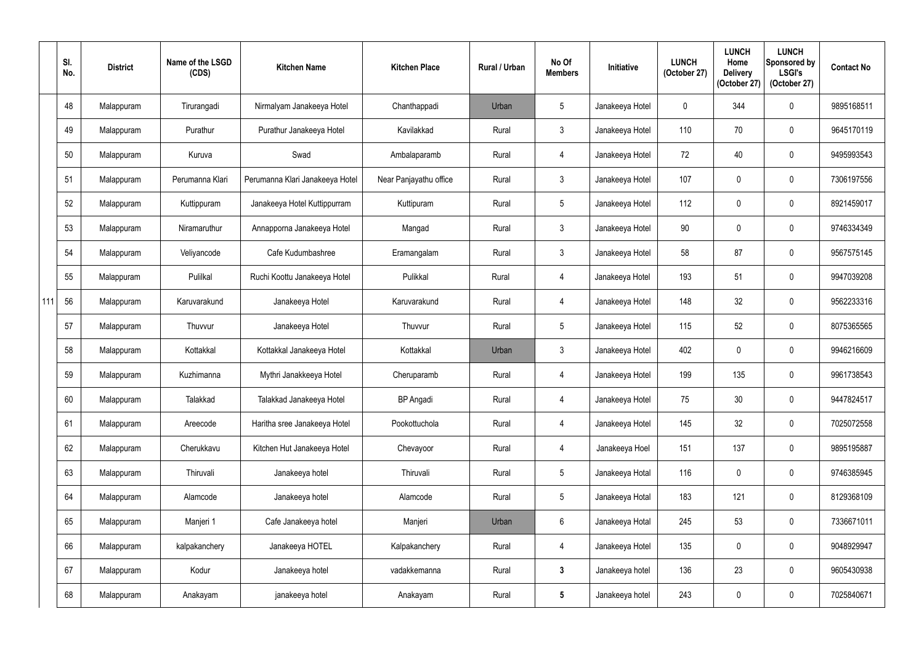|     | SI.<br>No. | <b>District</b> | Name of the LSGD<br>(CDS) | <b>Kitchen Name</b>             | <b>Kitchen Place</b>   | Rural / Urban | No Of<br><b>Members</b> | Initiative      | <b>LUNCH</b><br>(October 27) | <b>LUNCH</b><br>Home<br><b>Delivery</b><br>(October 27) | <b>LUNCH</b><br>Sponsored by<br><b>LSGI's</b><br>(October 27) | <b>Contact No</b> |
|-----|------------|-----------------|---------------------------|---------------------------------|------------------------|---------------|-------------------------|-----------------|------------------------------|---------------------------------------------------------|---------------------------------------------------------------|-------------------|
|     | 48         | Malappuram      | Tirurangadi               | Nirmalyam Janakeeya Hotel       | Chanthappadi           | Urban         | $5\phantom{.0}$         | Janakeeya Hotel | $\mathbf 0$                  | 344                                                     | $\mathbf 0$                                                   | 9895168511        |
|     | 49         | Malappuram      | Purathur                  | Purathur Janakeeya Hotel        | Kavilakkad             | Rural         | $\mathbf{3}$            | Janakeeya Hotel | 110                          | 70                                                      | $\mathbf 0$                                                   | 9645170119        |
|     | 50         | Malappuram      | Kuruva                    | Swad                            | Ambalaparamb           | Rural         | 4                       | Janakeeya Hotel | 72                           | 40                                                      | $\mathbf 0$                                                   | 9495993543        |
|     | 51         | Malappuram      | Perumanna Klari           | Perumanna Klari Janakeeya Hotel | Near Panjayathu office | Rural         | $\mathbf{3}$            | Janakeeya Hotel | 107                          | $\mathbf 0$                                             | $\boldsymbol{0}$                                              | 7306197556        |
|     | 52         | Malappuram      | Kuttippuram               | Janakeeya Hotel Kuttippurram    | Kuttipuram             | Rural         | $5\phantom{.0}$         | Janakeeya Hotel | 112                          |                                                         | $\mathbf 0$                                                   | 8921459017        |
|     | 53         | Malappuram      | Niramaruthur              | Annapporna Janakeeya Hotel      | Mangad                 | Rural         | $\mathbf{3}$            | Janakeeya Hotel | 90                           | $\Omega$                                                | $\mathbf 0$                                                   | 9746334349        |
|     | 54         | Malappuram      | Veliyancode               | Cafe Kudumbashree               | Eramangalam            | Rural         | $\mathbf{3}$            | Janakeeya Hotel | 58                           | 87                                                      | $\mathbf 0$                                                   | 9567575145        |
|     | 55         | Malappuram      | Pulilkal                  | Ruchi Koottu Janakeeya Hotel    | Pulikkal               | Rural         | $\overline{4}$          | Janakeeya Hotel | 193                          | 51                                                      | $\mathbf 0$                                                   | 9947039208        |
| 111 | 56         | Malappuram      | Karuvarakund              | Janakeeya Hotel                 | Karuvarakund           | Rural         | $\overline{4}$          | Janakeeya Hotel | 148                          | 32                                                      | $\mathbf 0$                                                   | 9562233316        |
|     | 57         | Malappuram      | Thuvvur                   | Janakeeya Hotel                 | Thuvvur                | Rural         | $5\phantom{.0}$         | Janakeeya Hotel | 115                          | 52                                                      | $\boldsymbol{0}$                                              | 8075365565        |
|     | 58         | Malappuram      | Kottakkal                 | Kottakkal Janakeeya Hotel       | Kottakkal              | Urban         | $\mathbf{3}$            | Janakeeya Hotel | 402                          | 0                                                       | $\mathbf 0$                                                   | 9946216609        |
|     | 59         | Malappuram      | Kuzhimanna                | Mythri Janakkeeya Hotel         | Cheruparamb            | Rural         | $\overline{4}$          | Janakeeya Hotel | 199                          | 135                                                     | $\boldsymbol{0}$                                              | 9961738543        |
|     | 60         | Malappuram      | Talakkad                  | Talakkad Janakeeya Hotel        | <b>BP</b> Angadi       | Rural         | $\overline{4}$          | Janakeeya Hotel | 75                           | 30                                                      | $\boldsymbol{0}$                                              | 9447824517        |
|     | 61         | Malappuram      | Areecode                  | Haritha sree Janakeeya Hotel    | Pookottuchola          | Rural         | $\overline{4}$          | Janakeeya Hotel | 145                          | 32                                                      | $\pmb{0}$                                                     | 7025072558        |
|     | 62         | Malappuram      | Cherukkavu                | Kitchen Hut Janakeeya Hotel     | Chevayoor              | Rural         | 4                       | Janakeeya Hoel  | 151                          | 137                                                     | $\boldsymbol{0}$                                              | 9895195887        |
|     | 63         | Malappuram      | Thiruvali                 | Janakeeya hotel                 | Thiruvali              | Rural         | 5                       | Janakeeya Hotal | 116                          | $\mathbf 0$                                             | $\pmb{0}$                                                     | 9746385945        |
|     | 64         | Malappuram      | Alamcode                  | Janakeeya hotel                 | Alamcode               | Rural         | 5                       | Janakeeya Hotal | 183                          | 121                                                     | $\boldsymbol{0}$                                              | 8129368109        |
|     | 65         | Malappuram      | Manjeri 1                 | Cafe Janakeeya hotel            | Manjeri                | Urban         | 6                       | Janakeeya Hotal | 245                          | 53                                                      | $\pmb{0}$                                                     | 7336671011        |
|     | 66         | Malappuram      | kalpakanchery             | Janakeeya HOTEL                 | Kalpakanchery          | Rural         | 4                       | Janakeeya Hotel | 135                          | 0                                                       | $\mathbf 0$                                                   | 9048929947        |
|     | 67         | Malappuram      | Kodur                     | Janakeeya hotel                 | vadakkemanna           | Rural         | $3\overline{3}$         | Janakeeya hotel | 136                          | 23                                                      | $\mathbf 0$                                                   | 9605430938        |
|     | 68         | Malappuram      | Anakayam                  | janakeeya hotel                 | Anakayam               | Rural         | $\sqrt{5}$              | Janakeeya hotel | 243                          | $\mathbf 0$                                             | $\pmb{0}$                                                     | 7025840671        |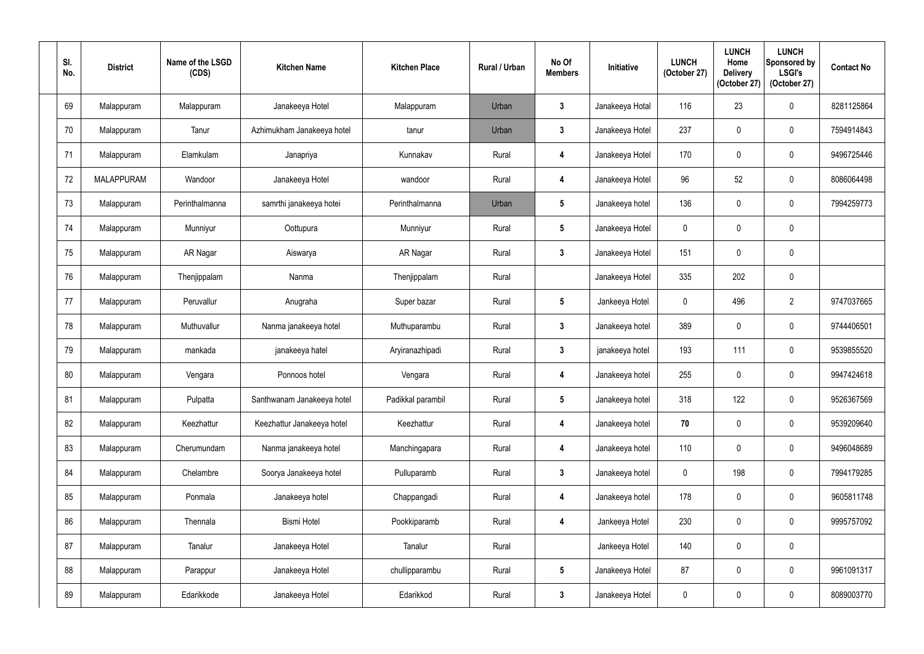| SI.<br>No. | <b>District</b>   | Name of the LSGD<br>(CDS) | <b>Kitchen Name</b>        | <b>Kitchen Place</b> | Rural / Urban | No Of<br><b>Members</b> | Initiative      | <b>LUNCH</b><br>(October 27) | <b>LUNCH</b><br>Home<br><b>Delivery</b><br>(October 27) | <b>LUNCH</b><br>Sponsored by<br><b>LSGI's</b><br>(October 27) | <b>Contact No</b> |
|------------|-------------------|---------------------------|----------------------------|----------------------|---------------|-------------------------|-----------------|------------------------------|---------------------------------------------------------|---------------------------------------------------------------|-------------------|
| 69         | Malappuram        | Malappuram                | Janakeeya Hotel            | Malappuram           | Urban         | $\boldsymbol{3}$        | Janakeeya Hotal | 116                          | 23                                                      | $\mathbf 0$                                                   | 8281125864        |
| 70         | Malappuram        | Tanur                     | Azhimukham Janakeeya hotel | tanur                | Urban         | $\mathbf{3}$            | Janakeeya Hotel | 237                          | $\mathbf 0$                                             | $\mathbf 0$                                                   | 7594914843        |
| 71         | Malappuram        | Elamkulam                 | Janapriya                  | Kunnakav             | Rural         | $\overline{\mathbf{4}}$ | Janakeeya Hotel | 170                          | $\mathbf 0$                                             | $\pmb{0}$                                                     | 9496725446        |
| 72         | <b>MALAPPURAM</b> | Wandoor                   | Janakeeya Hotel            | wandoor              | Rural         | $\overline{\mathbf{4}}$ | Janakeeya Hotel | 96                           | 52                                                      | $\pmb{0}$                                                     | 8086064498        |
| 73         | Malappuram        | Perinthalmanna            | samrthi janakeeya hotei    | Perinthalmanna       | Urban         | $5\phantom{.0}$         | Janakeeya hotel | 136                          | $\Omega$                                                | $\mathbf 0$                                                   | 7994259773        |
| 74         | Malappuram        | Munniyur                  | Oottupura                  | Munniyur             | Rural         | $5\phantom{.0}$         | Janakeeya Hotel | $\mathbf 0$                  | $\mathbf{0}$                                            | $\pmb{0}$                                                     |                   |
| 75         | Malappuram        | AR Nagar                  | Aiswarya                   | AR Nagar             | Rural         | $\mathbf{3}$            | Janakeeya Hotel | 151                          | $\mathbf 0$                                             | $\pmb{0}$                                                     |                   |
| 76         | Malappuram        | Thenjippalam              | Nanma                      | Thenjippalam         | Rural         |                         | Janakeeya Hotel | 335                          | 202                                                     | $\pmb{0}$                                                     |                   |
| 77         | Malappuram        | Peruvallur                | Anugraha                   | Super bazar          | Rural         | $5\phantom{.0}$         | Jankeeya Hotel  | $\mathbf 0$                  | 496                                                     | $\overline{2}$                                                | 9747037665        |
| 78         | Malappuram        | Muthuvallur               | Nanma janakeeya hotel      | Muthuparambu         | Rural         | $\mathbf{3}$            | Janakeeya hotel | 389                          | $\mathbf 0$                                             | $\pmb{0}$                                                     | 9744406501        |
| 79         | Malappuram        | mankada                   | janakeeya hatel            | Aryiranazhipadi      | Rural         | $\mathbf{3}$            | janakeeya hotel | 193                          | 111                                                     | $\mathbf 0$                                                   | 9539855520        |
| 80         | Malappuram        | Vengara                   | Ponnoos hotel              | Vengara              | Rural         | $\overline{\mathbf{4}}$ | Janakeeya hotel | 255                          | 0                                                       | $\pmb{0}$                                                     | 9947424618        |
| 81         | Malappuram        | Pulpatta                  | Santhwanam Janakeeya hotel | Padikkal parambil    | Rural         | $5\overline{)}$         | Janakeeya hotel | 318                          | 122                                                     | $\pmb{0}$                                                     | 9526367569        |
| 82         | Malappuram        | Keezhattur                | Keezhattur Janakeeya hotel | Keezhattur           | Rural         | $\boldsymbol{4}$        | Janakeeya hotel | 70                           | $\mathbf 0$                                             | $\pmb{0}$                                                     | 9539209640        |
| 83         | Malappuram        | Cherumundam               | Nanma janakeeya hotel      | Manchingapara        | Rural         | $\overline{\mathbf{4}}$ | Janakeeya hotel | 110                          | $\mathbf 0$                                             | $\pmb{0}$                                                     | 9496048689        |
| 84         | Malappuram        | Chelambre                 | Soorya Janakeeya hotel     | Pulluparamb          | Rural         | $\mathbf{3}$            | Janakeeya hotel | $\mathbf 0$                  | 198                                                     | $\pmb{0}$                                                     | 7994179285        |
| 85         | Malappuram        | Ponmala                   | Janakeeya hotel            | Chappangadi          | Rural         | 4                       | Janakeeya hotel | 178                          | 0                                                       | $\pmb{0}$                                                     | 9605811748        |
| 86         | Malappuram        | Thennala                  | <b>Bismi Hotel</b>         | Pookkiparamb         | Rural         | $\overline{\mathbf{4}}$ | Jankeeya Hotel  | 230                          | $\mathbf 0$                                             | $\pmb{0}$                                                     | 9995757092        |
| 87         | Malappuram        | Tanalur                   | Janakeeya Hotel            | Tanalur              | Rural         |                         | Jankeeya Hotel  | 140                          | $\mathbf 0$                                             | $\pmb{0}$                                                     |                   |
| 88         | Malappuram        | Parappur                  | Janakeeya Hotel            | chullipparambu       | Rural         | $5\phantom{.0}$         | Janakeeya Hotel | 87                           | $\mathbf 0$                                             | $\pmb{0}$                                                     | 9961091317        |
| 89         | Malappuram        | Edarikkode                | Janakeeya Hotel            | Edarikkod            | Rural         | $\mathbf{3}$            | Janakeeya Hotel | $\pmb{0}$                    | 0                                                       | $\pmb{0}$                                                     | 8089003770        |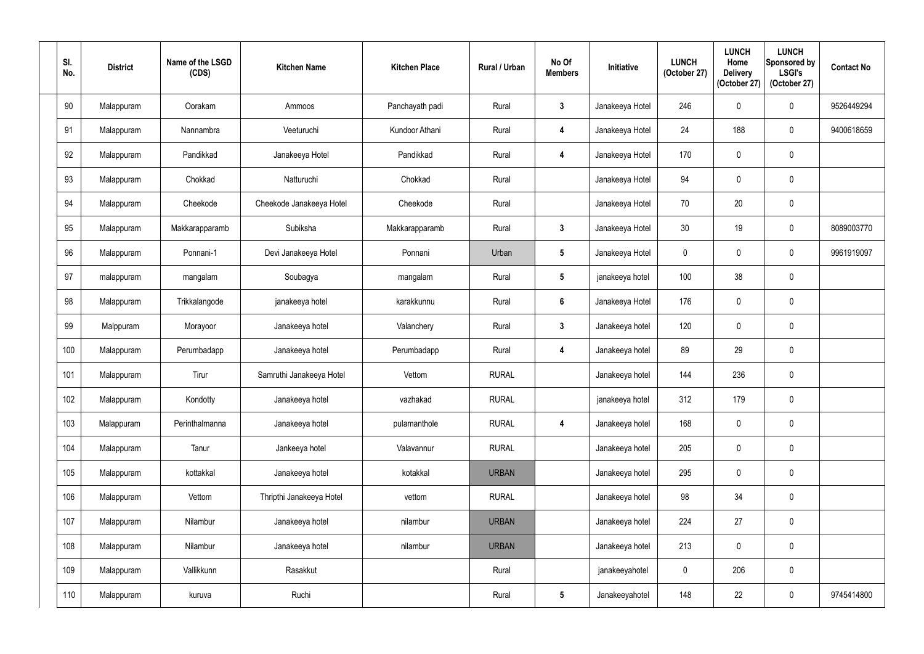| SI.<br>No. | <b>District</b> | Name of the LSGD<br>(CDS) | <b>Kitchen Name</b>      | <b>Kitchen Place</b> | Rural / Urban | No Of<br><b>Members</b> | Initiative      | <b>LUNCH</b><br>(October 27) | <b>LUNCH</b><br>Home<br><b>Delivery</b><br>(October 27) | <b>LUNCH</b><br>Sponsored by<br><b>LSGI's</b><br>(October 27) | <b>Contact No</b> |
|------------|-----------------|---------------------------|--------------------------|----------------------|---------------|-------------------------|-----------------|------------------------------|---------------------------------------------------------|---------------------------------------------------------------|-------------------|
| 90         | Malappuram      | Oorakam                   | Ammoos                   | Panchayath padi      | Rural         | $\mathbf{3}$            | Janakeeya Hotel | 246                          | $\mathbf 0$                                             | $\boldsymbol{0}$                                              | 9526449294        |
| 91         | Malappuram      | Nannambra                 | Veeturuchi               | Kundoor Athani       | Rural         | 4                       | Janakeeya Hotel | 24                           | 188                                                     | $\boldsymbol{0}$                                              | 9400618659        |
| 92         | Malappuram      | Pandikkad                 | Janakeeya Hotel          | Pandikkad            | Rural         | $\boldsymbol{4}$        | Janakeeya Hotel | 170                          | $\mathbf 0$                                             | $\pmb{0}$                                                     |                   |
| 93         | Malappuram      | Chokkad                   | Natturuchi               | Chokkad              | Rural         |                         | Janakeeya Hotel | 94                           | $\mathbf 0$                                             | $\pmb{0}$                                                     |                   |
| 94         | Malappuram      | Cheekode                  | Cheekode Janakeeya Hotel | Cheekode             | Rural         |                         | Janakeeya Hotel | 70                           | 20                                                      | $\pmb{0}$                                                     |                   |
| 95         | Malappuram      | Makkarapparamb            | Subiksha                 | Makkarapparamb       | Rural         | $\mathbf{3}$            | Janakeeya Hotel | 30                           | 19                                                      | $\boldsymbol{0}$                                              | 8089003770        |
| 96         | Malappuram      | Ponnani-1                 | Devi Janakeeya Hotel     | Ponnani              | Urban         | $5\phantom{.0}$         | Janakeeya Hotel | $\mathbf 0$                  | $\mathbf 0$                                             | $\boldsymbol{0}$                                              | 9961919097        |
| 97         | malappuram      | mangalam                  | Soubagya                 | mangalam             | Rural         | $5\phantom{.0}$         | janakeeya hotel | 100                          | 38                                                      | $\pmb{0}$                                                     |                   |
| 98         | Malappuram      | Trikkalangode             | janakeeya hotel          | karakkunnu           | Rural         | $6\phantom{.}$          | Janakeeya Hotel | 176                          | $\mathbf 0$                                             | $\pmb{0}$                                                     |                   |
| 99         | Malppuram       | Morayoor                  | Janakeeya hotel          | Valanchery           | Rural         | $\mathbf{3}$            | Janakeeya hotel | 120                          | $\mathbf 0$                                             | $\pmb{0}$                                                     |                   |
| 100        | Malappuram      | Perumbadapp               | Janakeeya hotel          | Perumbadapp          | Rural         | $\overline{\mathbf{4}}$ | Janakeeya hotel | 89                           | 29                                                      | $\pmb{0}$                                                     |                   |
| 101        | Malappuram      | Tirur                     | Samruthi Janakeeya Hotel | Vettom               | <b>RURAL</b>  |                         | Janakeeya hotel | 144                          | 236                                                     | $\pmb{0}$                                                     |                   |
| 102        | Malappuram      | Kondotty                  | Janakeeya hotel          | vazhakad             | <b>RURAL</b>  |                         | janakeeya hotel | 312                          | 179                                                     | $\pmb{0}$                                                     |                   |
| 103        | Malappuram      | Perinthalmanna            | Janakeeya hotel          | pulamanthole         | <b>RURAL</b>  | $\overline{\mathbf{4}}$ | Janakeeya hotel | 168                          | $\mathbf 0$                                             | $\pmb{0}$                                                     |                   |
| 104        | Malappuram      | Tanur                     | Jankeeya hotel           | Valavannur           | <b>RURAL</b>  |                         | Janakeeya hotel | 205                          | $\mathbf 0$                                             | $\pmb{0}$                                                     |                   |
| 105        | Malappuram      | kottakkal                 | Janakeeya hotel          | kotakkal             | <b>URBAN</b>  |                         | Janakeeya hotel | 295                          | $\mathbf 0$                                             | $\pmb{0}$                                                     |                   |
| 106        | Malappuram      | Vettom                    | Thripthi Janakeeya Hotel | vettom               | <b>RURAL</b>  |                         | Janakeeya hotel | 98                           | 34                                                      | $\pmb{0}$                                                     |                   |
| 107        | Malappuram      | Nilambur                  | Janakeeya hotel          | nilambur             | <b>URBAN</b>  |                         | Janakeeya hotel | 224                          | 27                                                      | $\pmb{0}$                                                     |                   |
| 108        | Malappuram      | Nilambur                  | Janakeeya hotel          | nilambur             | <b>URBAN</b>  |                         | Janakeeya hotel | 213                          | $\mathbf 0$                                             | $\pmb{0}$                                                     |                   |
| 109        | Malappuram      | Vallikkunn                | Rasakkut                 |                      | Rural         |                         | janakeeyahotel  | $\pmb{0}$                    | 206                                                     | $\pmb{0}$                                                     |                   |
| 110        | Malappuram      | kuruva                    | Ruchi                    |                      | Rural         | $\sqrt{5}$              | Janakeeyahotel  | 148                          | 22                                                      | $\pmb{0}$                                                     | 9745414800        |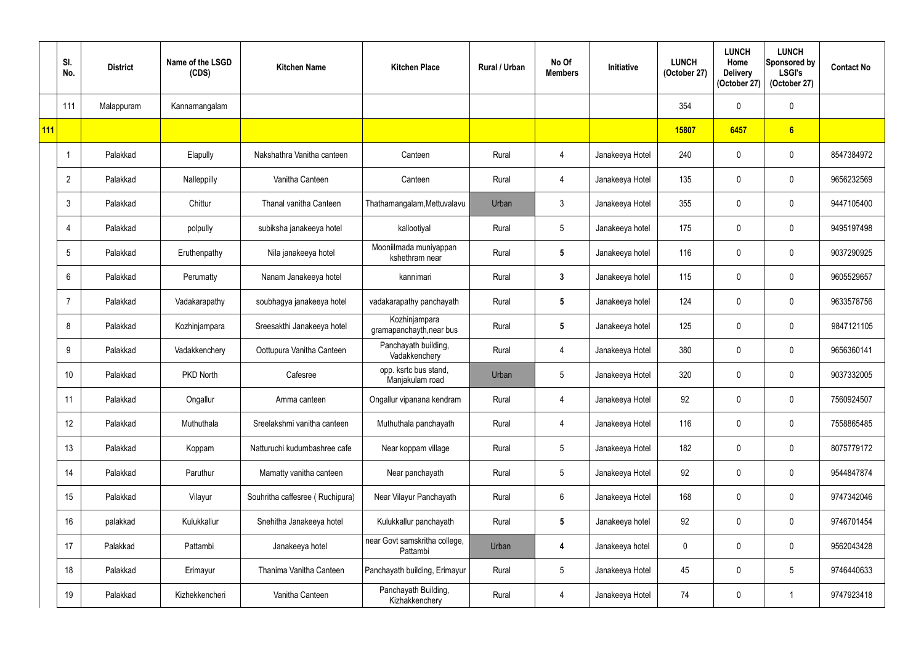|            | SI.<br>No.     | <b>District</b> | Name of the LSGD<br>(CDS) | <b>Kitchen Name</b>             | <b>Kitchen Place</b>                      | <b>Rural / Urban</b> | No Of<br><b>Members</b> | <b>Initiative</b> | <b>LUNCH</b><br>(October 27) | <b>LUNCH</b><br>Home<br><b>Delivery</b><br>(October 27) | <b>LUNCH</b><br>Sponsored by<br><b>LSGI's</b><br>(October 27) | <b>Contact No</b> |
|------------|----------------|-----------------|---------------------------|---------------------------------|-------------------------------------------|----------------------|-------------------------|-------------------|------------------------------|---------------------------------------------------------|---------------------------------------------------------------|-------------------|
|            | 111            | Malappuram      | Kannamangalam             |                                 |                                           |                      |                         |                   | 354                          | $\mathbf{0}$                                            | $\boldsymbol{0}$                                              |                   |
| <b>111</b> |                |                 |                           |                                 |                                           |                      |                         |                   | 15807                        | 6457                                                    | $6\overline{6}$                                               |                   |
|            |                | Palakkad        | Elapully                  | Nakshathra Vanitha canteen      | Canteen                                   | Rural                | $\overline{4}$          | Janakeeya Hotel   | 240                          | 0                                                       | $\boldsymbol{0}$                                              | 8547384972        |
|            | $\overline{2}$ | Palakkad        | Nalleppilly               | Vanitha Canteen                 | Canteen                                   | Rural                | $\overline{4}$          | Janakeeya Hotel   | 135                          | $\Omega$                                                | $\pmb{0}$                                                     | 9656232569        |
|            | 3              | Palakkad        | Chittur                   | Thanal vanitha Canteen          | Thathamangalam, Mettuvalavu               | Urban                | $\mathbf{3}$            | Janakeeya Hotel   | 355                          | 0                                                       | $\boldsymbol{0}$                                              | 9447105400        |
|            | 4              | Palakkad        | polpully                  | subiksha janakeeya hotel        | kallootiyal                               | Rural                | $5\phantom{.0}$         | Janakeeya hotel   | 175                          |                                                         | $\boldsymbol{0}$                                              | 9495197498        |
|            | 5              | Palakkad        | Eruthenpathy              | Nila janakeeya hotel            | Mooniilmada muniyappan<br>kshethram near  | Rural                | $5\phantom{.0}$         | Janakeeya hotel   | 116                          | 0                                                       | $\pmb{0}$                                                     | 9037290925        |
|            | 6              | Palakkad        | Perumatty                 | Nanam Janakeeya hotel           | kannimari                                 | Rural                | $\mathbf{3}$            | Janakeeya hotel   | 115                          |                                                         | $\boldsymbol{0}$                                              | 9605529657        |
|            | 7              | Palakkad        | Vadakarapathy             | soubhagya janakeeya hotel       | vadakarapathy panchayath                  | Rural                | $5\overline{)}$         | Janakeeya hotel   | 124                          |                                                         | $\boldsymbol{0}$                                              | 9633578756        |
|            | 8              | Palakkad        | Kozhinjampara             | Sreesakthi Janakeeya hotel      | Kozhinjampara<br>gramapanchayth, near bus | Rural                | $5\phantom{.0}$         | Janakeeya hotel   | 125                          | $\mathbf{0}$                                            | $\boldsymbol{0}$                                              | 9847121105        |
|            | 9              | Palakkad        | Vadakkenchery             | Oottupura Vanitha Canteen       | Panchayath building,<br>Vadakkenchery     | Rural                | 4                       | Janakeeya Hotel   | 380                          | 0                                                       | 0                                                             | 9656360141        |
|            | 10             | Palakkad        | PKD North                 | Cafesree                        | opp. ksrtc bus stand,<br>Manjakulam road  | Urban                | $5\phantom{.0}$         | Janakeeya Hotel   | 320                          | 0                                                       | $\mathbf 0$                                                   | 9037332005        |
|            | 11             | Palakkad        | Ongallur                  | Amma canteen                    | Ongallur vipanana kendram                 | Rural                | 4                       | Janakeeya Hotel   | 92                           | $\mathbf 0$                                             | $\pmb{0}$                                                     | 7560924507        |
|            | 12             | Palakkad        | Muthuthala                | Sreelakshmi vanitha canteen     | Muthuthala panchayath                     | Rural                | 4                       | Janakeeya Hotel   | 116                          | 0                                                       | $\boldsymbol{0}$                                              | 7558865485        |
|            | 13             | Palakkad        | Koppam                    | Natturuchi kudumbashree cafe    | Near koppam village                       | Rural                | $5\phantom{.0}$         | Janakeeya Hotel   | 182                          | 0                                                       | $\pmb{0}$                                                     | 8075779172        |
|            | 14             | Palakkad        | Paruthur                  | Mamatty vanitha canteen         | Near panchayath                           | Rural                | $5\phantom{.0}$         | Janakeeya Hotel   | 92                           | $\mathbf 0$                                             | $\pmb{0}$                                                     | 9544847874        |
|            | 15             | Palakkad        | Vilayur                   | Souhritha caffesree (Ruchipura) | Near Vilayur Panchayath                   | Rural                | $6\phantom{.0}$         | Janakeeya Hotel   | 168                          | 0                                                       | $\pmb{0}$                                                     | 9747342046        |
|            | 16             | palakkad        | Kulukkallur               | Snehitha Janakeeya hotel        | Kulukkallur panchayath                    | Rural                | $5\phantom{.0}$         | Janakeeya hotel   | 92                           | 0                                                       | $\boldsymbol{0}$                                              | 9746701454        |
|            | 17             | Palakkad        | Pattambi                  | Janakeeya hotel                 | near Govt samskritha college,<br>Pattambi | Urban                | $\overline{\mathbf{4}}$ | Janakeeya hotel   | $\mathbf 0$                  | $\mathbf 0$                                             | $\pmb{0}$                                                     | 9562043428        |
|            | 18             | Palakkad        | Erimayur                  | Thanima Vanitha Canteen         | Panchayath building, Erimayur             | Rural                | $5\phantom{.0}$         | Janakeeya Hotel   | 45                           | 0                                                       | $5\phantom{.0}$                                               | 9746440633        |
|            | 19             | Palakkad        | Kizhekkencheri            | Vanitha Canteen                 | Panchayath Building,<br>Kizhakkenchery    | Rural                | $\overline{4}$          | Janakeeya Hotel   | 74                           | 0                                                       | $\mathbf{1}$                                                  | 9747923418        |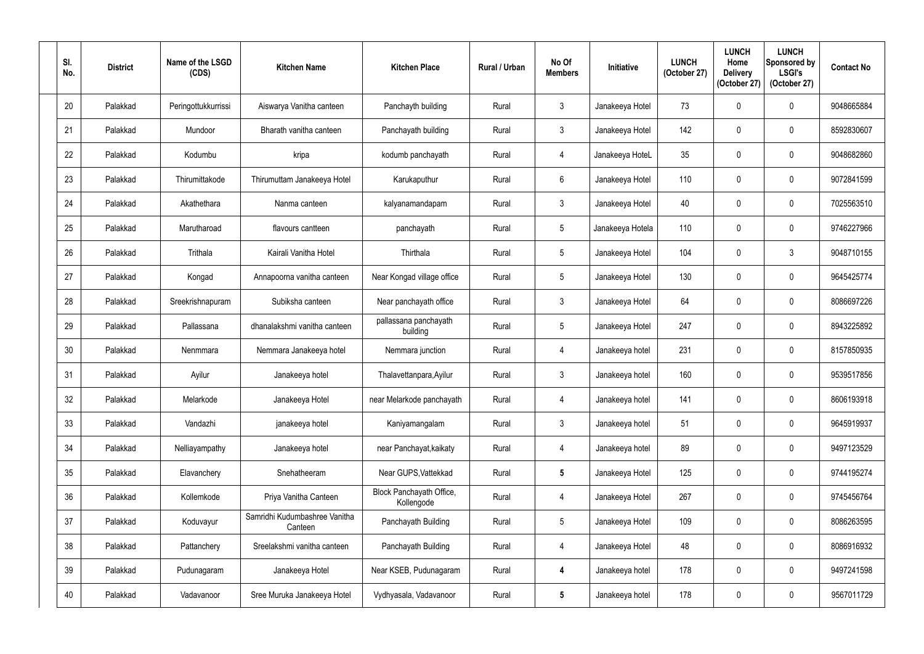| SI.<br>No.      | <b>District</b> | Name of the LSGD<br>(CDS) | <b>Kitchen Name</b>                      | <b>Kitchen Place</b>                   | Rural / Urban | No Of<br><b>Members</b> | <b>Initiative</b> | <b>LUNCH</b><br>(October 27) | <b>LUNCH</b><br>Home<br><b>Delivery</b><br>(October 27) | <b>LUNCH</b><br>Sponsored by<br><b>LSGI's</b><br>(October 27) | <b>Contact No</b> |
|-----------------|-----------------|---------------------------|------------------------------------------|----------------------------------------|---------------|-------------------------|-------------------|------------------------------|---------------------------------------------------------|---------------------------------------------------------------|-------------------|
| 20              | Palakkad        | Peringottukkurrissi       | Aiswarya Vanitha canteen                 | Panchayth building                     | Rural         | $\mathbf{3}$            | Janakeeya Hotel   | 73                           | $\mathbf{0}$                                            | $\mathbf 0$                                                   | 9048665884        |
| 21              | Palakkad        | Mundoor                   | Bharath vanitha canteen                  | Panchayath building                    | Rural         | $\mathbf{3}$            | Janakeeya Hotel   | 142                          | $\mathbf 0$                                             | $\pmb{0}$                                                     | 8592830607        |
| 22              | Palakkad        | Kodumbu                   | kripa                                    | kodumb panchayath                      | Rural         | $\overline{4}$          | Janakeeya HoteL   | 35                           | 0                                                       | $\mathbf 0$                                                   | 9048682860        |
| 23              | Palakkad        | Thirumittakode            | Thirumuttam Janakeeya Hotel              | Karukaputhur                           | Rural         | $6\overline{6}$         | Janakeeya Hotel   | 110                          | $\mathbf 0$                                             | $\pmb{0}$                                                     | 9072841599        |
| 24              | Palakkad        | Akathethara               | Nanma canteen                            | kalyanamandapam                        | Rural         | 3                       | Janakeeya Hotel   | 40                           | $\Omega$                                                | $\mathbf 0$                                                   | 7025563510        |
| 25              | Palakkad        | Marutharoad               | flavours cantteen                        | panchayath                             | Rural         | $5\phantom{.0}$         | Janakeeya Hotela  | 110                          | $\Omega$                                                | $\pmb{0}$                                                     | 9746227966        |
| 26              | Palakkad        | Trithala                  | Kairali Vanitha Hotel                    | Thirthala                              | Rural         | $5\overline{)}$         | Janakeeya Hotel   | 104                          | $\mathbf 0$                                             | 3                                                             | 9048710155        |
| 27              | Palakkad        | Kongad                    | Annapoorna vanitha canteen               | Near Kongad village office             | Rural         | $5\phantom{.0}$         | Janakeeya Hotel   | 130                          | $\Omega$                                                | $\mathbf 0$                                                   | 9645425774        |
| 28              | Palakkad        | Sreekrishnapuram          | Subiksha canteen                         | Near panchayath office                 | Rural         | $\mathbf{3}$            | Janakeeya Hotel   | 64                           | $\Omega$                                                | $\mathbf 0$                                                   | 8086697226        |
| 29              | Palakkad        | Pallassana                | dhanalakshmi vanitha canteen             | pallassana panchayath<br>building      | Rural         | $5\phantom{.0}$         | Janakeeya Hotel   | 247                          | $\mathbf 0$                                             | $\pmb{0}$                                                     | 8943225892        |
| 30 <sup>°</sup> | Palakkad        | Nenmmara                  | Nemmara Janakeeya hotel                  | Nemmara junction                       | Rural         | 4                       | Janakeeya hotel   | 231                          | 0                                                       | $\mathbf 0$                                                   | 8157850935        |
| 31              | Palakkad        | Ayilur                    | Janakeeya hotel                          | Thalavettanpara, Ayilur                | Rural         | $\mathfrak{Z}$          | Janakeeya hotel   | 160                          | $\mathbf 0$                                             | $\mathbf 0$                                                   | 9539517856        |
| 32              | Palakkad        | Melarkode                 | Janakeeya Hotel                          | near Melarkode panchayath              | Rural         | $\overline{4}$          | Janakeeya hotel   | 141                          | 0                                                       | $\pmb{0}$                                                     | 8606193918        |
| 33              | Palakkad        | Vandazhi                  | janakeeya hotel                          | Kaniyamangalam                         | Rural         | $\mathfrak{Z}$          | Janakeeya hotel   | 51                           | $\mathbf 0$                                             | $\pmb{0}$                                                     | 9645919937        |
| 34              | Palakkad        | Nelliayampathy            | Janakeeya hotel                          | near Panchayat, kaikaty                | Rural         | 4                       | Janakeeya hotel   | 89                           | $\mathbf 0$                                             | $\pmb{0}$                                                     | 9497123529        |
| 35 <sub>5</sub> | Palakkad        | Elavanchery               | Snehatheeram                             | Near GUPS, Vattekkad                   | Rural         | $5\phantom{.0}$         | Janakeeya Hotel   | 125                          | $\mathbf 0$                                             | $\pmb{0}$                                                     | 9744195274        |
| 36              | Palakkad        | Kollemkode                | Priya Vanitha Canteen                    | Block Panchayath Office,<br>Kollengode | Rural         | 4                       | Janakeeya Hotel   | 267                          | 0                                                       | $\pmb{0}$                                                     | 9745456764        |
| 37              | Palakkad        | Koduvayur                 | Samridhi Kudumbashree Vanitha<br>Canteen | Panchayath Building                    | Rural         | $5\phantom{.0}$         | Janakeeya Hotel   | 109                          | $\mathbf 0$                                             | $\pmb{0}$                                                     | 8086263595        |
| 38              | Palakkad        | Pattanchery               | Sreelakshmi vanitha canteen              | Panchayath Building                    | Rural         | 4                       | Janakeeya Hotel   | 48                           | 0                                                       | $\pmb{0}$                                                     | 8086916932        |
| 39              | Palakkad        | Pudunagaram               | Janakeeya Hotel                          | Near KSEB, Pudunagaram                 | Rural         | 4                       | Janakeeya hotel   | 178                          | 0                                                       | $\pmb{0}$                                                     | 9497241598        |
| 40              | Palakkad        | Vadavanoor                | Sree Muruka Janakeeya Hotel              | Vydhyasala, Vadavanoor                 | Rural         | $5\phantom{.0}$         | Janakeeya hotel   | 178                          | 0                                                       | $\pmb{0}$                                                     | 9567011729        |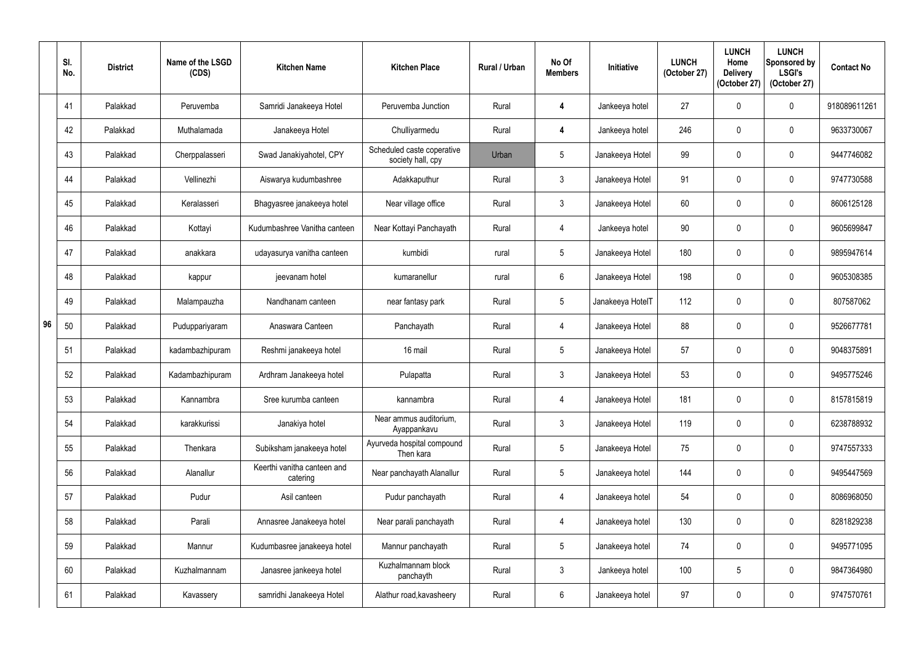|    | SI.<br>No. | <b>District</b> | Name of the LSGD<br>(CDS) | <b>Kitchen Name</b>                     | <b>Kitchen Place</b>                            | <b>Rural / Urban</b> | No Of<br><b>Members</b> | <b>Initiative</b> | <b>LUNCH</b><br>(October 27) | <b>LUNCH</b><br>Home<br><b>Delivery</b><br>(October 27) | <b>LUNCH</b><br>Sponsored by<br><b>LSGI's</b><br>(October 27) | <b>Contact No</b> |
|----|------------|-----------------|---------------------------|-----------------------------------------|-------------------------------------------------|----------------------|-------------------------|-------------------|------------------------------|---------------------------------------------------------|---------------------------------------------------------------|-------------------|
|    | 41         | Palakkad        | Peruvemba                 | Samridi Janakeeya Hotel                 | Peruvemba Junction                              | Rural                | 4                       | Jankeeya hotel    | 27                           |                                                         | $\mathbf 0$                                                   | 918089611261      |
|    | 42         | Palakkad        | Muthalamada               | Janakeeya Hotel                         | Chulliyarmedu                                   | Rural                | 4                       | Jankeeya hotel    | 246                          | 0                                                       | $\boldsymbol{0}$                                              | 9633730067        |
|    | 43         | Palakkad        | Cherppalasseri            | Swad Janakiyahotel, CPY                 | Scheduled caste coperative<br>society hall, cpy | Urban                | $5\overline{)}$         | Janakeeya Hotel   | 99                           |                                                         | $\mathbf 0$                                                   | 9447746082        |
|    | 44         | Palakkad        | Vellinezhi                | Aiswarya kudumbashree                   | Adakkaputhur                                    | Rural                | $\mathbf{3}$            | Janakeeya Hotel   | 91                           | 0                                                       | $\mathbf 0$                                                   | 9747730588        |
|    | 45         | Palakkad        | Keralasseri               | Bhagyasree janakeeya hotel              | Near village office                             | Rural                | $\mathbf{3}$            | Janakeeya Hotel   | 60                           |                                                         | $\mathbf 0$                                                   | 8606125128        |
|    | 46         | Palakkad        | Kottayi                   | Kudumbashree Vanitha canteen            | Near Kottayi Panchayath                         | Rural                | 4                       | Jankeeya hotel    | 90                           |                                                         | $\boldsymbol{0}$                                              | 9605699847        |
|    | 47         | Palakkad        | anakkara                  | udayasurya vanitha canteen              | kumbidi                                         | rural                | $5\phantom{.0}$         | Janakeeya Hotel   | 180                          |                                                         | $\mathbf 0$                                                   | 9895947614        |
|    | 48         | Palakkad        | kappur                    | jeevanam hotel                          | kumaranellur                                    | rural                | 6                       | Janakeeya Hotel   | 198                          |                                                         | $\mathbf 0$                                                   | 9605308385        |
|    | 49         | Palakkad        | Malampauzha               | Nandhanam canteen                       | near fantasy park                               | Rural                | $5\overline{)}$         | Janakeeya HotelT  | 112                          |                                                         | $\mathbf 0$                                                   | 807587062         |
| 96 | 50         | Palakkad        | Puduppariyaram            | Anaswara Canteen                        | Panchayath                                      | Rural                | $\overline{4}$          | Janakeeya Hotel   | 88                           | 0                                                       | $\mathbf 0$                                                   | 9526677781        |
|    | 51         | Palakkad        | kadambazhipuram           | Reshmi janakeeya hotel                  | 16 mail                                         | Rural                | $5\phantom{.0}$         | Janakeeya Hotel   | 57                           |                                                         | $\mathbf 0$                                                   | 9048375891        |
|    | 52         | Palakkad        | Kadambazhipuram           | Ardhram Janakeeya hotel                 | Pulapatta                                       | Rural                | $\mathbf{3}$            | Janakeeya Hotel   | 53                           |                                                         | $\pmb{0}$                                                     | 9495775246        |
|    | 53         | Palakkad        | Kannambra                 | Sree kurumba canteen                    | kannambra                                       | Rural                | 4                       | Janakeeya Hotel   | 181                          | 0                                                       | $\mathbf 0$                                                   | 8157815819        |
|    | 54         | Palakkad        | karakkurissi              | Janakiya hotel                          | Near ammus auditorium,<br>Ayappankavu           | Rural                | $3\phantom{.0}$         | Janakeeya Hotel   | 119                          | $\mathbf{0}$                                            | $\mathbf 0$                                                   | 6238788932        |
|    | 55         | Palakkad        | Thenkara                  | Subiksham janakeeya hotel               | Ayurveda hospital compound<br>Then kara         | Rural                | $5\phantom{.0}$         | Janakeeya Hotel   | 75                           | 0                                                       | $\mathbf 0$                                                   | 9747557333        |
|    | 56         | Palakkad        | Alanallur                 | Keerthi vanitha canteen and<br>catering | Near panchayath Alanallur                       | Rural                | $5\phantom{.0}$         | Janakeeya hotel   | 144                          | 0                                                       | $\mathbf 0$                                                   | 9495447569        |
|    | 57         | Palakkad        | Pudur                     | Asil canteen                            | Pudur panchayath                                | Rural                | 4                       | Janakeeya hotel   | 54                           | 0                                                       | $\mathbf 0$                                                   | 8086968050        |
|    | 58         | Palakkad        | Parali                    | Annasree Janakeeya hotel                | Near parali panchayath                          | Rural                | $\overline{4}$          | Janakeeya hotel   | 130                          | 0                                                       | $\pmb{0}$                                                     | 8281829238        |
|    | 59         | Palakkad        | Mannur                    | Kudumbasree janakeeya hotel             | Mannur panchayath                               | Rural                | $5\phantom{.0}$         | Janakeeya hotel   | 74                           | 0                                                       | $\mathbf 0$                                                   | 9495771095        |
|    | 60         | Palakkad        | Kuzhalmannam              | Janasree jankeeya hotel                 | Kuzhalmannam block<br>panchayth                 | Rural                | $\mathfrak{Z}$          | Jankeeya hotel    | 100                          | 5                                                       | $\mathbf 0$                                                   | 9847364980        |
|    | 61         | Palakkad        | Kavassery                 | samridhi Janakeeya Hotel                | Alathur road, kavasheery                        | Rural                | $6\phantom{.0}$         | Janakeeya hotel   | 97                           | 0                                                       | $\pmb{0}$                                                     | 9747570761        |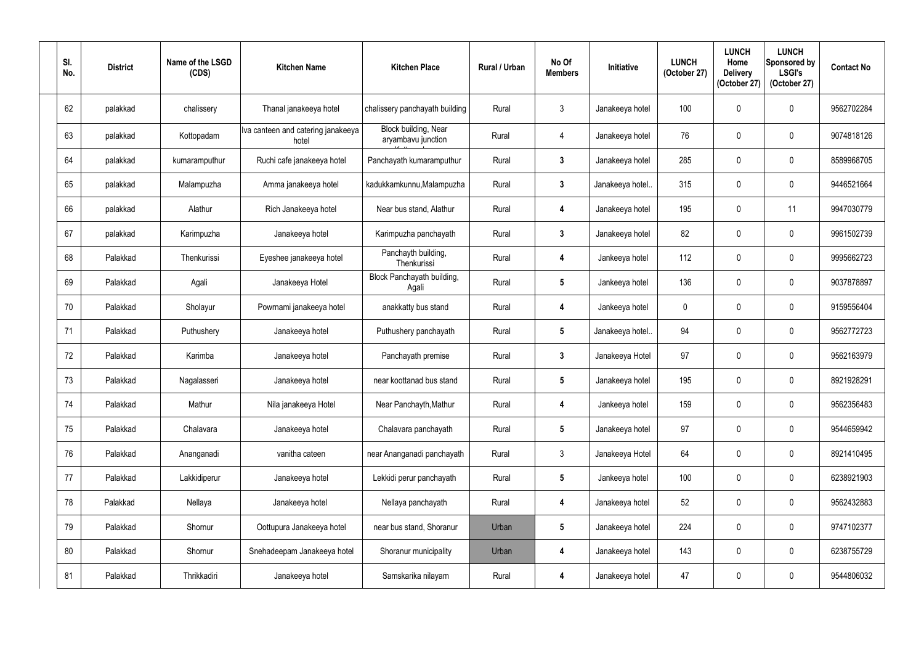| SI.<br>No. | <b>District</b> | Name of the LSGD<br>(CDS) | <b>Kitchen Name</b>                         | <b>Kitchen Place</b>                       | <b>Rural / Urban</b> | No Of<br><b>Members</b> | Initiative       | <b>LUNCH</b><br>(October 27) | <b>LUNCH</b><br>Home<br><b>Delivery</b><br>(October 27) | <b>LUNCH</b><br>Sponsored by<br><b>LSGI's</b><br>(October 27) | <b>Contact No</b> |
|------------|-----------------|---------------------------|---------------------------------------------|--------------------------------------------|----------------------|-------------------------|------------------|------------------------------|---------------------------------------------------------|---------------------------------------------------------------|-------------------|
| 62         | palakkad        | chalissery                | Thanal janakeeya hotel                      | chalissery panchayath building             | Rural                | $\mathbf{3}$            | Janakeeya hotel  | 100                          | 0                                                       | $\pmb{0}$                                                     | 9562702284        |
| 63         | palakkad        | Kottopadam                | Iva canteen and catering janakeeya<br>hotel | Block building, Near<br>aryambavu junction | Rural                | 4                       | Janakeeya hotel  | 76                           | $\mathbf{0}$                                            | $\mathbf 0$                                                   | 9074818126        |
| 64         | palakkad        | kumaramputhur             | Ruchi cafe janakeeya hotel                  | Panchayath kumaramputhur                   | Rural                | $\mathbf{3}$            | Janakeeya hotel  | 285                          | $\mathbf{0}$                                            | $\pmb{0}$                                                     | 8589968705        |
| 65         | palakkad        | Malampuzha                | Amma janakeeya hotel                        | kadukkamkunnu, Malampuzha                  | Rural                | $\mathbf{3}$            | Janakeeya hotel. | 315                          | $\mathbf 0$                                             | $\pmb{0}$                                                     | 9446521664        |
| 66         | palakkad        | Alathur                   | Rich Janakeeya hotel                        | Near bus stand, Alathur                    | Rural                | $\boldsymbol{4}$        | Janakeeya hotel  | 195                          | $\mathbf{0}$                                            | 11                                                            | 9947030779        |
| 67         | palakkad        | Karimpuzha                | Janakeeya hotel                             | Karimpuzha panchayath                      | Rural                | $\mathbf{3}$            | Janakeeya hotel  | 82                           | $\mathbf 0$                                             | $\mathbf 0$                                                   | 9961502739        |
| 68         | Palakkad        | Thenkurissi               | Eyeshee janakeeya hotel                     | Panchayth building,<br>Thenkurissi         | Rural                | 4                       | Jankeeya hotel   | 112                          | 0                                                       | $\pmb{0}$                                                     | 9995662723        |
| 69         | Palakkad        | Agali                     | Janakeeya Hotel                             | Block Panchayath building,<br>Agali        | Rural                | $5\phantom{.0}$         | Jankeeya hotel   | 136                          | $\Omega$                                                | $\pmb{0}$                                                     | 9037878897        |
| 70         | Palakkad        | Sholayur                  | Powrnami janakeeya hotel                    | anakkatty bus stand                        | Rural                | 4                       | Jankeeya hotel   | $\mathbf 0$                  | $\mathbf 0$                                             | $\pmb{0}$                                                     | 9159556404        |
| 71         | Palakkad        | Puthushery                | Janakeeya hotel                             | Puthushery panchayath                      | Rural                | $5\overline{)}$         | Janakeeya hotel  | 94                           | $\overline{0}$                                          | $\mathbf 0$                                                   | 9562772723        |
| 72         | Palakkad        | Karimba                   | Janakeeya hotel                             | Panchayath premise                         | Rural                | $\mathbf{3}$            | Janakeeya Hotel  | 97                           | $\mathbf{0}$                                            | $\pmb{0}$                                                     | 9562163979        |
| 73         | Palakkad        | Nagalasseri               | Janakeeya hotel                             | near koottanad bus stand                   | Rural                | $5\phantom{.0}$         | Janakeeya hotel  | 195                          | $\mathbf{0}$                                            | $\mathbf 0$                                                   | 8921928291        |
| 74         | Palakkad        | Mathur                    | Nila janakeeya Hotel                        | Near Panchayth, Mathur                     | Rural                | 4                       | Jankeeya hotel   | 159                          | $\mathbf 0$                                             | $\pmb{0}$                                                     | 9562356483        |
| 75         | Palakkad        | Chalavara                 | Janakeeya hotel                             | Chalavara panchayath                       | Rural                | $5\phantom{.0}$         | Janakeeya hotel  | 97                           | $\mathbf 0$                                             | $\boldsymbol{0}$                                              | 9544659942        |
| 76         | Palakkad        | Ananganadi                | vanitha cateen                              | near Ananganadi panchayath                 | Rural                | $\mathbf{3}$            | Janakeeya Hotel  | 64                           | $\mathbf 0$                                             | $\pmb{0}$                                                     | 8921410495        |
| 77         | Palakkad        | Lakkidiperur              | Janakeeya hotel                             | Lekkidi perur panchayath                   | Rural                | $5\overline{)}$         | Jankeeya hotel   | 100                          | $\mathbf 0$                                             | $\boldsymbol{0}$                                              | 6238921903        |
| 78         | Palakkad        | Nellaya                   | Janakeeya hotel                             | Nellaya panchayath                         | Rural                | $\overline{\mathbf{4}}$ | Janakeeya hotel  | 52                           | $\mathbf 0$                                             | $\pmb{0}$                                                     | 9562432883        |
| 79         | Palakkad        | Shornur                   | Oottupura Janakeeya hotel                   | near bus stand, Shoranur                   | Urban                | $5\phantom{.0}$         | Janakeeya hotel  | 224                          | $\mathbf 0$                                             | $\pmb{0}$                                                     | 9747102377        |
| 80         | Palakkad        | Shornur                   | Snehadeepam Janakeeya hotel                 | Shoranur municipality                      | Urban                | 4                       | Janakeeya hotel  | 143                          | $\mathbf 0$                                             | $\pmb{0}$                                                     | 6238755729        |
| 81         | Palakkad        | Thrikkadiri               | Janakeeya hotel                             | Samskarika nilayam                         | Rural                | $\overline{\mathbf{4}}$ | Janakeeya hotel  | 47                           | $\pmb{0}$                                               | $\pmb{0}$                                                     | 9544806032        |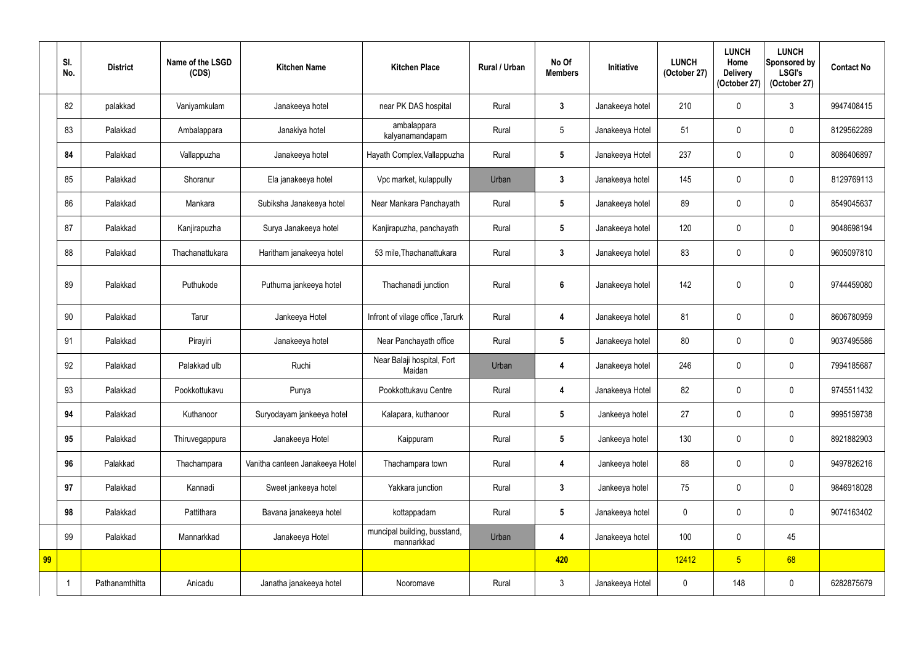|    | SI.<br>No. | <b>District</b> | Name of the LSGD<br>(CDS) | <b>Kitchen Name</b>             | <b>Kitchen Place</b>                       | Rural / Urban | No Of<br><b>Members</b> | Initiative      | <b>LUNCH</b><br>(October 27) | <b>LUNCH</b><br>Home<br><b>Delivery</b><br>(October 27) | <b>LUNCH</b><br>Sponsored by<br><b>LSGI's</b><br>(October 27) | <b>Contact No</b> |
|----|------------|-----------------|---------------------------|---------------------------------|--------------------------------------------|---------------|-------------------------|-----------------|------------------------------|---------------------------------------------------------|---------------------------------------------------------------|-------------------|
|    | 82         | palakkad        | Vaniyamkulam              | Janakeeya hotel                 | near PK DAS hospital                       | Rural         | $3\phantom{a}$          | Janakeeya hotel | 210                          | $\mathbf{0}$                                            | 3                                                             | 9947408415        |
|    | 83         | Palakkad        | Ambalappara               | Janakiya hotel                  | ambalappara<br>kalyanamandapam             | Rural         | $5\phantom{.0}$         | Janakeeya Hotel | 51                           | $\mathbf{0}$                                            | $\mathbf 0$                                                   | 8129562289        |
|    | 84         | Palakkad        | Vallappuzha               | Janakeeya hotel                 | Hayath Complex, Vallappuzha                | Rural         | $5\overline{)}$         | Janakeeya Hotel | 237                          |                                                         | $\mathbf 0$                                                   | 8086406897        |
|    | 85         | Palakkad        | Shoranur                  | Ela janakeeya hotel             | Vpc market, kulappully                     | Urban         | $\mathbf{3}$            | Janakeeya hotel | 145                          | 0                                                       | $\boldsymbol{0}$                                              | 8129769113        |
|    | 86         | Palakkad        | Mankara                   | Subiksha Janakeeya hotel        | Near Mankara Panchayath                    | Rural         | $5\overline{)}$         | Janakeeya hotel | 89                           | 0                                                       | $\mathbf 0$                                                   | 8549045637        |
|    | 87         | Palakkad        | Kanjirapuzha              | Surya Janakeeya hotel           | Kanjirapuzha, panchayath                   | Rural         | $5\phantom{.0}$         | Janakeeya hotel | 120                          |                                                         | $\mathbf 0$                                                   | 9048698194        |
|    | 88         | Palakkad        | Thachanattukara           | Haritham janakeeya hotel        | 53 mile, Thachanattukara                   | Rural         | $\mathbf{3}$            | Janakeeya hotel | 83                           | 0                                                       | $\overline{0}$                                                | 9605097810        |
|    | 89         | Palakkad        | Puthukode                 | Puthuma jankeeya hotel          | Thachanadi junction                        | Rural         | $6\phantom{1}$          | Janakeeya hotel | 142                          | 0                                                       | $\mathbf 0$                                                   | 9744459080        |
|    | 90         | Palakkad        | Tarur                     | Jankeeya Hotel                  | Infront of vilage office, Tarurk           | Rural         | 4                       | Janakeeya hotel | 81                           | 0                                                       | $\overline{0}$                                                | 8606780959        |
|    | 91         | Palakkad        | Pirayiri                  | Janakeeya hotel                 | Near Panchayath office                     | Rural         | $5\overline{)}$         | Janakeeya hotel | 80                           | 0                                                       | $\mathbf 0$                                                   | 9037495586        |
|    | 92         | Palakkad        | Palakkad ulb              | Ruchi                           | Near Balaji hospital, Fort<br>Maidan       | Urban         | 4                       | Janakeeya hotel | 246                          | 0                                                       | $\mathbf 0$                                                   | 7994185687        |
|    | 93         | Palakkad        | Pookkottukavu             | Punya                           | Pookkottukavu Centre                       | Rural         | 4                       | Janakeeya Hotel | 82                           | $\mathbf 0$                                             | $\mathbf 0$                                                   | 9745511432        |
|    | 94         | Palakkad        | Kuthanoor                 | Suryodayam jankeeya hotel       | Kalapara, kuthanoor                        | Rural         | $5\phantom{.0}$         | Jankeeya hotel  | 27                           | 0                                                       | $\boldsymbol{0}$                                              | 9995159738        |
|    | 95         | Palakkad        | Thiruvegappura            | Janakeeya Hotel                 | Kaippuram                                  | Rural         | $5\phantom{.0}$         | Jankeeya hotel  | 130                          | 0                                                       | $\boldsymbol{0}$                                              | 8921882903        |
|    | 96         | Palakkad        | Thachampara               | Vanitha canteen Janakeeya Hotel | Thachampara town                           | Rural         | 4                       | Jankeeya hotel  | 88                           | 0                                                       | $\pmb{0}$                                                     | 9497826216        |
|    | 97         | Palakkad        | Kannadi                   | Sweet jankeeya hotel            | Yakkara junction                           | Rural         | $\mathbf{3}$            | Jankeeya hotel  | 75                           | 0                                                       | $\pmb{0}$                                                     | 9846918028        |
|    | 98         | Palakkad        | Pattithara                | Bavana janakeeya hotel          | kottappadam                                | Rural         | $5\phantom{.0}$         | Janakeeya hotel | $\mathbf 0$                  | 0                                                       | $\pmb{0}$                                                     | 9074163402        |
|    | 99         | Palakkad        | Mannarkkad                | Janakeeya Hotel                 | muncipal building, busstand,<br>mannarkkad | Urban         | $\overline{\mathbf{4}}$ | Janakeeya hotel | 100                          | $\mathbf 0$                                             | 45                                                            |                   |
| 99 |            |                 |                           |                                 |                                            |               | 420                     |                 | 12412                        | 5 <sup>1</sup>                                          | 68                                                            |                   |
|    |            | Pathanamthitta  | Anicadu                   | Janatha janakeeya hotel         | Nooromave                                  | Rural         | $\mathfrak{Z}$          | Janakeeya Hotel | $\mathbf 0$                  | 148                                                     | $\pmb{0}$                                                     | 6282875679        |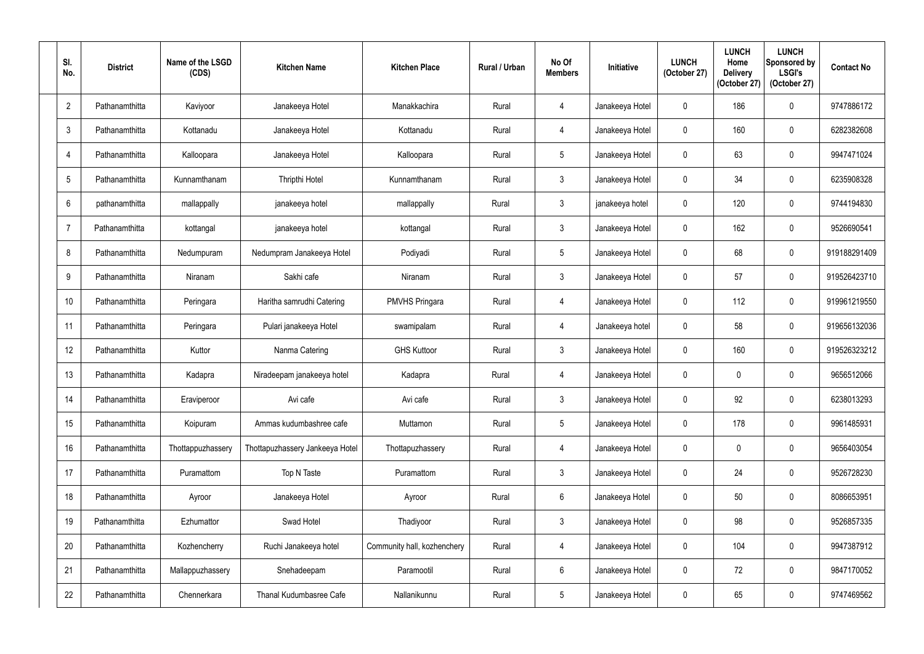| SI.<br>No.       | <b>District</b> | Name of the LSGD<br>(CDS) | <b>Kitchen Name</b>             | <b>Kitchen Place</b>        | Rural / Urban | No Of<br><b>Members</b> | Initiative      | <b>LUNCH</b><br>(October 27) | <b>LUNCH</b><br>Home<br><b>Delivery</b><br>(October 27) | <b>LUNCH</b><br>Sponsored by<br><b>LSGI's</b><br>(October 27) | <b>Contact No</b> |
|------------------|-----------------|---------------------------|---------------------------------|-----------------------------|---------------|-------------------------|-----------------|------------------------------|---------------------------------------------------------|---------------------------------------------------------------|-------------------|
| $\overline{2}$   | Pathanamthitta  | Kaviyoor                  | Janakeeya Hotel                 | Manakkachira                | Rural         | $\overline{4}$          | Janakeeya Hotel | $\mathbf 0$                  | 186                                                     | $\boldsymbol{0}$                                              | 9747886172        |
| 3                | Pathanamthitta  | Kottanadu                 | Janakeeya Hotel                 | Kottanadu                   | Rural         | $\overline{4}$          | Janakeeya Hotel | $\mathbf 0$                  | 160                                                     | $\pmb{0}$                                                     | 6282382608        |
| 4                | Pathanamthitta  | Kalloopara                | Janakeeya Hotel                 | Kalloopara                  | Rural         | $5\phantom{.0}$         | Janakeeya Hotel | $\mathbf 0$                  | 63                                                      | $\mathbf 0$                                                   | 9947471024        |
| 5                | Pathanamthitta  | Kunnamthanam              | Thripthi Hotel                  | Kunnamthanam                | Rural         | $\mathfrak{Z}$          | Janakeeya Hotel | $\pmb{0}$                    | 34                                                      | $\boldsymbol{0}$                                              | 6235908328        |
| 6                | pathanamthitta  | mallappally               | janakeeya hotel                 | mallappally                 | Rural         | $\mathbf{3}$            | janakeeya hotel | $\mathbf 0$                  | 120                                                     | $\mathbf 0$                                                   | 9744194830        |
| $\overline{7}$   | Pathanamthitta  | kottangal                 | janakeeya hotel                 | kottangal                   | Rural         | $\mathfrak{Z}$          | Janakeeya Hotel | $\mathbf 0$                  | 162                                                     | $\pmb{0}$                                                     | 9526690541        |
| 8                | Pathanamthitta  | Nedumpuram                | Nedumpram Janakeeya Hotel       | Podiyadi                    | Rural         | $5\phantom{.0}$         | Janakeeya Hotel | $\mathbf 0$                  | 68                                                      | $\boldsymbol{0}$                                              | 919188291409      |
| 9                | Pathanamthitta  | Niranam                   | Sakhi cafe                      | Niranam                     | Rural         | $\mathfrak{Z}$          | Janakeeya Hotel | $\mathbf 0$                  | 57                                                      | $\boldsymbol{0}$                                              | 919526423710      |
| 10 <sup>°</sup>  | Pathanamthitta  | Peringara                 | Haritha samrudhi Catering       | <b>PMVHS Pringara</b>       | Rural         | $\overline{4}$          | Janakeeya Hotel | $\mathbf 0$                  | 112                                                     | $\boldsymbol{0}$                                              | 919961219550      |
| 11               | Pathanamthitta  | Peringara                 | Pulari janakeeya Hotel          | swamipalam                  | Rural         | $\overline{4}$          | Janakeeya hotel | $\mathbf 0$                  | 58                                                      | $\pmb{0}$                                                     | 919656132036      |
| 12               | Pathanamthitta  | Kuttor                    | Nanma Catering                  | <b>GHS Kuttoor</b>          | Rural         | $\mathbf{3}$            | Janakeeya Hotel | $\mathbf 0$                  | 160                                                     | $\mathbf 0$                                                   | 919526323212      |
| 13               | Pathanamthitta  | Kadapra                   | Niradeepam janakeeya hotel      | Kadapra                     | Rural         | $\overline{4}$          | Janakeeya Hotel | $\mathbf 0$                  | $\mathbf 0$                                             | $\pmb{0}$                                                     | 9656512066        |
| 14               | Pathanamthitta  | Eraviperoor               | Avi cafe                        | Avi cafe                    | Rural         | $\mathfrak{Z}$          | Janakeeya Hotel | $\pmb{0}$                    | 92                                                      | $\pmb{0}$                                                     | 6238013293        |
| 15 <sub>15</sub> | Pathanamthitta  | Koipuram                  | Ammas kudumbashree cafe         | Muttamon                    | Rural         | $\overline{5}$          | Janakeeya Hotel | $\pmb{0}$                    | 178                                                     | $\pmb{0}$                                                     | 9961485931        |
| 16 <sup>°</sup>  | Pathanamthitta  | Thottappuzhassery         | Thottapuzhassery Jankeeya Hotel | Thottapuzhassery            | Rural         | $\overline{4}$          | Janakeeya Hotel | $\mathbf 0$                  | $\mathbf 0$                                             | $\boldsymbol{0}$                                              | 9656403054        |
| 17               | Pathanamthitta  | Puramattom                | Top N Taste                     | Puramattom                  | Rural         | $\mathbf{3}$            | Janakeeya Hotel | $\mathbf 0$                  | 24                                                      | $\pmb{0}$                                                     | 9526728230        |
| 18               | Pathanamthitta  | Ayroor                    | Janakeeya Hotel                 | Ayroor                      | Rural         | 6                       | Janakeeya Hotel | $\pmb{0}$                    | 50                                                      | $\pmb{0}$                                                     | 8086653951        |
| 19               | Pathanamthitta  | Ezhumattor                | Swad Hotel                      | Thadiyoor                   | Rural         | $\mathfrak{Z}$          | Janakeeya Hotel | $\mathbf 0$                  | 98                                                      | $\pmb{0}$                                                     | 9526857335        |
| 20               | Pathanamthitta  | Kozhencherry              | Ruchi Janakeeya hotel           | Community hall, kozhenchery | Rural         | 4                       | Janakeeya Hotel | $\mathbf 0$                  | 104                                                     | $\pmb{0}$                                                     | 9947387912        |
| 21               | Pathanamthitta  | Mallappuzhassery          | Snehadeepam                     | Paramootil                  | Rural         | $6\,$                   | Janakeeya Hotel | $\pmb{0}$                    | 72                                                      | $\pmb{0}$                                                     | 9847170052        |
| 22               | Pathanamthitta  | Chennerkara               | Thanal Kudumbasree Cafe         | Nallanikunnu                | Rural         | $\overline{5}$          | Janakeeya Hotel | $\mathbf 0$                  | 65                                                      | $\pmb{0}$                                                     | 9747469562        |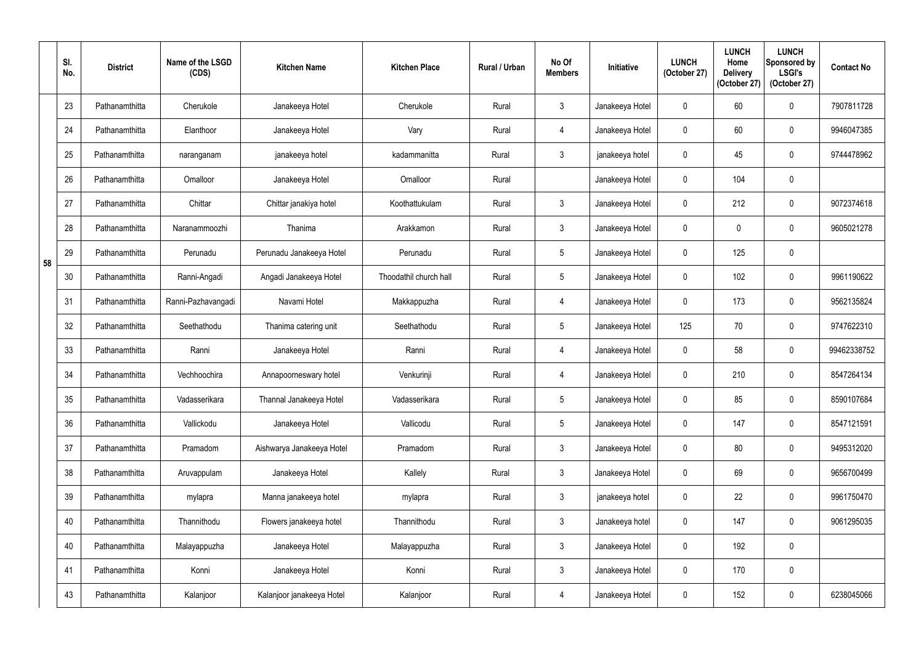|    | SI.<br>No. | <b>District</b> | Name of the LSGD<br>(CDS) | <b>Kitchen Name</b>       | <b>Kitchen Place</b>   | <b>Rural / Urban</b> | No Of<br><b>Members</b> | Initiative      | <b>LUNCH</b><br>(October 27) | <b>LUNCH</b><br>Home<br><b>Delivery</b><br>(October 27) | <b>LUNCH</b><br>Sponsored by<br><b>LSGI's</b><br>(October 27) | <b>Contact No</b> |
|----|------------|-----------------|---------------------------|---------------------------|------------------------|----------------------|-------------------------|-----------------|------------------------------|---------------------------------------------------------|---------------------------------------------------------------|-------------------|
|    | 23         | Pathanamthitta  | Cherukole                 | Janakeeya Hotel           | Cherukole              | Rural                | $\mathfrak{Z}$          | Janakeeya Hotel | $\mathbf{0}$                 | 60                                                      | $\mathbf 0$                                                   | 7907811728        |
|    | 24         | Pathanamthitta  | Elanthoor                 | Janakeeya Hotel           | Vary                   | Rural                | 4                       | Janakeeya Hotel | $\mathbf 0$                  | 60                                                      | $\pmb{0}$                                                     | 9946047385        |
|    | 25         | Pathanamthitta  | naranganam                | janakeeya hotel           | kadammanitta           | Rural                | $\mathfrak{Z}$          | janakeeya hotel | $\mathbf 0$                  | 45                                                      | $\mathbf 0$                                                   | 9744478962        |
|    | 26         | Pathanamthitta  | Omalloor                  | Janakeeya Hotel           | Omalloor               | Rural                |                         | Janakeeya Hotel | $\mathbf 0$                  | 104                                                     | $\pmb{0}$                                                     |                   |
|    | 27         | Pathanamthitta  | Chittar                   | Chittar janakiya hotel    | Koothattukulam         | Rural                | $\mathfrak{Z}$          | Janakeeya Hotel | $\mathbf{0}$                 | 212                                                     | $\mathbf 0$                                                   | 9072374618        |
|    | 28         | Pathanamthitta  | Naranammoozhi             | Thanima                   | Arakkamon              | Rural                | $\mathfrak{Z}$          | Janakeeya Hotel | $\mathbf 0$                  | $\Omega$                                                | $\boldsymbol{0}$                                              | 9605021278        |
| 58 | 29         | Pathanamthitta  | Perunadu                  | Perunadu Janakeeya Hotel  | Perunadu               | Rural                | $5\phantom{.0}$         | Janakeeya Hotel | $\mathbf 0$                  | 125                                                     | $\pmb{0}$                                                     |                   |
|    | 30         | Pathanamthitta  | Ranni-Angadi              | Angadi Janakeeya Hotel    | Thoodathil church hall | Rural                | $5\phantom{.0}$         | Janakeeya Hotel | $\mathbf 0$                  | 102                                                     | $\pmb{0}$                                                     | 9961190622        |
|    | 31         | Pathanamthitta  | Ranni-Pazhavangadi        | Navami Hotel              | Makkappuzha            | Rural                | 4                       | Janakeeya Hotel | $\mathbf{0}$                 | 173                                                     | $\mathbf 0$                                                   | 9562135824        |
|    | 32         | Pathanamthitta  | Seethathodu               | Thanima catering unit     | Seethathodu            | Rural                | $5\phantom{.0}$         | Janakeeya Hotel | 125                          | 70                                                      | $\pmb{0}$                                                     | 9747622310        |
|    | 33         | Pathanamthitta  | Ranni                     | Janakeeya Hotel           | Ranni                  | Rural                | $\overline{4}$          | Janakeeya Hotel | $\mathbf 0$                  | 58                                                      | $\mathbf 0$                                                   | 99462338752       |
|    | 34         | Pathanamthitta  | Vechhoochira              | Annapoorneswary hotel     | Venkurinji             | Rural                | 4                       | Janakeeya Hotel | $\mathbf 0$                  | 210                                                     | $\pmb{0}$                                                     | 8547264134        |
|    | 35         | Pathanamthitta  | Vadasserikara             | Thannal Janakeeya Hotel   | Vadasserikara          | Rural                | $5\phantom{.0}$         | Janakeeya Hotel | $\mathbf 0$                  | 85                                                      | $\pmb{0}$                                                     | 8590107684        |
|    | 36         | Pathanamthitta  | Vallickodu                | Janakeeya Hotel           | Vallicodu              | Rural                | $5\phantom{.0}$         | Janakeeya Hotel | $\mathbf 0$                  | 147                                                     | $\pmb{0}$                                                     | 8547121591        |
|    | 37         | Pathanamthitta  | Pramadom                  | Aishwarya Janakeeya Hotel | Pramadom               | Rural                | $\mathbf{3}$            | Janakeeya Hotel | $\mathbf 0$                  | 80                                                      | $\pmb{0}$                                                     | 9495312020        |
|    | 38         | Pathanamthitta  | Aruvappulam               | Janakeeya Hotel           | Kallely                | Rural                | $\mathbf{3}$            | Janakeeya Hotel | $\mathbf 0$                  | 69                                                      | $\pmb{0}$                                                     | 9656700499        |
|    | 39         | Pathanamthitta  | mylapra                   | Manna janakeeya hotel     | mylapra                | Rural                | $\mathbf{3}$            | janakeeya hotel | $\mathbf 0$                  | 22                                                      | $\pmb{0}$                                                     | 9961750470        |
|    | 40         | Pathanamthitta  | Thannithodu               | Flowers janakeeya hotel   | Thannithodu            | Rural                | $\mathbf{3}$            | Janakeeya hotel | $\mathbf 0$                  | 147                                                     | $\pmb{0}$                                                     | 9061295035        |
|    | 40         | Pathanamthitta  | Malayappuzha              | Janakeeya Hotel           | Malayappuzha           | Rural                | $\mathbf{3}$            | Janakeeya Hotel | $\pmb{0}$                    | 192                                                     | $\pmb{0}$                                                     |                   |
|    | 41         | Pathanamthitta  | Konni                     | Janakeeya Hotel           | Konni                  | Rural                | $\mathbf{3}$            | Janakeeya Hotel | $\mathbf 0$                  | 170                                                     | $\pmb{0}$                                                     |                   |
|    | 43         | Pathanamthitta  | Kalanjoor                 | Kalanjoor janakeeya Hotel | Kalanjoor              | Rural                | $\overline{4}$          | Janakeeya Hotel | 0                            | 152                                                     | $\pmb{0}$                                                     | 6238045066        |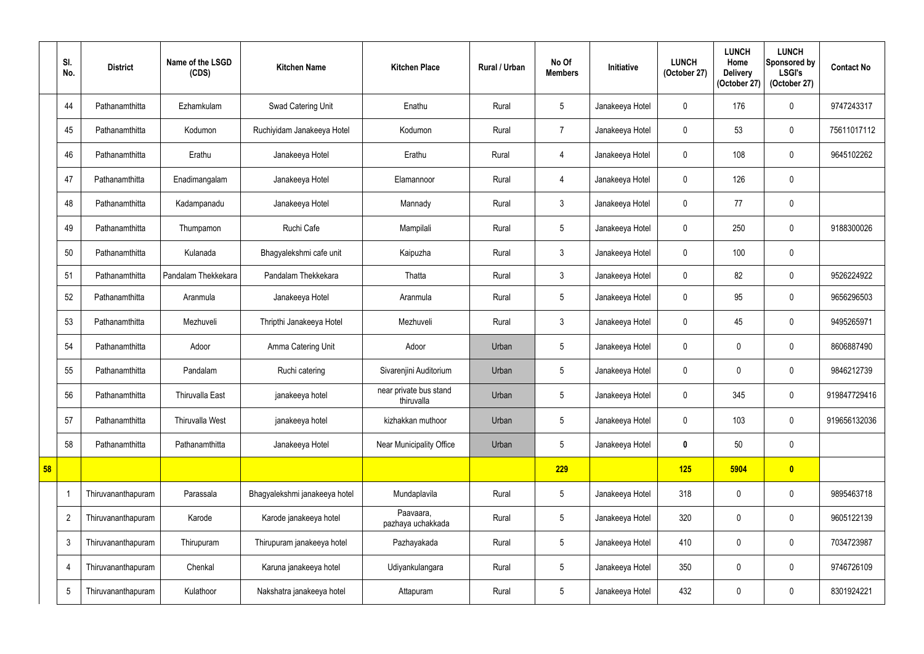|    | SI.<br>No.     | <b>District</b>    | Name of the LSGD<br>(CDS) | <b>Kitchen Name</b>           | <b>Kitchen Place</b>                 | <b>Rural / Urban</b> | No Of<br><b>Members</b> | Initiative      | <b>LUNCH</b><br>(October 27) | <b>LUNCH</b><br>Home<br><b>Delivery</b><br>(October 27) | <b>LUNCH</b><br>Sponsored by<br><b>LSGI's</b><br>(October 27) | <b>Contact No</b> |
|----|----------------|--------------------|---------------------------|-------------------------------|--------------------------------------|----------------------|-------------------------|-----------------|------------------------------|---------------------------------------------------------|---------------------------------------------------------------|-------------------|
|    | 44             | Pathanamthitta     | Ezhamkulam                | Swad Catering Unit            | Enathu                               | Rural                | $5\phantom{.0}$         | Janakeeya Hotel | $\mathbf 0$                  | 176                                                     | $\mathbf 0$                                                   | 9747243317        |
|    | 45             | Pathanamthitta     | Kodumon                   | Ruchiyidam Janakeeya Hotel    | Kodumon                              | Rural                | $\overline{7}$          | Janakeeya Hotel | $\mathbf 0$                  | 53                                                      | $\mathbf 0$                                                   | 75611017112       |
|    | 46             | Pathanamthitta     | Erathu                    | Janakeeya Hotel               | Erathu                               | Rural                | $\overline{4}$          | Janakeeya Hotel | $\mathbf 0$                  | 108                                                     | $\mathbf 0$                                                   | 9645102262        |
|    | 47             | Pathanamthitta     | Enadimangalam             | Janakeeya Hotel               | Elamannoor                           | Rural                | $\overline{4}$          | Janakeeya Hotel | $\mathbf 0$                  | 126                                                     | $\mathbf 0$                                                   |                   |
|    | 48             | Pathanamthitta     | Kadampanadu               | Janakeeya Hotel               | Mannady                              | Rural                | $\mathfrak{Z}$          | Janakeeya Hotel | $\mathbf 0$                  | 77                                                      | $\mathbf 0$                                                   |                   |
|    | 49             | Pathanamthitta     | Thumpamon                 | Ruchi Cafe                    | Mampilali                            | Rural                | $5\phantom{.0}$         | Janakeeya Hotel | $\mathbf 0$                  | 250                                                     | $\mathbf 0$                                                   | 9188300026        |
|    | 50             | Pathanamthitta     | Kulanada                  | Bhagyalekshmi cafe unit       | Kaipuzha                             | Rural                | $\mathfrak{Z}$          | Janakeeya Hotel | $\mathbf 0$                  | 100                                                     | $\mathbf 0$                                                   |                   |
|    | 51             | Pathanamthitta     | Pandalam Thekkekara       | Pandalam Thekkekara           | Thatta                               | Rural                | $\mathfrak{Z}$          | Janakeeya Hotel | $\mathbf 0$                  | 82                                                      | $\mathbf 0$                                                   | 9526224922        |
|    | 52             | Pathanamthitta     | Aranmula                  | Janakeeya Hotel               | Aranmula                             | Rural                | $5\phantom{.0}$         | Janakeeya Hotel | $\mathbf 0$                  | 95                                                      | $\mathbf 0$                                                   | 9656296503        |
|    | 53             | Pathanamthitta     | Mezhuveli                 | Thripthi Janakeeya Hotel      | Mezhuveli                            | Rural                | $\mathfrak{Z}$          | Janakeeya Hotel | $\mathbf 0$                  | 45                                                      | $\mathbf 0$                                                   | 9495265971        |
|    | 54             | Pathanamthitta     | Adoor                     | Amma Catering Unit            | Adoor                                | Urban                | 5                       | Janakeeya Hotel | $\mathbf 0$                  | 0                                                       | $\mathbf 0$                                                   | 8606887490        |
|    | 55             | Pathanamthitta     | Pandalam                  | Ruchi catering                | Sivarenjini Auditorium               | Urban                | $5\phantom{.0}$         | Janakeeya Hotel | $\mathbf 0$                  | $\mathbf{0}$                                            | $\mathbf 0$                                                   | 9846212739        |
|    | 56             | Pathanamthitta     | <b>Thiruvalla East</b>    | janakeeya hotel               | near private bus stand<br>thiruvalla | Urban                | $5\phantom{.0}$         | Janakeeya Hotel | $\mathbf 0$                  | 345                                                     | $\pmb{0}$                                                     | 919847729416      |
|    | 57             | Pathanamthitta     | Thiruvalla West           | janakeeya hotel               | kizhakkan muthoor                    | Urban                | $5\phantom{.0}$         | Janakeeya Hotel | $\mathbf 0$                  | 103                                                     | $\mathbf 0$                                                   | 919656132036      |
|    | 58             | Pathanamthitta     | Pathanamthitta            | Janakeeya Hotel               | Near Municipality Office             | Urban                | $5\overline{)}$         | Janakeeya Hotel | $\boldsymbol{0}$             | 50                                                      | $\pmb{0}$                                                     |                   |
| 58 |                |                    |                           |                               |                                      |                      | 229                     |                 | 125                          | 5904                                                    | $\bullet$                                                     |                   |
|    | 1              | Thiruvananthapuram | Parassala                 | Bhagyalekshmi janakeeya hotel | Mundaplavila                         | Rural                | $5\phantom{.0}$         | Janakeeya Hotel | 318                          | $\mathbf 0$                                             | $\pmb{0}$                                                     | 9895463718        |
|    | $\overline{2}$ | Thiruvananthapuram | Karode                    | Karode janakeeya hotel        | Paavaara,<br>pazhaya uchakkada       | Rural                | $5\phantom{.0}$         | Janakeeya Hotel | 320                          | $\mathbf 0$                                             | $\pmb{0}$                                                     | 9605122139        |
|    | $\mathfrak{Z}$ | Thiruvananthapuram | Thirupuram                | Thirupuram janakeeya hotel    | Pazhayakada                          | Rural                | $5\overline{)}$         | Janakeeya Hotel | 410                          | 0                                                       | $\mathbf 0$                                                   | 7034723987        |
|    | $\overline{4}$ | Thiruvananthapuram | Chenkal                   | Karuna janakeeya hotel        | Udiyankulangara                      | Rural                | $5\phantom{.0}$         | Janakeeya Hotel | 350                          | $\mathbf 0$                                             | $\pmb{0}$                                                     | 9746726109        |
|    | $\sqrt{5}$     | Thiruvananthapuram | Kulathoor                 | Nakshatra janakeeya hotel     | Attapuram                            | Rural                | $5\phantom{.0}$         | Janakeeya Hotel | 432                          | 0                                                       | $\boldsymbol{0}$                                              | 8301924221        |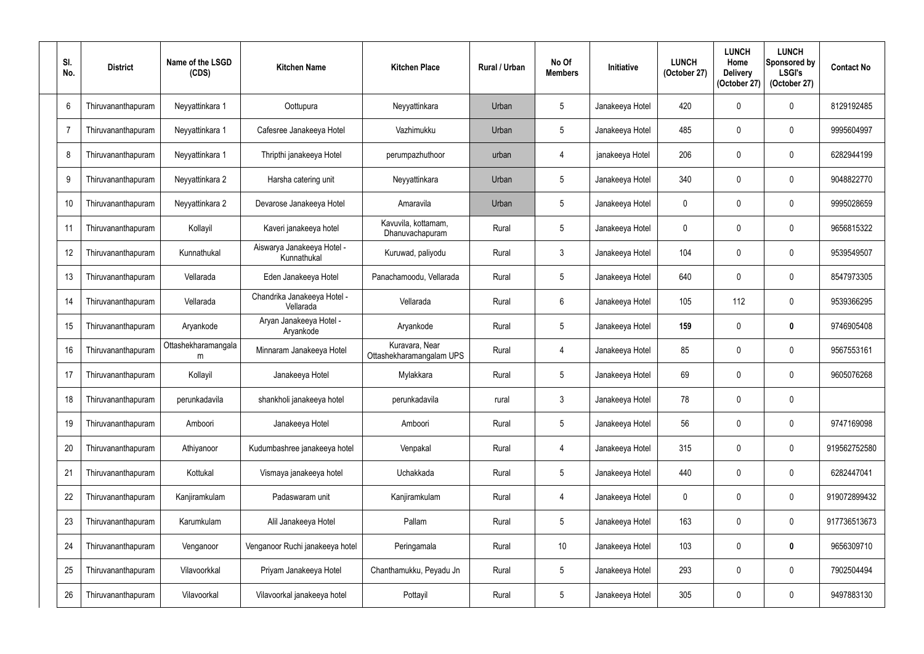| SI.<br>No.      | <b>District</b>    | Name of the LSGD<br>(CDS) | <b>Kitchen Name</b>                       | <b>Kitchen Place</b>                       | Rural / Urban | No Of<br><b>Members</b> | Initiative      | <b>LUNCH</b><br>(October 27) | <b>LUNCH</b><br>Home<br><b>Delivery</b><br>(October 27) | <b>LUNCH</b><br>Sponsored by<br><b>LSGI's</b><br>(October 27) | <b>Contact No</b> |
|-----------------|--------------------|---------------------------|-------------------------------------------|--------------------------------------------|---------------|-------------------------|-----------------|------------------------------|---------------------------------------------------------|---------------------------------------------------------------|-------------------|
| 6               | Thiruvananthapuram | Neyyattinkara 1           | Oottupura                                 | Neyyattinkara                              | Urban         | $5\phantom{.0}$         | Janakeeya Hotel | 420                          | $\Omega$                                                | $\mathbf 0$                                                   | 8129192485        |
| $\overline{7}$  | Thiruvananthapuram | Neyyattinkara 1           | Cafesree Janakeeya Hotel                  | Vazhimukku                                 | Urban         | 5                       | Janakeeya Hotel | 485                          |                                                         | $\mathbf 0$                                                   | 9995604997        |
| 8               | Thiruvananthapuram | Neyyattinkara 1           | Thripthi janakeeya Hotel                  | perumpazhuthoor                            | urban         | 4                       | janakeeya Hotel | 206                          |                                                         | $\mathbf 0$                                                   | 6282944199        |
| 9               | Thiruvananthapuram | Neyyattinkara 2           | Harsha catering unit                      | Neyyattinkara                              | Urban         | 5                       | Janakeeya Hotel | 340                          |                                                         | $\mathbf 0$                                                   | 9048822770        |
| 10 <sup>°</sup> | Thiruvananthapuram | Neyyattinkara 2           | Devarose Janakeeya Hotel                  | Amaravila                                  | Urban         | 5                       | Janakeeya Hotel | $\theta$                     |                                                         | $\mathbf 0$                                                   | 9995028659        |
| 11              | Thiruvananthapuram | Kollayil                  | Kaveri janakeeya hotel                    | Kavuvila, kottamam,<br>Dhanuvachapuram     | Rural         | 5                       | Janakeeya Hotel | $\theta$                     |                                                         | $\mathbf 0$                                                   | 9656815322        |
| 12              | Thiruvananthapuram | Kunnathukal               | Aiswarya Janakeeya Hotel -<br>Kunnathukal | Kuruwad, paliyodu                          | Rural         | $\mathfrak{Z}$          | Janakeeya Hotel | 104                          |                                                         | $\mathbf 0$                                                   | 9539549507        |
| 13              | Thiruvananthapuram | Vellarada                 | Eden Janakeeya Hotel                      | Panachamoodu, Vellarada                    | Rural         | 5                       | Janakeeya Hotel | 640                          |                                                         | $\mathbf 0$                                                   | 8547973305        |
| 14              | Thiruvananthapuram | Vellarada                 | Chandrika Janakeeya Hotel -<br>Vellarada  | Vellarada                                  | Rural         | 6                       | Janakeeya Hotel | 105                          | 112                                                     | $\mathbf 0$                                                   | 9539366295        |
| 15              | Thiruvananthapuram | Aryankode                 | Aryan Janakeeya Hotel -<br>Aryankode      | Aryankode                                  | Rural         | $5\phantom{.0}$         | Janakeeya Hotel | 159                          |                                                         | $\boldsymbol{0}$                                              | 9746905408        |
| 16              | Thiruvananthapuram | Ottashekharamangala<br>m  | Minnaram Janakeeya Hotel                  | Kuravara, Near<br>Ottashekharamangalam UPS | Rural         | 4                       | Janakeeya Hotel | 85                           | 0                                                       | $\mathbf 0$                                                   | 9567553161        |
| 17              | Thiruvananthapuram | Kollayil                  | Janakeeya Hotel                           | Mylakkara                                  | Rural         | $5\phantom{.0}$         | Janakeeya Hotel | 69                           |                                                         | $\mathbf 0$                                                   | 9605076268        |
| 18              | Thiruvananthapuram | perunkadavila             | shankholi janakeeya hotel                 | perunkadavila                              | rural         | $\mathfrak{Z}$          | Janakeeya Hotel | 78                           | $\boldsymbol{0}$                                        | $\boldsymbol{0}$                                              |                   |
| 19              | Thiruvananthapuram | Amboori                   | Janakeeya Hotel                           | Amboori                                    | Rural         | $5\phantom{.0}$         | Janakeeya Hotel | 56                           | 0                                                       | $\mathbf 0$                                                   | 9747169098        |
| 20              | Thiruvananthapuram | Athiyanoor                | Kudumbashree janakeeya hotel              | Venpakal                                   | Rural         | 4                       | Janakeeya Hotel | 315                          | 0                                                       | $\mathbf 0$                                                   | 919562752580      |
| 21              | Thiruvananthapuram | Kottukal                  | Vismaya janakeeya hotel                   | Uchakkada                                  | Rural         | $\sqrt{5}$              | Janakeeya Hotel | 440                          | 0                                                       | $\pmb{0}$                                                     | 6282447041        |
| 22              | Thiruvananthapuram | Kanjiramkulam             | Padaswaram unit                           | Kanjiramkulam                              | Rural         | $\overline{4}$          | Janakeeya Hotel | $\mathbf 0$                  | 0                                                       | $\pmb{0}$                                                     | 919072899432      |
| 23              | Thiruvananthapuram | Karumkulam                | Alil Janakeeya Hotel                      | Pallam                                     | Rural         | $\sqrt{5}$              | Janakeeya Hotel | 163                          | 0                                                       | $\mathbf 0$                                                   | 917736513673      |
| 24              | Thiruvananthapuram | Venganoor                 | Venganoor Ruchi janakeeya hotel           | Peringamala                                | Rural         | 10 <sup>°</sup>         | Janakeeya Hotel | 103                          | $\mathbf 0$                                             | $\boldsymbol{0}$                                              | 9656309710        |
| 25              | Thiruvananthapuram | Vilavoorkkal              | Priyam Janakeeya Hotel                    | Chanthamukku, Peyadu Jn                    | Rural         | $5\phantom{.0}$         | Janakeeya Hotel | 293                          | 0                                                       | $\pmb{0}$                                                     | 7902504494        |
| 26              | Thiruvananthapuram | Vilavoorkal               | Vilavoorkal janakeeya hotel               | Pottayil                                   | Rural         | $\overline{5}$          | Janakeeya Hotel | 305                          | 0                                                       | $\boldsymbol{0}$                                              | 9497883130        |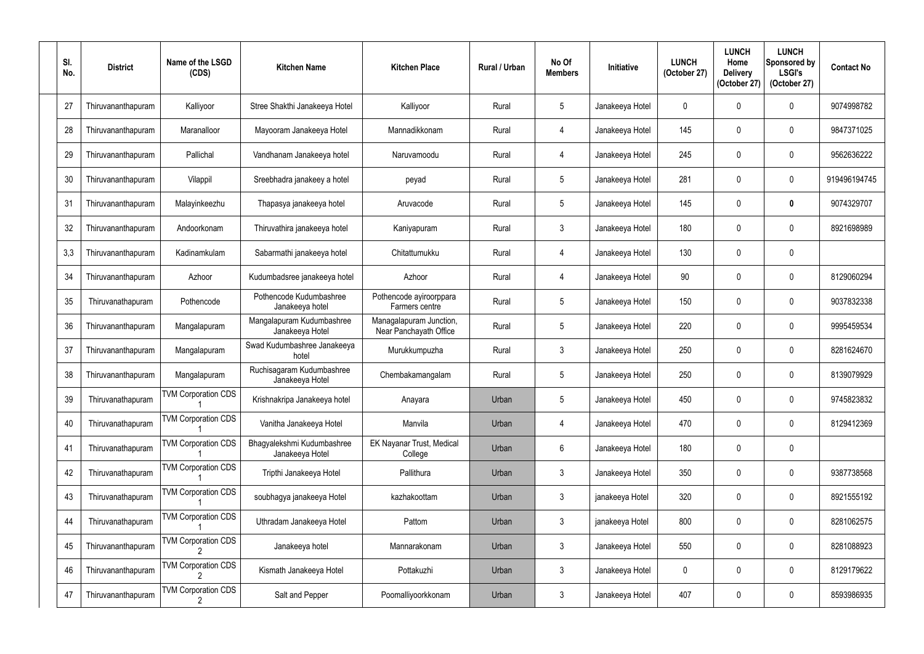| SI.<br>No. | <b>District</b>    | Name of the LSGD<br>(CDS)  | <b>Kitchen Name</b>                           | <b>Kitchen Place</b>                              | Rural / Urban | No Of<br><b>Members</b> | <b>Initiative</b> | <b>LUNCH</b><br>(October 27) | <b>LUNCH</b><br>Home<br><b>Delivery</b><br>(October 27) | <b>LUNCH</b><br>Sponsored by<br><b>LSGI's</b><br>(October 27) | <b>Contact No</b> |
|------------|--------------------|----------------------------|-----------------------------------------------|---------------------------------------------------|---------------|-------------------------|-------------------|------------------------------|---------------------------------------------------------|---------------------------------------------------------------|-------------------|
| 27         | Thiruvananthapuram | Kalliyoor                  | Stree Shakthi Janakeeya Hotel                 | Kalliyoor                                         | Rural         | $5\phantom{.0}$         | Janakeeya Hotel   | $\Omega$                     | $\Omega$                                                | $\boldsymbol{0}$                                              | 9074998782        |
| 28         | Thiruvananthapuram | Maranalloor                | Mayooram Janakeeya Hotel                      | Mannadikkonam                                     | Rural         | 4                       | Janakeeya Hotel   | 145                          | $\Omega$                                                | $\boldsymbol{0}$                                              | 9847371025        |
| 29         | Thiruvananthapuram | Pallichal                  | Vandhanam Janakeeya hotel                     | Naruvamoodu                                       | Rural         | 4                       | Janakeeya Hotel   | 245                          | 0                                                       | $\mathbf 0$                                                   | 9562636222        |
| 30         | Thiruvananthapuram | Vilappil                   | Sreebhadra janakeey a hotel                   | peyad                                             | Rural         | $\overline{5}$          | Janakeeya Hotel   | 281                          | $\Omega$                                                | $\pmb{0}$                                                     | 919496194745      |
| 31         | Thiruvananthapuram | Malayinkeezhu              | Thapasya janakeeya hotel                      | Aruvacode                                         | Rural         | $5\phantom{.0}$         | Janakeeya Hotel   | 145                          | 0                                                       | $\mathbf{0}$                                                  | 9074329707        |
| 32         | Thiruvananthapuram | Andoorkonam                | Thiruvathira janakeeya hotel                  | Kaniyapuram                                       | Rural         | $\mathfrak{Z}$          | Janakeeya Hotel   | 180                          | $\cap$                                                  | $\boldsymbol{0}$                                              | 8921698989        |
| 3,3        | Thiruvananthapuram | Kadinamkulam               | Sabarmathi janakeeya hotel                    | Chitattumukku                                     | Rural         | $\overline{4}$          | Janakeeya Hotel   | 130                          | $\mathbf 0$                                             | $\mathbf 0$                                                   |                   |
| 34         | Thiruvananthapuram | Azhoor                     | Kudumbadsree janakeeya hotel                  | Azhoor                                            | Rural         | 4                       | Janakeeya Hotel   | 90                           | $\Omega$                                                | $\boldsymbol{0}$                                              | 8129060294        |
| 35         | Thiruvanathapuram  | Pothencode                 | Pothencode Kudumbashree<br>Janakeeya hotel    | Pothencode ayiroorppara<br>Farmers centre         | Rural         | $5\phantom{.0}$         | Janakeeya Hotel   | 150                          | $\Omega$                                                | $\mathbf 0$                                                   | 9037832338        |
| 36         | Thiruvananthapuram | Mangalapuram               | Mangalapuram Kudumbashree<br>Janakeeya Hotel  | Managalapuram Junction,<br>Near Panchayath Office | Rural         | 5                       | Janakeeya Hotel   | 220                          | $\Omega$                                                | 0                                                             | 9995459534        |
| 37         | Thiruvananthapuram | Mangalapuram               | Swad Kudumbashree Janakeeya<br>hotel          | Murukkumpuzha                                     | Rural         | 3                       | Janakeeya Hotel   | 250                          | $\theta$                                                | $\mathbf 0$                                                   | 8281624670        |
| 38         | Thiruvananthapuram | Mangalapuram               | Ruchisagaram Kudumbashree<br>Janakeeya Hotel  | Chembakamangalam                                  | Rural         | $5\phantom{.0}$         | Janakeeya Hotel   | 250                          | 0                                                       | $\mathbf 0$                                                   | 8139079929        |
| 39         | Thiruvanathapuram  | <b>TVM Corporation CDS</b> | Krishnakripa Janakeeya hotel                  | Anayara                                           | Urban         | $5\phantom{.0}$         | Janakeeya Hotel   | 450                          | 0                                                       | $\pmb{0}$                                                     | 9745823832        |
| 40         | Thiruvanathapuram  | <b>TVM Corporation CDS</b> | Vanitha Janakeeya Hotel                       | Manvila                                           | Urban         | 4                       | Janakeeya Hotel   | 470                          | $\mathbf 0$                                             | $\pmb{0}$                                                     | 8129412369        |
| 41         | Thiruvanathapuram  | <b>TVM Corporation CDS</b> | Bhagyalekshmi Kudumbashree<br>Janakeeya Hotel | EK Nayanar Trust, Medical<br>College              | Urban         | $6\phantom{.}6$         | Janakeeya Hotel   | 180                          | $\mathbf 0$                                             | $\pmb{0}$                                                     |                   |
| 42         | Thiruvanathapuram  | <b>TVM Corporation CDS</b> | Tripthi Janakeeya Hotel                       | Pallithura                                        | Urban         | $\mathfrak{Z}$          | Janakeeya Hotel   | 350                          | $\mathbf 0$                                             | $\pmb{0}$                                                     | 9387738568        |
| 43         | Thiruvanathapuram  | <b>TVM Corporation CDS</b> | soubhagya janakeeya Hotel                     | kazhakoottam                                      | Urban         | $\mathfrak{Z}$          | janakeeya Hotel   | 320                          | 0                                                       | $\pmb{0}$                                                     | 8921555192        |
| 44         | Thiruvanathapuram  | <b>TVM Corporation CDS</b> | Uthradam Janakeeya Hotel                      | Pattom                                            | Urban         | $\mathbf{3}$            | janakeeya Hotel   | 800                          | $\mathbf 0$                                             | $\pmb{0}$                                                     | 8281062575        |
| 45         | Thiruvananthapuram | <b>TVM Corporation CDS</b> | Janakeeya hotel                               | Mannarakonam                                      | Urban         | $\mathbf{3}$            | Janakeeya Hotel   | 550                          | 0                                                       | $\pmb{0}$                                                     | 8281088923        |
| 46         | Thiruvananthapuram | <b>TVM Corporation CDS</b> | Kismath Janakeeya Hotel                       | Pottakuzhi                                        | Urban         | $\mathfrak{Z}$          | Janakeeya Hotel   | $\mathbf 0$                  | 0                                                       | $\pmb{0}$                                                     | 8129179622        |
| 47         | Thiruvananthapuram | <b>TVM Corporation CDS</b> | Salt and Pepper                               | Poomalliyoorkkonam                                | Urban         | $\mathbf{3}$            | Janakeeya Hotel   | 407                          | 0                                                       | $\pmb{0}$                                                     | 8593986935        |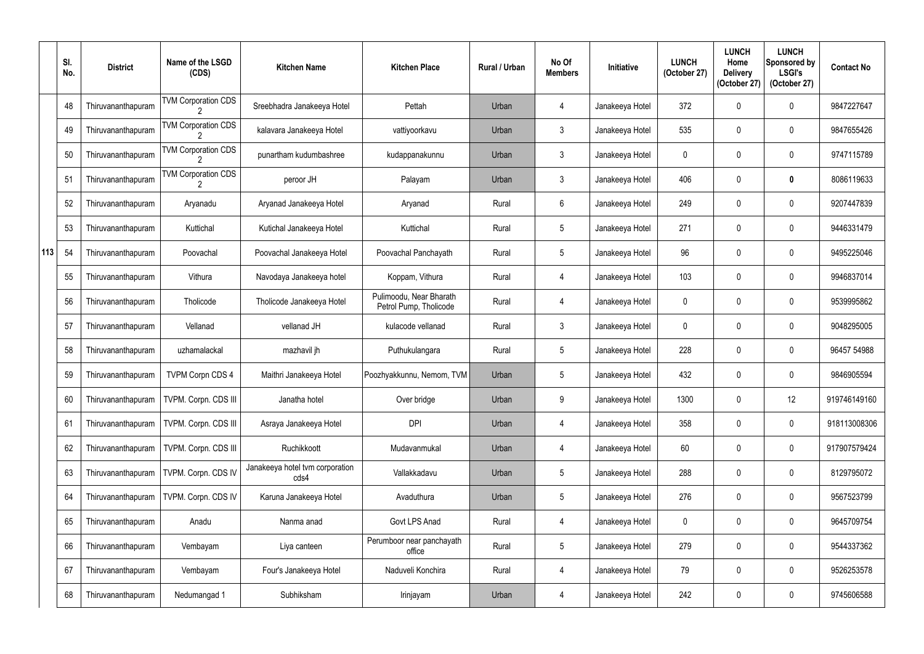|     | SI.<br>No. | <b>District</b>    | Name of the LSGD<br>(CDS)  | <b>Kitchen Name</b>                     | <b>Kitchen Place</b>                              | Rural / Urban | No Of<br><b>Members</b> | Initiative      | <b>LUNCH</b><br>(October 27) | <b>LUNCH</b><br>Home<br><b>Delivery</b><br>(October 27) | <b>LUNCH</b><br>Sponsored by<br><b>LSGI's</b><br>(October 27) | <b>Contact No</b> |
|-----|------------|--------------------|----------------------------|-----------------------------------------|---------------------------------------------------|---------------|-------------------------|-----------------|------------------------------|---------------------------------------------------------|---------------------------------------------------------------|-------------------|
|     | 48         | Thiruvananthapuram | <b>TVM Corporation CDS</b> | Sreebhadra Janakeeya Hotel              | Pettah                                            | Urban         | $\overline{4}$          | Janakeeya Hotel | 372                          | $\mathbf{0}$                                            | $\mathbf 0$                                                   | 9847227647        |
|     | 49         | Thiruvananthapuram | <b>TVM Corporation CDS</b> | kalavara Janakeeya Hotel                | vattiyoorkavu                                     | Urban         | 3                       | Janakeeya Hotel | 535                          | $\Omega$                                                | $\mathbf 0$                                                   | 9847655426        |
|     | 50         | Thiruvananthapuram | <b>TVM Corporation CDS</b> | punartham kudumbashree                  | kudappanakunnu                                    | Urban         | $\mathfrak{Z}$          | Janakeeya Hotel | $\mathbf 0$                  |                                                         | $\mathbf 0$                                                   | 9747115789        |
|     | 51         | Thiruvananthapuram | <b>TVM Corporation CDS</b> | peroor JH                               | Palayam                                           | Urban         | $\mathfrak{Z}$          | Janakeeya Hotel | 406                          | $\mathbf{0}$                                            | $\mathbf 0$                                                   | 8086119633        |
|     | 52         | Thiruvananthapuram | Aryanadu                   | Aryanad Janakeeya Hotel                 | Aryanad                                           | Rural         | 6                       | Janakeeya Hotel | 249                          |                                                         | $\mathbf 0$                                                   | 9207447839        |
|     | 53         | Thiruvananthapuram | Kuttichal                  | Kutichal Janakeeya Hotel                | Kuttichal                                         | Rural         | $5\phantom{.0}$         | Janakeeya Hotel | 271                          | $\Omega$                                                | $\mathbf 0$                                                   | 9446331479        |
| 113 | 54         | Thiruvananthapuram | Poovachal                  | Poovachal Janakeeya Hotel               | Poovachal Panchayath                              | Rural         | $5\overline{)}$         | Janakeeya Hotel | 96                           | 0                                                       | $\mathbf 0$                                                   | 9495225046        |
|     | 55         | Thiruvananthapuram | Vithura                    | Navodaya Janakeeya hotel                | Koppam, Vithura                                   | Rural         | 4                       | Janakeeya Hotel | 103                          |                                                         | $\mathbf 0$                                                   | 9946837014        |
|     | 56         | Thiruvananthapuram | Tholicode                  | Tholicode Janakeeya Hotel               | Pulimoodu, Near Bharath<br>Petrol Pump, Tholicode | Rural         | $\overline{4}$          | Janakeeya Hotel | $\mathbf 0$                  |                                                         | $\mathbf 0$                                                   | 9539995862        |
|     | 57         | Thiruvananthapuram | Vellanad                   | vellanad JH                             | kulacode vellanad                                 | Rural         | 3                       | Janakeeya Hotel | $\mathbf 0$                  | $\mathbf{0}$                                            | $\overline{0}$                                                | 9048295005        |
|     | 58         | Thiruvananthapuram | uzhamalackal               | mazhavil jh                             | Puthukulangara                                    | Rural         | $5\phantom{.0}$         | Janakeeya Hotel | 228                          |                                                         | $\mathbf 0$                                                   | 96457 54988       |
|     | 59         | Thiruvananthapuram | <b>TVPM Corpn CDS 4</b>    | Maithri Janakeeya Hotel                 | Poozhyakkunnu, Nemom, TVM                         | Urban         | $5\phantom{.0}$         | Janakeeya Hotel | 432                          | 0                                                       | $\overline{0}$                                                | 9846905594        |
|     | 60         | Thiruvananthapuram | TVPM. Corpn. CDS III       | Janatha hotel                           | Over bridge                                       | Urban         | 9                       | Janakeeya Hotel | 1300                         | 0                                                       | 12                                                            | 919746149160      |
|     | 61         | Thiruvananthapuram | TVPM. Corpn. CDS III       | Asraya Janakeeya Hotel                  | <b>DPI</b>                                        | Urban         | 4                       | Janakeeya Hotel | 358                          | 0                                                       | $\mathbf 0$                                                   | 918113008306      |
|     | 62         | Thiruvananthapuram | TVPM. Corpn. CDS III       | Ruchikkoott                             | Mudavanmukal                                      | Urban         | 4                       | Janakeeya Hotel | 60                           | 0                                                       | $\mathbf 0$                                                   | 917907579424      |
|     | 63         | Thiruvananthapuram | TVPM. Corpn. CDS IV        | Janakeeya hotel tvm corporation<br>cds4 | Vallakkadavu                                      | Urban         | $5\phantom{.0}$         | Janakeeya Hotel | 288                          | 0                                                       | $\mathbf 0$                                                   | 8129795072        |
|     | 64         | Thiruvananthapuram | TVPM. Corpn. CDS IV        | Karuna Janakeeya Hotel                  | Avaduthura                                        | Urban         | $5\phantom{.0}$         | Janakeeya Hotel | 276                          | 0                                                       | $\mathbf 0$                                                   | 9567523799        |
|     | 65         | Thiruvananthapuram | Anadu                      | Nanma anad                              | Govt LPS Anad                                     | Rural         | $\overline{4}$          | Janakeeya Hotel | $\mathbf 0$                  | 0                                                       | $\mathbf 0$                                                   | 9645709754        |
|     | 66         | Thiruvananthapuram | Vembayam                   | Liya canteen                            | Perumboor near panchayath<br>office               | Rural         | $5\phantom{.0}$         | Janakeeya Hotel | 279                          | 0                                                       | $\boldsymbol{0}$                                              | 9544337362        |
|     | 67         | Thiruvananthapuram | Vembayam                   | Four's Janakeeya Hotel                  | Naduveli Konchira                                 | Rural         | $\overline{4}$          | Janakeeya Hotel | 79                           | 0                                                       | $\mathbf 0$                                                   | 9526253578        |
|     | 68         | Thiruvananthapuram | Nedumangad 1               | Subhiksham                              | Irinjayam                                         | Urban         | 4                       | Janakeeya Hotel | 242                          | 0                                                       | $\boldsymbol{0}$                                              | 9745606588        |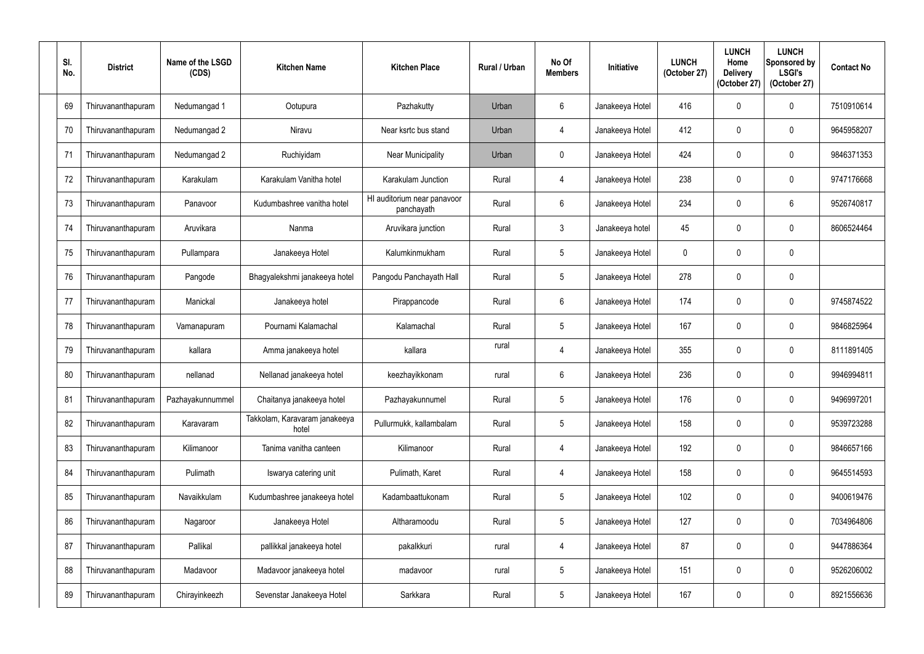| SI.<br>No. | <b>District</b>    | Name of the LSGD<br>(CDS) | <b>Kitchen Name</b>                    | <b>Kitchen Place</b>                      | <b>Rural / Urban</b> | No Of<br><b>Members</b> | Initiative      | <b>LUNCH</b><br>(October 27) | <b>LUNCH</b><br>Home<br><b>Delivery</b><br>(October 27) | <b>LUNCH</b><br>Sponsored by<br><b>LSGI's</b><br>(October 27) | <b>Contact No</b> |
|------------|--------------------|---------------------------|----------------------------------------|-------------------------------------------|----------------------|-------------------------|-----------------|------------------------------|---------------------------------------------------------|---------------------------------------------------------------|-------------------|
| 69         | Thiruvananthapuram | Nedumangad 1              | Ootupura                               | Pazhakutty                                | Urban                | 6                       | Janakeeya Hotel | 416                          | $\mathbf 0$                                             | 0                                                             | 7510910614        |
| 70         | Thiruvananthapuram | Nedumangad 2              | Niravu                                 | Near ksrtc bus stand                      | Urban                | $\overline{4}$          | Janakeeya Hotel | 412                          | $\mathbf 0$                                             | 0                                                             | 9645958207        |
| 71         | Thiruvananthapuram | Nedumangad 2              | Ruchiyidam                             | Near Municipality                         | Urban                | $\mathbf 0$             | Janakeeya Hotel | 424                          | $\mathbf 0$                                             | $\mathbf 0$                                                   | 9846371353        |
| 72         | Thiruvananthapuram | Karakulam                 | Karakulam Vanitha hotel                | Karakulam Junction                        | Rural                | $\overline{4}$          | Janakeeya Hotel | 238                          | $\mathbf 0$                                             | $\pmb{0}$                                                     | 9747176668        |
| 73         | Thiruvananthapuram | Panavoor                  | Kudumbashree vanitha hotel             | HI auditorium near panavoor<br>panchayath | Rural                | $6\phantom{.}6$         | Janakeeya Hotel | 234                          | 0                                                       | 6                                                             | 9526740817        |
| 74         | Thiruvananthapuram | Aruvikara                 | Nanma                                  | Aruvikara junction                        | Rural                | $\mathfrak{Z}$          | Janakeeya hotel | 45                           | $\Omega$                                                | 0                                                             | 8606524464        |
| 75         | Thiruvananthapuram | Pullampara                | Janakeeya Hotel                        | Kalumkinmukham                            | Rural                | $\overline{5}$          | Janakeeya Hotel | $\mathbf 0$                  | $\mathbf 0$                                             | $\pmb{0}$                                                     |                   |
| 76         | Thiruvananthapuram | Pangode                   | Bhagyalekshmi janakeeya hotel          | Pangodu Panchayath Hall                   | Rural                | $\overline{5}$          | Janakeeya Hotel | 278                          | 0                                                       | $\pmb{0}$                                                     |                   |
| 77         | Thiruvananthapuram | Manickal                  | Janakeeya hotel                        | Pirappancode                              | Rural                | $6\phantom{.}6$         | Janakeeya Hotel | 174                          | 0                                                       | $\mathbf 0$                                                   | 9745874522        |
| 78         | Thiruvananthapuram | Vamanapuram               | Pournami Kalamachal                    | Kalamachal                                | Rural                | $\overline{5}$          | Janakeeya Hotel | 167                          | $\mathbf 0$                                             | 0                                                             | 9846825964        |
| 79         | Thiruvananthapuram | kallara                   | Amma janakeeya hotel                   | kallara                                   | rural                | $\overline{4}$          | Janakeeya Hotel | 355                          | $\mathbf 0$                                             | $\mathbf 0$                                                   | 8111891405        |
| 80         | Thiruvananthapuram | nellanad                  | Nellanad janakeeya hotel               | keezhayikkonam                            | rural                | $6\,$                   | Janakeeya Hotel | 236                          | $\mathbf 0$                                             | $\mathbf 0$                                                   | 9946994811        |
| 81         | Thiruvananthapuram | Pazhayakunnummel          | Chaitanya janakeeya hotel              | Pazhayakunnumel                           | Rural                | $\overline{5}$          | Janakeeya Hotel | 176                          | $\mathbf 0$                                             | 0                                                             | 9496997201        |
| 82         | Thiruvananthapuram | Karavaram                 | Takkolam, Karavaram janakeeya<br>hotel | Pullurmukk, kallambalam                   | Rural                | $\overline{5}$          | Janakeeya Hotel | 158                          | $\mathbf 0$                                             | $\pmb{0}$                                                     | 9539723288        |
| 83         | Thiruvananthapuram | Kilimanoor                | Tanima vanitha canteen                 | Kilimanoor                                | Rural                | $\overline{4}$          | Janakeeya Hotel | 192                          | $\mathbf 0$                                             | $\pmb{0}$                                                     | 9846657166        |
| 84         | Thiruvananthapuram | Pulimath                  | Iswarya catering unit                  | Pulimath, Karet                           | Rural                | $\overline{4}$          | Janakeeya Hotel | 158                          | $\mathbf 0$                                             | $\pmb{0}$                                                     | 9645514593        |
| 85         | Thiruvananthapuram | Navaikkulam               | Kudumbashree janakeeya hotel           | Kadambaattukonam                          | Rural                | $\overline{5}$          | Janakeeya Hotel | 102                          | $\mathbf 0$                                             | $\pmb{0}$                                                     | 9400619476        |
| 86         | Thiruvananthapuram | Nagaroor                  | Janakeeya Hotel                        | Altharamoodu                              | Rural                | $\overline{5}$          | Janakeeya Hotel | 127                          | $\mathbf 0$                                             | $\pmb{0}$                                                     | 7034964806        |
| 87         | Thiruvananthapuram | Pallikal                  | pallikkal janakeeya hotel              | pakalkkuri                                | rural                | 4                       | Janakeeya Hotel | 87                           | $\mathbf 0$                                             | $\pmb{0}$                                                     | 9447886364        |
| 88         | Thiruvananthapuram | Madavoor                  | Madavoor janakeeya hotel               | madavoor                                  | rural                | $\sqrt{5}$              | Janakeeya Hotel | 151                          | $\mathbf 0$                                             | $\pmb{0}$                                                     | 9526206002        |
| 89         | Thiruvananthapuram | Chirayinkeezh             | Sevenstar Janakeeya Hotel              | Sarkkara                                  | Rural                | $\overline{5}$          | Janakeeya Hotel | 167                          | $\mathbf 0$                                             | $\pmb{0}$                                                     | 8921556636        |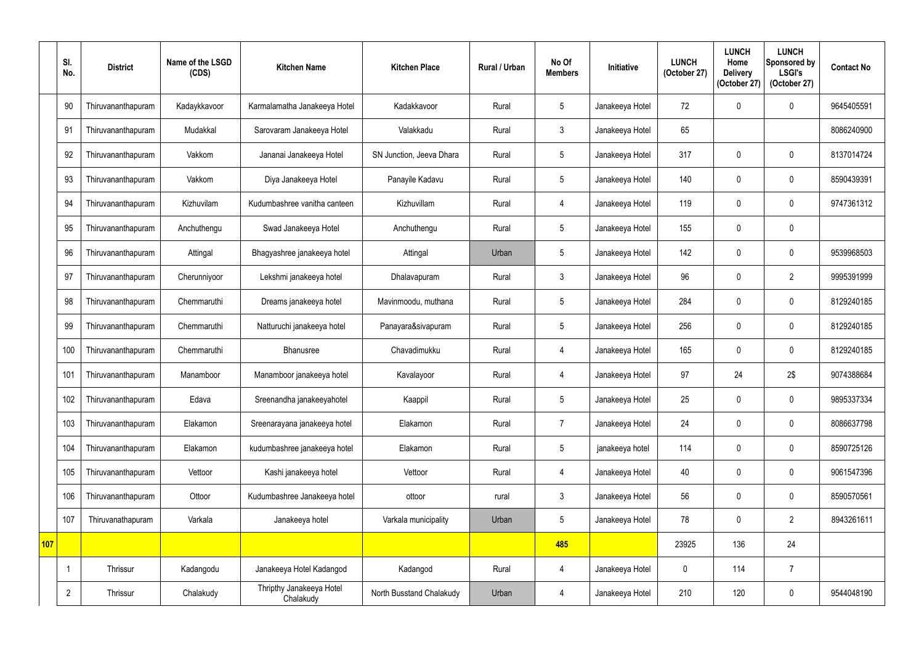|            | SI.<br>No.     | <b>District</b>    | Name of the LSGD<br>(CDS) | <b>Kitchen Name</b>                   | <b>Kitchen Place</b>     | Rural / Urban | No Of<br><b>Members</b> | Initiative      | <b>LUNCH</b><br>(October 27) | <b>LUNCH</b><br>Home<br><b>Delivery</b><br>(October 27) | <b>LUNCH</b><br>Sponsored by<br><b>LSGI's</b><br>(October 27) | <b>Contact No</b> |
|------------|----------------|--------------------|---------------------------|---------------------------------------|--------------------------|---------------|-------------------------|-----------------|------------------------------|---------------------------------------------------------|---------------------------------------------------------------|-------------------|
|            | 90             | Thiruvananthapuram | Kadaykkavoor              | Karmalamatha Janakeeya Hotel          | Kadakkavoor              | Rural         | 5                       | Janakeeya Hotel | 72                           | $\mathbf{0}$                                            | $\mathbf 0$                                                   | 9645405591        |
|            | 91             | Thiruvananthapuram | Mudakkal                  | Sarovaram Janakeeya Hotel             | Valakkadu                | Rural         | 3                       | Janakeeya Hotel | 65                           |                                                         |                                                               | 8086240900        |
|            | 92             | Thiruvananthapuram | Vakkom                    | Jananai Janakeeya Hotel               | SN Junction, Jeeva Dhara | Rural         | 5                       | Janakeeya Hotel | 317                          |                                                         | $\mathbf 0$                                                   | 8137014724        |
|            | 93             | Thiruvananthapuram | Vakkom                    | Diya Janakeeya Hotel                  | Panayile Kadavu          | Rural         | 5                       | Janakeeya Hotel | 140                          | 0                                                       | $\mathbf 0$                                                   | 8590439391        |
|            | 94             | Thiruvananthapuram | Kizhuvilam                | Kudumbashree vanitha canteen          | Kizhuvillam              | Rural         | $\overline{4}$          | Janakeeya Hotel | 119                          |                                                         | $\mathbf 0$                                                   | 9747361312        |
|            | 95             | Thiruvananthapuram | Anchuthengu               | Swad Janakeeya Hotel                  | Anchuthengu              | Rural         | 5                       | Janakeeya Hotel | 155                          |                                                         | $\mathbf 0$                                                   |                   |
|            | 96             | Thiruvananthapuram | Attingal                  | Bhagyashree janakeeya hotel           | Attingal                 | Urban         | 5                       | Janakeeya Hotel | 142                          |                                                         | $\mathbf 0$                                                   | 9539968503        |
|            | 97             | Thiruvananthapuram | Cherunniyoor              | Lekshmi janakeeya hotel               | Dhalavapuram             | Rural         | $\mathfrak{Z}$          | Janakeeya Hotel | 96                           |                                                         | $\overline{2}$                                                | 9995391999        |
|            | 98             | Thiruvananthapuram | Chemmaruthi               | Dreams janakeeya hotel                | Mavinmoodu, muthana      | Rural         | 5                       | Janakeeya Hotel | 284                          |                                                         | $\mathbf 0$                                                   | 8129240185        |
|            | 99             | Thiruvananthapuram | Chemmaruthi               | Natturuchi janakeeya hotel            | Panayara&sivapuram       | Rural         | 5                       | Janakeeya Hotel | 256                          |                                                         | $\mathbf 0$                                                   | 8129240185        |
|            | 100            | Thiruvananthapuram | Chemmaruthi               | Bhanusree                             | Chavadimukku             | Rural         | $\overline{4}$          | Janakeeya Hotel | 165                          |                                                         | $\mathbf 0$                                                   | 8129240185        |
|            | 101            | Thiruvananthapuram | Manamboor                 | Manamboor janakeeya hotel             | Kavalayoor               | Rural         | $\overline{4}$          | Janakeeya Hotel | 97                           | 24                                                      | 2\$                                                           | 9074388684        |
|            | 102            | Thiruvananthapuram | Edava                     | Sreenandha janakeeyahotel             | Kaappil                  | Rural         | $5\overline{)}$         | Janakeeya Hotel | 25                           | $\mathbf 0$                                             | $\mathbf 0$                                                   | 9895337334        |
|            | 103            | Thiruvananthapuram | Elakamon                  | Sreenarayana janakeeya hotel          | Elakamon                 | Rural         | $\overline{7}$          | Janakeeya Hotel | 24                           | 0                                                       | $\pmb{0}$                                                     | 8086637798        |
|            | 104            | Thiruvananthapuram | Elakamon                  | kudumbashree janakeeya hotel          | Elakamon                 | Rural         | $5\phantom{.0}$         | janakeeya hotel | 114                          | 0                                                       | $\mathbf 0$                                                   | 8590725126        |
|            | 105            | Thiruvananthapuram | Vettoor                   | Kashi janakeeya hotel                 | Vettoor                  | Rural         | $\overline{4}$          | Janakeeya Hotel | 40                           | 0                                                       | $\pmb{0}$                                                     | 9061547396        |
|            | 106            | Thiruvananthapuram | Ottoor                    | Kudumbashree Janakeeya hotel          | ottoor                   | rural         | $\mathfrak{Z}$          | Janakeeya Hotel | 56                           | 0                                                       | $\pmb{0}$                                                     | 8590570561        |
|            | 107            | Thiruvanathapuram  | Varkala                   | Janakeeya hotel                       | Varkala municipality     | Urban         | $5\overline{)}$         | Janakeeya Hotel | 78                           | $\mathbf 0$                                             | $\overline{2}$                                                | 8943261611        |
| <b>107</b> |                |                    |                           |                                       |                          |               | 485                     |                 | 23925                        | 136                                                     | 24                                                            |                   |
|            |                | Thrissur           | Kadangodu                 | Janakeeya Hotel Kadangod              | Kadangod                 | Rural         | $\overline{4}$          | Janakeeya Hotel | $\mathbf 0$                  | 114                                                     | $\overline{7}$                                                |                   |
|            | $\overline{2}$ | Thrissur           | Chalakudy                 | Thripthy Janakeeya Hotel<br>Chalakudy | North Busstand Chalakudy | Urban         | 4                       | Janakeeya Hotel | 210                          | 120                                                     | $\pmb{0}$                                                     | 9544048190        |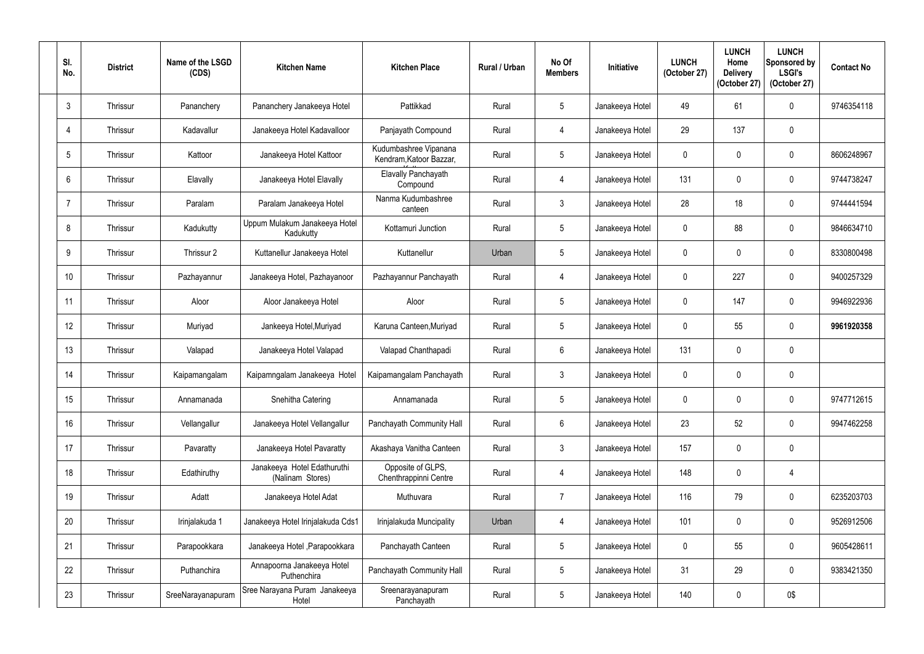| SI.<br>No.      | <b>District</b> | Name of the LSGD<br>(CDS) | <b>Kitchen Name</b>                             | <b>Kitchen Place</b>                             | <b>Rural / Urban</b> | No Of<br><b>Members</b> | Initiative      | <b>LUNCH</b><br>(October 27) | <b>LUNCH</b><br>Home<br><b>Delivery</b><br>(October 27) | <b>LUNCH</b><br>Sponsored by<br><b>LSGI's</b><br>(October 27) | <b>Contact No</b> |
|-----------------|-----------------|---------------------------|-------------------------------------------------|--------------------------------------------------|----------------------|-------------------------|-----------------|------------------------------|---------------------------------------------------------|---------------------------------------------------------------|-------------------|
| $\mathbf{3}$    | Thrissur        | Pananchery                | Pananchery Janakeeya Hotel                      | Pattikkad                                        | Rural                | $5\phantom{.0}$         | Janakeeya Hotel | 49                           | 61                                                      | $\mathbf 0$                                                   | 9746354118        |
| -4              | Thrissur        | Kadavallur                | Janakeeya Hotel Kadavalloor                     | Panjayath Compound                               | Rural                | 4                       | Janakeeya Hotel | 29                           | 137                                                     | $\mathbf 0$                                                   |                   |
| $5\overline{)}$ | Thrissur        | Kattoor                   | Janakeeya Hotel Kattoor                         | Kudumbashree Vipanana<br>Kendram, Katoor Bazzar, | Rural                | $5\phantom{.0}$         | Janakeeya Hotel | $\mathbf{0}$                 |                                                         | $\mathbf 0$                                                   | 8606248967        |
| 6               | Thrissur        | Elavally                  | Janakeeya Hotel Elavally                        | <b>Elavally Panchayath</b><br>Compound           | Rural                | $\overline{4}$          | Janakeeya Hotel | 131                          | $\Omega$                                                | $\boldsymbol{0}$                                              | 9744738247        |
| -7              | Thrissur        | Paralam                   | Paralam Janakeeya Hotel                         | Nanma Kudumbashree<br>canteen                    | Rural                | $\mathbf{3}$            | Janakeeya Hotel | 28                           | 18                                                      | $\mathbf 0$                                                   | 9744441594        |
| 8               | Thrissur        | Kadukutty                 | Uppum Mulakum Janakeeya Hotel<br>Kadukutty      | Kottamuri Junction                               | Rural                | $5\phantom{.0}$         | Janakeeya Hotel | $\mathbf 0$                  | 88                                                      | $\mathbf 0$                                                   | 9846634710        |
| 9               | Thrissur        | Thrissur 2                | Kuttanellur Janakeeya Hotel                     | Kuttanellur                                      | Urban                | $5\phantom{.0}$         | Janakeeya Hotel | $\mathbf{0}$                 |                                                         | $\mathbf 0$                                                   | 8330800498        |
| 10              | Thrissur        | Pazhayannur               | Janakeeya Hotel, Pazhayanoor                    | Pazhayannur Panchayath                           | Rural                | 4                       | Janakeeya Hotel | $\mathbf 0$                  | 227                                                     | $\mathbf 0$                                                   | 9400257329        |
| 11              | Thrissur        | Aloor                     | Aloor Janakeeya Hotel                           | Aloor                                            | Rural                | $5\phantom{.0}$         | Janakeeya Hotel | $\mathbf 0$                  | 147                                                     | $\mathbf 0$                                                   | 9946922936        |
| 12              | Thrissur        | Muriyad                   | Jankeeya Hotel, Muriyad                         | Karuna Canteen, Muriyad                          | Rural                | $5\phantom{.0}$         | Janakeeya Hotel | $\mathbf 0$                  | 55                                                      | $\mathbf 0$                                                   | 9961920358        |
| 13              | Thrissur        | Valapad                   | Janakeeya Hotel Valapad                         | Valapad Chanthapadi                              | Rural                | 6                       | Janakeeya Hotel | 131                          |                                                         | $\mathbf 0$                                                   |                   |
| 14              | Thrissur        | Kaipamangalam             | Kaipamngalam Janakeeya Hotel                    | Kaipamangalam Panchayath                         | Rural                | $\mathbf{3}$            | Janakeeya Hotel | $\mathbf 0$                  | $\mathbf 0$                                             | $\mathbf 0$                                                   |                   |
| 15              | Thrissur        | Annamanada                | Snehitha Catering                               | Annamanada                                       | Rural                | $5\phantom{.0}$         | Janakeeya Hotel | $\mathbf 0$                  | 0                                                       | $\boldsymbol{0}$                                              | 9747712615        |
| 16              | Thrissur        | Vellangallur              | Janakeeya Hotel Vellangallur                    | Panchayath Community Hall                        | Rural                | $6\phantom{.0}$         | Janakeeya Hotel | 23                           | 52                                                      | $\boldsymbol{0}$                                              | 9947462258        |
| 17              | Thrissur        | Pavaratty                 | Janakeeya Hotel Pavaratty                       | Akashaya Vanitha Canteen                         | Rural                | $\mathbf{3}$            | Janakeeya Hotel | 157                          | 0                                                       | $\mathbf 0$                                                   |                   |
| 18              | Thrissur        | Edathiruthy               | Janakeeya Hotel Edathuruthi<br>(Nalinam Stores) | Opposite of GLPS,<br>Chenthrappinni Centre       | Rural                | $\overline{4}$          | Janakeeya Hotel | 148                          | 0                                                       | $\overline{4}$                                                |                   |
| 19              | Thrissur        | Adatt                     | Janakeeya Hotel Adat                            | Muthuvara                                        | Rural                | $\overline{7}$          | Janakeeya Hotel | 116                          | 79                                                      | $\pmb{0}$                                                     | 6235203703        |
| 20              | Thrissur        | Irinjalakuda 1            | Janakeeya Hotel Irinjalakuda Cds1               | Irinjalakuda Muncipality                         | Urban                | 4                       | Janakeeya Hotel | 101                          | $\mathbf{0}$                                            | $\boldsymbol{0}$                                              | 9526912506        |
| 21              | Thrissur        | Parapookkara              | Janakeeya Hotel , Parapookkara                  | Panchayath Canteen                               | Rural                | $5\phantom{.0}$         | Janakeeya Hotel | $\mathbf 0$                  | 55                                                      | $\pmb{0}$                                                     | 9605428611        |
| 22              | Thrissur        | Puthanchira               | Annapoorna Janakeeya Hotel<br>Puthenchira       | Panchayath Community Hall                        | Rural                | $\sqrt{5}$              | Janakeeya Hotel | 31                           | 29                                                      | $\pmb{0}$                                                     | 9383421350        |
| 23              | Thrissur        | SreeNarayanapuram         | Sree Narayana Puram Janakeeya<br>Hotel          | Sreenarayanapuram<br>Panchayath                  | Rural                | $5\phantom{.0}$         | Janakeeya Hotel | 140                          | 0                                                       | 0\$                                                           |                   |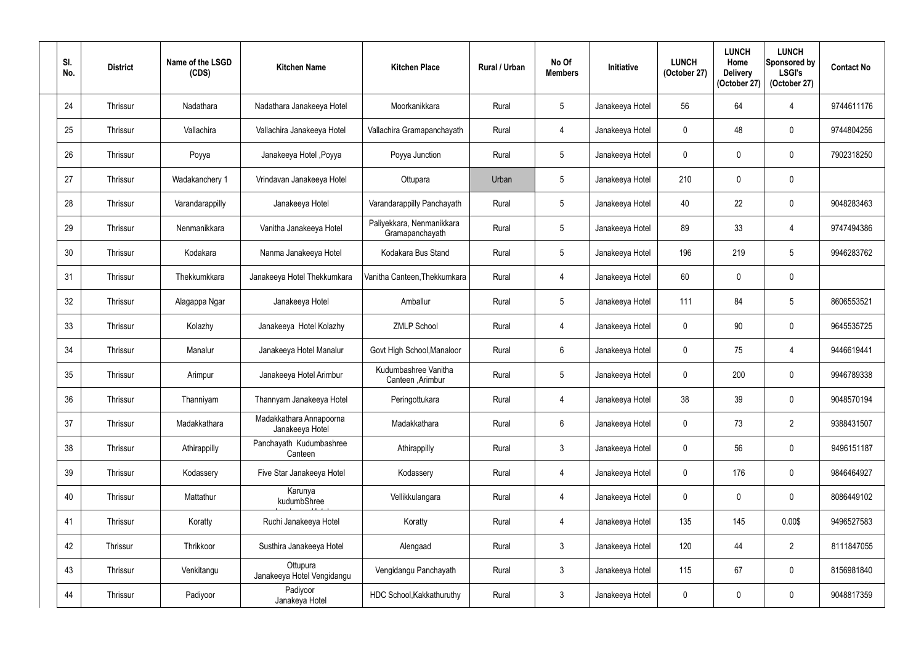| SI.<br>No. | <b>District</b> | Name of the LSGD<br>(CDS) | <b>Kitchen Name</b>                        | <b>Kitchen Place</b>                         | <b>Rural / Urban</b> | No Of<br><b>Members</b> | Initiative      | <b>LUNCH</b><br>(October 27) | <b>LUNCH</b><br>Home<br><b>Delivery</b><br>(October 27) | <b>LUNCH</b><br>Sponsored by<br><b>LSGI's</b><br>(October 27) | <b>Contact No</b> |
|------------|-----------------|---------------------------|--------------------------------------------|----------------------------------------------|----------------------|-------------------------|-----------------|------------------------------|---------------------------------------------------------|---------------------------------------------------------------|-------------------|
| 24         | Thrissur        | Nadathara                 | Nadathara Janakeeya Hotel                  | Moorkanikkara                                | Rural                | $5\phantom{.0}$         | Janakeeya Hotel | 56                           | 64                                                      | 4                                                             | 9744611176        |
| 25         | Thrissur        | Vallachira                | Vallachira Janakeeya Hotel                 | Vallachira Gramapanchayath                   | Rural                | $\overline{4}$          | Janakeeya Hotel | $\Omega$                     | 48                                                      | $\mathbf 0$                                                   | 9744804256        |
| 26         | Thrissur        | Poyya                     | Janakeeya Hotel , Poyya                    | Poyya Junction                               | Rural                | $5\phantom{.0}$         | Janakeeya Hotel | $\mathbf 0$                  |                                                         | $\mathbf 0$                                                   | 7902318250        |
| 27         | Thrissur        | Wadakanchery 1            | Vrindavan Janakeeya Hotel                  | Ottupara                                     | Urban                | $5\phantom{.0}$         | Janakeeya Hotel | 210                          | $\Omega$                                                | $\pmb{0}$                                                     |                   |
| 28         | Thrissur        | Varandarappilly           | Janakeeya Hotel                            | Varandarappilly Panchayath                   | Rural                | $5\phantom{.0}$         | Janakeeya Hotel | 40                           | 22                                                      | $\mathbf 0$                                                   | 9048283463        |
| 29         | Thrissur        | Nenmanikkara              | Vanitha Janakeeya Hotel                    | Paliyekkara, Nenmanikkara<br>Gramapanchayath | Rural                | $5\phantom{.0}$         | Janakeeya Hotel | 89                           | 33                                                      | 4                                                             | 9747494386        |
| 30         | Thrissur        | Kodakara                  | Nanma Janakeeya Hotel                      | Kodakara Bus Stand                           | Rural                | $5\phantom{.0}$         | Janakeeya Hotel | 196                          | 219                                                     | $5\overline{)}$                                               | 9946283762        |
| 31         | Thrissur        | Thekkumkkara              | Janakeeya Hotel Thekkumkara                | Vanitha Canteen, Thekkumkara                 | Rural                | $\overline{4}$          | Janakeeya Hotel | 60                           |                                                         | $\mathbf 0$                                                   |                   |
| 32         | Thrissur        | Alagappa Ngar             | Janakeeya Hotel                            | Amballur                                     | Rural                | $5\phantom{.0}$         | Janakeeya Hotel | 111                          | 84                                                      | $5\phantom{.0}$                                               | 8606553521        |
| 33         | Thrissur        | Kolazhy                   | Janakeeya Hotel Kolazhy                    | <b>ZMLP School</b>                           | Rural                | $\overline{4}$          | Janakeeya Hotel | $\mathbf{0}$                 | 90                                                      | $\pmb{0}$                                                     | 9645535725        |
| 34         | Thrissur        | Manalur                   | Janakeeya Hotel Manalur                    | Govt High School, Manaloor                   | Rural                | $6\overline{6}$         | Janakeeya Hotel | $\mathbf 0$                  | 75                                                      | 4                                                             | 9446619441        |
| 35         | Thrissur        | Arimpur                   | Janakeeya Hotel Arimbur                    | Kudumbashree Vanitha<br>Canteen , Arimbur    | Rural                | $5\phantom{.0}$         | Janakeeya Hotel | $\mathbf 0$                  | 200                                                     | $\mathbf 0$                                                   | 9946789338        |
| 36         | Thrissur        | Thanniyam                 | Thannyam Janakeeya Hotel                   | Peringottukara                               | Rural                | $\overline{4}$          | Janakeeya Hotel | 38                           | 39                                                      | $\pmb{0}$                                                     | 9048570194        |
| 37         | Thrissur        | Madakkathara              | Madakkathara Annapoorna<br>Janakeeva Hotel | Madakkathara                                 | Rural                | $6\phantom{.}6$         | Janakeeya Hotel | $\mathbf 0$                  | 73                                                      | $\overline{2}$                                                | 9388431507        |
| 38         | Thrissur        | Athirappilly              | Panchayath Kudumbashree<br>Canteen         | Athirappilly                                 | Rural                | $\mathbf{3}$            | Janakeeya Hotel | $\mathbf 0$                  | 56                                                      | $\boldsymbol{0}$                                              | 9496151187        |
| 39         | Thrissur        | Kodassery                 | Five Star Janakeeya Hotel                  | Kodassery                                    | Rural                | $\overline{4}$          | Janakeeya Hotel | $\mathbf 0$                  | 176                                                     | $\pmb{0}$                                                     | 9846464927        |
| 40         | Thrissur        | Mattathur                 | Karunya<br>kudumbShree                     | Vellikkulangara                              | Rural                | $\overline{4}$          | Janakeeya Hotel | $\mathbf 0$                  | 0                                                       | $\pmb{0}$                                                     | 8086449102        |
| 41         | Thrissur        | Koratty                   | Ruchi Janakeeya Hotel                      | Koratty                                      | Rural                | $\overline{4}$          | Janakeeya Hotel | 135                          | 145                                                     | 0.00\$                                                        | 9496527583        |
| 42         | Thrissur        | Thrikkoor                 | Susthira Janakeeya Hotel                   | Alengaad                                     | Rural                | $\mathbf{3}$            | Janakeeya Hotel | 120                          | 44                                                      | $\overline{2}$                                                | 8111847055        |
| 43         | Thrissur        | Venkitangu                | Ottupura<br>Janakeeya Hotel Vengidangu     | Vengidangu Panchayath                        | Rural                | $\mathbf{3}$            | Janakeeya Hotel | 115                          | 67                                                      | $\pmb{0}$                                                     | 8156981840        |
| 44         | Thrissur        | Padiyoor                  | Padiyoor<br>Janakeya Hotel                 | HDC School, Kakkathuruthy                    | Rural                | $\mathbf{3}$            | Janakeeya Hotel | $\pmb{0}$                    | 0                                                       | $\pmb{0}$                                                     | 9048817359        |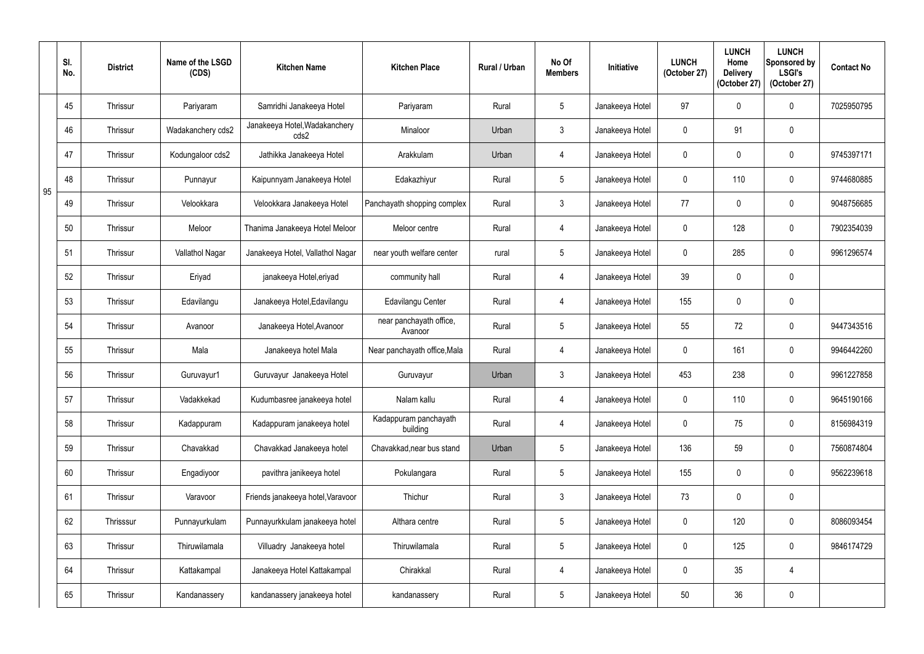|    | SI.<br>No. | <b>District</b> | Name of the LSGD<br>(CDS) | <b>Kitchen Name</b>                   | <b>Kitchen Place</b>               | Rural / Urban | No Of<br><b>Members</b> | Initiative      | <b>LUNCH</b><br>(October 27) | <b>LUNCH</b><br>Home<br><b>Delivery</b><br>(October 27) | <b>LUNCH</b><br>Sponsored by<br><b>LSGI's</b><br>(October 27) | <b>Contact No</b> |
|----|------------|-----------------|---------------------------|---------------------------------------|------------------------------------|---------------|-------------------------|-----------------|------------------------------|---------------------------------------------------------|---------------------------------------------------------------|-------------------|
|    | 45         | Thrissur        | Pariyaram                 | Samridhi Janakeeya Hotel              | Pariyaram                          | Rural         | $5\phantom{.0}$         | Janakeeya Hotel | 97                           | $\Omega$                                                | $\mathbf 0$                                                   | 7025950795        |
|    | 46         | Thrissur        | Wadakanchery cds2         | Janakeeya Hotel, Wadakanchery<br>cds2 | Minaloor                           | Urban         | 3 <sup>1</sup>          | Janakeeya Hotel | $\mathbf 0$                  | 91                                                      | $\mathbf 0$                                                   |                   |
|    | 47         | Thrissur        | Kodungaloor cds2          | Jathikka Janakeeya Hotel              | Arakkulam                          | Urban         | 4                       | Janakeeya Hotel | $\mathbf 0$                  |                                                         | $\mathbf 0$                                                   | 9745397171        |
| 95 | 48         | Thrissur        | Punnayur                  | Kaipunnyam Janakeeya Hotel            | Edakazhiyur                        | Rural         | 5                       | Janakeeya Hotel | $\mathbf 0$                  | 110                                                     | $\boldsymbol{0}$                                              | 9744680885        |
|    | 49         | Thrissur        | Velookkara                | Velookkara Janakeeya Hotel            | Panchayath shopping complex        | Rural         | $\mathfrak{Z}$          | Janakeeya Hotel | 77                           |                                                         | $\mathbf 0$                                                   | 9048756685        |
|    | 50         | Thrissur        | Meloor                    | Thanima Janakeeya Hotel Meloor        | Meloor centre                      | Rural         | $\overline{4}$          | Janakeeya Hotel | $\mathbf 0$                  | 128                                                     | $\mathbf 0$                                                   | 7902354039        |
|    | 51         | Thrissur        | Vallathol Nagar           | Janakeeya Hotel, Vallathol Nagar      | near youth welfare center          | rural         | 5                       | Janakeeya Hotel | $\mathbf 0$                  | 285                                                     | $\mathbf 0$                                                   | 9961296574        |
|    | 52         | Thrissur        | Eriyad                    | janakeeya Hotel, eriyad               | community hall                     | Rural         | $\overline{4}$          | Janakeeya Hotel | 39                           | 0                                                       | $\mathbf 0$                                                   |                   |
|    | 53         | Thrissur        | Edavilangu                | Janakeeya Hotel, Edavilangu           | Edavilangu Center                  | Rural         | $\overline{4}$          | Janakeeya Hotel | 155                          | 0                                                       | $\mathbf 0$                                                   |                   |
|    | 54         | Thrissur        | Avanoor                   | Janakeeya Hotel, Avanoor              | near panchayath office,<br>Avanoor | Rural         | 5                       | Janakeeya Hotel | 55                           | 72                                                      | $\pmb{0}$                                                     | 9447343516        |
|    | 55         | Thrissur        | Mala                      | Janakeeya hotel Mala                  | Near panchayath office, Mala       | Rural         | $\overline{4}$          | Janakeeya Hotel | $\mathbf 0$                  | 161                                                     | $\mathbf 0$                                                   | 9946442260        |
|    | 56         | Thrissur        | Guruvayur1                | Guruvayur Janakeeya Hotel             | Guruvayur                          | Urban         | $\mathfrak{Z}$          | Janakeeya Hotel | 453                          | 238                                                     | $\mathbf 0$                                                   | 9961227858        |
|    | 57         | Thrissur        | Vadakkekad                | Kudumbasree janakeeya hotel           | Nalam kallu                        | Rural         | $\overline{4}$          | Janakeeya Hotel | $\mathbf 0$                  | 110                                                     | $\boldsymbol{0}$                                              | 9645190166        |
|    | 58         | Thrissur        | Kadappuram                | Kadappuram janakeeya hotel            | Kadappuram panchayath<br>building  | Rural         | 4                       | Janakeeya Hotel | $\mathbf 0$                  | 75                                                      | $\pmb{0}$                                                     | 8156984319        |
|    | 59         | Thrissur        | Chavakkad                 | Chavakkad Janakeeya hotel             | Chavakkad, near bus stand          | Urban         | 5                       | Janakeeya Hotel | 136                          | 59                                                      | $\boldsymbol{0}$                                              | 7560874804        |
|    | 60         | Thrissur        | Engadiyoor                | pavithra janikeeya hotel              | Pokulangara                        | Rural         | $5\overline{)}$         | Janakeeya Hotel | 155                          | $\mathbf 0$                                             | $\pmb{0}$                                                     | 9562239618        |
|    | 61         | Thrissur        | Varavoor                  | Friends janakeeya hotel, Varavoor     | Thichur                            | Rural         | $\mathfrak{Z}$          | Janakeeya Hotel | 73                           | 0                                                       | $\pmb{0}$                                                     |                   |
|    | 62         | Thrisssur       | Punnayurkulam             | Punnayurkkulam janakeeya hotel        | Althara centre                     | Rural         | 5                       | Janakeeya Hotel | $\mathbf 0$                  | 120                                                     | $\pmb{0}$                                                     | 8086093454        |
|    | 63         | Thrissur        | Thiruwilamala             | Villuadry Janakeeya hotel             | Thiruwilamala                      | Rural         | 5                       | Janakeeya Hotel | $\boldsymbol{0}$             | 125                                                     | $\boldsymbol{0}$                                              | 9846174729        |
|    | 64         | Thrissur        | Kattakampal               | Janakeeya Hotel Kattakampal           | Chirakkal                          | Rural         | $\overline{4}$          | Janakeeya Hotel | $\mathbf 0$                  | 35                                                      | $\overline{4}$                                                |                   |
|    | 65         | Thrissur        | Kandanassery              | kandanassery janakeeya hotel          | kandanassery                       | Rural         | $5\phantom{.0}$         | Janakeeya Hotel | $50\,$                       | 36                                                      | $\pmb{0}$                                                     |                   |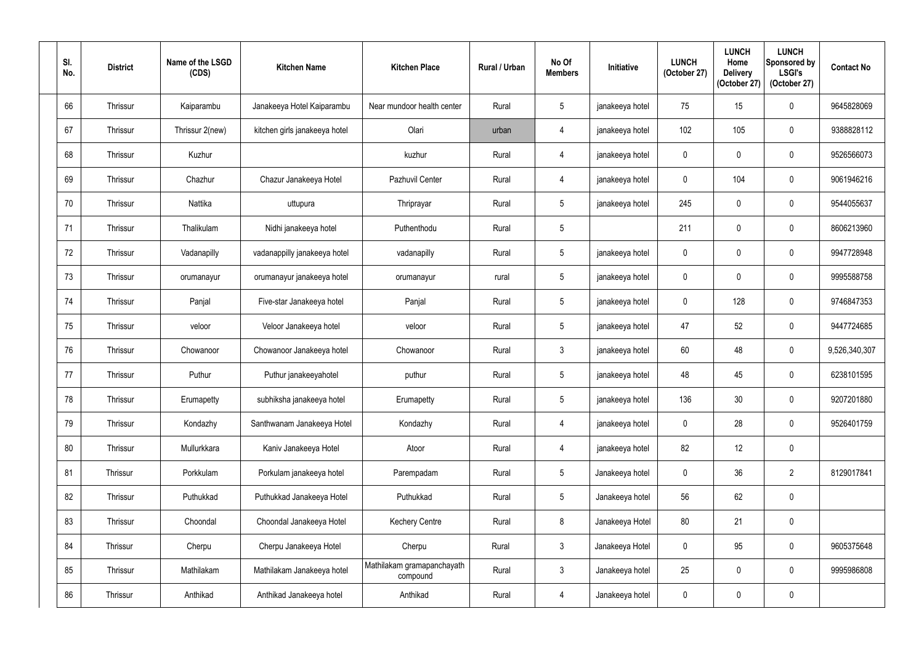| SI.<br>No. | <b>District</b> | Name of the LSGD<br>(CDS) | <b>Kitchen Name</b>           | <b>Kitchen Place</b>                   | Rural / Urban | No Of<br><b>Members</b> | Initiative      | <b>LUNCH</b><br>(October 27) | <b>LUNCH</b><br>Home<br><b>Delivery</b><br>(October 27) | <b>LUNCH</b><br>Sponsored by<br><b>LSGI's</b><br>(October 27) | <b>Contact No</b> |
|------------|-----------------|---------------------------|-------------------------------|----------------------------------------|---------------|-------------------------|-----------------|------------------------------|---------------------------------------------------------|---------------------------------------------------------------|-------------------|
| 66         | Thrissur        | Kaiparambu                | Janakeeya Hotel Kaiparambu    | Near mundoor health center             | Rural         | $5\overline{)}$         | janakeeya hotel | 75                           | 15                                                      | $\mathbf 0$                                                   | 9645828069        |
| 67         | Thrissur        | Thrissur 2(new)           | kitchen girls janakeeya hotel | Olari                                  | urban         | 4                       | janakeeya hotel | 102                          | 105                                                     | $\mathbf 0$                                                   | 9388828112        |
| 68         | Thrissur        | Kuzhur                    |                               | kuzhur                                 | Rural         | 4                       | janakeeya hotel | $\mathbf 0$                  |                                                         | $\mathbf 0$                                                   | 9526566073        |
| 69         | Thrissur        | Chazhur                   | Chazur Janakeeya Hotel        | Pazhuvil Center                        | Rural         | $\overline{4}$          | janakeeya hotel | $\mathbf 0$                  | 104                                                     | $\pmb{0}$                                                     | 9061946216        |
| 70         | Thrissur        | Nattika                   | uttupura                      | Thriprayar                             | Rural         | $5\overline{)}$         | janakeeya hotel | 245                          |                                                         | $\mathbf 0$                                                   | 9544055637        |
| 71         | Thrissur        | Thalikulam                | Nidhi janakeeya hotel         | Puthenthodu                            | Rural         | 5                       |                 | 211                          | $\Omega$                                                | $\mathbf 0$                                                   | 8606213960        |
| 72         | Thrissur        | Vadanapilly               | vadanappilly janakeeya hotel  | vadanapilly                            | Rural         | $5\overline{)}$         | janakeeya hotel | $\mathbf 0$                  | $\mathbf{0}$                                            | $\mathbf 0$                                                   | 9947728948        |
| 73         | Thrissur        | orumanayur                | orumanayur janakeeya hotel    | orumanayur                             | rural         | $5\overline{)}$         | janakeeya hotel | $\mathbf 0$                  |                                                         | $\mathbf 0$                                                   | 9995588758        |
| 74         | Thrissur        | Panjal                    | Five-star Janakeeya hotel     | Panjal                                 | Rural         | $5\phantom{.0}$         | janakeeya hotel | $\mathbf 0$                  | 128                                                     | $\mathbf 0$                                                   | 9746847353        |
| 75         | Thrissur        | veloor                    | Veloor Janakeeya hotel        | veloor                                 | Rural         | $5\phantom{.0}$         | janakeeya hotel | 47                           | 52                                                      | $\mathbf 0$                                                   | 9447724685        |
| 76         | Thrissur        | Chowanoor                 | Chowanoor Janakeeya hotel     | Chowanoor                              | Rural         | $\mathbf{3}$            | janakeeya hotel | 60                           | 48                                                      | $\mathbf 0$                                                   | 9,526,340,307     |
| 77         | Thrissur        | Puthur                    | Puthur janakeeyahotel         | puthur                                 | Rural         | $5\overline{)}$         | janakeeya hotel | 48                           | 45                                                      | $\mathbf 0$                                                   | 6238101595        |
| 78         | Thrissur        | Erumapetty                | subhiksha janakeeya hotel     | Erumapetty                             | Rural         | $5\overline{)}$         | janakeeya hotel | 136                          | 30 <sup>°</sup>                                         | $\pmb{0}$                                                     | 9207201880        |
| 79         | Thrissur        | Kondazhy                  | Santhwanam Janakeeya Hotel    | Kondazhy                               | Rural         | 4                       | janakeeya hotel | $\mathbf 0$                  | 28                                                      | $\pmb{0}$                                                     | 9526401759        |
| 80         | Thrissur        | Mullurkkara               | Kaniv Janakeeya Hotel         | Atoor                                  | Rural         | 4                       | janakeeya hotel | 82                           | 12                                                      | $\pmb{0}$                                                     |                   |
| 81         | Thrissur        | Porkkulam                 | Porkulam janakeeya hotel      | Parempadam                             | Rural         | $5\phantom{.0}$         | Janakeeya hotel | $\mathbf 0$                  | 36                                                      | $\overline{2}$                                                | 8129017841        |
| 82         | Thrissur        | Puthukkad                 | Puthukkad Janakeeya Hotel     | Puthukkad                              | Rural         | $5\phantom{.0}$         | Janakeeya hotel | 56                           | 62                                                      | $\pmb{0}$                                                     |                   |
| 83         | Thrissur        | Choondal                  | Choondal Janakeeya Hotel      | <b>Kechery Centre</b>                  | Rural         | $8\phantom{1}$          | Janakeeya Hotel | 80                           | 21                                                      | $\pmb{0}$                                                     |                   |
| 84         | Thrissur        | Cherpu                    | Cherpu Janakeeya Hotel        | Cherpu                                 | Rural         | $\mathbf{3}$            | Janakeeya Hotel | $\mathbf 0$                  | 95                                                      | $\pmb{0}$                                                     | 9605375648        |
| 85         | Thrissur        | Mathilakam                | Mathilakam Janakeeya hotel    | Mathilakam gramapanchayath<br>compound | Rural         | $\mathbf{3}$            | Janakeeya hotel | 25                           | 0                                                       | $\pmb{0}$                                                     | 9995986808        |
| 86         | Thrissur        | Anthikad                  | Anthikad Janakeeya hotel      | Anthikad                               | Rural         | $\overline{4}$          | Janakeeya hotel | $\pmb{0}$                    | 0                                                       | $\pmb{0}$                                                     |                   |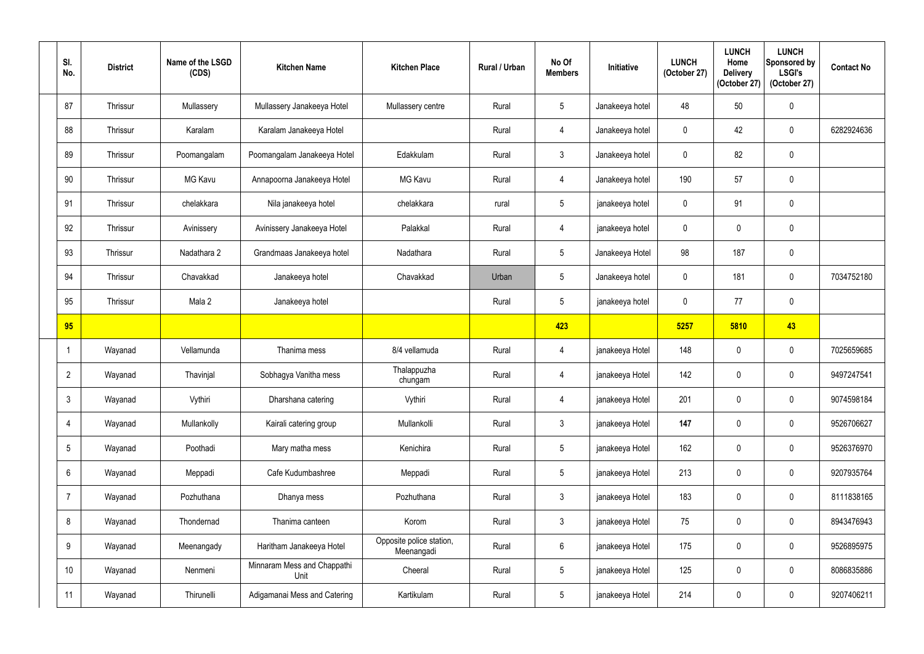| SI.<br>No.      | <b>District</b> | Name of the LSGD<br>(CDS) | <b>Kitchen Name</b>                 | <b>Kitchen Place</b>                   | Rural / Urban | No Of<br><b>Members</b> | Initiative      | <b>LUNCH</b><br>(October 27) | <b>LUNCH</b><br>Home<br><b>Delivery</b><br>(October 27) | <b>LUNCH</b><br>Sponsored by<br><b>LSGI's</b><br>(October 27) | <b>Contact No</b> |
|-----------------|-----------------|---------------------------|-------------------------------------|----------------------------------------|---------------|-------------------------|-----------------|------------------------------|---------------------------------------------------------|---------------------------------------------------------------|-------------------|
| 87              | Thrissur        | Mullassery                | Mullassery Janakeeya Hotel          | Mullassery centre                      | Rural         | $5\overline{)}$         | Janakeeya hotel | 48                           | 50                                                      | $\pmb{0}$                                                     |                   |
| 88              | Thrissur        | Karalam                   | Karalam Janakeeya Hotel             |                                        | Rural         | $\overline{4}$          | Janakeeya hotel | $\mathbf 0$                  | 42                                                      | $\boldsymbol{0}$                                              | 6282924636        |
| 89              | Thrissur        | Poomangalam               | Poomangalam Janakeeya Hotel         | Edakkulam                              | Rural         | $\mathbf{3}$            | Janakeeya hotel | $\mathbf{0}$                 | 82                                                      | $\pmb{0}$                                                     |                   |
| 90              | Thrissur        | <b>MG Kavu</b>            | Annapoorna Janakeeya Hotel          | <b>MG Kavu</b>                         | Rural         | 4                       | Janakeeya hotel | 190                          | 57                                                      | $\pmb{0}$                                                     |                   |
| 91              | Thrissur        | chelakkara                | Nila janakeeya hotel                | chelakkara                             | rural         | $5\overline{)}$         | janakeeya hotel | $\mathbf{0}$                 | 91                                                      | $\mathbf 0$                                                   |                   |
| 92              | Thrissur        | Avinissery                | Avinissery Janakeeya Hotel          | Palakkal                               | Rural         | 4                       | janakeeya hotel | $\mathbf 0$                  | $\Omega$                                                | $\pmb{0}$                                                     |                   |
| 93              | Thrissur        | Nadathara 2               | Grandmaas Janakeeya hotel           | Nadathara                              | Rural         | $5\phantom{.0}$         | Janakeeya Hotel | 98                           | 187                                                     | $\pmb{0}$                                                     |                   |
| 94              | Thrissur        | Chavakkad                 | Janakeeya hotel                     | Chavakkad                              | Urban         | $5\phantom{.0}$         | Janakeeya hotel | $\mathbf 0$                  | 181                                                     | $\pmb{0}$                                                     | 7034752180        |
| 95              | Thrissur        | Mala 2                    | Janakeeya hotel                     |                                        | Rural         | $5\overline{)}$         | janakeeya hotel | $\mathbf 0$                  | 77                                                      | $\pmb{0}$                                                     |                   |
| 95              |                 |                           |                                     |                                        |               | 423                     |                 | 5257                         | 5810                                                    | 43                                                            |                   |
|                 | Wayanad         | Vellamunda                | Thanima mess                        | 8/4 vellamuda                          | Rural         | 4                       | janakeeya Hotel | 148                          | 0                                                       | $\mathbf 0$                                                   | 7025659685        |
| $\overline{2}$  | Wayanad         | Thavinjal                 | Sobhagya Vanitha mess               | Thalappuzha<br>chungam                 | Rural         | $\overline{4}$          | janakeeya Hotel | 142                          | $\mathbf 0$                                             | $\mathbf 0$                                                   | 9497247541        |
| 3               | Wayanad         | Vythiri                   | Dharshana catering                  | Vythiri                                | Rural         | $\overline{4}$          | janakeeya Hotel | 201                          | $\boldsymbol{0}$                                        | $\pmb{0}$                                                     | 9074598184        |
| 4               | Wayanad         | Mullankolly               | Kairali catering group              | Mullankolli                            | Rural         | $\mathfrak{Z}$          | janakeeya Hotel | 147                          | $\mathbf 0$                                             | $\pmb{0}$                                                     | 9526706627        |
| 5               | Wayanad         | Poothadi                  | Mary matha mess                     | Kenichira                              | Rural         | $5\phantom{.0}$         | janakeeya Hotel | 162                          | 0                                                       | $\boldsymbol{0}$                                              | 9526376970        |
| 6               | Wayanad         | Meppadi                   | Cafe Kudumbashree                   | Meppadi                                | Rural         | $\sqrt{5}$              | janakeeya Hotel | 213                          | 0                                                       | $\pmb{0}$                                                     | 9207935764        |
| $\overline{7}$  | Wayanad         | Pozhuthana                | Dhanya mess                         | Pozhuthana                             | Rural         | $\mathbf{3}$            | janakeeya Hotel | 183                          | 0                                                       | $\pmb{0}$                                                     | 8111838165        |
| 8               | Wayanad         | Thondernad                | Thanima canteen                     | Korom                                  | Rural         | $\mathbf{3}$            | janakeeya Hotel | 75                           | $\mathbf 0$                                             | $\pmb{0}$                                                     | 8943476943        |
| 9               | Wayanad         | Meenangady                | Haritham Janakeeya Hotel            | Opposite police station,<br>Meenangadi | Rural         | $6\phantom{.0}$         | janakeeya Hotel | 175                          | $\mathbf 0$                                             | $\pmb{0}$                                                     | 9526895975        |
| 10 <sup>°</sup> | Wayanad         | Nenmeni                   | Minnaram Mess and Chappathi<br>Unit | Cheeral                                | Rural         | $5\phantom{.0}$         | janakeeya Hotel | 125                          | 0                                                       | $\pmb{0}$                                                     | 8086835886        |
| 11              | Wayanad         | Thirunelli                | Adigamanai Mess and Catering        | Kartikulam                             | Rural         | $\overline{5}$          | janakeeya Hotel | 214                          | 0                                                       | $\pmb{0}$                                                     | 9207406211        |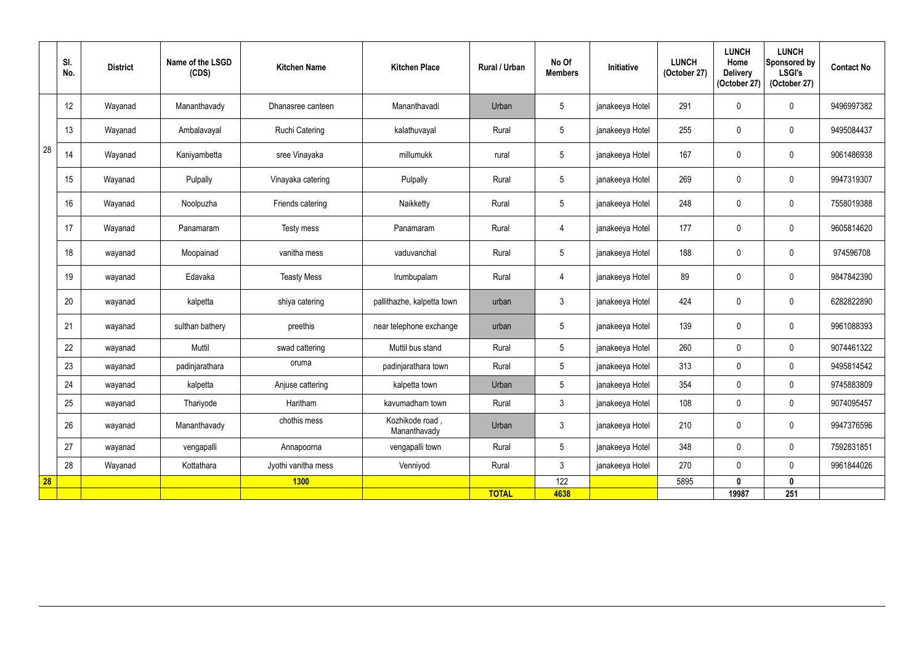|           | SI.<br>No. | <b>District</b> | Name of the LSGD<br>(CDS) | <b>Kitchen Name</b>   | <b>Kitchen Place</b>            | Rural / Urban | No Of<br><b>Members</b> | Initiative      | <b>LUNCH</b><br>(October 27) | <b>LUNCH</b><br>Home<br><b>Delivery</b><br>(October 27) | <b>LUNCH</b><br>Sponsored by<br><b>LSGI's</b><br>(October 27) | <b>Contact No</b> |
|-----------|------------|-----------------|---------------------------|-----------------------|---------------------------------|---------------|-------------------------|-----------------|------------------------------|---------------------------------------------------------|---------------------------------------------------------------|-------------------|
|           | 12         | Wayanad         | Mananthavady              | Dhanasree canteen     | Mananthavadi                    | Urban         | $5\phantom{.0}$         | janakeeya Hotel | 291                          | 0                                                       | $\pmb{0}$                                                     | 9496997382        |
|           | 13         | Wayanad         | Ambalavayal               | <b>Ruchi Catering</b> | kalathuvayal                    | Rural         | 5                       | janakeeya Hotel | 255                          | 0                                                       | $\pmb{0}$                                                     | 9495084437        |
| 28        | 14         | Wayanad         | Kaniyambetta              | sree Vinayaka         | millumukk                       | rural         | $5\phantom{.0}$         | janakeeya Hotel | 167                          | 0                                                       | $\mathbf 0$                                                   | 9061486938        |
|           | 15         | Wayanad         | Pulpally                  | Vinayaka catering     | Pulpally                        | Rural         | $5\phantom{.0}$         | janakeeya Hotel | 269                          | 0                                                       | $\pmb{0}$                                                     | 9947319307        |
|           | 16         | Wayanad         | Noolpuzha                 | Friends catering      | Naikketty                       | Rural         | $5\phantom{.0}$         | janakeeya Hotel | 248                          | 0                                                       | $\pmb{0}$                                                     | 7558019388        |
|           | 17         | Wayanad         | Panamaram                 | Testy mess            | Panamaram                       | Rural         | $\overline{4}$          | janakeeya Hotel | 177                          | $\mathbf 0$                                             | $\overline{0}$                                                | 9605814620        |
|           | 18         | wayanad         | Moopainad                 | vanitha mess          | vaduvanchal                     | Rural         | $5\phantom{.0}$         | janakeeya Hotel | 188                          | 0                                                       | $\mathbf 0$                                                   | 974596708         |
|           | 19         | wayanad         | Edavaka                   | <b>Teasty Mess</b>    | Irumbupalam                     | Rural         | 4                       | janakeeya Hotel | 89                           | 0                                                       | $\mathbf 0$                                                   | 9847842390        |
|           | 20         | wayanad         | kalpetta                  | shiya catering        | pallithazhe, kalpetta town      | urban         | $\mathfrak{Z}$          | janakeeya Hotel | 424                          | $\mathbf 0$                                             | $\pmb{0}$                                                     | 6282822890        |
|           | 21         | wayanad         | sulthan bathery           | preethis              | near telephone exchange         | urban         | 5                       | janakeeya Hotel | 139                          | $\boldsymbol{0}$                                        | $\pmb{0}$                                                     | 9961088393        |
|           | 22         | wayanad         | Muttil                    | swad cattering        | Muttil bus stand                | Rural         | $5\overline{)}$         | janakeeya Hotel | 260                          | $\mathbf 0$                                             | $\pmb{0}$                                                     | 9074461322        |
|           | 23         | wayanad         | padinjarathara            | oruma                 | padinjarathara town             | Rural         | $5\overline{)}$         | janakeeya Hotel | 313                          | $\pmb{0}$                                               | $\pmb{0}$                                                     | 9495814542        |
|           | 24         | wayanad         | kalpetta                  | Anjuse cattering      | kalpetta town                   | Urban         | 5                       | janakeeya Hotel | 354                          | $\mathbf 0$                                             | $\mathbf 0$                                                   | 9745883809        |
|           | 25         | wayanad         | Thariyode                 | Haritham              | kavumadham town                 | Rural         | 3 <sup>7</sup>          | janakeeya Hotel | 108                          | 0                                                       | $\mathbf 0$                                                   | 9074095457        |
|           | 26         | wayanad         | Mananthavady              | chothis mess          | Kozhikode road,<br>Mananthavady | Urban         | $3\overline{3}$         | janakeeya Hotel | 210                          | 0                                                       | $\pmb{0}$                                                     | 9947376596        |
|           | 27         | wayanad         | vengapalli                | Annapoorna            | vengapalli town                 | Rural         | $5\overline{)}$         | janakeeya Hotel | 348                          | $\mathbf 0$                                             | $\overline{0}$                                                | 7592831851        |
|           | 28         | Wayanad         | Kottathara                | Jyothi vanitha mess   | Venniyod                        | Rural         | $\mathfrak{Z}$          | janakeeya Hotel | 270                          | $\mathbf{0}$                                            | $\mathbf 0$                                                   | 9961844026        |
| <b>28</b> |            |                 |                           | <b>1300</b>           |                                 |               | 122                     |                 | 5895                         | $\mathbf{0}$                                            | $\mathbf 0$                                                   |                   |
|           |            |                 |                           |                       |                                 | <b>TOTAL</b>  | 4638                    |                 |                              | 19987                                                   | 251                                                           |                   |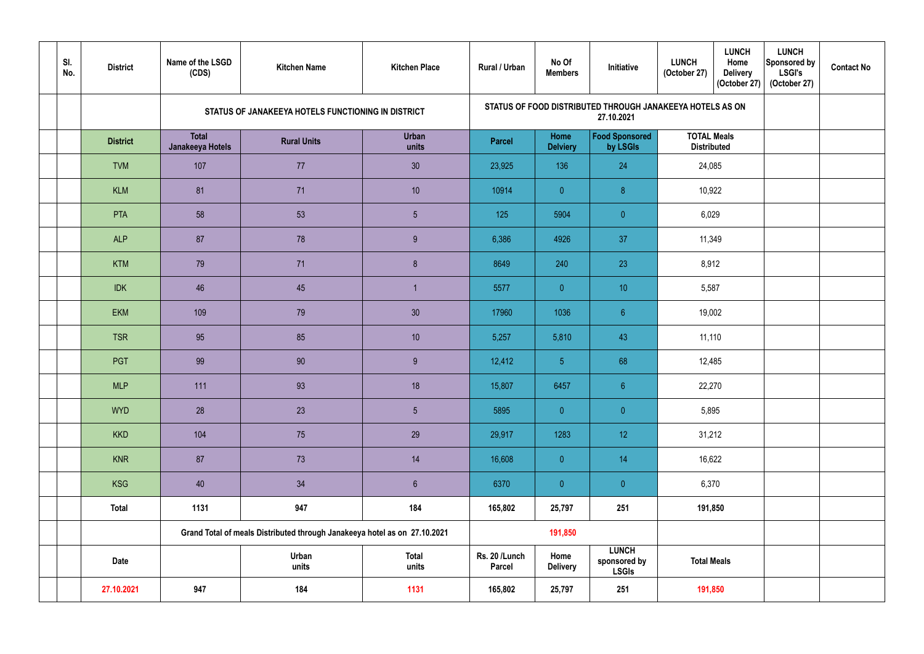| SI.<br>No. | <b>District</b> | Name of the LSGD<br>(CDS)        | <b>Kitchen Name</b>                                                       | <b>Kitchen Place</b>  | <b>Rural / Urban</b>           | No Of<br><b>Members</b> | Initiative                                                              | <b>LUNCH</b><br><b>LUNCH</b><br>Home<br><b>Delivery</b><br>(October 27)<br>(October 27) | <b>LUNCH</b><br>Sponsored by<br><b>LSGI's</b><br>(October 27) | <b>Contact No</b> |
|------------|-----------------|----------------------------------|---------------------------------------------------------------------------|-----------------------|--------------------------------|-------------------------|-------------------------------------------------------------------------|-----------------------------------------------------------------------------------------|---------------------------------------------------------------|-------------------|
|            |                 |                                  | STATUS OF JANAKEEYA HOTELS FUNCTIONING IN DISTRICT                        |                       |                                |                         | STATUS OF FOOD DISTRIBUTED THROUGH JANAKEEYA HOTELS AS ON<br>27.10.2021 |                                                                                         |                                                               |                   |
|            | <b>District</b> | <b>Total</b><br>Janakeeya Hotels | <b>Rural Units</b>                                                        | Urban<br>units        | <b>Parcel</b>                  | Home<br><b>Delviery</b> | <b>Food Sponsored</b><br>by LSGIs                                       | <b>TOTAL Meals</b><br><b>Distributed</b>                                                |                                                               |                   |
|            | <b>TVM</b>      | 107                              | 77                                                                        | 30                    | 23,925                         | 136                     | 24                                                                      | 24,085                                                                                  |                                                               |                   |
|            | <b>KLM</b>      | 81                               | 71                                                                        | 10 <sup>°</sup>       | 10914                          | $\overline{0}$          | $\delta$                                                                | 10,922                                                                                  |                                                               |                   |
|            | <b>PTA</b>      | 58                               | 53                                                                        | $5\phantom{.0}$       | 125                            | 5904                    | $\overline{0}$                                                          | 6,029                                                                                   |                                                               |                   |
|            | <b>ALP</b>      | 87                               | 78                                                                        | 9                     | 6,386                          | 4926                    | 37                                                                      | 11,349                                                                                  |                                                               |                   |
|            | <b>KTM</b>      | 79                               | 71                                                                        | $\delta$              | 8649                           | 240                     | 23                                                                      | 8,912                                                                                   |                                                               |                   |
|            | <b>IDK</b>      | 46                               | 45                                                                        |                       | 5577                           | $\overline{0}$          | 10                                                                      | 5,587                                                                                   |                                                               |                   |
|            | <b>EKM</b>      | 109                              | 79                                                                        | 30 <sub>o</sub>       | 17960                          | 1036                    | 6 <sup>°</sup>                                                          | 19,002                                                                                  |                                                               |                   |
|            | <b>TSR</b>      | 95                               | 85                                                                        | 10                    | 5,257                          | 5,810                   | 43                                                                      | 11,110                                                                                  |                                                               |                   |
|            | PGT             | 99                               | $90\,$                                                                    | $9\,$                 | 12,412                         | 5 <sub>1</sub>          | 68                                                                      | 12,485                                                                                  |                                                               |                   |
|            | <b>MLP</b>      | 111                              | 93                                                                        | 18                    | 15,807                         | 6457                    | 6 <sup>°</sup>                                                          | 22,270                                                                                  |                                                               |                   |
|            | <b>WYD</b>      | 28                               | 23                                                                        | 5 <sub>5</sub>        | 5895                           | $\overline{0}$          | $\overline{0}$                                                          | 5,895                                                                                   |                                                               |                   |
|            | <b>KKD</b>      | 104                              | 75                                                                        | 29                    | 29,917                         | 1283                    | 12 <sup>°</sup>                                                         | 31,212                                                                                  |                                                               |                   |
|            | <b>KNR</b>      | 87                               | 73                                                                        | 14                    | 16,608                         | $\overline{0}$          | 14                                                                      | 16,622                                                                                  |                                                               |                   |
|            | <b>KSG</b>      | 40                               | 34                                                                        | 6 <sup>1</sup>        | 6370                           | $\theta$                | $\overline{0}$                                                          | 6,370                                                                                   |                                                               |                   |
|            | <b>Total</b>    | 1131                             | 947                                                                       | 184                   | 165,802                        | 25,797                  | 251                                                                     | 191,850                                                                                 |                                                               |                   |
|            |                 |                                  | Grand Total of meals Distributed through Janakeeya hotel as on 27.10.2021 |                       |                                | 191,850                 |                                                                         |                                                                                         |                                                               |                   |
|            | <b>Date</b>     |                                  | Urban<br>units                                                            | <b>Total</b><br>units | Rs. 20 /Lunch<br><b>Parcel</b> | Home<br><b>Delivery</b> | <b>LUNCH</b><br>sponsored by<br><b>LSGIs</b>                            | <b>Total Meals</b>                                                                      |                                                               |                   |
|            | 27.10.2021      | 947                              | 184                                                                       | 1131                  | 165,802                        | 25,797                  | 251                                                                     | 191,850                                                                                 |                                                               |                   |